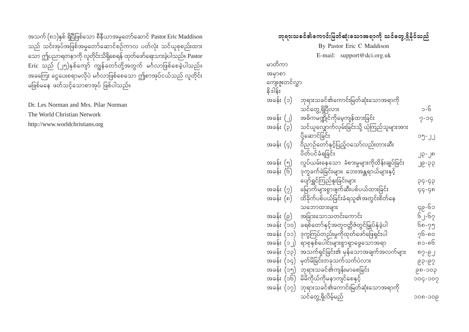အသက် (၈၁)နှစ် ရှိပြီဖြစ်သော စီနီယာအမှုတော်ဆောင် Pastor Eric Maddison သည် သင်းအုပ်အဖြစ်အမှုတော်ဆောင်စဉ်ကာလ ပတ်လုံး သင်ယူစုစည်းထား သော ဤပညာရတနာကို လူတိုင်းသိရှိစေရန် ထုတ်ဖော်ရေးသားခဲ့ပါသည်။ Pastor Eric သည် (၂၅)နှစ်ကျော် ကျွန်တော်တို့အတွက် မင်္ဂလာဖြစ်စေခဲ့ပါသည်။ အခကြး ငွေပေးစရာမလိုပဲ မင်္ဂလာဖြစ်စေသော ဤစာအုပ်ငယ်သည် လူတိုင်း မဖြစ်မနေ ဖတ်သင့်သောစာအုပ် ဖြစ်ပါသည်။

Dr. Les Norman and Mrs. Pilar Norman The World Christian Network http://www.worldchristians.org

#### ဘုရားသခင်၏ကောင်းမြတ်ဆုံးသောအရာကို သင်တွေ့ရှိနိုင်သည် By Pastor Eric C Maddison E-mail: support@dci.org.uk မာတိကာ အမှာစာ ကျေးဇူးတင်လွှာ  $\S$ ဒါန်း အခန်း $($ ၁ $)$  ဘုရားသခင်၏ကောင်းမြတ်ဆုံးသောအရာကို သင်တွေ့ ရှိပြီလား ကားသား အားသား သမ္မတ အ tcef; (2) t"dur@dKifukdarhusefxm;jcif; 7-14 အခန်း (၃) သင်ယူလျှောက်လှမ်းခြင်းသို့ ယုံကြည်သူများအား ykdYaqmifjcif; 15-22 အခန်း  $\left($ ၄ $\right)$  ၀ိညာဉ်တော်နှင့်ပြည့်ဝသော်လည်းတားဆီး ပိတ်ပင်ခံရခြင်း သားသား အောက်အောက် အောက်အောက် အ အခန်း (၅) လှုပ်ယမ်းနေသော ခံစားမှုများကိုထိန်းချုပ်ခြင်း ၂၉-၃၃ အခန်း $\overline{16)}$  ဒုက္ခခက်ခဲခြင်းများ၊ ဘေးအန္တရာယ်များနှင့် ပျော်ရွှင်ကြည်နူးခြင်းများ ကားသားကား ၁၄-၄၃ အခန်း (၇) မြောက်များစွာဖျက်ဆီးပစ်ပယ်ထားခြင်း $q\overline{q}$ ်မှာ မြောက် အခန်း $\left(\begin{matrix} 0\end{matrix}\right)$  ထိခိုက်ပစ်ပယ်ခြင်းခံရသူ၏အတွင်းစိတ်နေ သဘောထားများ ကားကားကားကား မြောက်သော အခန်း $(e)$  အခြားသောသတင်းကောင်း $\qquad \qquad \begin{array}{c} \text{if} \ \text{if} \ \text{if} \ \text{if} \ \text{if} \ \text{if} \ \text{if} \ \text{if} \ \text{if} \ \text{if} \ \text{if} \ \text{if} \ \text{if} \ \text{if} \ \text{if} \ \text{if} \ \text{if} \ \text{if} \ \text{if} \ \text{if} \ \text{if} \ \text{if} \ \text{if} \ \text{if} \ \text{if} \ \text{if} \ \text{if} \ \text{if} \ \text{if} \ \text{$ tcef; (10) c&pfawmfESifhtwlAwådZHwGifjr§KyfESHcJhyg 68-75 အခန်း  $($ ၁၁ $)$  ဒုက္ခကြပ်တည်းမှုကိုထုတ်ဖော်ဖြေရှင်းပါ $\gamma$ ၆-၈၀ tcef; (12) &mpkESpfaygif;rsm;pGm&SmazGaomt&m 81-86 အခန်း  $(22)$ းသက်ရှင်ခြင်း၏ မှန်သောအချက်အလက်များ ၈၇-၉၂ အခန်း (၁၄) မှတ်မိခြင်းတခုသက်သက်ပဲလား $\text{g}\rightarrow\text{g}^2\text{g}^2$ အခန်း  $(20)$  ဘုရားသခင်၏ကျန်းမာစေခြင်း $\qquad \qquad \qquad \qquad \qquad \qquad \qquad$ <u>အခန်း (၁၆) မိမိကိုယ်ကိုမနာကျင်စေနှင့် ၂၀</u>၀၄-၁၀၇ ဆို အခန်း $\dot{\left(}\circ\gamma\right)\;$  ဘုရားသခင်၏ကောင်းမြတ်ဆုံးသောအရာကို oifawGU&Sdvdrfhrnf 108-109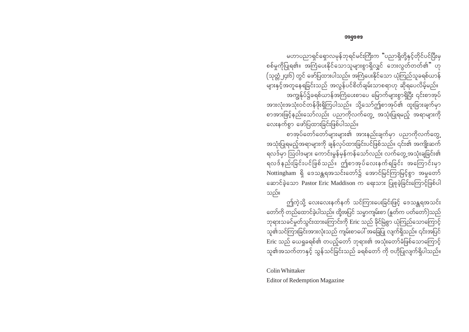မဟာပညာရှင်ရှောလမှန်ဘုရင်မင်းကြီးက "ပညာရှိတို့နှင့်တိုင်ပင်ပြီးမှ စစ်မှုကိုပြုရ၏။ အကြံပေးနိုင်သောသူများစွာရှိလျှင် ဘေးလွှတ်တတ်၏" ဟု (သုတ္တံ၂၄း၆) တွင် ဖော်ပြထားပါသည်။ အကြံပေးနိုင်သော ယုံကြည်သူခရစ်ယာန် များနှင့်အတူနေရခြင်းသည် အလွန်ပင်စိတ်ချမ်းသာစရာဟု ဆိုရပေလိမ့်မည်။ အကျွန်ုပ်၌ခရစ်ယာန်အကြံပေးစာပေ မြောက်များစွာရှိပြီး ၎င်းစာအုပ် အားလုံးအသုံးဝင်တန်ဖိုးရှိကြပါသည်။ သို့သော်ဤစာအုပ်၏ ထူးခြားချက်မှာ စာအားဖြင့်နည်းသော်လည်း ပညာကိုလက်တွေ့ အသုံးပြုရမည့် အရာများကို လေးနက်စွာ ဖော်ပြထားခြင်းဖြစ်ပါသည်။

စာအုပ်တော်တော်များများ၏ အားနည်းချက်မှာ ပညာကိုလက်တွေ့ အသုံးပြုရမည့်အရာများကို ချန်လုပ်ထားခြင်းပင်ဖြစ်သည်။ ၎င်း၏ အကျိုးဆက် ရလဒ်မှာ ဩဝါဒများ ကောင်းမွန်မှန်ကန်သော်လည်း လက်တွေ့အသုံးချခြင်း၏ ရလဒ်နည်းခြင်းပင်ဖြစ်သည်။ ဤစာအုပ်လေးနက်ရခြင်း အကြောင်းမှာ Nottingham ရှိ ဒေသန္တရအသင်းတော်၌ အောင်မြင်ကြာမြင့်စွာ အမှုတော် ဆောင်ခဲ့သော Pastor Eric Maddison က ရေးသား ပြုစုခဲ့ခြင်းကြောင့်ဖြစ်ပါ သည်။

ဤကဲ့သို့ လေးလေးနက်နက် သင်ကြားပေးခြင်းဖြင့် ဒေသန္တရအသင်း တော်ကို တည်ထောင်ခဲ့ပါသည်။ ထို့အပြင် သမ္မာကျမ်းစာ (နူတ်က ပတ်တော်)သည် ဘုရားသခင်မှုတ်သွင်းထားကြောင်းကို Eric သည် ခိုင်မြဲစွာ ယုံကြည်သောကြောင့် သူ၏သင်ကြားခြင်းအားလုံးသည် ကျမ်းစာပေါ် အခြေပြု လျက်ရှိသည်။ ၎င်းအပြင် Eric သည် ယေရှုခရစ်၏ တပည့်တော် ဘုရား၏ အသုံးတော်ခံဖြစ်သောကြောင့် သူ၏အသက်တာနှင့် သွန်သင်ခြင်းသည် ခရစ်တော် ကို ဗဟိုပြုလျက်ရှိပါသည်။

Colin Whittaker

**Editor of Redemption Magazine**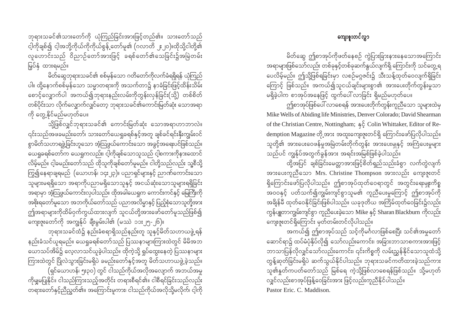ဘုရားသခင်၏သားတော်ကို ယုံကြည်ခြင်းအားဖြင့်တည်၏။ သားတော်သည် ငါ့ကိုချစ်၍ ငါ့အဘို့ကိုယ်ကိုကိုယ်စွန့် တော်မူ၏ (ဂလာတိ ၂း၂၀)။ထိုသို့ငါတို့၏ လူဟောင်းသည် ဝိညာဉ်တော်အားဖြင့် ခရစ်တော်၏သေခြင်း၌အမြဲတမ်း မြပ်နှံ ထားရမည်။

မိတ်ဆွေဘုရားသခင်၏ စစ်မှန်သော ဂတိတော်ကိုလက်ခံရရှိရန် ယုံကြည် ပါ။ ထို့နောက်စစ်မှန်သော သမ္မာတရားကို အသက်တာ၌ နာခံခြင်းဖြင့်ထိန်းသိမ်း စောင့်လျှောက်ပါ အကယ်၍ဘုရားနည်းလမ်းကိုတွန်းလှန်ခြင်း(သို့) တစ်စိတ် တစ်ပိုင်းသာ လိုက်လျှောက်လျှင်တော့ ဘုရားသခင်၏ကောင်းမြတ်ဆုံး သောအရာ ကို တွေ့နိုင်မည်မဟုတ်ပေ။

သို့ဖြစ်လျှင်ဘုရားသခင်၏ ကောင်းမြတ်ဆုံး သောအရာဟာဘာလဲ။ ၎င်းသည်အဖခမည်းတော်၊ သားတော်ယေရှုခရစ်နှင့်အတူ ချစ်ခင်ရင်းနှီးကျွမ်းဝင် စွာမိတ်သဟာရဖွဲ့ခြင်းဟူသော အံ့သြဖွယ်ကောင်းသော အခွင့်အရေးပင်ဖြစ်သည်။ ယေရှုခရစ်တော်က ယေရှုကလည်း၊ ငါ့ကိုချစ်သောသူသည် ငါ့စကားကိုနားထောင် လိမ့်မည်။ ငါ့ခမည်းတော်သည် ထိုသူကိုချစ်တော်မူမည်။ ငါတို့သည်လည်း သူ့စီသို့ ကြွ၍နေရာချရမည် (ယောဟန်၊ ၁၄း၂၃)။ ပညာရှင်များနှင့် ညာဏ်ကောင်းသော ——<br>သူများမရရှိသော အရာကိုပညာမရှိသောသူနှင့် အငယ်ဆုံးသောသူများရရှိခြင်း အရာမှာ အံ့သြဖွယ်ကောင်းလှပါသည်။ ထိုအခါယေရှုက ကောင်းကင်နှင့် မြေကြီးကို အစိုးရတော်မူသော အဘကိုယ်တော်သည် ပညာအလိမ္မာနှင့် ပြည့်စုံသောသူတို့အား ဤအရာများကိုထိမ်ဝှက်ကွယ်ထားလျက် သူငယ်တို့အားဖော်တော်မူသည်ဖြစ်၍ ကျေးဇူးတော်ကို အကျွန်ုပ် ချီးမွမ်းပါ၏ (မဿဲ ၁၁း၂၅-၂၆)။

ဘုရားသခင်ထံ၌ နည်းခံစရာရှိသည်နည်းတူ သူနှင့်မိတ်သဟာယဖွဲ့ရန် နည်းခံသင်ယူရမည်။ ယေရှုခရစ်တော်သည် ပြဿနာများကြားထဲတွင် မိမိအဘ ယောသပ်အိမ်၌ လေ့လာသင်ယူခဲ့ပါသည်။ ထိုကဲ့သို့ ရှုပ်ထွေးနေတဲ့ ပြဿနာများ ကြားထဲတွင် ပြိုလဲသွားခြင်းမရှိပဲ ခမည်းတော်နှင့်အတူ မိတ်သဟာယဖွဲ့ခဲ့သည်။ (ရှင်ယောဟန်၊ ၅း၃၀) တွင် ငါသည်ကိုယ်အလိုအလျောက် အဘယ်အမှု ကိုမျှမပြုနိုင်။ ငါသည်ကြားသည့်အတိုင်း တရားစီရင်၏။ ငါစီရင်ခြင်းသည်လည်း တရားတော်နှင့်ညီညွတ်၏။ အကြောင်းမူကား၊ ငါသည်ကိုယ်အလိုသို့မလိုက်၊ ငါ့ကို

### ကျေး**ူး**တင်လွှာ

မိတ်ဆွေ ဤစာအုပ်ကိုဖတ်နေစဉ် ကွဲပြားခြားနားနေသောအကြောင်း အရာများဖြစ်သော်လည်း တစ်ခုနှင့်တစ်ခုဆက်နွယ်လျက်ရှိ ကြောင်းကို သင်တွေ့ရ ပေလိမ့်မည်။ ဤသို့ဖြစ်ရခြင်းမှာ လစဉ်မဂ္ဂဇင်း၌ သီးသန့်ထုတ်ဝေလျက်ရှိခြင်း ကြောင့် ဖြစ်သည်။ အကယ်၍သူငယ်ချင်းများစွာ၏ အားပေးတိုက်တွန်းမှုသာ .<br>မရှိခဲ့ပါက စာအုပ်အနေဖြင့် ထွက်ပေါ် လာခြင်း ရှိမည်မဟုတ်ပေ။

ကျ်စာအုပ်ဖြစ်ပေါ် လာစေရန် အားပေးတိုက်တွန်းကူညီသော သူများထဲမှ Mike Wells of Abiding life Ministries, Denver Colorado; David Shearman of the Christian Centre, Nottingham;  $\frac{1}{2}$  Colin Whittaker, Editor of Redemption Magazine တို့အား အထူးကျေးဇူးတင်ရှိ ကြောင်းဖော်ပြလိုပါသည်။ သတို့၏ အားပေးဝေဖန်မှုအမြဲတမ်းတိုက်တွန်း အားပေးမှုနှင့် အကြံပေးမှုများ သည်ပင် ကျွန်ုပ်အတွက်ခွန်အား အရင်းအမြစ်ဖြစ်ခဲ့ပါသည်။

ထို့အပြင် ချစ်ခြင်းမေတ္တာအားဖြင့်စိတ်ရှည်သည်းခံစွာ လက်တွဲလျက် အားပေးကူညီသော Mrs. Christine Thompson အားလည်း ကျေးဇူးတင် ရှိကြောင်းဖော်ပြလိုပါသည်။ ဤစာအုပ်ထုတ်ဝေရာတွင် အတွင်းရေးမျုးကိစ္စ အဝဝနှင့် ပတ်သက်၍ကျွမ်းကျင်စွာသူမ၏ ကူညီပေးမှုကြောင့် ဤစာအုပ်ကို အချိန်မီ ထုတ်ဝေနိုင်ခြင်းဖြစ်ပါသည်။ ယခုဒုတိယ အကြိမ်ထုတ်ဝေခြင်း၌လည်း ကွန်ပျူတာကျွမ်းကျင်စွာ ကူညီပေးခဲ့သော Mike နှင့် Sharan Blackburn ကိုလည်း ကျေးဇူးတင်ရှိကြောင်း မှတ်တမ်းတင်လိုပါသည်။

အကယ်၍ ဤစာအုပ်သည် သင့်ကိုမင်္ဂလာဖြစ်စေပြီး သင်၏အမှုတော် ဆောင်ရာ၌ ထပ်မံပုံနိုပ်လို၍ သော်လည်းကောင်း၊ အခြားဘာသာစကားအားဖြင့် ဘာသာပြန်လိုလျှင်သော်လည်းကောင်း၊ ၎င်းကိစ္စကို လမ်းညွှန်နိုင်သောသူထံသို့ တွန့်ဆုတ်ခြင်းမရှိပဲ ဆက်သွယ်နိုင်ပါသည်။ ဘုရားသခင်ကတိထားခဲ့သည်ကား သူ၏နူတ်ကပတ်တော်သည် မြစ်ရေ ကဲ့သို့ဖြစ်လာစေရန်ဖြစ်သည်။ သို့မဟုတ် လျှင်လည်းစာအုပ်ဖြန့်ဝေခြင်းအား ဖြင့်လည်းကူညီနိုင်ပါသည်။ Pastor Eric. C. Maddison.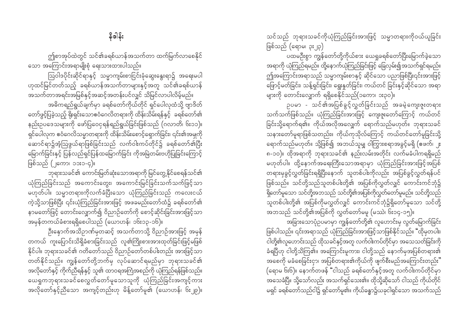သင်သည် ဘုရားသခင်ကိုယုံကြည်ခြင်းအားဖြင့် သမ္မာတရားကိုဝယ်ယူခြင်း ဖြစ်သည် (ရောမ၊ ၃း၂၃)

ပထမဦးစွာ ကျွန်တော်တို့ကိုယ်စား ယေရှုခရစ်တော်ပြီးမြောက်ခဲ့သော အရာကို ယုံကြည်ရမည်။ ထို့နောက်ယုံကြည်ခြင်းဖြင့် ခြေလှမ်း၍အသက်ရှင်ရမည်။ ဤအကြောင်းအရာသည် သမ္မာကျမ်းစာနှင့် ဆိုင်သော ပညာဖြစ်ပြီး၎င်းအားဖြင့် ဖြောင့်မတ်ခြင်း၊ သန့်ရှင်းခြင်း၊ ရွေးနှုတ်ခြင်း၊ ကယ်တင် ခြင်းနှင့်ဆိုင်သော အရာ များကို တောင်းလျှောက် ရရှိစေနိုင်သည်(၁ကော၊ ၁း၃၀)။

ှာပမာ - သင်၏အပြစ်ခွင့်လွတ်ခြင်းသည် အခမဲ့ကျေးဇူးတရား သက်သက်ဖြစ်သည်။ ယုံကြည်ခြင်းအားဖြင့် ကျေးဇူးတော်ကြောင့် ကယ်တင် ခြင်းသို့ရောက်ရ၏။ ကိုယ်အလိုအလျှေက် ရောက်သည်မဟုတ်။ ဘုရားသခင် သနားတော်မူရာဖြစ်သတည်း။ ကိုယ်ကုသိုလ်ကြောင့် ကယ်တင်တော်မူခြင်းသို့ ရောက်သည်မဟုတ်။ သို့ဖြစ်၍ အဘယ်သူမျှ ဝါကြွားစရာအခွင့်မရှိ (ဧဖက်၊ ၂း ၈-၁၀)။ ထိုအရာကို ဘုရားသခင်၏ နည်းလမ်းအတိုင်း လက်မခံပါကရရှိမည် မဟုတ်ပါ။ ထို့နောက်အရေးကြီးသောအရာမှာ ယုံကြည်ခြင်းအားဖြင့်အပြစ် တရားမှခွင့်လွှတ်ခြင်းရရှိပြီးနောက် သူတစ်ပါးကိုလည်း အပြစ်ခွင့်လွှတ်ရန်ပင် ဖြစ်သည်။ သင်တို့သည်သူတစ်ပါးတို့၏ အပြစ်ကိုလွှတ်လျှင် ကောင်းကင်ဘုံ၌ ရှိတော်မူသော သင်တို့အဘသည် သင်တို့၏အပြစ်ကိုလွှတ်တော်မူမည်။ သင်တို့သည် သူတစ်ပါးတို့၏ အပြစ်ကိုမလွှတ်လျှင် ကောင်းကင်ဘုံ၌ရှိတော်မူသော သင်တို့ အဘသည် သင်တို့၏အပြစ်ကို လွှတ်တော်မမူ (မဿဲ၊ ၆း၁၄-၁၅)။

အခြားသောပုံဉပမာမှာ ကျွန်တော်တို့၏ လူဟောင်းမှ လွတ်မြောက်ခြင်း ဖြစ်ပါသည်။ ၎င်းအရာသည် ယုံကြည်ခြင်းအားဖြင့်သာဖြစ်နိုင်သည်။ "ထိုမှတပါး၊ ငါတို့၏လူဟောင်းသည် ထိုသခင်နှင့်အတူ လက်ဝါးကပ်တိုင်မှာ အသေသတ်ခြင်းကို ခံရပြီဟု ငါတို့သိကြ၏။ အကြောင်းမူကား၊ ငါတို့သည် နောက်မှအပြစ်တရား၏ အစေကို မခံစေခြင်းငှာ၊ အပြစ်တရား၏ကိုယ်ကို ဖျက်စီးမည်အကြောင်းတည်း**"** (ရောမ ၆း၆)။ နောက်တဖန် "ငါသည် ခရစ်တော်နှင့်အတူ လက်ဝါးကပ်တိုင်မှာ အသေခံပြီ။ သို့သော်လည်း အသက်ရှင်သေး၏။ ထိုသို့ဆိုသော် ငါသည် ကိုယ်တိုင် မရှင် ခရစ်တော်သည်ငါ၌ ရှင်တော်မူ၏။ ကိုယ်ခန္ဓာ၌ယခုငါရှင်သော အသက်သည်

ဤစာအုပ်ထဲတွင် သင်၏ခရစ်ယာန်အသက်တာ ထက်မြက်လာစေနိုင် သော အကြောင်းအရာမျိုးစုံ ရေးသားထားပါသည်။

ဩဝါဒပိုင်းဆိုင်ရာနှင့် သမ္မာကျမ်းစာငြင်းခုံဆွေးနွေးရာ၌ အရေးမပါ ဟုထင်မြင်တတ်သည့် ခရစ်ယာန်အသက်တာများနှင့်အတူ သင်၏ခရစ်ယာန် အသက်တာအရင်းအမြစ်နှင့်အဆင့်အတန်းပင်လျှင် သိမြင်လာပါလိမ့်မည်။

အဓိကရည်ရွယ်ချက်မှာ ခရစ်တော်ကိုယ်တိုင် ရှင်ပေါလုထံသို့ ဗျာဒိတ် တော်ဖွင့်ပြခဲ့သည့် ရိုးရှင်းသောဧဝံဂေလိတရားကို ထိန်းသိမ်းရန်နှင့် ခရစ်တော်၏ နည်းဥပဒေသများကို ဖော်ပြဝေငှရန်ရည်ရွယ်ခြင်းဖြစ်သည် (ဂလာတိ၊ ၆း၁၁)။ ရှင်ပေါလုက ဧဝံဂေလိသမ္မာတရားကို ထိန်းသိမ်းစောင့်ရှောက်ခြင်း၊ ၎င်း၏အမှုကို ဆောင်ရာ၌အံ့သြဖွယ်ရာဖြစ်ခြင်းသည် လက်ဝါးကပ်တိုင်၌ ခရစ်တော်၏ပြီး မြောက်ခြင်းနှင့် ပြန်လည်ရှင်ပြန်ထမြောက်ခြင်း ကိုအမြဲတမ်းဗဟိုပြုခြင်းကြောင့် ဖြစ်သည် (၂ကော၊ ၁၁း၁-၄)။

ဘုရားသခင်၏ ကောင်းမြတ်ဆုံးသောအရာကို မြင်တွေ့နိုင်စေရန်သင်၏ ယုံကြည်ခြင်းသည် အကောင်းတွေး၊ အကောင်းမြင်ခြင်းသက်သက်ဖြင့်သာ ာကြော<br>မဟုတ်ပါ။ သမ္မာတရားကိုလက်ခံပြီးသော ယုံကြည်ခြင်းသည် ကလေးငယ် ကဲ့သို့သာဖြစ်ပြီး ၎င်းယုံကြည်ခြင်းအားဖြင့် အဖခမည်းတော်ထံ၌ ခရစ်တော်၏ နာမတော်ဖြင့် တောင်းလျှောက်၍ ဝိညာဉ်တော်ကို စောင့်ဆိုင်းခြင်းအားဖြင့်သာ အမှန်တကယ်ခံစားရရှိစေပါသည် (ယောဟန်၊ ၁၆း၁၃-၁၆)။

ဦးနှောက်အသိဉာဏ်မှတဆင့် အသက်တာသို့ ဝိညာဉ်အားဖြင့် အမှန် တကယ် ကူးပြောင်းသိရှိခံစားခြင်းသည် လူ၏ကြိုးစားအားထုတ်ခြင်းဖြင့်မဖြစ် နိုင်ပါ။ ဘုရားသခင်၏ ဂတိတော်သည် ဝိညာဉ်တော်တစ်ပါးတည်း အားဖြင့်သာ တတ်နိုင်သည်။ ကျွန်တော်တို့ဘက်မှ လုပ်ဆောင်ရမည်မှာ ဘုရားသခင်၏ အလိုတော်နှင့် ကိုက်ညီရန်နှင့် သူ၏ ထာဝရအကြံအစည်ကို ယုံကြည်ရန်ဖြစ်သည်။ ယေရှုကဘုရားသခင်စေလွှတ်တော်မူသောသူကို ယုံကြည်ခြင်းအကျင့်ကား အလိုတော်နှင့်ညီသော အကျင့်တည်းဟု မိန့်တော်မူ၏ (ယောဟန်၊ ၆း၂၉)။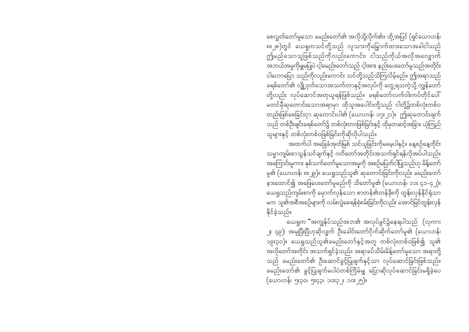စေလွှတ်တော်မူသော ခမည်းတော်၏ အလိုသို့လိုက်၏။ ထို့အပြင် (ရှင်ယောဟန်၊ ၈း၂၈)တွင် ယေရှုကသင်တို့သည် လူသားကိုမြှောက်ထားသောအခါငါသည် ဤမည်သောသူဖြစ်သည်ကိုလည်းကောင်း၊ ငါသည်ကိုယ်အလိုအလျှောက် အဘယ်အမှုကိုမျှမပြုပဲ ငါ့ခမည်းတော်သည် ငါ့အား နည်းပေးတော်မူသည်အတိုင်း ငါဟောပြော သည်ကိုလည်းကောင်း သင်တို့သည်သိကြလိမ့်မည်။ ဤအရာသည် ခရစ်တော််၏ လျှို့ဝှက်သောအသက်တာနှင့်အလုပ်ကို တွေ့ရသကဲ့သို့ ကျွန်တော် တို့လည်း လုပ်ဆောင်အတုယူရန်ဖြစ်သည်။ ခရစ်တော်လက်ဝါးကပ်တိုင်ပေါ် မတင်မီဆုတောင်းသောအရာမှာ ထိုသူအပေါင်းတို့သည် ငါတို့၌တစ်လုံးတစ်ဝ တည်းဖြစ်စေခြင်းငှာ ဆုတောင်းပါ၏ (ယောဟန်၊ ၁၇း၂၁)။ ဤဆုတောင်းချက် သည် တစ်ဦးချင်းခရစ်တော်၌ တစ်လုံးတဝဖြစ်ခြင်းနှင့် ထိုမှတဆင့်အခြား ယုံကြည် သူများနှင့် တစ်လုံးတစ်ဝဖြစ်ခြင်းကိုဆိုလိုပါသည်။

အထက်ပါ အခြေခံအုတ်မြစ် သင်ယူခြင်းကိုမမေ့ပါနှင့်။ နေ့စဉ်နေ့တိုင်း သမ္မာကျမ်းစာသွန်သင်ချက်နှင့် ဂတိတော်အတိုင်းအသက်ရှင်ရန်လိုအပ်ပါသည်။ အကြောင်းမူကား နှစ်သက်တော်မူသောအမှုကို အစဉ်မပြတ်ငါပြုသည်ဟု မိန့်တော် မူ၏ (ယောဟန်၊ ၈း၂၉)။ ယေရှုသည်သူ၏ ဆုတောင်းခြင်းကိုလည်း ခမည်းတော် နားထောင်၍ အဖြေပေးတော်မူမည်ကို သိတော်မူ၏ (ယောဟန်၊ ၁၁း ၄၁-၄၂)။ ယေရှုသည်ကျမ်းစာကို မှောက်လှန်သော စာတန်၏တန်ခိုးကို တွန်းလှန်နိုင်ရုံသာ .<br>မက သူ၏အစီအစဉ်များကို လမ်းလွဲစေရန်စုံစမ်းခြင်းကိုလည်း အောင်မြင်တွန်းလှန် နိုင်ခဲ့သည်။

ယေရှုက "အကျွန်ုပ်သည်အဘ၏ အလုပ်ခွင်၌နေရပါသည် (လုကာ၊ ၂း ၄၉)၊ အမှုပြီးပြီဟုဆိုလျှက် ဦးခေါင်းတော်ငိုက်ဆိုက်တော်မူ၏ (ယောဟန်၊ ၁၉း၃၀)။ ယေရှုသည်သူ၏ခမည်းတော်နှင့်အတူ တစ်လုံးတစ်ဝဖြစ်၍ သူ၏ အလိုတော်အတိုင်း အသက်ရှင်ခဲ့သည်။ အရာခပ်သိမ်းမိန့်တော်မူသော အရာတို့ သည် ခမည်းတော်၏ ဦးဆောင်ခွင့်ပြုချက်နှင့်သာ လုပ်ဆောင်ခြင်းဖြစ်သည်။ ခမည်းတော်၏ ခွင့်ပြုချက်မပါပဲတစ်ကြိမ်မျှ ပြောဆိုလုပ်ဆောင်ခြင်းမရှိခဲ့ပေ (ယောဟန်၊ ၅း၃၀၊ ၅း၄၃၊ ၁၀း၃၂၊ ၁၀း၂၅)။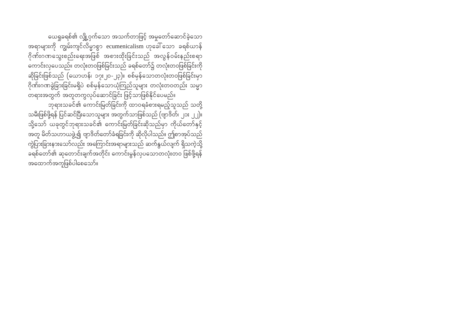ယေရှုခရစ်၏ လျှို့ဝှက်သော အသက်တာဖြင့် အမှုတော်ဆောင်ခဲ့သော အရာများကို ကျွမ်းကျင်လိမ္မာစွာ ecumenicalism ဟုခေါ် သော ခရစ်ယာန် ဂိုဏ်းဂဏသွေးစည်းရေးအဖြစ် အစားထိုးခြင်းသည် အလွန်ဝမ်းနည်းစရာ ကောင်းလှပေသည်။ တလုံးတဝဖြစ်ခြင်းသည် ခရစ်တော်၌ တလုံးတဝဖြစ်ခြင်းကို ဆိုခြင်းဖြစ်သည် (ယောဟန်၊ ၁၇း၂၀-၂၃)။ စစ်မှန်သောတလုံးတဝဖြစ်ခြင်းမှာ ဂိုဏ်းဂဏခွဲခြားခြင်းမရှိပဲ စစ်မှန်သောယုံကြည်သူများ တလုံးတဝတည်း သမ္မာ .<br>တရားအတွက် အတူတကွလုပ်ဆောင်ခြင်း ဖြင့်သာဖြစ်နိုင်ပေမည်။

ဘုရားသခင်၏ ကောင်းမြတ်ခြင်းကို ထာဝရခံစားရမည့်သူသည် သတို့ သမီးဖြစ်ဖို့ရန် ပြင်ဆင်ပြီးသောသူများ အတွက်သာဖြစ်သည် (ဗျာဒိတ်၊ ၂၁း ၂၂)။ သို့သော် ယခုတွင်ဘုရားသခင်၏ ကောင်းမြတ်ခြင်းဆိုသည်မှာ ကိုယ်တော်နှင့် အတူ မိတ်သဟာယဖွဲ့၍ ဗျာဒိတ်တော်ခံရခြင်းကို ဆိုလိုပါသည်။ ဤစာအုပ်သည် ကွဲပြားခြားနားသော်လည်း အကြောင်းအရာများသည် ဆက်နွယ်လျက် ရှိသကဲ့သို့ ခရစ်တော်၏ ဆုတောင်းချက်အတိုင်း ကောင်းမွန်လှပသောတလုံးတဝ ဖြစ်ဖို့ရန် အထောက်အကူဖြစ်ပါစေသော်။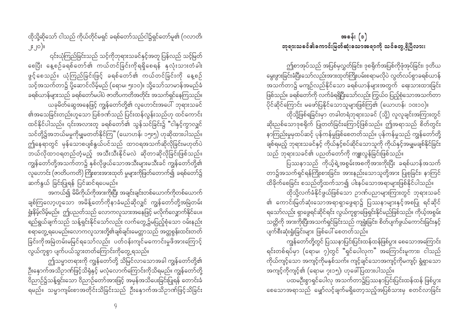အခန်း $( \circ )$ ဘုရားသခင်၏ကောင်းမြတ်ဆုံးသောအရာကို သင်တွေ့ ရှိပြီလား။

ဤစာအုပ်သည် အပြစ်မှလွှတ်ခြင်း၊ ဒုစရိုက်အပြစ်ကိုဖုံအုပ်ခြင်း၊ ဒုတိယ မွေးဖွားခြင်းခံပြီးသော်လည်းအားထုတ်ကြိုးပမ်းစရာမလိုပ<sup>ဲ</sup> လွတ်လပ်စွာခရစ်ယာန် .<br>အသက်တာ၌ မကျဉ်လည်နိုင်သော ခရစ်ယာန်များအတွက် ရေးသားထားခြင်း ဖြစ်သည်။ ခရစ်တော်ကို လက်ခံရရှိပြီးသော်လည်း ကြွယ်ဝ ပြည့်စုံသောအသက်တာ ပိုင်ဆိုင်ကြောင်း မဖော်ပြနိုင်သောသူများဖြစ်ကြ၏ (ယောဟန်၊ ၁၀း၁၀)။

ထိုသို့ဖြစ်ရခြင်းမှာ တခါတရံဘုရားသခင် (သို့) လူလူချင်းအကြားတွင် ဆိုးညစ်သောဒုစရိုက် ပြုတတ်ခြင်းကြောင့်ဖြစ်သည်။ ဤအရာသည် စိတ်တွင်း နာကြည်းမှုမှထပ်ဆင့် ပုန်ကန်မှုဖြစ်စေတတ်သည်။ ပုန်ကန်မှုသည် ကျွန်တော်တို့ ချစ်ရမည့် ဘုရားသခင်နှင့် ကိုယ်နှင့်စပ်ဆိုင်သောသူကို ကိုယ်နှင့်အမျှမချစ်နိုင်ခြင်း သည် ဘုရားသခင်၏ ပညတ်တော်ကို ကျူးလွန်ခြင်းဖြစ်သည်။

ပြဿနာသည် ကိုယ့်ရဲ့အစွမ်းအစကိုအားကိုးပြီး ခရစ်ယာန်အသက် တာ၌အသက်ရှင်ရန်ကြိုးစားခြင်း၊ အားနည်းသောသူတို့အား ပြုစုခြင်း၊ နာကြင် ထိခိုက်စေခြင်း စသည်တို့ထက်သာ၍ ပါးနပ်သောအရာများဖြစ်နိုင်ပါသည်။

ထိုသို့လက်ခံနိုင်ဖွယ်ဖြစ်သော ဉာဏ်ပညာများကြားတွင် ဘုရားသခင် ၏ ကောင်းမြတ်ဆုံးသောအရာရှာဖွေရာ၌ ပြဿနာများနှင့်အစပြု ရင်ဆိုင် ရသော်လည်း ရှာဖွေရင်ဆိုင်ရင်း လွယ်ကူစွာဖြေရှင်းနိုင်မည်ဖြစ်သည်။ ကိုယ့်အစွမ်း သတ္တိကို အားကိုးပြီးအသက်ရှင်ခြင်းသည် ကျရှုံးခြင်း၊ စိတ်ပျက်ဖွယ်ကောင်းခြင်းနှင့် ပျက်စီးဆုံးရှုံးခြင်းများ ဖြစ်ပေါ် စေတတ်သည်။

ကျွန်တော်တို့တွင် ပြဿနာပြင်းပြင်းထန်ထန်ဖြစ်ပွား စေသောအကြောင်း ရင်းတစ်ရပ်မှာ (ရောမ၊ ၇)တွင် "ရှင်ပေါလုက" အကြောင်းမူကား၊ ငါသည် ကိုယ်ကျင့်သော အကျင့်ကိုမနှစ်သက်။ ကျင့်ချင်သောအကျင့်ကိုမကျင့်၊ ရွံရှာသော အကျင့်ကိုကျင့်၏ (ရောမ၊ ၇း၁၅)၊ ဟုဖေါ်ပြထားပါသည်။

ပထမဦးစွာရှင်ပေါလှ အသက်တာ၌ပြဿနာပြင်းပြင်းထန်ထန် ဖြစ်ပွား စေသောအရာသည် မျှော်လင့်ချက်မရှိတော့သည့်အပြစ်သားမှ စတင်လာခြင်း

ထိုသို့ဆိုသော် ငါသည် ကိုယ်တိုင်မရှင် ခရစ်တော်သည်ငါ၌ရှင်တော်မူ၏ (ဂလာတိ၊ ၂း၂၀)။

၎င်းယုံကြည်ခြင်းသည် သင့်ကိုဘုရားသခင်နှင့်အတူ ပြန်လည် သင့်မြတ် စေပြီး နေ့စဉ်ခရစ်တော်၏ ကယ်တင်ခြင်းကိုရရှိစေရန် နှလုံးသားတ<mark>ံ</mark>ခါး ဖွင့်စေသည်။ ယုံကြည်ခြင်းဖြင့် ခရစ်တော်၏ ကယ်တင်ခြင်းကို နေ့စဉ် သင့်အသက်တာ၌ ပို့ဆောင်လိမ့်မည် (ရောမ၊ ၅း၁၀)။ သို့သော်သာမာန်အမည်ခံ ခရစ်ယာန်များသည် ခရစ်တော်မပါပဲ ဇာတိပကတိအတိုင်း အသက်ရှင်နေကြသည်။ ယခုမိတ်ဆွေအနေဖြင့် ကျွန်တော်တို့၏ လူဟောင်းအပေါ် ဘုရားသခင် ၏အသေခြင်းတည်းဟူသော ပြစ်ဒဏ်သည် ပြင်းထန်လွန်းသည်ဟု ထင်ကောင်း ထင်နိုင်ပါသည်။ ၎င်းအလားတူ ခရစ်တော်၏ သွန်သင်ခြင်း၌ "ငါနှင့်ကွာလျှင် သင်တို့၌အဘယ်မမှုကိုမျှမတတ်နိုင်ကြ" (ယောဟန်၊ ၁၅း၅) ဟုဆိုထားပါသည်။ ဤနေရာတွင် မှန်သောစပျစ်နွယ်ပင်သည် ထာဝရအသက်ဆိုလိုခြင်းမဟုတ်ပဲ ဘယ်လိုထာဝရတည်တံ့မည့် အသီးသီးနိုင်မလဲ ဆိုတာဆိုလိုခြင်းဖြစ်သည်။ ကျွန်တော်တို့အသက်တာ၌ နှစ်လိုဖွယ်သောအသီးများမသီးခင် ကျွန်တော်တို့၏ လူဟောင်း (ဇာတိပကတိ) ကြိုးစားအားထုတ် မှုများကိုဖြတ်တောက်၍ ခရစ်တော်၌ ဆက်နွယ် ခြင်းပြုရန် ပြင်ဆင်ရပေမည်။

အကယ်၍ မိမိကိုယ်ကိုအားကိုးပြီး အချင်းချင်းတစ်ယောက်ကိုတစ်ယောက် ချစ်ကြလော့ဟူသော အမိန့်တော်ကိုနာခံမည်ဆိုလျှင် ကျွန်တော်တို့အမြဲတမ်း ရှုံးနိမ့်လိမ့်မည်။ ဤပညတ်သည် လောကလူသားအနေဖြင့် မလိုက်လျှောက်နိုင်ပေ။ ရည်ရွယ်ချက်သည် သန့်ရှင်းနိုင်သော်လည်း လက်တွေ့၌မပြည့်စုံသော ဝမ်းနည်း စရာတွေ့ရပေမည်။လောကလူသားတို့၏ချစ်ချင်းမေတ္တာသည် အတ္တစွန်းထင်းတတ် ခြင်းကိုအမြဲတမ်းမမြင်ရသော်လည်း ပတ်ဝန်းကျင်မကောင်းမှုဖိအားကြောင့် ာ<br>လွယ်ကူစွာ ပျက်ပယ်သွားတတ်ကြောင်းကိုတွေ့ရသည်။

ဤသမ္မာတရားကို ကျွန်တော်တို့ သိမြင်လာသောအခါ ကျွန်တော်တို့၏ ဦးနှောက်အသိဉာဏ်ဖြင့်သိရုံနှင့် မလုံလောက်ကြောင်းကိုသိရမည်။ ကျွန်တော်တို့ ဝိညာဉ်၌သန့်ရှင်းသော ဝိညာဉ်တော်အားဖြင့် အမှန်အသိပေးခြင်းပြုရန် တောင်းခံ ရမည်။ သမ္မာကျမ်းစာအတိုင်းသိခြင်းသည် ဦးနှောက်အသိဉာဏ်ဖြင့်သိခြင်း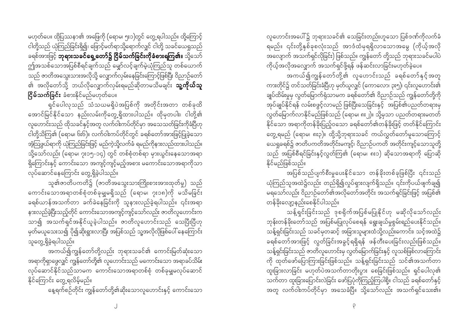မဟုတ်ပေ။ ထိုပြဿနာ၏ အဖြေကို (ရောမ၊ ၅း၁)တွင် တွေ့ ရပါသည်။ ထို့ကြောင့် ငါတို့သည် ယုံကြည်ခြင်းရှိ၍၊ ဖြောင့်မတ်ရာသို့ရောက်လျှင် ငါတို့ သခင်ယေရှုသည် ခရစ်အားဖြင့် **ဘုရားသခင်ရှေ့တော်၌ ငြိမ်သက်ခြင်းကိုခံစားရကြ၏။** သို့သော် ဤအသစ်သောအပြစ်စီရင်ချက်သည် မျှော်လင့်ချက်မဲ့ယုံကြည်သူ တစ်ယောက် သည် ဇာတိအသွေးသားအလိုသို့ လျှောက်လှမ်းနေခြင်းကြောင့်ဖြစ်ပြီး ဝိညာဉ်တော် ၏ အလိုတော်သို့ ဘယ်လိုလျှောက်လှမ်းရမည်ဆိုတာမသိမချင်း **သူ့ကိုယ်သူ ငြိမ်သက်ခြင်း** ခံစားနိုင်မည်မဟုတ်ပေ။

ရှင်ပေါလှသည် သံသယမရှိပဲအပြစ်ကို အတိုင်းအတာ တစ်ခုထိ အောင်မြင်နိုင်သော နည်းလမ်းကိုတွေ့ရှိထားပါသည်။ ထိုမှတပါး၊ ငါတို့၏ လူဟောင်းသည် ထိုသခင်နှင့်အတူ လက်ဝါးကပ်တိုင်မှာ အသေသတ်ခြင်းကိုခံပြီဟု ငါတို့သိကြ၏ (ရောမ၊ ၆း၆)။ လက်ဝါးကပ်တိုင်တွင် ခရစ်တော်အားဖြင့်ပြုခဲ့သော အံ့သြဖွယ်ရာကို ယုံကြည်ခြင်းဖြင့် မည်ကဲ့သို့လက်ခံ ရမည်ကိုနားလည်ထားပါသည်။ သို့သော်လည်း (ရောမ၊ ၇း၁၅-၁၄) တွင် တစ်စုံတစ်ရာ မှားယွင်းနေသောအရာ ရှိကြောင်းနှင့် ကောင်းသော အကျင့်ကျင့်မည့်အစား မကောင်းသောအရာကိုသာ လုပ်ဆောင်နေကြောင်း တွေ့ရှိခဲ့ပါသည်။

သူ၏ဇာတိပကတိ၌ (ဇာတိအသွေးသားကြိုးစားအားထုတ်မှု) သည် ကောင်းသောအရာတစ်စုံတစ်ခုမျှမရှိသည် (ရောမ၊ ၇း၁၈)ကို မသိမခြင်း ခရစ်ယာန်အသက်တာ ခက်ခဲနေခြင်းကို သူနားလည်ခဲ့ရပါသည်။ ၎င်းအရာ နားလည်ခဲ့ပြီးသည့်တိုင် ကောင်းသောအကျင့်ကျင့်သော်လည်း ဇာတိလူဟောင်းက ာ<br>၁၁၁၍ အသက်ရှင်အနိုင်ယူခဲ့ပါသည်။ ဇာတိလူဟောင်းသည် သေပြီးပြီဟု မှတ်မယူသေးသ၍ ပို၍ဆိုးရွားလာပြီး အပြစ်သည် သူ့အလိုလိုဖြစ်ပေါ် နေကြောင်း သူတွေ့ရှိခဲ့ရပါသည်။

အကယ်၍ကျွန်တော်တို့လည်း ဘုရားသခင်၏ ကောင်းမြတ်ဆုံးသော အရာကိုရှာဖွေလျှင် ကျွန်တော်တို့၏ လူဟောင်းသည် မကောင်းသော အရာခပ်သိမ်း လုပ်ဆောင်နိုင်သည်သာမက ကောင်းသောအရာတစ်စုံ တစ်ခုမျှမလုပ်ဆောင် နိုင်ကြောင်း တွေ့ရလိမ့်မည်။

နေ့ရက်စဉ်တိုင်း ကျွန်တော်တို့၏ဆိုးသောလူဟောင်းနှင့် ကောင်းသော

လူဟောင်းအပေါ်၌ ဘုရားသခင်၏ သေခြင်းတည်းဟူသော ပြစ်ဒဏ်ကိုလက်ခံ ရမည်။ ၎င်းတို့နှစ်ခုစလုံးသည် အာဒံထံမှရရှိလာသောအမွေ (ကိုယ့်အလို အလျောက် အသက်ရှင်လိုခြင်း) ဖြစ်သည်။ ကျွန်တော် တို့သည် ဘုရားသခင်မပါပဲ ကိုယ့်အလိုအလျှောက် အသက်ရှင်ဖို့ရန် ဖန်ဆင်းလာခြင်းမဟုတ်ခဲ့ပေ။

အကယ်၍ကျွန်တော်တို့၏ လူဟောင်းသည် ခရစ်တော်နှင့်အတူ ကားတိုင်၌ တင်သတ်ခြင်းခံပြီဟု မှတ်ယူလျှင် (ကောလော၊ ၃း၅)၊ ၎င်းလူဟောင်း၏ ချုပ်ထိမ်းမှုမှ လွှတ်မြောက်ရုံသာမက ခရစ်တော်၏ ဝိညာဉ်သည် ကျွန်တော်တို့ကို အုပ်ချုပ်နိုင်ရန် လမ်းစဖွင့်လာမည် ဖြစ်ပြီးသေခြင်းနှင့် အပြစ်၏ပညတ်တရားမှ လွတ်မြောက်လာနိုင်မည်ဖြစ်သည် (ရောမ၊ ၈း၂)။ သို့မှသာ ပညတ်တရားမတတ် နိုင်သော အရာကိုတန်ခိုးပြည့်ဝသော ခရစ်တော်၏တန်ခိုးဖြင့် တတ်နိုင်ကြောင်း တွေ့ရမည် (ရောမ၊ ၈း၃)။ ထို့သို့ဘုရားသခင် ကယ်လွှတ်တော်မူသောကြောင့် ယေရှုခရစ်၌ ဇာတိပကတိအတိုင်းမကျင့်၊ ဝိညာဉ်ပကတိ အတိုင်းကျင့်သောသူတို့ သည် အပြစ်စီရင်ခြင်းနှင့်လွှတ်ကြ၏ (ရောမ၊ ၈း၁) ဆိုသောအရာကို ပြောဆို နိုင်မည်ဖြစ်သည်။

အပြစ်သည်ပျက်စီးမှုပေးနိုင်သော တန်ခိုးတစ်ခုဖြစ်ပြီး ၎င်းသည် ယုံကြည်သူအထဲ၌လည်း တည်ရှိ၍လှုပ်ရှားလျက်ရှိသည်။ ၎င်းကိုပယ်ဖျက်ချ၍ မရသော်လည်း ဝိညာဉ်တော်၏အလိုတော်အတိုင်း အသက်ရှင်ခြင်းဖြင့် အပြစ်၏ တန်ခိုးလျှော့နည်းစေနိုင်ပါသည်။

သန့်ရှင်းခြင်းသည် ဒုစရိုက်အပြစ်မပြုနိုင်ဟု မဆိုလိုသော်လည်း ဘုန်းတန်ခိုးတော်သည် အပြစ်မပြုလုပ်စေရန် ရွေးချယ်မှုစွမ်းရည်ပေးနိုင်သည်။ သန့်ရှင်းခြင်းသည် သခင်မှတဆင့် အခြားသူများထံသို့လည်းကောင်း၊ သင့်အထဲ၌ ခရစ်တော်အားဖြင့် လွတ်ခြင်းအခွင့်ရရှိရန် ဖန်တီးပေးခြင်းလည်းဖြစ်သည်။ သန့်ရှင်းခြင်းသည် ဇာတိလူဟောင်းမှ လွတ်မြောက်ခြင်းနှင့် လူသစ်ဖြစ်လာကြောင်း ကို ထုတ်ဖော်ပြောကြားခြင်းဖြစ်သည်။ သန့်ရှင်းခြင်းသည် သင်၏အသက်တာ ္ -<br>ထူးခြားလာခြင်း မဟုတ်ပဲအသက်တာတိုးပွား စေခြင်းဖြစ်သည်။ ရှင်ပေါလု၏ သက်တာ ထူးခြားပြောင်းလဲခြင်း ဖော်ပြပုံကိုကြည့်ကြပါစို့။ ငါသည် ခရစ်တော်နှင့် အတူ လက်ဝါးကပ်တိုင်မှာ အသေခံပြီ။ သို့သော်လည်း အသက်ရှင်သေး၏။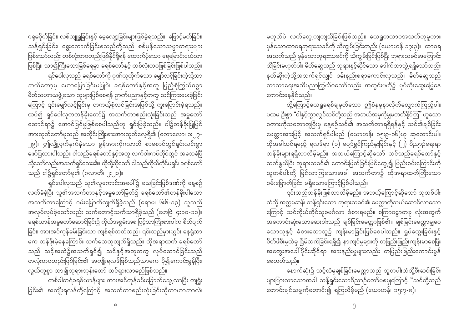မဟုတ်ပဲ လက်တွေ့ကျကျသိခြင်းဖြစ်သည်။ ယေရှုကထာဝအသက်ဟူမူကား မှန်သောထာဝရဘုရားသခင်ကို သိကျွမ်းခြင်းတည်း (ယောဟန် ၁၇း၃)။ ထာဝရ အသက်သည် မှန်သောဘုရားသခင်ကို သိကျွမ်းခြင်းဖြစ်ပြီး ဘုရားသခင်အကြောင်း -<br>သိခြင်းမဟုတ်ပါ။ မိတ်ဆွေသည် ဘုရားနှင့်ဆိုင်သော ဒေါက်တာဘွဲ့ရရှိသော်လည်း နတ်ဆိုးကဲ့သို့အသက်ရှင်လျှင် ဝမ်းနည်းစရာကောင်းလှသည်။ မိတ်ဆွေသည် ဘာသာရေးအသိပညာကြွယ်ဝသော်လည်း အတွင်းဗဟို၌ ပုပ်သိုးဆွေးမြေ့နေ ကောင်းနေနိုင်သည်။

ထို့ကြောင့်ယေရှုခရစ်ချမှတ်သော ဤစံနမူနာလိုက်လျှောက်ကြည့်ပါ။ ပထမ ဦးစွာ "ငါနှင့်ကွာလျှင်သင်တို့သည် အဘယ်အမှုကိုမျှမတတ်နိုင်ကြ" ဟူသော စကားကိုသဘောတူပြီးမှ နေ့စဉ်သင်၏ အသက်တာရရှိရန်နှင့် သင်၏ချစ်ခြင်း မေတ္တာအားဖြင့် အသက်ရှင်ပါမည် (ယောဟန်၊ ၁၅း၉-၁၆)ဟု ဆုတောင်းပါ။ ထိုအခါသင်ရမည့် ရလဒ်မှာ (၁) ပျော်ရွှင်ကြည်နူးခြင်းနှင့် (၂) ဝိညာဉ်ရေးရာ တန်ခိုးများရရှိလာလိမ့်မည်။ အဘယ်ကြောင့်ဆိုသော် သင်သည်ခရစ်တော်နှင့် ဆက်နွယ်ပြီး ဘုရားသခင်၏ ကောင်းမြတ်ခြင်းမြင်တွေ့၍ မြည်းစမ်းကြောင်းကို သူတစ်ပါးတို့ မြင်လာကြသောအခါ အသက်တာ၌ ထိုအရာထက်ကြီးသော ဝမ်းမြောက်ခြင်း မရှိသောကြောင့်ဖြစ်ပါသည်။

၎င်းသည်တန်ခိုးဖြစ်လာလိမ့်မည်။ အဘယ့်ကြောင့်ဆိုသော် သူတစ်ပါး ထံသို့ အတ္တမဆန်၊ သန့်ရှင်းသော ဘုရားသခင်၏ မေတ္တာကိုသယ်ဆောင်လာသော ကြောင့် သင်ကိုယ်တိုင်သုခမင်္ဂလာ ခံစားရမည်။ စကြာဝဠာတခု လုံးအတွက် သောသူနှင့် ခံစားသောသူ၌ ကျန်းမာခြင်းဖြစ်စေပါသည်။ ရှုပ်ထွေးခြင်းနှင့် စိတ်ဖိစီးမှုထဲမှ ငြိမ်သက်ခြင်းရရှိ၍ နာကျင်မှုများကို တဖြည်းဖြည်းကျန်းမာစေပြီး အတွေးအခေါ် ပိုင်းဆိုင်ရာ အားနည်းမှုများလည်း တဖြည်းဖြည်းကောင်းမွန် စေတတ်သည်။

နောက်ဆုံး၌ သင့်ထံမှချစ်ခြင်းမေတ္တာသည် သူတပါးထံသို့စီးဆင်းခြင်း များပြားလာသောအခါ သန့်ရှင်းသောဝိညာဉ်တော်မစမျကြောင့် "သင်တို့သည် ာ<br>တောင်းချင်သမျှကိုတောင်း၍ ရကြလိမ့်မည် (ယောဟန်၊ ၁၅း၇-၈)။

ဂရုမစိုက်ခြင်း၊ လစ်လျူရှုခြင်းနှင့် မေ့လျော့ခြင်းများဖြစ်ခဲ့ရသည်။ ဖြောင့်မတ်ခြင်း၊ သန့်ရှင်းခြင်း၊ ရွေးကောက်ခြင်းစသည်တို့သည် စစ်မှန်သောသမ္မာတရားများ ဖြစ်သော်လည်း တစ်လုံးတဝတည်းဖြစ်နိုင်ဖို့ရန် ထောက်ပံ့သော ရေမြောင်းငယ်သာ ဖြစ်ပြီး၊ သာ၍ကြီးသောမြစ်ရေမှာ ခရစ်တော်နှင့် တစ်လုံးတဝဖြစ်ခြင်းဖြစ်ပါသည်။ ရှင်ပေါ်လုသည် ခရစ်တော်ကို ဂုဏ်ယူထိုက်သော မျှော်လင့်ခြင်းကဲ့သို့သာ ဘယ်တော့မှ ဟောပြောခြင်းမပြုပဲ၊ ခရစ်တော်နှင့်အတူ ပြည့်စုံကြွယ်ဝစွာ မိတ်သဟာယဖွဲ့သော သူများဖြစ်စေရန် ဉာဏ်ပညာနှင့်တကွ သင်ကြားပေးခဲ့ခြင်း ကြောင့် ၎င်းမျှော်လင့်ခြင်းမှ တကယ့်စုံလင်ခြင်းအဖြစ်သို့ ကူးပြောင်းခဲ့ရသည်။ ထပ်၍ ရှင်ပေါလုကတန်ခိုးတော်၌ အသက်တာစည်းလုံးခြင်းသည် အမှုတော် ဆောင်ရာ၌ အောင်မြင်မှုဖြစ်စေပါသည်ဟု ရှင်းပြခဲ့သည်။ ငါ၌တန်ခိုးပြုပြင် အားထုတ်တော်မူသည် အတိုင်းကြိုးစားအားထုတ်လေ့ရှိ၏ (ကောလော၊ ၁း၂၇-၂၉)။ ဤလျှို့ဝှက်နက်နဲသော ခွန်အားကိုဂလာတိ စာစောင်တွင်ရှင်းလင်းစွာ ဖော်ပြထားပါသည်။ ငါသည်ခရစ်တော်နှင့်အတူ လက်ဝါးကပ်တိုင်တွင် အသေခံပြီ သို့သော်လည်းအသက်ရှင်သေး၏။ ထိုသို့ဆိုသော် ငါသည်ကိုယ်တိုင်မရှင်၊ ခရစ်တော် သည် ငါ၌ရှင်တော်မူ၏ (ဂလာတိ၊ ၂း၂၀)။

ရှင်ပေါလှသည် သူ၏လူကောင်းအပေါ်၌ သေခြင်းပြစ်ဒဏ်ကို နေ့စဉ် လက်ခံခဲ့ပြီး သူ၏အသက်တာနှင့်အမှုတော်မြတ်၌ ခရစ်တော်၏တန်ခိုးပါသော အသက်တာကြောင့် ဝမ်းမြောက်လျှက်ရှိခဲ့သည် (ရောမ၊ ၆း၆-၁၃) သူသည် အလုပ်လုပ်ခဲ့သော်လည်း သက်တောင့်သက်သာရှိခဲ့သည် (ဟေဗြဲ၊ ၄း၁၀-၁၁)။ ခရစ်ယာန်အမှုတော်ဆောင်ခြင်း၌ ကိုယ်အစွမ်းအစ ဖြင့်သာကြိုးစားပါက စိတ်ပျက် ခြင်း၊ အားအင်ကုန်ခမ်းခြင်းသာ ကျန်ရစ်တတ်သည်။ ၎င်းသည်မှားယွင်း နေရုံသာ မက တန်ဖိုးမဲ့နေကြောင်း သက်သေထူလျက်ရှိသည်။ ထိုအရာထက် ခရစ်တော် သည် သင့်အထဲ၌အသက်ရှင်၍ သင်နှင့်အတူတကွ လုပ်ဆောင်ခြင်းသည် တလုံးတဝတည်းဖြစ်ခြင်း၏ အကျိုးရလဒ်ဖြစ်သည်သာမက ပို၍ကောင်းမွန်ပြီး၊ လွယ်ကူစွာ သာ၍ဘုရားဘုန်းတော် ထင်ရှားလာမည်ဖြစ်သည်။

-<br>တစ်ခါတရံခရစ်ယာန်များ အားအင်ကုန်ခမ်းခြောက်သွေ့လာပြီး ကျရှုံး ခြင်း၏ အကျိုးရလဒ်တို့ကြောင့် အသက်တာစည်းလုံးခြင်းဆိုတာဟာဘာလဲ၊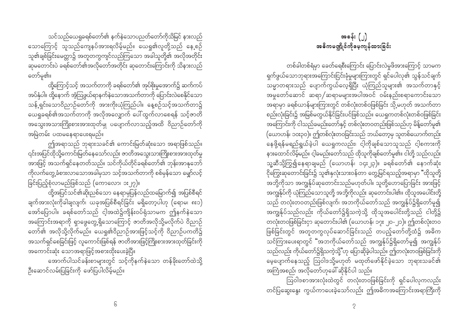သင်သည်ယေရှုခရစ်တော်၏ နက်နဲသောပညတ်တော်ကိုသိမြင် နားလည် သောကြောင့် သူသည်ကျေနပ်အားရလိမ့်မည်။ ယေရှု၏လူတို့သည် နေ့စဉ် သူ၏ချစ်ခြင်းမေတ္တာ၌ အတူတကွကျင်လည်ကြသော အခါသူတို့၏ အလိုအတိုင်း \_\_\_<br>ဆမတောင်းပဲ ခရစ်တော်၏အလိုတော်အတိုင်း ဆုတောင်းကြောင်းကို သိနားလည် တော်မ၏။

ထို့ကြောင့်သင့် အသက်တာကို ခရစ်တော်၏ အုပ်စိုးမှုအောက်၌ ဆက်ကပ် .<br>အပ်နှံပါ။ ထို့နောက် အံ့ဩဖွယ်ရာနက်နဲသောအသက်တာကို ပြောင်းလဲစေနိုင်သော သန့် ရှင်းသောဝိညာဉ်တော်ကို အားကိုးယုံကြည်ပါ။ နေ့စဉ်သင့်အသက်တာ၌ ယေရှုခရစ်၏အသက်တာကို အလိုအလျှောက် ပေါ် ထွက်လာစေရန် သင့်ဇာတိ အသွေးအသားကြိုးစားအားထုတ်မျှ ပပျောက်လာသည့်အထိ ဝိညာဉ်တော်ကို အမြဲတမ်း ပထမနေရာပေးရမည်။

ဤအရာသည် ဘုရားသခင်၏ ကောင်းမြတ်ဆုံးသော အရာဖြစ်သည်။ ၎င်းအပြင်ထိုသို့ကောင်းမြတ်နေသော်လည်း ဇာတိအသွေးသားကြိုးစားအားထုတ်မှု tm;jzifh touf&Sifaewwfonf/ oifukd,fwkdifc&pfawmf\ bkef;tmEkabmf ကိုလက်တွေ့ခံစားလာသောအခါမှသာ သင့်အသက်တာကို စစ်မှန်သော မျှော်လင့် ခြင်းပြည့်စုံလာမည်ဖြစ်သည် (ကောလော၊ ၁း၂၇)။

ထို့အပြင်သင်၏ဆိုးညစ်သော နေရာမှပြန်လည်ထမြောက်၍ အပြစ်စီရင် ချက်အားလုံးကိုခါချလျက်၊ ယခုအပြစ်စီရင်ခြင်း မရှိတော့ပါဟု (ရောမ၊ ၈း၁) အော်ပြောပါ။ ခရစ်တော်သည် ငါ့အထဲ၌ကျိန်းဝပ်ရုံသာမက ဤနက်နဲသော အကြောင်းအရာကို ရှာဖွေတွေ့ရှိသောကြောင့် ဇာတိအလိုသို့မလိုက်ပဲ ဝိညာဉ် တော်၏ အလိုသို့လိုက်မည်။ ယေရှု၏ဝိညာဉ်အားဖြင့်သင့်ကို ဝိညာဉ်ပကတိ၌ အသက်ရှင်စေခြင်းဖြင့် လူကောင်းဖြစ်ရန် ဇာတိအားဖြင့်ကြိုးစားအားထုတ်ခြင်းကို အကောင်းဆုံး သောအရာဖြင့်အစားထိုးပေးခဲ့ပြီ။

အောက်ပါသင်ခန်းစာများတွင် သင့်ကိုနက်နဲသော တန်ခိုးတော်ထဲသို့ ဉီးဆောင်လမ်းပြခြင်းကို ဖော်ပြပါလိမ့်မည်။

တစ်ခါတစ်ရံမှာ ခေတ်ရေစီးကြောင်း ပြောင်းလဲမှုဖိအားကြောင့် သာမက ရှက်ဖွယ်သောဘုရားအကြောင်းငြင်းခုံမှုများကြားတွင် ရှင်ပေါလု၏ သွန်သင်ချက် သမ္မာတရားသည် ပျောက်ကွယ်လေ့ရှိပြီး ယုံကြည်သူများ၏ အသက်တာနှင့် အမှုတော်ဆောင် ဆရာ $/$ ဆရာမများအပါအဝင် ဝမ်းနည်းစရာကောင်းသော အရာမှာ ခရစ်ယာန်များကြားတွင် တစ်လုံးတစ်ဝဖြစ်ခြင်း သို့မဟုတ် အသက်တာ စည်းလုံးခြင်း၌ အမြစ်မတွယ်နိုင်ခြင်းပင်ဖြစ်သည်။ ယေရှုကတစ်လုံးတစ်ဝဖြစ်ခြင်း အကြောင်းကို ငါသည်ခမည်းတော်နှင့် တစ်လုံးတဝတည်းဖြစ်သည်ဟု မိန့်တော်မူ၏ (ယောဟန်၊ ၁၀း၃၀)။ ဤတစ်လုံးတဝခြင်းသည် ဘယ်တော့မှ သူတစ်ယောက်တည်း နေဖို့ရန်မရည်ရွယ်ခဲ့ပါ ယေရှုကလည်း၊ ငါ့ကိုချစ်သောသူသည် ငါ့စကားကို နားထောင်လိမ့်မည်။ ငါ့ခမည်းတော်သည် ထိုသူကိုချစ်တော်မူ၏။ ငါတို့ သည်လည်း သူ့ဆီသို့ကြွ၍နေရာချမည်  $\left(\textup{cov}$ ာဟန်၊ ၁၄း၂၃)။ ခရစ်တော်၏ နောက်ဆုံး ငိုကြွေးဆုတောင်းခြင်း၌ သူ၏နှလုံးသားဝန်တာ တွေ့မြင်ရသည့်အရာမှာ "ထိုသူတို့ အဘို့ကိုသာ အကျွန်ုပ်ဆုတောင်းသည်မဟုတ်ပါ။ သူတို့ဟောပြောခြင်း အားဖြင့် အကျွန်ုပ်ကို ယုံကြည်သောသူတို့ အဘို့ကိုလည်း ဆုတောင်းပါ၏။ ထိုသူအပေါင်းတို့ သည် တလုံးတဝတည်းဖြစ်လျက်၊ အဘကိုယ်တော်သည် အကျွန်ုပ်၌ရှိတော်မူ၍ း<br>အကျွန်ုပ်သည်လည်း ကိုယ်တော်၌ရှိသကဲ့သို့ ထိုသူအပေါင်းတို့သည် ငါတို့၌ တလုံးတဝဖြစ်ခြင်းငှာ ဆုတောင်းပါ၏ (ယောဟန်၊ ၁၇း ၂၀-၂၁)။ ဤတစ်လုံးတဝ ဖြစ်ခြင်းတွင် အတူတကွလုပ်ဆောင်ခြင်းသည် တပည့်တော်တို့ထံ၌ အဓိက oifMum;ay;&mwGif ]]tbukd,fawmfonf tuREkfyfü&Sdawmfrlí tuREkfyf သည်လည်း ကိုယ်တော်၌ရှိသကဲ့သို့"ဟု ပြောဆိုခဲ့ပါသည်။ ဤတလုံးတဝဖြစ်ခြင်းကို မေ့ပျောက်နေသည့် ဩဝါဒသို့မဟုတ် မထုတ်ဖော်နိုင်ခဲ့သော ဘုရားသခင်၏ အကြံအစည်၊ အလိုတော်ဟုခေါ် ဆိုနိုင်ပါ သည်။

 $\epsilon$ 

တင်ပြဆွေးနွေး ကွယ်ကာပေးခဲ့သော်လည်း ဤအဓိကအကြောင်းအရာကြီးကို

ဩဝါဒစာအားလုံးထဲတွင် တလုံးတဝဖြစ်ခြင်းကို ရှင်ပေါလုကလည်း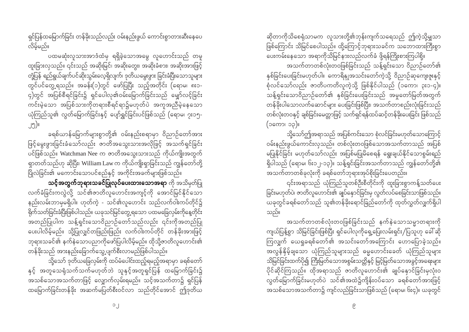ရှင်ပြန်ထမြောက်ခြင်း တန်ခိုးသည်လည်း ဝမ်းနည်းဖွယ် ကောင်းစွာတားဆီးနေပေ လိမ့်မည်။

ပထမဆုံးလူသားအာဒံထံမှ ရရှိခဲ့သောအမွေ လူဟောင်းသည် တမှု ထူးခြားလှသည်။ ၎င်းသည် အဆိုးမြင်၊ အဆိုးတွေး၊ အဆိုးခံစား၊ အဆိုးအားဖြင့် တုံ့ပြန် ရည်ရွယ်ချက်ပင်ဆိုးသွမ်းလေ့ရှိလျက်၊ ဒုတိယမွေးဖွား ခြင်းခံပြီးသောသူများ တွင်ပင်တွေ့ ရသည်။ အခန်း(၁)တွင် ဖော်ပြပြီး သည့်အတိုင်း (ရောမ၊ ၈း၁-၄)တွင် အပြစ်စီရင်ခြင်း၌ ရှင်ပေါလု၏ဝမ်းမြောက်ခြင်းသည် မျှော်လင့်ခြင်း ကင်းမဲ့သော အပြစ်သားကိုတရားစီရင်ရာ၌မဟုတ်ပဲ အကူအညီမဲ့နေသော ယုံကြည်သူ၏ လွတ်မြောက်ခြင်းနှင့် ပျော်ရွှင်ခြင်းပင်ဖြစ်သည် (ရောမ၊ ၇း၁၅-၂၅)။

ခရစ်ယာန်မြောက်များစွာတို့၏ ဝမ်းနည်းစရာမှာ ဝိညာဉ်တော်အား ဖြင့်မွေးဖွားခြင်းခံသော်လည်း ဇာတိအသွေးသားအလိုဖြင့် အသက်ရှင်ခြင်း ပင်ဖြစ်သည်။ Watchman Nee က ဇာတိအသွေးသားသည် ကိုယ်ကျိုးအတွက် ရှာတတ်သည်ဟု ဆိုပြီး၊ William Law က ကိုယ်ကျိုးရှာခြင်းသည် ကျွန်တော်တို့ 

သင့်အတွက်ဘုရားသခင်ပြုလုပ်ပေးထားသောအရာ ကို အသိမှတ်ပြု လက်ခံခြင်းကလွဲလို့ သင်၏ဇာတိလူဟောင်းအကျင့်ကို အောင်မြင်နိုင်သော နည်းလမ်းဘာမှမရှိပါ။ ဟုတ်ကဲ့ - သင်၏လူဟောင်း သည်လက်ဝါးကပ်တိုင်၌ ရိုက်သတ်ခြင်းခံပြီးဖြစ်ပါသည်။ ယခုသင်မြင်တွေ့ ရသော ပထမခြေလှမ်းကိုနေ့တိုင်း အတည်ပြုပါက သန့်ရှင်းသောဝိညာဉ်တော်သည်လည်း ၎င်းကိုအတည်ပြု ပေးပါလိမ့်မည်။ သို့ပြုလျှင်တဖြည်းဖြည်း လက်ဝါးကပ်တိုင် တန်ခိုးအားဖြင့် ဘုရားသခင်၏ နက်နဲသောပညာကိုဖော်ပြပါလိမ့်မည်။ ထိုသို့ဇာတိလူဟောင်း၏ တန်ခိုးသည် အားနည်းခြောက်သွေ့ပျက်စီးလာမည်ဖြစ်ပါသည်။

သို့သော် ဒုတိယခြေလှမ်းကို ထပ်မံပေါင်းထည့်ရမည့်အရာမှာ ခရစ်တော် နှင့် အတူသေရုံသက်သက်မဟုတ်ဘဲ သူနှင့်အတူရှင်ပြန် ထမြောက်ခြင်း၌ အသစ်သောအသက်တာဖြင့် လျှောက်လှမ်းရမည်။ သင့်အသက်တာ၌ ရှင်ပြန် ထမြောက်ခြင်းတန်ခိုး အဆက်မပြတ်စီးဝင်လာ သည်တိုင်အောင် ဤဒုတိယ ဆိုတာကိုသိစေရုံသာမက လူသားတို့၏ဘုန်းကျက်သရေသည် ဤကဲ့သို့မျှသာ ဖြစ်ကြောင်း သိမြင်စေပါသည်။ ထို့ကြောင့်ဘုရားသခင်က သဘောထားကြီးစွာ ပေးကမ်းနေသော အရာကိုသိမြင်နားလည်လက်ခံ ဖို့ရန်ကြိုးစားကြပါစို့။

-<br>အသက်တာတစ်လုံးတဝဖြစ်ခြင်းသည် သန့်ရှင်းသော ဝိညာဉ်တော်၏ နှစ်ခြင်းပေးခြင်းမဟုတ်ပါ။ ကောရိန္ဈအသင်းတော်ကဲ့သို့ ဝိညာဉ်ဆုကျေးဇူးနှင့် ာ<br>စုံလင်သော်လည်း ဇာတိပကတိလူကဲ့သို့ ဖြစ်နိုင်ပါသည် (၁ကော၊ ၃း၁-၄)။ ာ<br>သန့်ရှင်းသောဝိညာဉ်တော်၏ နှစ်ခြင်းပေးခြင်းသည် အမှုတော်မြတ်အတွက် တန်ခိုးပါသောလက်ဆောင်များ ပေးခြင်းဖြစ်ပြီး၊ အသက်တာစည်းလုံးခြင်းသည် တစ်လုံးတဝနှင့် ချစ်ခြင်းမေတ္တာဖြင့် သက်ရှင်ရန်ထပ်ဆင့်တန်ခိုးပေးခြင်း ဖြစ်သည် (၁ကော၊ ၁၃)။

သို့သော်ဤအရာသည် အပြစ်ကင်းသော စုံလင်ခြင်းမဟုတ်သောကြောင့် ဝမ်းနည်းဖွယ်ကောင်းလှသည်။ တစ်လုံးတဝဖြစ်သောအသက်တာသည် အပြစ် မပြုနိုင်ခြင်း မဟုတ်သော်လည်း အပြစ်မပြုမိစေရန် ရွေးချယ်နိုင်သောစွမ်းရည် ရှိပါသည် (ရောမ၊ ၆း၁၂-၁၃)။ သန့်ရှင်းခြင်းအသက်တာသည် ကျွန်တော်တို့၏ အသက်တာတစ်ခုလုံးကို ခရစ်တော်ဘုရားအုပ်စိုးခြင်းပေတည်း။

၎င်းအရာသည် ယုံကြည်သူတစ်ဦးစီတိုင်းကို ထူးခြားစွာကန့်သတ်ပေး ခြင်းမဟုတ်ပဲ၊ ဇာတိလူဟောင်း၏ ချုပ်နှောင်ခြင်းမှ လွတ်လပ်စေခြင်းသာဖြစ်သည်။ ယခုတွင်ခရစ်တော်သည် သူ့၏တန်ခိုးရောင်ခြည်တော်ကို ထုတ်လွှတ်လျှက်ရှိပါ သည်။

အသက်တာတစ်လုံးတဝဖြစ်ခြင်းသည် နက်နဲသောသမ္မာတရားကို ကျယ်ပြန့်စွာ သိမြင်ခြင်းဖြစ်ပြီး ရှင်ပေါလုကိုရှေ့ပြေးလမ်းရှင်း/ပြသူဟု ခေါ် ဆို ကြလျှက် ယေရှုခရစ်တော်၏ အသင်းတော်အကြောင်း ဟောပြောခဲ့သည်။ အလွန်နိုမ့်ချသော ယုံကြည်သူများသည် ဓမ္မဟောင်းခေတ် ယုံကြည်သူများ သိမြင်ခြင်းထက်ပို၍ ကြီးမြတ်သောအစွမ်းသတ္တိနှင့် မြင့်မြတ်သောအခွင့်အရေးများ ပိုင်ဆိုင်ကြသည်။ ထိုအရာသည် ဇာတိလူဟောင်း၏ ချုပ်နှောင်ခြင်းမှလုံးဝ လွတ်မြောက်ခြင်းမဟုတ်ပဲ သင်၏အထဲ၌ကျိန်းဝပ်သော ခရစ်တော်အားဖြင့် အသစ်သောအသက်တာ၌ ကျင်လည်ခြင်းသာဖြစ်သည် (ရောမ၊ ၆း၄)။ ယခုတွင်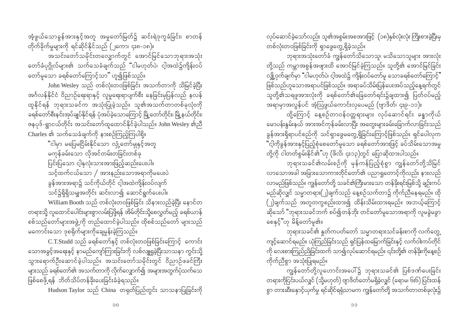$\overline{O}O$ 

အံ့ဖွယ်သောခွန်အားနှင့်အတူ အမှုတော်မြတ်၌ ဆင်းရဲဒုက္ခခံခြင်း၊ စာတန် တိုက်ခိုက်မှုများကို ရင်ဆိုင်နိုင်သည် (၂ကော၊ ၄း၈-၁၈)။

ာ<br>အသင်းတော်သမိုင်းတလျှောက်တွင် အောင်မြင်သောဘုရားအသုံး တော်ခံပုဂ္ဂိုလ်များ၏ သက်သေခံချက်သည် "ငါမဟုတ်ပဲ၊ ငါ့အထဲ၌ကျိန်းဝပ် တော်မူသော ခရစ်တော်ကြောင့်သာ" ဟူ၍ဖြစ်သည်။

John Wesley သည် တစ်လုံးတဝဖြစ်ခြင်း အသက်တာကို သိမြင်ခဲ့ပြီး အင်္ဂလန်နိုင်ငံ ဝိညာဉ်ရေးရာနှင့် လူမှုရေးရာပျက်စီး နေခြင်းမှပြန်လည် နလန် ထူနိုင်ရန် ဘုရားသခင်က အသုံးပြုခဲ့သည်။ သူ၏အသက်တာတစ်ခုလုံးကို ာ<br>ခရစ်တော်စီးနင်းအုပ်ချုပ်နိုင်ရန် ပုံအပ်ခဲ့သောကြောင့် မြို့တော်တိုင်း၊ မြို့နယ်တိုင်း၊ ဇနပုဒ်-ရွာငယ်တိုင်း အသင်းတော်ထူထောင်နိုင်ခဲ့ပါသည်။ John Wesley ၏ညီ Charles ၏ သက်သေခံချက်ကို နားစဉ်ကြည့်ကြပါစို့။

"ငါမှာ မပြေမငြိမ်းနိုင်သော လျံ့တော်မျနှင့်အတူ မကုန်ခမ်းသော လိုအင်တမ်းတခြင်းတစ်ခု ပြင်းပြသော ငါ့နှလုံးသားအားဖြည့်ဆည်းပေးပါ။ သင့်ထက်ငယ်သော  $/$  အားနည်းသောအရာကိုမပေးပဲ ခွန်အားအရာ၌ သင်ကိုယ်တိုင် ငါ့အထဲကျိန်းဝပ်လျက် .<br>သင်၌ရှိရှိသမျှအတိုင်း ဆင်းလာ၍ ဆောင်ရွက်ပေးပါ။

William Booth သည် တစ်လုံးတဝဖြစ်ခြင်း သိနားလည်ခဲ့ပြီး နောင်တ တရားသို့ လူထောင်ပေါင်းများစွာလမ်းပြဖို့ရန် အိမ်တိုင်းသို့စေလွှတ်မည့် ခရစ်ယာန် စစ်သည်တော်များအဖွဲ့ကို တည်ထောင်ခဲ့ပါသည်။ ထိုစစ်သည်တော် များသည် မကောင်းသော ဒုစရိုက်များကိုချေမှုန်းခဲ့ကြသည်။

C.T.Studd သည် ခရစ်တော်နှင့် တစ်လုံးတဝဖြစ်ခြင်းကြောင့် ကောင်း သောအခွင့်အရေးနှင့် နာမည်ကျော်ကြားခြင်းကို လစ်လျူရှုခဲ့ပြီးသာသနာ ကွင်းသို့ သွားရောက်ဦးဆောင်ခဲ့ပါသည်။ အသင်းတော်သမိုင်းတွင် ဝိညာဉ်ဖခင်ကြီး များသည် ခရစ်တော်၏ အသက်တာကို လိုက်လျှောက်၍ အများအတွက်ပုံသက်သေ ဖြစ်စေဖို့ရန် ဘိတ်သိပ်တန်ခိုးပေးခြင်းခံခဲ့ရသည်။

Hudson Taylor သည် China တရုတ်ပြည်တွင်း သာသနာပြုခြင်းကို

လုပ်ဆောင်ခဲ့သော်လည်း သူ၏အစွမ်းအစအားဖြင့် (၁၈)နှစ်လုံးလုံး ကြိုးစားခဲ့ပြီးမှ တစ်လုံးတဝဖြစ်ခြင်းကို ရှာဖွေတွေ့ ရှိခဲ့သည်။

ဘုရားအသုံးတော်ခံ ကျွန်တော်သိသောသူ၊ မသိသောသူများ အားလုံး တို့သည် ကမ္ဘာအစွန်အဖျားထိ အောင်မြင်ခဲ့ကြသည်။ သူတို့၏ အောင်မြင်ခြင်း လျှို့ဝှက်ချက်မှာ "ငါမဟုတ်ပဲ၊ ငါ့အထဲ၌ ကျိန်းဝပ်တော်မူ သောခရစ်တော်ကြောင့်" ဖြစ်သည်ဟူသောအရာပင်ဖြစ်သည်။ အရာခပ်သိမ်းပြန်ပေးအပ်သည့်နေ့ရက်တွင် -<br>အရာမှာအလွန်ပင် အံ့သြဖွယ်ကောင်းလှပေမည် (ဗျာဒိတ်၊ ၄း၉-၁၁)။

ထို့ကြောင့် နေ့စဉ်တာဝန်ဝတ္တရားများ လုပ်ဆောင်ရင်း ခန္ဓာကိုယ် မောပန်းနွမ်းနယ် အားအင်ကုန်ခမ်းလာပြီး အတွေးများခမ်းခြောက်လာခြင်းသည် ခွန်အားရှိရာပင်စည်ကို သင်ရှာဖွေမတွေ့ရှိခြင်းကြောင့်ဖြစ်သည်။ ရှင်ပေါလုက "ငါ့ကိုခွန်အားနှင့်ပြည့်စုံစေတော်မူသော ခရစ်တော်အားဖြင့် ခပ်သိမ်းသောအမှု တို့ကို ငါတတ်စွမ်းနိုင်၏"ဟု (ဖိလိ၊ ၄း၁၃)တွင် ပြောဆိုထားပါသည်။

ဘုရားသခင်၏လမ်းစဉ်ကို မှန်ကန်ပြည့်စုံစွာ ကျွန်တော်တို့သိမြင် လာသောအခါ အခြားသောကားတိုင်တော်၏ ပညာရှုတောင့်ကိုလည်း နားလည် လာမည်ဖြစ်သည်။ ကျွန်တော်တို့ သခင်၏ကြီးမားသော တန်ခိုးရင်းမြစ်သို့ ချဉ်းကပ် မည်ဆိုလျှင် သမ္မာတရား(၂)ချက်သည် နေ့စဉ်သက်တာ၌ ကိုက်ညီနေရမည်။ ထို (၂)ချက်သည် အတူတကွစည်းထား၍ ထိန်းသိမ်းထားရမည်။ အဘယ့်ကြောင့် ဆိုသော် "ဘုရားသခင်ဘက် စပ်၍တန်ဘိုး တင်တော်မူသောအရာကို လူမခွဲမခွာ စေနှင့်"ဟု မိန့်တော်မူ၏။

ဘုရားသခင်၏ နူတ်ကပတ်တော် သမ္မာတရားသင်ခန်းစာကို လက်တွေ့ ကျင့်ဆောင်ရမည်။ ယုံကြည်ခြင်းသည် ရှင်ပြန်ထမြောက်ခြင်းနှင့် လက်ဝါးကပ်တိုင် ကို လေးစားကြည်ညိုခြင်းထက် သာ၍လုပ်ဆောင်ရမည်။ ၎င်းတို့၏ တန်ဒိုးကိုနေ့စဉ် ကိုက်ညီစွာ အသုံးပြုရမည်။

ကျွန်တော်တို့လူဟောင်းအပေါ်၌ ဘုရားသခင်၏ ပြစ်ဒဏ်ပေးခြင်း တရားကိုငြင်းပယ်လျှင် (သို့မဟုတ်) ဗျာဒိတ်တော်မရှိခဲ့လျှင် (ရောမ၊ ၆း၆) ပြင်းထန် စွာ တားဆီးနောင့်ယှက်မှု ရင်ဆိုင်ရရုံသာမက ကျွန်တော်တို့ အသက်တာတစ်ခုလုံး၌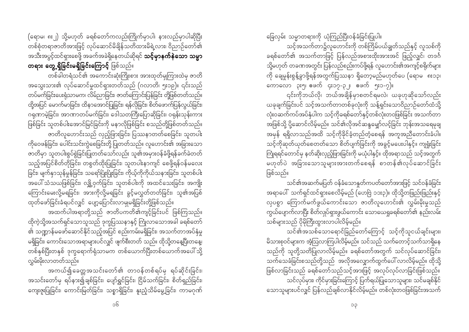(ရောမ၊ ၈း၂) သို့မဟုတ် ခရစ်တော်ကလည်းကြိုက်မှာပါ၊ နားလည်မှာပါဆိုပြီး တစ်စုံတရာဇာတိအားဖြင့် လုပ်ဆောင်မိချိန်သတိထားမိရဲ့လား၊ ဝိညာဉ်တော်၏ အသီးအပွင့်ထင်ရှားစေဖို့ အခက်အခဲရှိနေတယ်ဆိုရင် **သင့်မှာနက်နဲသော သမ္မာ** တရား တွေ့ရှိခြင်းမရှိခြင်းကြောင့် ဖြစ်သည်။

တစ်ခါတရံသင်၏ အကောင်းဆုံးကြိုးစား အားထုတ်မှုကြားထဲမှ ဇာတိ အသွေးသား၏ လုပ်ဆောင်မှုထင်ရှားတတ်သည် (ဂလာတိ၊ ၅း၁၉)။ ၎င်းသည် တပ်မက်ခြင်းပေးရုံသာမက၊ လိမ်ညာခြင်း၊ ဇာတ်ကြောင်းပြန်ခြင်း တို့ဖြစ်တတ်သည်။ ထို့အပြင် မောက်မာခြင်း၊ ထိနာအောင်ပြုခြင်း၊ ရန်လိုခြင်း၊ စိတ်ဖောက်ပြန်လွယ်ခြင်း၊ ဂရုဏာမဲ့ခြင်း၊ အာဏာတပ်မက်ခြင်း၊ ဒေါသတကြီးပြောဆိုခြင်း၊ ဝရုန်းသုန်းကား ဖြစ်ခြင်း သူတစ်ပါးအောင်မြင်ခြင်းကို မနာလိုဖြစ်ခြင်း စသည်တို့ဖြစ်တတ်သည်။ ဇာတိလူဟောင်းသည် လှည့်ဖြားခြင်း၊ ပြဿနာတတ်စေခြင်း၊ သူတပါး ကိုဝေဖန်ခြင်း၊ ပေါင်းသင်းကွဲစေခြင်းတို့ ပြုတတ်သည်။ လူဟောင်း၏ အခြားသော ဇာတိမှာ သူတပါးစွပ်စွဲခြင်းပြုတတ်သော်လည်း သူ၏အမှားဝန်ခံဖို့ရန်ခက်ခဲတတ် သည့်အပြင်စိတ်တိုခြင်း၊ တစွတ်ထိုးပြုခြင်း၊ သူတပါးနာကျင် စေဖို့ရန်ဝန်မလေး ခြင်း၊ မျက်နှာသုန်မှုန်ခြင်း၊ သရော်ပြုံးပြုံးခြင်း၊ ကိုယ့်ကိုကိုယ်သနားခြင်း၊ သူတစ်ပါး အပေါ် သံသယဖြစ်ခြင်း၊ လျို့ဝှက်ခြင်း၊ သူတစ်ပါးကို အထင်သေးခြင်း၊ အကျိုး ကြောင်းမေးလို့မရခြင်း၊ အားကိုလို့မရခြင်း ခွင့်မလွှတ်တတ်ခြင်း၊ သူ၏အပြစ် ထုတ်ဖော်ခြင်းခံရပင်လျှင် ပျော့ပြောင်းလာမျှမရှိခြင်းတို့ဖြစ်သည်။

အထက်ပါအရာတို့သည် ဇာတိပကတိ၏ကျင့်ခြင်းပင် ဖြစ်ကြသည်။ ထိုကဲ့သို့အသက်ရှင်သောသူသည် ဒုက္ခပြဿနာနှင့် ကြုံလာသောအခါ ခရစ်တော် ၏ သဏ္ဍာန်မဖော်ဆောင်နိုင်သည့်အပြင် စည်းကမ်းမရှိခြင်း၊ အသက်တာအပ်နှံမှု မရှိခြင်း၊ ကောင်းသောအရာများပင်လျှင် ဖျက်စီးတတ် သည်။ ထိုသို့တနေ့ပြီးတနေ့၊ တစ်နှစ်ပြီးတနှစ် ဒုက္ခရောက်ရုံသာမက တစ်ယောက်ပြီးတစ်ယောက်အပေါ် သို့ လမ်းမိးလာတတ်သည်။

အကယ်၍ခေတ္တအသင်းတော်၏ တာဝန်တစ်ရပ်မှ ရပ်ဆိုင်းခြင်း၊ အသင်းတော်မှ ရပ်နား၍ချစ်ခြင်း၊ ပျော်ရွှင်ခြင်း၊ ငြိမ်သက်ခြင်း၊ စိတ်ရှည်ခြင်း၊ ကျေးဇူးပြုခြင်း၊ ကောင်းမြတ်ခြင်း၊ သစ္စာရှိခြင်း၊ နူးညံ့သိမ်မွေ့ခြင်း၊ ကာမဂုဏ်

ခြေလှမ်း သမ္မာတရားကို ယုံကြည်ပြီးဝန်ခံခြင်းပြုပါ။

သင့်အသက်တာ၌လူဟောင်းကို တစ်ကြိမ်ပယ်ချွတ်သည်နှင့် လူသစ်ကို ခရစ်တော်၏ အသက်တာဖြင့် ပြန်လည်အစားထိုးအားအင် ဖြည့်လျှင်၊ တဒင်္ဂ သို့မဟုတ် တခဏအတွင်း ပြန်လည်စည်းကပ်ဖို့ရန် လူဟောင်း၏အကျင့်စရိုက်များ ကို ချေမှုန်းစွန့်ခွာဖို့ရန်အတွက်ပြဿနာ ရှိတော့မည်မဟုတ်ပေ (ရောမ ၈း၁၃၊ ကောလော ၃း၅၊ ဧဖက် ၄း၁၇-၃၂၊ ဧဖက် ၅း၁-၇)။

၎င်းကိုဘယ်လို၊ ဘယ်အချိန်မှာစတင်ရမလဲ၊ ယခုဟုဆိုသော်လည်း ယခုချက်ခြင်းပင် သင့်အသက်တာတစ်ခုလုံးကို သန့်ရှင်းသောဝိညာဉ်တော်ထံသို့ လုံးဝဆက်ကပ်အပ်နံပါက သင့်ကိုခရစ်တော်နှင့်တစ်လုံးတဝဖြစ်ခြင်း အသက်တာ အဖြစ်သို့ ပို့ဆောင်လိမ့်မည်။ သင်၏လိုအင်ဆန္ဒမျှော်လင့်ခြင်း ဘုန်းအသရေမုချ အမှန် ရရှိလာသည်အထိ သင့်ကိုခိုင်ခံ့တည်တံ့စေရန် အကူအညီတောင်းခံပါ။ သင့်ကိုဆုတ်ယုတ်စေတတ်သော စိတ်ပျက်ခြင်းကို အခွင့်မပေးပါနှင့်။ ကျရှုံးခြင်း ကြုံရရင်တောင်မှ နတ်ဆိုးလှည့်ဖြားခြင်းကို မယုံပါနှင့်။ ထိုအရာသည် သင့်အတွက် မဟုတ်ပဲ အခြားသောသူများအားတက်စေရန် စာတန်၏လုပ်ဆောင်ခြင်း ဖြစ်သည်။

သင်၏အဆက်မပြတ် ဝန်ခံသောနူတ်ကပတ်တော်အားဖြင့် သင်ဝန်ခံခြင်း အရာပေါ် သက်ရှင်ထင်ရှားစေလိမ့်မည် (ဟေဗြဲ ၁၁း၃)။ ထိုသို့တဖြည်းဖြည်းနှင့် လှပစွာ ကြောက်မက်ဖွယ်ကောင်းသော ဇာတိလူဟောင်း၏ လွှမ်းမိုးမှုသည် ကွယ်ပျောက်လာပြီး စိတ်လှုပ်ရှားဖွယ်ကောင်း သောယေရှုခရစ်တော်၏ နည်းလမ်း သစ်များသည် ပိုမိုကြီးထွားလာပါလိမ့်မည်။

သင်၏အသစ်သောရောင်ခြည်တော်ကြောင့် သင့်ကိုသူငယ်ချင်းများ၊ မိသားစုဝင်များက အံ့သြလာကြပါလိမ့်မည်။ သင်သည် သက်တောင့်သက်သာရှိနေ သည်ကို သူတို့သတိပြုလာလိမ့်မည်။ ခရစ်တော်အတွက် သင်လုပ်ဆောင်ခြင်း၊ သက်သေခံခြင်းစသည်တို့သည် အလိုအလျှောက်ထွက်ပေါ် လာလိမ့်မည်။ ထိုသို့ ဖြစ်လာခြင်းသည် ခရစ်တော်သည်သင့်အားဖြင့် အလုပ်လုပ်လာခြင်းဖြစ်သည်။ သင်လုပ်မှား၊ ကိုင်မှားခြင်းကြောင့် ပြက်ရယ်ပြုသောသူများ၊ သင်မချစ်နိုင် သောသူများပင်လျှင် ပြန်လည်ချစ်လာနိုင်လိမ့်မည်။ တစ်လုံးတဝဖြစ်ခြင်းအသက်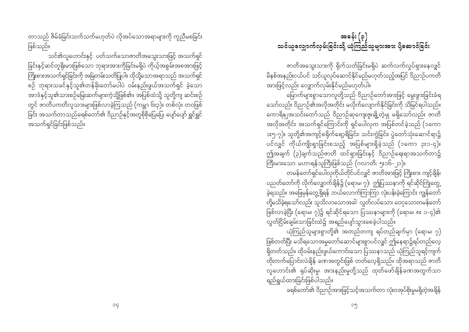တာသည် ဇိမ်ခံခြင်းသက်သက်မဟတ်ပဲ လိအပ်သောအရာများကိ ကညီမစခြင်း ဖြစ်သည်။

သင်၏လူဟောင်းနှင့် ပတ်သက်သောဇာတိအသွေးသားဖြင့် အသက်ရှင် စဉ် ဘုရားသခင်နှင့်သူ၏တန်ခိုးတော်မပါပဲ ဝမ်းနည်းဖွယ်အသက်ရှင် ခဲ့သော အာဒံနှင့်သူ၏သားစဉ်မြေးဆက်များကဲ့သို့ဖြစ်၏။ အပြစ်ထဲသို့ သူတို့ကျ ဆင်းစဉ် တွင် ဇာတိပကတိလူသားများဖြစ်လာခဲ့ကြသည် (ကမ္ဘာ ၆း၃)။ တစ်လုံး တဝဖြစ် အသက်ရှင်ခြင်းဖြစ်သည်။

# အခန်း (၃) သင်ယူလျောက်လမ်းခြင်းသို့ ယုံကြည်သူများအား ပို့ဆောင်ခြင်း

ဇာတိအသွေးသားကို ရိုက်သတ်ခြင်းမရှိပဲ ဆက်လက်လှုပ်ရှားနေလျှင် .<br>မိနစ်အနည်းငယ်ပင် သင်ယူလုပ်ဆောင်နိုင်မည်မဟုတ်သည့်အပြင် ဝိညာဉ်ပကတိ အားဖြင့်လည်း လျှောက်လှမ်းနိုင်မည်မဟုတ်ပါ။

သော်လည်း ဝိညာဉ်၏အလိုအတိုင်း မလိုက်လျောက်နိုင်ခြင်းကို သိမြင်ရပါသည်။ ကောရိန္ဈအသင်းတော်သည် ဝိညာဉ်ဆုကျေးဇူးချို့တဲ့မှု မရှိသော်လည်း ဇာတိ အလိုအတိုင်း အသက်ရှင်ကြောင်းကို ရှင်ပေါလုက အပြစ်တင်ခဲ့သည် (၁ကော ား၅-၇)။ သူတို့၏အကျင့်စရိုက်ရော့ရိခြင်း၊ သင်းကွဲခြင်း၊ ပွဲတော်သုံးဆောင်ရာ၌ ပင်လျှင် ကိုယ်ကျိုးရှာခြင်းစသည့် အပြစ်များရှိခဲ့သည် (၁ကော ၃း၁-၄)။ ဤအချက် (၃)ချက်သည်ဇာတိ ထင်ရှားခြင်းနှင့် ဝိညာဉ်ရေးရာအသက်တာ၌ ကြီးမားသော မဟာရန်သူကြီးဖြစ်သည် (ဂလာတိ၊ ၅း၁၆-၂၁)။

တမန်တော်ရှင်ပေါ်လုကိုယ်တိုင်ပင်လျှင် ဇာတိအားဖြင့် ကြိုးစား ကျင့်ချိန်၊ ပညတ်တော်ကို လိုက်လျှောက်ချိန်၌ (ရောမ၊ ၇)၊ ဤပြဿနာကို ရင်ဆိုင်ကြုံတွေ့ ခဲ့ရသည်။ အဖြေမှန်တွေ့ရှိရန် ဘယ်လောက်ကြာကြာ လုံးပန်းခဲ့ကြောင်း ကျွန်တော် ာကြောက်သည်။ ထိုးသို့ သည်။ ထို့သည်။ ထို့သည်။ အသို့သည်။<br>ကို့မသိခဲ့ရသော်လည်း သူသိလာသောအခါ 'လွတ်လပ်သော၊ ဝေငှသောတမန်တော် ဖြစ်လာခဲ့ပြီး (ရောမ၊ ၇)၌ ရင်ဆိုင်ရသော ပြဿနာများကို (ရောမ၊ ၈း ၁-၄)၏ လွတ်ငြိမ်းချမ်းသာခြင်းထဲ၌ အရည်ပျော်သွားစေခဲ့ပါသည်။

ယုံကြည်သူများစွာတို့၏ အတည်တကျ ရပ်တည်ချက်မှာ (ရောမ၊ ၇) ဖြစ်တတ်ပြီး မသိရသောအမှုတော်ဆောင်များစွာပင်လျှင် ဤနေရာ၌ရပ်တည်လေ့ ရှိတတ်သည်။ ထိုဝမ်းနည်းဖွယ်ကောင်းသော ပြဿနာသည် ယုံကြည်သူရင့်ကျက် ား<br>တိုးတက်ပြောင်းလဲချိန် ခဏအတွင်းဖြစ် တတ်လေ့ရှိသည်။ ထိုအရာသည် ဇာတိ လူဟောင်း၏ ရုပ်ဆိုးမှု၊ အားနည်းမှုတို့သည် ထုတ်ဖော်ချိန်ခဏအတွက်သာ ရည်ရွယ်ထားခြင်းဖြစ်ပါသည်။

ခရစ်တော်၏ ဝိညာဉ်အားဖြင့်သင့်အသက်တာ လုံးဝအုပ်စိုးမှုမရှိတဲ့အချိန်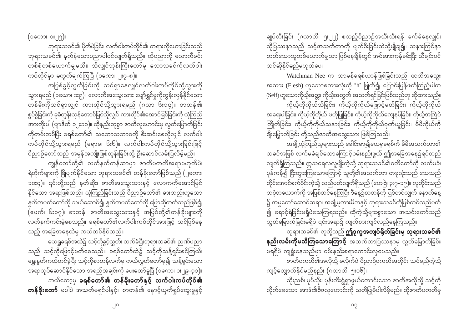(၁ကော၊ ၁ႏ၂၅)။

ဘုရားသခင်၏ မိုက်မဲခြင်း၊ လက်ဝါးကပ်တိုင်၏ တရားကိုဟောခြင်းသည် ဘုရားသခင်၏ နက်နဲသောပညာပါဝင်လျက်ရှိသည်။ ထိုပညာကို လောကီမင်း ာလ်<br>စစ်စုံတစ်ယောက်မျှမသိ။ သိလျှင်ဘုန်းကြီးတော်မူ သောသခင်ကိုလက်ဝါး ကပ်တိုင်မှာ မကွက်မျက်ကြပြီ (၁ကော၊ ၂း၇-၈)။

အပြစ်ခွင့်လွှတ်ခြင်းကို သင်ရှာနေလျှင်လက်ဝါးကပ်တိုင်သို့သွားကို သွားရမည် (၁ယော၊ ၁း၉)။ လောကီအသွေးသား ပျော်ရွှင်မှုကိုတွန်းလှန်နိုင်သော တန်ခိုးကိုသင်ရှာလျှင် ကားတိုင်သို့သွားရမည် (ဂလာ ၆း၁၄)။ စာတန်၏ စွပ်စွဲခြင်းကို ခုခံတွန်းလှန်အောင်မြင်လိုလျှင် ကားတိုင်၏အောင်မြင်ခြင်းကို ယုံကြည် အားကိုးပါ (ဗျာဒိတ် ၁၂း၁၁)။ ထိုနည်းတူစွာ ဇာတိလူဟောင်းမှ လွတ်မြောက်ခြင်း ကိုတမ်းတမိပြီး ခရစ်တော်၏ သဘောသဘာဝကို စီးဆင်းစေလိုလျှင် လက်ဝါး ကပ်တိုင်သို့သွားရမည် (ရောမ၊ ၆း၆)။ လက်ဝါးကပ်တိုင်သို့သွားခြင်းဖြင့် ဝိညာဉ်တော်သည် အမှန်အကျိုးဖြစ်ထွန်းခြင်းသို့ ဦးဆောင်လမ်းပြလိမ့်မည်။

ကျွန်တော်တို့၏ လက်နက်တန်ဆာမှာ ဇာတိပကတိအရာမဟုတ်ပဲ၊ ရဲတိုက်များကို ဖြိုပျက်နိုင်သော ဘုရားသခင်၏ တန်ခိုးတော်ဖြစ်သည် (၂ကော၊ ၁၀း၄)။ ၎င်းတို့သည် နတ်ဆိုး၊ ဇာတိအသွေးသားနှင့် လောကကိုအောင်မြင် နိုင်သော အရာဖြစ်သည်။ ယုံကြည်ခြင်းသည် ဝိညာဉ်တော်၏ ဓားတည်းဟူသော နူတ်ကပတ်တော်ကို သယ်ဆောင်၍ နူတ်ကပတ်တော်ကို ပြောဆိုတတ်သည်ဖြစ်၍ (ဧဖက်၊ ၆း၁၇)၊ စာတန်၊ ဇာတိအသွေးသားနှင့် အပြစ်တို့၏တန်ခိုးများကို ့<br>လက်နက်ကင်းမဲ့စေသည်။ ခရစ်တော်၏လက်ဝါးကပ်တိုင်အားဖြင့် သင်ဖြစ်နေ သည့် အခြေအနေထဲမှ ကယ်တင်နိုင်သည်။

ယေရှုခရစ်အထဲ၌ သင့်ကိုခွင့်လွှတ်၊ လက်ခံပြီးဘုရားသခင်၏ ညဏ်ပညာ သည် သင့်ကိုဖြောင့်မတ်စေသည်။ ခရစ်တော်ထဲ၌ သင့်ကိုသန့်ရှင်းစင်ကြယ်၊ ရွှေးနှုတ်ကယ်တင်ခဲ့ပြီး သင့်ကိုစာတန်လက်မှ ကယ်လွှတ်တော်မူ၍ သန့်ရှင်းသော ဘယ်တော့မှ **ခရစ်တော်၏ တန်ခိုးတော်နှင့် လက်ဝါးကပ်တိုင်၏** တန်ခိုးတော် မပါပဲ အသက်မရှင်ပါနှင့်။ စာတန်၏ နောင့်ယှက်ရှုပ်ထွေးမှုနှင့်

ချုပ်တီးခြင်း (ဂလာတိ၊ ၅း၂၂) စသည့်ဝိညာဉ်အသီးသီးရန် ခက်ခဲနေလျှင်၊ ္...<br>ထိုပြဿနာသည် သင့်အသက်တာကို ပျက်စီးခြင်းထဲသို့မျိုချ၍၊ သနားကြင်နာ ာ်<br>တတ်သောသူတစ်ယောက်မျှသာ ဖြစ်နေချိန်တွင် အင်အားကုန်ခမ်းပြီး သီချင်းပင် သင်ဆိုနိုင်မည်မဟုတ်ပေ။

Watchman Nee က သာမန်ခရစ်ယာန်ဖြစ်ခြင်းသည် ဇာတိအသွေး အသား (Flesh) ဟူသောစကားလုံးကို "h" ဖြုတ်၍ ပြောင်းပြန်ဖတ်ကြည့်ပါက (Self) ဟူသောကိုယ့်အတ္တ၊ ကိုယ့်အတွက် အသက်ရှင်ခြင်းဖြစ်သည်ဟု ဆိုထားသည်။ ကိုယ့်ကိုကိုယ်သိခြင်း၊ ကိုယ့်ကိုကိုယ်ဖြောင့်မတ်ခြင်း၊ ကိုယ့်ကိုကိုယ် အရေးပါခြင်း၊ ကိုယ့်ကိုကိုယ် ဗဟိုပြုခြင်း၊ ကိုယ့်ကိုကိုယ်ကျေနပ်ခြင်း၊ ကိုယ့်အကြံပဲ ကြိုက်ခြင်း၊ ကိုယ့်ကိုကိုယ်သနားခြင်း၊ ကိုယ့်ကိုကိုယ်ဂုဏ်ယူခြင်း၊ မိမိကိုယ်ကို ချီးမြှောက်ခြင်း တို့သည်ဇာတိအသွေးသား ဖြစ်ကြသည်။

အချို့ယုံကြည်သူများသည် ခေါင်းမာ၍ယေရှုခရစ်ကို မိမိအသက်တာ၏ သခင်အဖြစ် လက်မခံချင်သောကြောင့်ဝမ်းနည်းဖွယ် ဤအခြေအနေ၌ရပ်တည် လျက်ရှိကြသည်။ ဣသရေလလူမျိုးကဲ့သို့ ဘုရားသခင်၏ဂတိတော်ကို လက်မခံ၊ ပုန်ကန်၍ ငြီးတွားကြသောကြောင့် သူတို့၏အသက်တာ တခုလုံးသည် သေသည် တစုံတယောက်ကို အပြစ်တင်နေကြပြီး ဒီနေ့၌စာတန်ကို ပြစ်တင်လျှက် နောက်နေ့ ၌ အမှုတော်ဆောင်ဆရာ၊ အချို့မူကားမိဘနှင့် ဘုရားသခင်ကိုပြစ်တင်လည်ပတ် ၍ ရောင့်ရဲခြင်းမရှိပဲသေကြရသည်။ ထိုကဲ့သို့များစွာသော အသင်းတော်သည် လွှတ်မြောက်ခြင်းမရှိပဲ ၎င်းအရာ၌ ကျက်စားကျင်လည်နေကြသည်။

ဘုရားသခင်၏ လူတို့သည် **ဤဒုက္ခအကျပ်ရိုက်ခြင်းမှ ဘုရားသခင်၏** နည်းလမ်းကိုမသိကြသောကြော**င့်** အသက်တာပြဿနာမှ လွတ်မြောက်ခြင်း မရရှိပဲ ကျရှုံးနေသည်မှာ ဝမ်းနည်းစရာကောင်းလှပေသည်။

ဇာတိပကတိ၏အလိုသို့ မလိုက်ပဲ ဝိညာဉ်ပကတိအတိုင်း သင်မည်ကဲ့သို့ ကျင့်လျှောက်နိုင်မည်နည်း (ဂလာတိ၊ ၅း၁၆)။

ဆိုးညစ်၊ ပုပ်သိုး၊ မုန်းတီးရွံရှာဖွယ်ကောင်းသော ဇာတိအလိုသို့ သင့်ကို လိုက်စေသော အာဒံ၏ဗီဇလူဟောင်းကို သတိပြုမိပါလိမ့်မည်။ ထိုဇာတိပကတိမှ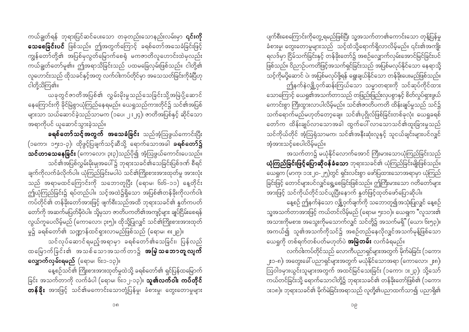ပျက်စီးစေကြောင်းကိုတွေ့ ရမည်ဖြစ်ပြီး သူ့အသက်တာ၏ကောင်းသော တုန့်ပြန်မှု ခံစားမှု၊ တွေးတောမှုများသည် သင့်ထံသို့ရောက်ရှိလာလိမ့်မည်။ ၎င်း၏အကျိုး ရလဒ်မှာ ငြိမ်သက်ခြင်းနှင့် တန်ခိုးတော်၌ အစဉ်လျှောက်လှမ်းအောင်မြင်ခြင်းပင် ဖြစ်သည်။ ဝိညာဉ်ပကတိဖြင့်အသက်ရှင်ခြင်းသည် အပြစ်မလုပ်နိုင်သော နေရာသို့ oifhukdrykdYaqmif yJ? tjypfrvkyfzkdY&ef a&G;cs,fEkdifaom wefckd;ay;rnfjzpfonf/ ဤနက်နဲလျှို့ဝှက်ဆန်းကြယ်သော သမ္မာတရားကို သင်ဆုပ်ကိုင်ထား သောကြောင့် ယေရှု၏အသက်တာသည် တဖြည်းဖြည်းလှပစွာနှင့် စိတ်လှုပ်ရှားဖွယ် ကောင်းစွာ ကြီးထွားလာပါလိမ့်မည်။ သင်၏ဇာတိပကတိ ထိန်းချုပ်မှုသည် သင်၌ သက်ရောက်မည်မဟုတ်တော့ချေ။ သင်၏ပုဂ္ဂိုလ်ဖြစ်ခြင်းတစ်ခုလုံး ယေရှုခရစ် တော်က ထိန်းချုပ်လာသောအခါ ထွက်ပေါ် လာသောသင်၏ထူးခြားမှုသည် သင်ကိုယ်တိုင် အံ့ဩရုံသာမက၊ သင်၏အနီးဆုံးလူနှင့် သူငယ်ချင်းများပင်လျှင် အံ့အားသင့်စေပါလိမ့်မည်။

အသက်တာ၌ မယုံနိုင်လောက်အောင် ကြီးမားသောယုံကြည်ခြင်းသည် ယုံကြည်ခြင်းဖြင့်ပြောဆိုဝန်ခံသော ဘုရားသခင်၏ ယုံကြည်ခြင်းမျိုးဖြစ်သည်။ <u>ယေရှု</u>က (မာကု၊ ၁၁း၂၀-၂၅)တွင် ရှင်းလင်းစွာ ဖော်ပြထားသောအရာမှာ ယုံကြည် ခြင်းဖြင့် တောင်များပင်လျှင်ရွေ့စေခြင်းဖြစ်သည်။ ဤကြီးမားသော ဂတိတော်များ tm;jzifh oifukd,fwkdifoif,lNyD;aemuf EIwfjzifhxkwfazmfajymqkdyg/

နေ့စဉ် ဤနက်နဲသော လျှို့ဝှက်ချက်ကို သဘောတူ၍အသုံးပြုလျှင် နေ့စဉ် သူ့အသက်တာအားဖြင့် ကယ်တင်လိမ့်မည် (ရောမ၊ ၅း၁၀)။ ယေရှက "လူသား၏ အသားကိုမစား၊ အသွေးကိုမသောက်လျှင် သင်တို့၌ အသက်မရှိ" (ယော၊ ၆း၅၃)။ အကယ်၍ သူ၏အသက်ကိုသင်၌ အစဉ်တည်နေလိုလျှင်အသက်မှန့်ဖြစ်သော ယေရှုကို တစ်ရက်တစ်ပတ်မဟုတ်ပဲ **အမြဲတမ်း** လက်ခံရမည်။

လက်ဝါးကပ်တိုင်သည် လောကီပညာရှင်များအတွက် မိုက်မဲခြင်း (၁ကော၊ ၂း၁-၈)၊ အတွေးခေါ် ပညာရှင်များအတွက် မယုံနိုင်သောအရာ (ကောလော၊ ၂း၈)၊ -<br>ဩဝါဒမှားယွင်းသူများအတွက် အထင်မြင်သေးခြင်း (၁ကော၊ ၁း၂၃)၊ သို့သော် u,fwifjcif;okdY a&mufaomigwkdYü bk&m;ocif\ wefckd;awmfjzpf\ (1aum? ား၁၈)။ ဘုရားသခင်၏ မိုက်မဲခြင်းအရာသည် လူတို့၏ပညာထက်သာ၍ ပညာရှိ၏

ကယ်ချွတ်ရန် ဘုရားပြင်ဆင်ပေးသော တခုတည်းသောနည်းလမ်းမှာ **၎င်းကို သေစေခြင်းပင်** ဖြစ်သည်။ ဤအတွက်ကြောင့် ခရစ်တော်အသေခံခြင်းဖြင့် ကျွန်တော်တို့၏ အပြစ်မှလွတ်မြောက်စေရုံ မကဇာတိလူဟောင်းထဲမှလည်း ကယ်ချွတ်တော်မူ၏။ ဤအရာသိခြင်းသည် ပထမခြေလှမ်းဖြစ်သည်။ ငါတို့၏ လူဟောင်းသည် ထိုသခင်နှင့်အတူ လက်ဝါးကပ်တိုင်မှာ အသေသတ်ခြင်းကိုခံပြီဟု ငါတို့သိကြ၏။

ယခုတွင်ဇာတိအပြစ်၏ လွှမ်းမိုးမှုသည်သေခြင်းသို့အမြဲပို့ဆောင် နေကြောင်းကို ခိုင်မြဲစွာယုံကြည်နေရမည်။ ယေရှုသည်ကားတိုင်၌ သင်၏အပြစ် များသာ သယ်ဆောင်ခဲ့သည်သာမက (၁ပေ၊ ၂ း၂၄)၊ ဇာတိအပြစ်နှင့် ဆိုင်သော အရာကိုပင် ယူဆောင်သွားခဲ့သည်။

ခ**ရစ်တော်သင့်အတွက် အသေခံခြင်း** သည်အံ့ဩဖွယ်ကောင်းပြီး (၁ကော၊ ၁၅း၁-၃)၊ ထိုဖွင့်ပြချက်သင့်ဆီသို့ ရောက်သောအခါ **ခရစ်တော်၌**  $\infty$ င်ဟာသေနေခြင်း (ကောလော၊ ၃း၃)သည်ပို၍ အံ့ဩဖွယ်ကောင်းပေသည်။ သင်၏အပြစ်လွှမ်းမိုးမျအပေါ်၌ ဘုရားသခင်၏သေခြင်းပြစ်ဒဏ် စီရင်

ချက်ကိုလက်ခံလိုက်ပါ။ ယုံကြည်ခြင်းမပါပဲ သင်၏ကြိုးစားအားထုတ်မှု အားလုံး သည် အရာမထင်ကြောင်းကို သဘောတူပြီး (ရောမ၊ ၆း၆-၁၁) နေ့တိုင်း ဤယုံကြည်ခြင်း၌ ရပ်တည်ပါ။ သင့်အထဲ၌ရှိသော အပြစ်၏တန်ခိုးကိုလက်ဝါး ကပ်တိုင်၏ တန်ခိုးတော်အားဖြင့် ဖျက်စီးသည်အထိ ဘုရားသခင်၏ နှုတ်ကပတ် ကော်ကို အဆက်မပြတ်မှီဝဲပါ။ သို့မှသာ ဇာတိပကတိ၏အကျင့်များ ချုပ်ငြိမ်းစေရန် လွယ်ကူပေလိမ့်မည် (ကောလော၊ ၃း၅)။ ထိုသို့ပြုလျှင် သင်၏ကြိုးစားအားထုတ်

မှု၌ ခရစ်တော်၏ သဏ္ဍာန်ထင်ရှားလာမည်ဖြစ်သည် (ရောမ၊ ၈း၂၉)။ သင်လုပ်ဆောင်ရမည့်အရာမှာ ခရစ်တော်၏သေခြင်း၊ ပြန်လည် ထမြောက်ခြင်း၏ အသစ်သောအသက်တာ၌ **အမြဲသဘောတူလျက် လျှောက်လှမ်းရမည်** (ရောမ၊ ၆း၁-၁၃)။

နေ့စဉ်သင်၏ ကြိုးစားအားထုတ်မှုထဲသို့ ခရစ်တော်၏ ရှင်ပြန်ထမြောက် ခြင်း အသက်တာကို လက်ခံပါ (ရောမ၊ ၆း၁၂-၁၃)။ **သူ့၏လက်ဝါး ကပ်တိုင်** တန်ခိုး အားဖြင့် သင်၏မကောင်းသောတုံ့ပြန်မှု၊ ခံစားမှု၊ တွေးတောမူများ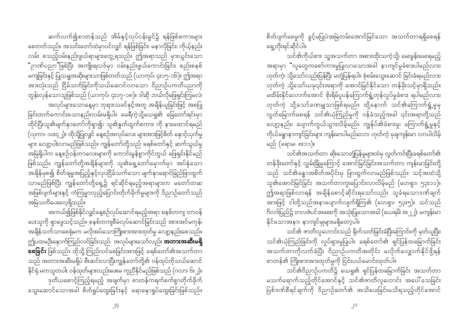စိတ်ပျက်စေမှုကို ခွင့်မပြုပဲအမြဲတမ်းအောင်မြင်သော အသက်တာရရှိစေရန် ရေ့တိုးရင်ဆိုင်ပါ။

သင်၏ကိုယ်စား သူ့အသက်တာ အစားထိုးသကဲ့သို့၊ မေးခွန်းမေးရမည့် အရာမှာ "လူတွေကစော်ကားမှုပြုလာသောအခါ နာကျင်မှုခံစားပါမည်လား၊ ဟုတ်ကဲ့၊ သို့သော်လည်းပြန်ပြီး မတုံ့ပြန်ရပါ။ စုံစမ်းသွေးဆောင် ခြင်းခံရမည်လား၊ ဟုတ်ကဲ့ သို့သော်ယခု၎င်းအရာကို အောင်မြင်နိုင်သော တန်ခိုးသင့်မှာရှိသည်။ \_\_<br>မထိမ်းနိုင်လောက်အောင် စိုးရိမ်ပူပန်ကြောက်ရွံ့တုန်လှုပ်မှုခံစား ရပါမည်လား၊ ဟုတ်ကဲ့ သို့သော်ခဏမျှသာဖြစ်ရမည်။ ထို့နောက် သင်၏ကြောက်ရွံ့မှုမှ လွတ်မြောက်စေရန် သင်၏ယုံကြည်မှုကို ဝန်ခံသည့်အခါ ၎င်းအရာတို့သည် လျော့နည်း၊ ပျောက်ကွယ်သွားလိမ့်မည်။ ကျွန်ုပ်၏ခံစားမှု၊ ကြောက်ရွံ့မှုနှင့် ကိုယ်ခန္ဓာနာကျင်ခြင်းများ ကျွန်းမာပါမည်လော၊ ဟုတ်ကဲ့ မချကျွန်းမာ လာပါလိမ့် မည် (ရောမ၊ ၈း၁၁)။

သင်၏အသက်တာ ဆိုးသောတုံ့ပြန်မှုများထဲမှ လွတ်ကင်းပြီးခရစ်တော်၏ တန်ခိုးတော်နှင့် လွှမ်းခြုံမှုကြောင့် အောင်မြင်ခြင်းအသက်တာ၊ ကျန်းမာခြင်းတို့ သည် သင်၏ခန္ဓာအစိတ်အပိုင်းမှ ဖြာထွက်လာမည်ဖြစ်သည်။ သင့်အထဲသို့ သူ၏အောင်မြင်ခြင်း အသက်တာကူးပြောင်းလာလိမ့်မည် (ဟေရှာ၊ ၅၃း၁၁)။ ဤအရာဖြစ်လာရန် အချိန်စောင့်ဆိုင်းရသော်လည်း သူခံရသောဒဏ်ချက် အားဖြင့် ငါတို့သည်အနာပျောက်လျက်ရှိကြ၏ (ဟေရှာ၊ ၅၃း၅)။ သင်သည် ဂိလဒ်ပြည်၌ ဗာလဇံပင်အစေးကို အသုံးပြုသောအခါ (ယေရမိ၊ ၈း၂၂)၊ မကျန်းမာ နိုင်သောအနာ၊ နာကျင်မျှများမရှိတော့ပါ။

သင်၏ ဇာတိလူဟောင်းသည် ရိုက်သတ်ခြင်းခံပြီးကြောင်းကို မှတ်ယူပြီး၊ သင်၏ယုံကြည်ခြင်းကို လှုပ်ရှားမှုပြုပါ။ ခရစ်တော်၏ ရှင်ပြန်ထမြောက်ခြင်း အသက်တာကိုလက်ခံပြီး ဝိညာဉ်ပကတိအတိုင်း မလိုက်လျှောက်နိုင်ဖို့ရန် စာတန်၏ ကြိုးစားအားထုတ်မှုကို ငြင်းပယ်မောင်းထုတ်ပါ။

သင်၏ဝိညာဉ်ပကတိ၌ ယေရှု၏ ရှင်ပြန်ထမြောက်ခြင်း အသက်တာ မသက်ရောက်သည့်တိုင်အောင်နှင့် သင်၏ဇာတိလူဟောင်း အပေါ်သေခြင်း  $\vert$ ပြစ်ဒဏ်စီရင်ချက်ကို ဝိညာဉ်တော်၏ အသိပေးခြင်းမသိရသည့်တိုင်အောင်

ဆက်လက်၍စာတန်သည် အိမ်နှင့်လုပ်ငန်းခွင်၌ ရန်ဖြစ်စကားများ စေတတ်သည်။ အသင်းတော်ထဲမှာပင်လျှင် ရန်ဖြစ်ခြင်း၊ မနာလိုခြင်း၊ ကိုယ့်နည်း လမ်း စသည့်ဝမ်းနည်းဖွယ်ရာများတွေ့ရသည်။ ဤအရာသည် မှားယွင်းသော **"**ဉာဏ်ပညာ**"**ဖြစ်ပြီး အကျိုးရလဒ်မှာ ဝမ်းနည်းဖွယ်ကောင်းခြင်း၊ စည်းစနစ် မကျခြင်းနှင့် ပြုသမျှအဆိုးများသာဖြစ်တတ်သည် (ယာကုပ်၊ ၄း၁၅-၁၆)။ ဤအရာ အားလုံးသည် ငြိမ်သက်ခြင်းကိုသယ်ဆောင်လာသော ဝိညာဉ်ပကတိပညာကို တွန်းလှန်သောသူဖြစ်သည် (ယာကုပ်၊ ၄း၁၇-၁၈)။ ဒါဆို ဘယ်လိုဖြေရှင်းကြမလဲ၊ အလုပ်များသောနေ့မှာ ဘုရားသခင်နှင့်အတူ အချိန်ယူခြင်းဖြင့် အစပြု ခြင်းထက်ကောင်းသောနည်းလမ်းမရှိပါ။ မေရီကဲ့သို့ယေရှု၏ ခြေတော်ရင်းမှာ ထိုင်ပြီးသူ၏မျက်နှာတော်ကိုရှာ၍၊ သူ၏နှုတ်ထွက်စကား ကို နားထောင်ရမည် (လုကာ၊ ၁၀း၄၂)။ ထိုသို့ပြုလျှင် နေ့စဉ်အလုပ်လေး များအားဖြင့်စိတ် နောင့်ယုက်မှု များ လျော့ပါးလာမည်ဖြစ်သည်။ ကျွန်တော်တို့သည် ခရစ်တော်နှင့် ဆက်သွယ်မှု အမြဲရှိပါက နေ့စဉ်ဝန်တာလေးများကို ကောင်းမွန်စွာကိုင်တွယ် ဖြေရှင်းနိုင်မည် ျား<br>ဖြစ်သည်။ ကျွန်တော်တို့အချိန်များကို သူ၏ရှေ့တော်မှောက်မှာ အပ်နှံသော အချိန်မှစ၍ စိတ်ချမှုအပြည့်နှင့်လှပငြိမ်သက်သော မျက်နှာရောင်ခြည်ဖြာထွက် လာမည်ဖြစ်ပြီး ကျွန်တော်တို့ရှေ့၌ ရင်ဆိုင်ရမည့်အရာများက မတော်တဆ အဖြစ်ပျက်များနှင့် ကံကြမ္မာလှည့်ပြောင်းတိုက်ခိုက်မှုများကို ဝိညာဉ်တော်သည် အမြဲသတိပေးလေ့ရှိသည်။

အကယ်၍ဖြစ်နိုင်လျှင်နေ့စဉ်လုပ်ဆောင်ရမည့်အရာ စနစ်တကျ တာဝန် ပေးသူကို ရှာဖွေသင့်သည်။ စနစ်တကျစီမံလုပ်ဆောင်ခြင်းသည် အားအင်မကုန်၊ အချိန်သက်သာစေရုံမက မလိုအပ်သောကြိုးစားအားထုတ်မှု လျော့နည်းစေသည်။ ဤပထမဦးနှောက်ကြည်လင်ခြင်းသည် အလုပ်များသော်လည်း **အတားအဆီးမရှိ**  $\overline{\text{e}}$ စခြင်း ဖြစ်သည်။ ထိုသို့ ကြည်လင်စေခြင်းအားဖြင့် ခရစ်တော်၏အသက်တာ သည် အတားအဆီးမရှိပဲ စီးဆင်းလာပြီးကျွန်တော်တို့၏ ဝန်ထုပ်ကိုသယ်ဆောင် နိုင်ရုံ မကသူတပါး ဝန်ထုတ်များလည်းဖေးမ<sup>ိ</sup>ကူညီနိုင်မည်ဖြစ်သည် (ဂလာ၊ ၆း၂)။ ဒုတိယစောင့်ကြည့်ရမည့် အချက်မှာ စာတန်ကရက်စက်စွာတိုက်ခိုက် သွေးဆောင်သောအခါ စိတ်ရှုပ်ထွေးခြင်းနှင့် ရောနှောရှုပ်ထွေးခြင်းဖြစ်သည်။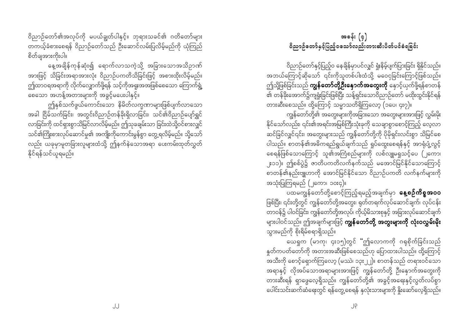ဝိညာဉ်တော်၏အလုပ်ကို မပယ်ချွတ်ပါနှင့်။ ဘုရားသခင်၏ ဂတိတော်များ စိတ်ချအားကိုးပါ။

နေ့အချိန်ကုန်ဆုံး၍ ရောက်လာသကဲ့သို့ အခြားသောအသိဉာဏ် အားဖြင့် သိခြင်းအရာအားလုံး ဝိညာဉ်ပကတိသိခြင်းဖြင့် အစားထိုးလိမ့်မည်။ ဤထာဝရအရာကို လိုက်လျှောက်ဖို့ရန် သင့်ကိုအရူးအအဖြစ်စေသော ကြောက်ရွံ့ —<br>စေသော အဟန့်အတားများကို အခွင့်မပေးပါနှင့်။

ဤနှစ်သက်ဖွယ်ကောင်းသော နိမိတ်လက္ခဏာများဖြစ်ပျက်လာသော အခါ ငြိမ်သက်ခြင်း၊ အတွင်းဝိညာဉ်တန်ခိုးရှိလာခြင်း၊ သင်၏ဝိညာဉ်ပျော်ရွှင် လာခြင်းကို ထင်ရှားစွာသိမြင်လာလိမ့်မည်။ ဤသုခချမ်းသာ ခြင်းထဲသို့ဝင်စားလျှင် သင်၏ကြိုးစားလုပ်ဆောင်မှု၏ အကျိုးကိုကောင်းမွန်စွာ တွေ့ရလိမ့်မည်။ သို့သော် လည်း ယခုမှာမူတခြားလူများထံသို့ ဤနက်နဲသောအရာ ပေးကမ်းထုတ်လွှတ် နိုင်ရန်သင်ယူရမည်။

# အခန်း $(g)$ ဝိညာဉ်တော်နှင့်ပြည့်ဝသော်လည်းတားဆီးပိတ်ပင်ခံရခြင်း

ဝိညာဉ်တော်နှင့်ပြည့်ဝ နေချိန်မှာပင်လျှင် ရှုံးနိမ့်ပျက်ပြားခြင်း ရှိနိုင်သည်။ .<br>အဘယ်ကြောင့်ဆိုသော် ၎င်းကိုသူတစ်ပါးထံသို့ မဝေငှခြင်းကြောင့်ဖြစ်သည်။ ဤသို့ဖြစ်ခြင်းသည် **ကျွန်တော်တို့ဦးနေ့ာက်အတွေးကို** နှောင့်ယှက်ဖို့ရန်စာတန် -<br>၏ တန်ခိုးအောက်၌ကျံရှုံးခြင်းဖြစ်ပြီး သန့်ရှင်းသောဝိညာဉ်တော် မထိုးထွင်းနိုင်ရန် တားဆီးစေသည်။ ထို့ကြောင့် သမ္မာသတိရှိကြလော့ (၁ပေ၊ ၄း၇)။

ျော်<br>ကျွန်တော်တို့၏ အတွေးများကိုအခြားသော အတွေးများအားဖြင့် လွှမ်းမိုး နိုင်သော်လည်း၊ ၎င်း၏အရင်းအမြစ်ကြီးသုံးခုကို သေချာစွာစောင့်ကြည့် လေ့လာ ဆင်ခြင်လျှင်၎င်း၊ အတွေးများသည် ကျွန်တော်တို့ကို ပိုမိုရှင်းလင်းစွာ သိမြင်စေ ပါသည်။ စာတန်၏အဓိကရည်ရွယ်ချက်သည် ရှုပ်ထွေးစေရန်နှင့် အာရုံပျံ့လွင့် စေရန်ဖြစ်သောကြောင့် သူ၏အကြံစည်များကို လစ်လျူမရှုသင့်ပေ (၂ကော၊ ၂း၁၁)။ ဤစစ်ပွဲ၌ ဇာတိပကတိလက်နက်သည် မအောင်မြင်နိုင်သောကြောင့် အသုံးပြုကြရမည် (၂ကော၊ ၁၀း၄)။

ပထမကျွန်တော်တို့စောင့်ကြည့်ရမည့်အချက်မှာ **နေ့စဉ်ကိစ္စအဝဝ** ဖြစ်ပြီး၊ ၎င်းတို့တွင် ကျွန်တော်တို့အတွေး၊ ရုတ်တရက်လုပ်ဆောင်ချက်၊ လုပ်ငန်း -<br>- တာဝန်၌ ပါဝင်ခြင်း၊ ကျွန်တော်တို့အလုပ်၊ ကိုယ့်မိသားစုနှင့် အခြားလုပ်ဆောင်ချက် များပါဝင်သည်။ ဤအချက်များဖြင့် **ကျွန်တော်တို့ အတွးများကို လုံးဝလွှမ်းမိုး** သွားမည်ကို စိုးရိမ်စရာရှိသည်။

ယေရှုက (မာကု၊ ၄း၁၅)တွင် "ဤလောကကို ဂရုစိုက်ခြင်းသည် နှုတ်ကပတ်တော်ကို အတားအဆီးဖြစ်စေသည်ဟု ပြောထားပါသည်။ ထို့ကြောင့် -<br>အသီးကို စောင့်ရှောက်ကြလော့ (မဿဲ၊ ၁၃း၂၂)။ စာတန်သည် တရားဝင်သော အရာနှင့် လိုအပ်သောအရာများအားဖြင့် ကျွန်တော်တို့ ဦးနှောက်အတွေးကို တားဆီးရန် ရှာဖွေလေ့ရှိသည်။ ကျွန်တော်တို့၏ အခွင့်အရေးနှင့်လွတ်လပ်စွာ ပေါင်းသင်းဆက်ဆံရေးတွင် ရန်တွေ့စေရန် နှလုံးသားများကို နှိုးဆော်လေ့ရှိသည်။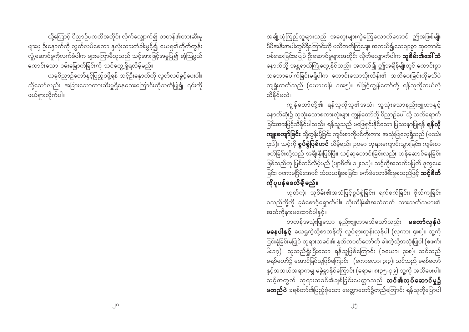အချို့ယုံကြည်သူများသည် အတွေးများကွဲကြေလောက်အောင် ဤအဖြစ်မျိုး မိမိအနီးအပါးတွင်ရှိကြောင်းကို မသိတတ်ကြချေ။ အကယ်၍သေချာစွာ ဆုတောင်း စစ်ဆေးခြင်းမပြုပဲ ဦးဆောင်မှုများအတိုင်း လိုက်လျှောက်ပါက **သူစိမ်း၏ခေါ် သံ** နောက်သို့ အန္တရာယ်ကြုံတွေ့နိုင်သည်။ အကယ်၍ ဤအချိန်မျိုးတွင် ကောင်းစွာ သဘောပေါက်ခြင်းမရှိပါက ကောင်းသောသိုးထိန်း၏ သတိပေးခြင်းကိုမသိပဲ ကျရှုံးတတ်သည် (ယောဟန်၊ ၁၀း၅)။ ဒါဖြင့်ကျွန်တော်တို့ ရန်သူကိုဘယ်လို သိနိုင်မလဲ။

ကျွန်တော်တို့၏ ရန်သူကိုသူ၏အသံ၊ သူသုံးသောနည်းဗျူဟာနှင့် ့<br>နောက်ဆုံး၌ သူသုံးသောစကားလုံးများ ကျွန်တော်တို့ ဝိညာဉ်ပေါ် သို့ သက်ရောက် ခြင်းအားဖြင့်သိနိုင်ပါသည်။ ရန်သူသည် မဖြေရှင်းနိုင်သော ပြဿနာပြုရန် **ရန်လို** ကျူးကျော်ခြင်း သို့တွန်းပို့ခြင်း ကျမ်းစာကိုပင်ကိုးကား အသုံးပြုလေ့ရှိသည် (မဿဲ၊ ၄း၆)။ သင့်ကို **စွပ်စွဲပြစ်တင်** လိမ့်မည်။ ဉပမာ ဘုရားကျောင်းသွားခြင်း၊ ကျမ်းစာ .<br>ဖတ်ခြင်းတို့သည် အချီးနှီးဖြစ်ပြီး၊ သင့်ဆုတောင်းခြင်းလည်း ဟန်ဆောင်နေခြင်း ဖြစ်သည်ဟု ပြစ်တင်လိမ့်မည် (ဗျာဒိတ်၊ ၁၂း၁၁)။ သင့်ကိုအဆက်မပြတ် ဒုက္ခပေး ခြင်း၊ ဂဏာမငြိမ်အောင် သံသယရှိစေခြင်း၊ ခက်ခဲသောဖိစီးမှုစသည်ဖြင့် **သင့်စိတ်** 

# ကိုပူပန်စေလိမ့်မည်။

ဟုတ်ကဲ့၊ သူစိမ်း၏အသံဖြင့်စွပ်စွဲခြင်း၊ ရက်စက်ခြင်း၊ ဗိုလ်ကျခြင်း စသည်တို့ကို ခုခံစောင့်ရှောက်ပါ။ သိုးထိန်း၏အသံထက် သားသတ်သမား၏ အသံကိုနားမထောင်ပါနှင့်။

စာတန်အသုံးပြုသော နည်းဗျူဟာမသိသော်လည်း **မတော်လှန်ပဲ** မနေပါနှ**င့်** ယေရှုကဲ့သို့စာတန်ကို လှုပ်ရှားတွန်းလှန်ပါ (လုကာ၊ ၄း၈)။ သူ့ကို ငြင်းခုံခြင်းမပြုပဲ ဘုရားသခင်၏ နှုတ်ကပတ်တော်ကို ဓါးကဲ့သို့အသုံးပြုပါ (ဧဖက်၊ ၆း၁၇)။ သူသည်ရှုံးပြီးသော ရန်သူဖြစ်ကြောင်း (၁ယော၊ ၃း၈)၊ သင်သည် ခရစ်တော်၌ အောင်မြင်သူဖြစ်ကြောင်း (ကောလော၊ ၃း၃)၊ သင်သည် ခရစ်တော် နှင့်အဘယ်အရာကမျှ မခွဲခွာနိုင်ကြောင်း (ရောမ၊ ၈း၃၅-၃၉) သူ့ကို အသိပေးပါ။ သင့်အတွက် ဘုရားသခင်၏ချစ်ခြင်းမေတ္တာသည် **သင်၏လုပ်ဆောင်မှု၌** မ**တည်ပဲ** ခရစ်တာ်၏ပြည့်စုံသော မေတ္တာတော်၌တည်ကြောင်း ရန်သူကိုပြောပါ

ထို့ကြောင့် ဝိညာဉ်ပကတိအတိုင်း လိုက်လျှောက်၍ စာတန်၏တားဆီးမှ များမှ ဦးနှောက်ကို လွတ်လပ်စေကာ နှလုံးသားတံခါးဖွင့်၍ ယေရှု၏တိုက်တွန်း လှုံ့ဆောင်မှုကိုလက်ခံပါက များမကြာမီသူသည် သင့်အားဖြင့်အမှုပြု၍ အံ့ဩဖွယ် း-<br>ကောင်းသော ဝမ်းမြောက်ခြင်းကို သင်တွေ့ရှိရလိမ့်မည်။

ယခုဝိညာဉ်တော်နှင့်ပြည့်ဝဖို့ရန် သင့်ဦးနှောက်ကို လွတ်လပ်ခွင့်ပေးပါ။ သို့သော်လည်း အခြားသောတားဆီးမှုရှိနေသေးကြောင်းကိုသတိပြု၍ ၎င်းကို ဖယ်ရားလိက်ပါ။

၂၈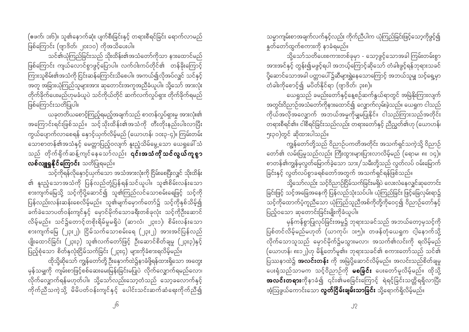(ဧဖက်၊ ၁း၆)။ သူ၏နောက်ဆုံး ပျက်စီးခြင်းနှင့် တရားစီရင်ခြင်း ရောက်လာမည် ဖြစ်ကြောင်း (ဗျာဒိတ်၊ ၂၀း၁၀) ကိုအသိပေးပါ။

သင်၏ယုံကြည်ခြင်းသည် သိုးထိန်း၏အသံတော်ကိုသာ နားထောင်မည် .<br>ဖြစ်ကြောင်း ကျယ်လောင်စွာဖွင့်ပြောပါ။ လက်ဝါးကပ်တိုင်၏ တန်ခိုးကြောင့် ကြားသူစိမ်း၏အသံကို ငြင်းဆန်ကြောင်းသိစေပါ။ အကယ်၍လိုအပ်လျှင် သင်နှင့် အတူ အခြားယုံကြည်သူများအား ဆုတောင်းအကူအညီခံယူပါ။ သို့သော် အားလုံး ဖြစ်ကြောင်းသတိပြုပါ။

ယခုတတိယစောင့်ကြည့်ရမည့်အချက်သည် စာတန်လှုပ်ရှားမှု အားလုံး၏ အကြောင်းရင်းဖြစ်သည်။ သင့်သိုးထိန်း၏အသံကို တီးတိုးနည်းပါးလာပြီး ကွယ်ပျောက်လာစေရန် နောင့်ယှက်လိမ့်မည် (ယောဟန်၊ ၁၀း၃-၄)။ ကြမ်းတမ်း သောစာတန်၏အသံနှင့် မေတ္တာပြည့်ဝလျက် နူးညံ့သိမ်မွေ့သော ယေရှုခေါ် သံ သည် တိုက်ရိုက်ဆန့်ကျင်နေသော်လည်း **၎င်းအသံကိုသင်လွယ်ကူစွာ** လစ်လျူရှုနို**င်ကြောင်း** သတိပြုရမည်။

သင့်ကိုရန်လိုနှောင့်ယှက်သော အသံအားလုံးကို ငြိမ်းစေပြီးလျှင် သိုးထိန်း ၏ နူးညံ့သောအသံကို ပြန်လည်တုံ့ပြန်ရန်သင်ယူပါ။ သူ၏စိမ်းလန်းသော စားကျက်မြေသို့ သင့်ကိုပို့ဆောင်၍ သူ၏ကြည်လင်သောစမ်းရေဖြင့် သင့်ကို .<br>ပြန်လည်းလန်းဆန်းစေလိမ့်မည်။ သူ၏မျက်မှောက်တော်၌ သင့်ကိုနှစ်သိမ့်၍ ခက်ခဲသောပတ်ဝန်းကျင်နှင့် မှောင်မိုက်သောခရီးတစ်ခုလုံး သင့်ကိုဦးဆောင် လိမ့်မည်။ သင်၌တောင့်တစိုးရိမ်မှုမရှိပဲ (ဆာလံ၊ ၂၃း၁)၊ စိမ်းလန်းသော စားကျက်မြေ (၂၃း၂)၊ ငြိမ်သက်သောစမ်းရေ (၂၃း၂) အားအင်ပြန်လည် ပျိုးထောင်ခြင်း (၂၃း၃) သူ၏လက်တော်ဖြင့် ဦးဆောင်စိတ်ချမှု (၂၃း၃)နှင့် ပြည့်စုံသော စိတ်နှလုံးငြိမ်သက်ခြင်း (၂၃း၄) များကိုခံစားရလိမ့်မည်။

ထိုသို့ဆိုသော် ကျွန်တော်တို့ ဦးနှောက်ထဲ၌နာခံဖို့ရန်ထားရှိသော အတွေး မှန်သမျှကို ကျမ်းစာဖြင့်စစ်ဆေးမေးမြန်းခြင်းမပြုပဲ လိုက်လျှောက်ရမည်လော၊ လိုက်လျှောက်ရန်မဟုတ်ပါ။ သို့သော်လည်းသော့တံသည် သော့ခလောက်နှင့် ကိုက်ညီသကဲ့သို့ မိမိပတ်ဝန်းကျင်နှင့် ပေါင်းသင်းဆက်ဆံရေးကိုက်ညီ၍

သမ္မာကျမ်းစာအချက်လက်နှင့်လည်း ကိုက်ညီပါက ယုံကြည်ခြင်းဖြင့်သော့ကိုဖွင့်၍ နူတ်တော်ထွက်စကားကို နာခံရမည်။

သို့သော်သတိပေးစကားတစ်ခုမှာ - သော့ဖွင့်သောအခါ ကြမ်းတမ်းစွာ အားအင်နှင့် တွန်း၍မဖွင့်ရပါ အဘယ့်ကြောင့်ဆိုသော် တံခါးဖွင့်ရန်ဘုရားသခင် .<br>ပို့ဆောင်သောအခါ ပတ္တာပေါ် ၌ဆီများရွှဲနေသောကြောင့် အဘယ်သူမျှ သင့်ရှေ့မှာ .<br>တံခါးကိုစောင့်၍ မပိတ်နိုင်ရာ (ဗျာဒိတ်၊ ၃း၈)။

ယေရှုသည် ခမည်းတော်နှင့်နေ့စဉ်ဆက်နွယ်ရာတွင် အမြဲနိုးကြားလျက် အတွင်းဝိညာဉ်အသံတော်ကိုနားထောင်၍ လျှောက်လှမ်းခဲ့သည်။ ယေရှုက ငါသည် ကိုယ်အလိုအလျှောက် အဘယ်အမှုကိုမျှမပြုနိုင်။ ငါသည်ကြားသည်အတိုင်း တရားစီရင်၏။ ငါစီရင်ခြင်းသည်လည်း တရားတော်နှင့် ညီညွတ်၏ဟု (ယောဟန်၊ ၅း၃၀)တွင် ဆိုထားပါသည်။

ကျွန်တော်တို့သည် ဝိညာဉ်ပကတိအတိုင်း အသက်ရှင်သကဲ့သို့ ဝိညာဉ် တော်၏ လမ်းပြမှုသည်လည်း ကြီးထွားများပြားလာလိမ့်မည် (ရောမ၊ ၈း ၁၄)။ စာတန်၏ကျွန်မှလွတ်မြောက်ခဲ့သော သား/သမီးတို့သည် လွတ်လပ် ဝမ်းမြောက် ခြင်းနှင့် လွတ်လပ်စွာခရစ်တော်အတွက် အသက်ရှင်ရန်ဖြစ်သည်။

ခြင်းဖြင့် သင့်အခြေအနေကို ပြန်လည်သုံးသပ်ပါ။ ယုံကြည်ခြင်း ဖြင့်ခြေလှမ်းရာ၌ သင့်ကိုထောက်ပံ့ကူညီသော ယုံကြည်သူညီအစ်ကိုတို့ကိုဝေငု၍ ဝိညာဉ်တော်နှင့် ပြည့်ဝသော ဆုတောင်းခြင်းမျိုးကိုခံယူပါ။

မှန်ကန်စွာပြုလုပ်ခြင်းအမှု၌ ဘုရားသခင်သည် အဘယ်တော့မှသင့်ကို ပြစ်တင်လိမ့်မည်မဟုတ် (ယာကုပ်၊ ၁း၅)။ တဖန်တုံယေရှုက ငါ့နောက်သို့ လိုက်သောသူသည် မှောင်မိုက်၌မသွားမလာ၊ အသက်၏လင်းကို ရလိမ့်မည် (ယောဟန်၊ ၈း၁၂)ဟု မိန့်တော်မူ၏။ ဘုရားသခင်၏ စကားတော်သည် သင်၏ ပြဿနာထဲ၌ **အလင်းတန်း** ကို အမြဲပို့ဆောင်လိမ့်မည်။ အလင်းသည်စိတ်ချမှု ပေးရုံသည်သာမက သင့်ဝိညာဉ်ကို **မစခြင်း** ပေးတော်မူလိမ့်မည်။ ထိုသို့ **အလင်းတရား**ကိုနာခံ၍ ၎င်း၏မစခြင်းကြောင့် ရဲရင့်ခြင်းသတ္တိရရှိလာပြီး အံ့ဩဖွယ်ကောင်းသော **လွတ်ငြိမ်းချမ်းသာခြင်း** သို့ရောက်ရှိလိမ့်မည်။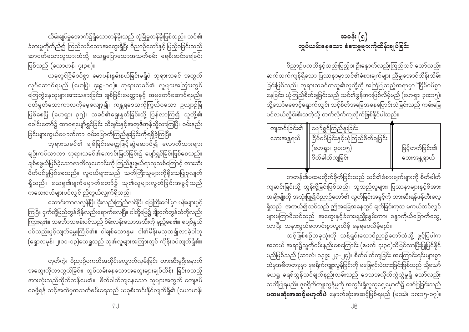ထိမ်းချုပ်မှုအောက်၌ရှိသောတန်ခိုးသည် လုံခြုံမှုတန်ခိုးဖြစ်သည်။ သင်၏ ခံစားမှုကိုက်ညီ၍ ကြည်လင်သောအတွေးရှိပြီး ဝိညာဉ်တော်နှင့် ပြည့်ဝခြင်းသည် ဆာငတ်သောလူသားထံသို့ ယေရှုပြောသောအသက်စမ်း ရေစီးဆင်းစေခြင်း ဖြစ်သည် (ယောဟန်၊ ၇း၃၈)။

ယခုတွင်ငြိမ်ဝပ်စွာ မောပန်းနွမ်းနယ်ခြင်းမရှိပဲ ဘုရားသခင် အတွက် လုပ်ဆောင်ရမည် (ဟေဗြဲ၊ ၄း၉-၁၀)။ ဘုရားသခင်၏ လူများအကြားတွင် ကြေကွဲနေသူများအားသနားခြင်း၊ ချစ်ခြင်းမေတ္တာနှင့် အမှုတော်ဆောင်ရမည်။ ငတ်မွတ်သောကာလကိုမေ့လျော့၍၊ ကန္တရဒေသကိုကြွယ်ဝသော ဉယျာဉ်ခြံ ဖြစ်စေပြီ (ဟေရှာ၊ ၃၅)။ သခင်၏ရွေးနှုတ်ခြင်းသို့ ပြန်လာကြ၍ သူတို့၏ ခေါင်းတော်၌ ထာဝရပျော်ရွှင်ခြင်း သီချင်းနှင့်အတူဇိအုန်သို့လာကြပြီ။ ဝမ်းနည်း ခြင်းများကွယ်ပျောက်ကာ ဝမ်းမြောက်ကြည်နူးခြင်းကိုရရှိခဲ့ကြပြီ။

ဘုရားသခင်၏ ချစ်ခြင်းမေတ္တဖြင့်ဆွဲဆောင်၍ လောကီသားများ ချဉ်းကပ်လာကာ ဘုရားသခင်၏ကောင်းမြတ်ခြင်း၌ ပျော်ရွှင်ခြင်းဖြစ်စေသည်။ ္<br>ချစ်စဖွယ်ဖြစ်ခဲ့သောဇာတိလူဟောင်းကို ကြည်နူးဖွယ်ရာလူသစ်ကြောင့် တားဆီး ပိတ်ပင်မှုဖြစ်စေသည်။ လူငယ်များသည် သက်ကြီးသူများကိုရိုသေပြုစုလျက် ရှိသည်။ ယေရှု၏မျက်မှောက်တော်၌ သူ၏လူများလွတ်ခြင်းအခွင့်သည် ကလေးငယ်များပင်လျှင် ညှိတွယ်လျှက်ရှိသည်။

ဆောင်းကာလလွန်ပြီ။ မိုးလည်းကြည်လင်ပြီ။ မြေကြီးပေါ် မှာ ပန်းများပွင့် ကြပြီ။ ငှက်တို့မြည်တွန်ချိန်လည်းရောက်လေပြီ။ ငါတို့မြေ၌ ချိုးငှက်တွန်သံကိုလည်း ကြားရ၏။ သင်္ဘောသဖန်းပင်သည် စိမ်းလန်းသောအသီးကို မှည့်စေ၏။ စပျစ်နွယ် ပင်လည်းပွင့်လျက်မွှေးကြိုင်၏။ ငါချစ်သောနှမ၊ ငါ၏မိန်းမလှထ၍လာခဲ့ပါဟု (ရှောလမုန်၊ ၂း၁၁-၁၃)ယေရှုသည် သူ၏လူများအကြားတွင် ကျိန်းဝပ်လျက်ရှိ၏။

ဟုတ်ကဲ့၊ ဝိညာဉ်ပကတိအတိုင်းလျှောက်လှမ်းခြင်း၊ တားဆီးမှုဦးနှောက် အတွေးကိုကာကွယ်ခြင်း၊ လှုပ်ယမ်းနေသောအတွေးများချုပ်ထိန်း ခြင်းစသည့် အားလုံးသည်ထိုက်တန်ပေ၏။ စိတ်ဓါတ်ကျနေသော သူများအတွက် ကျေနပ် စေဖို့ရန် သင့်အထဲမှအသက်စမ်းရေသည် ယခုစီးဆင်းနိုင်လျက်ရှိ၏ (ယောဟန်၊

 $P_{l}$ 

အခန်း $\left( 9\right)$ လှုပ်ယမ်းနေသော ခံစားမှုများကိုထိန်းချုပ်ခြင်း

ဝိညာဉ်ပကတိနှင့်လည်းပြည့်ဝ၊ ဦးနှောက်လည်းကြည်လင် သော်လည်း ဆက်လက်ကျန်ရှိသော ပြဿနာမှာသင်၏ခံစားချက်များ ညိဳမျှအောင်ထိန်းသိမ်း ခြင်းဖြစ်သည်။ ဘုရားသခင်ကသူ၏လူတို့ကို အကြံပြုသည့်အရာမှာ "ငြိမ်ဝပ်စွာ -<br>နေခြင်း၊ ယုံကြည်စိတ်ချခြင်းသည် သင်၏ခွန်အားဖြစ်လိမ့်မည် (ဟေရှာ၊ ၃၀း၁၅)၊ သို့သော်မစောင့်ရှောက်လျှင်၊ သင့်စိတ်အခြေအနေပြောင်းလဲခြင်းသည် ကမ်းခြေ ပင်လယ်လှိုင်းစီးသကဲ့သို့ တက်လိုက်ကျလိုက်ဖြစ်နိုင်ပါသည်။

| ကျဆင်းခြင်း၏ | ပျော်ရွှင်ကြည်နူးခြင်း               |                |
|--------------|--------------------------------------|----------------|
| ဘေးအန္တရယ်   | ငြိမ်ဝပ်ခြင်းနှင့်ယုံကြည်စိတ်ချခြင်း |                |
|              | 'ဟေရာ၊ ၃၀း၁၅့                        | မြင့်တက်ခြင်း၏ |
|              | စိတ်ဓါတ်ကျခြင်း                      | ဘေးအန္တရာယဲ    |
|              |                                      |                |

စာတန်၏ပထမတိုက်ခိုက်ခြင်းသည် သင်၏ခံစားချက်များကို စိတ်ဓါတ် ကျဆင်းခြင်းသို့ တွန်းပို့ခြင်းဖြစ်သည်။ သူသည်လူများ၊ ပြဿနာများနှင့်ဖိအား အမျိုးမျိုးကို အသုံးပြု၍ဝိညာဉ်တော်၏ လွတ်ခြင်းအခွင့်ကို တားဆီးရန်ဖန်တီးလေ့ ရှိသည်။ အကယ်၍သင်သည် ဤအခြေအနေတွင် ချက်ခြင်းကုသ မကယ်တင်လျှင် -<br>များမကြာမီသင်သည် အတွေးနှင့်ခံစားမှုညှိုးနွမ်းကာ၊ ခန္ဓာကိုယ်ခြောက်သွေ့ လာပြီး၊ သနားဖွယ်ကောင်းစွာလူးလိမ့် နေရပေလိမ့်မည်။

သင့်ဖြစ်စဉ်တခုလုံးကို သန့်ရှင်းသောဝိညာဉ်တော်ထံသို့ ဖွင့်ပြပါက အဘယ် အရာ၌သူ့ကိုဝမ်းနည်းစေကြောင်း (ဧဖက်၊ ၄း၃ဝ)သိမြင်လာပြီးပြုပြင်နိုင် မည်ဖြစ်သည် (ဆာလံ၊ ၁၃၉း ၂၃-၂၄)။ စိတ်ဓါတ်ကျခြင်း အကြောင်းရင်းများစွာ ထဲမှအဓိကတခုမှာ ဒုစရိုက်ကျူးလွန်ခြင်းကို မဖြေရှင်းပဲထားခြင်းဖြစ်သည် သို့သော် ယေရှု ခရစ်သွန်သင်ချက်နည်းလမ်းသည် ဒေသအလိုက်ကွဲလွဲမှုရှိ သော်လည်း သတိပြုရမည်။ ဒုစရိုက်ကျူးလွန်မှုကို အတွင်းရှိလူထုရှေ့မှောက်၌ ဖော်ပြခြင်းသည် ပထမဆုံးအဆင့်မဟုတ်ပဲ နောက်ဆုံးအဆင့်ဖြစ်ရမည် (မဿဲ၊ ၁၈း၁၅-၁၇)။

၂၉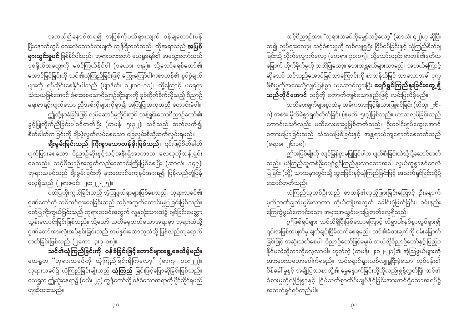သင့်ဝိညာဉ်အား "ဘုရားသခင်ကိုမျှော်လင့်လော့" (ဆာလံ၊ ၄၂)ဟု ဆိုပြီး ထ၍ လှုပ်ရှားလော့။ သင့်ခံစားမှုကို လစ်လျူရှုပြီး၊ ငြိမ်ဝပ်ခြင်းနှင့် ယုံကြည်စိတ်ချ ခြင်းသို့ လိုက်လျှောက်လော့ (ဟေရှာ၊ ၃၀း၁၅)။ သို့သော်လည်း စာတန်၏ဒုတိယ မြောက် တိုက်ခိုက်မှုကို သတိပြုလော့။ ဘေးအန္တရယ်များလာမည်။ အဘယ်ကြောင့် ဆိုသော် သင်သည်အောင်မြင်လာကြောင်းကို စာတန်သိမြင် လာသောအခါ ဒုက္ခ ဖိစီးမှုကိုအဝေးသို့လျှင်မြန်စွာ ယူဆောင်သွားပြီး **ပျော်ရွှင်ကြည်နူးခြင်းတွေ့ရှိ** သည်တိုင်အောင် သင့်ကို ကောက်ကျစ်သောနည်းဖြင့် လမ်းပြလိမ့်မည်။

သတိပေးချက်များစွာထဲမှ အဓိကအားဖြင့်ရိုးသားဖြူစင်ခြင်း (တိတု၊ ၂း၆-၈) အစား မိုက်မဲစွာရွတ်တိုက်ခြင်း (ဧဖက်၊ ၅း၄)ဖြစ်သည်။ ဟာသလုပ်ခြင်းသည် ကောင်းသော်လည်း မထီလေးစားမှုဖြစ်တတ်သည်။ ဦးခေါင်းရှုပ်ထွေးအောင် စကားပြောခြင်းသည် သံသယဖြစ်ခြင်းနှင့် အန္တရာယ်ကျရောက်စေတတ်သည် (ရောမ၊ ၆း၁၈)။

ဤအဖြစ်မျိုးကို လျင်မြန်စွာမပြုပြင်ပါက ပျက်စီးခြင်းထဲသို့ ပို့ဆောင်တတ် သည်။ ယုံကြည်သူတစ်ဦးပျော်ရွှင်ကြည်နူးလာသောအခါ လွယ်ကူစွာဧဝံဂေလိ ပြုခြင်း (သို့) သာသနာကွင်းသို့ သွားခြင်းနှင့်ယုံကြည်ခြင်းဖြင့် အသက်ရှင်ခြင်းသို့ပို့ ဆောင်တတ်သည်။

ယုံကြည်သူတစ်ဦးသည် စာတန်၏လှည့်ဖြားခြင်းကြောင့် ဦးနှောက် မှတ်ဉာဏ်ချွတ်ယွင်းလာကာ ကိုယ်ကျိုးအတွက် ခေါင်းပုံဖြတ်ခြင်း၊ ဝမ်းနည်း ကြေကွဲဖွယ်ကောင်းသော အမှားအယွင်းများပြုတတ်လေ့ရှိသည်။

ဤဖြစ်ရပ်များ သင်သိရှိပြီးဖြစ်သောကြောင့် လိမ္မာပါးနပ်စွာလှုပ်ရှား၍ ၎င်းအဖြစ်အပျက်မှ ချက်ချင်းငြိမ်သက်စေရမည်။ သင်၏ခံစားချက်ကို ဝမ်းမြောက် ခြင်းဖြင့် အဆုံးသတ်စေပါ။ ဝိညာဉ်တော်ဖြင့်မမူးပဲ ဘယ်လိုဝိညာဉ်တော်နှင့် ပြည့်ဝ ်<br>အားပေးသဘောပေါက်ရမည်။ သင်ရှောင်ရှားလစ်လျူရှုပြီးခဲ့သော လုပ်ငန်း၏ စိန်ခေါ် မှုနှင့် အချို့ပြဿနာတို့၏ မွှေနှောက်ခြင်းတို့ကိုလည်းစွန့်လွှတ်ပြီး သင်၏ ခံစားမှုကိုလုံခြုံစွာနှင့် ငြိမ်သက်စွာထိမ်းချုပ်နိုင်ခြင်းအားအင်ရှိသောအရပ်၌ အသက်ရှင်ရပ်တည်ပါ။

အကယ်၍နောင်တရ၍ အပြစ်ကိုပယ်ရှားလျက် ဝန်ချတောင်းပန်

ပြီးနောက်တွင် လေးလံသောခံစားချက် ကျန်ရှိတတ်သည်။ ထိုအရာသည် **အပြစ် မှားယွင်းမှုပင်** ဖြစ်နိုင်ပါသည်။ ဘုရားသားတော် ယေရှုခရစ်၏ အသွေးတော်သည် ္<br>ဒုစရိုက်အတွေးကို မစင်ကြယ်နိုင်ပါ (၁ယော၊ ၁း၉)။ သို့သော်ခရစ်တော်၏ -<br>အောင်မြင်ခြင်းကို သင်၏ယုံကြည်ခြင်းဖြင့် ကြွေးကြော်ပါကစာတန်၏ စွပ်စွဲချက် များကို ရပ်ဆိုင်းစေနိုင်ပါသည် (ဗျာဒိတ်၊ ၁၂း၁၀-၁၁)။ ထို့ကြောင့် မရေရာ သံသယဖြစ်အောင် ခံစားစေသောဝိညာဉ်ဆိုးများကို ခုခံတိုက်ခိုက်လိုသည့် ဝိညာဉ် ရေးရာရင့်ကျက်သော ညီအစ်ကိုများကိုရှာ၍ အကြံပြုအကူအညီ တောင်းခံပါ။ .<br>ဤသို့နာခံခြင်းဖြင့် လုပ်ဆောင်မှုတိုင်းတွင် သန့်ရှင်းသောဝိညာဉ်တော်၏

ခွင့်ပြုကိုက်ညီခြင်းပါဝင်တတ်ပြီး (တမန်၊ ၅း၃၂)၊ သင်သည် ဆက်လက်၍ စိတ်ဓါတ်ကျခြင်းကို ချိုးဖဲ့လွတ်လပ်စေသော ခြေလှမ်းစီသို့ဆက်လှမ်းရမည်။

ချီးမွမ်းခြင်းသည် ကြီးစွာသောတန်ခိုးဖြစ်သည်။ ၎င်းဖြင့်စိတ်ဓါတ် ပျက်ပြားစေသော ဝိညာဉ်ဆိုးနှင့်သင့်အနီးရှိအာကာသ လေထုကိုသန့်ရှင်း စေသည်။ သင့်ဝိညာဉ်အတွက်လည်းကောင်းကြီးဖြစ်စေပြီး (ဆာလံ၊ ၁၄၉)၊ လေ့ရှိသည် (၂ရာဇဝင်၊ ၂၀း၂၂-၂၅)။

ဝတ်ပြုကိုးကွယ်ခြင်းသည် အံ့သြဖွယ်ရာများဖြစ်စေသည်။ ဘုရားသခင်၏ ဂုဏ်တော်ကို သင်ထင်ရှားစေခြင်းသည် သင့်အတွက်ကောင်းမှုပြုခြင်းဖြစ်သည်။ ဝတ်ပြုကိုးကွယ်ခြင်းသည် ဘုရားသခင်အတွက် လူ့နှလုံးသားထဲ၌ ချစ်ခြင်းမေတ္တာ သွန်းလောင်းခြင်းဖြစ်သည်။ သို့သော် သတိမမူတတ်သောအရာမှာ ဘုရားထံသို့ ဂုဏ်တော်အားလုံးအပ်နှင်းခြင်းသည် အပ်နှင်းသောသူထံသို့ ပြန်လည်ကျရောက် တတ်ခြင်းဖြစ်သည် (၂ကော၊ ၃း၇-၁၈)။

သင်၏ယုံကြည်ခြင်းကို ဝန်ခံခြင်းဖြင့်တောင်များရွေ့စေလိမ့်မည်။ ယေရှုက "ဘုရားသခင်ကို ယုံကြည်ခြင်းရှိကြလော့" (မာကု၊ ၁၁း၂၂)။ ဘုရားသခင်၌ ယုံကြည်ခြင်းမျိုးသည် **ယုံကြည်** ခြင်းဖြင့်ပြောဆိုခြင်းဖြစ်သည်။ ယေရှုက ဤသုံးနေရာ၌ (ငယ်၊ ၂၃) ကျွန်တော်တို့ ဝန်ခံသောအရာကို ပိုင်ဆိုင်ရမည် ဟုဆိုထားသည်။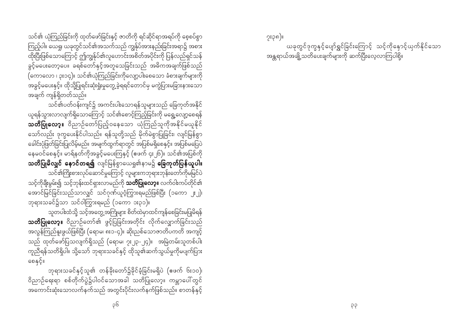သင်၏ ယုံကြည်ခြင်းကို ထုတ်ဖော်ခြင်းနှင့် ဇာတိကို ရင်ဆိုင်ရာအရပ်ကို စေ့စပ်စွာ ခွင့်မပေးတော့ပေ။ ခရစ်တော်နှင့်အတူသေခြင်းသည် အဓိကအချက်ဖြစ်သည် ပ<br>(ကောလော ၊ ၃း၁၄)။ သင်၏ယုံကြည်ခြင်းကိုလျော့ပါးစေသော ခံစားချက်များကို အခွင့်မပေးနှင့်။ ထိုသို့ပြုရင်းဆုံးရှုံးမှုတွေ့ခဲ့ရရင်တောင်မှ မကွဲပြားမခြားနားသော အချက် ကျန်ရှိတတ်သည်။

သင်၏ပတ်ဝန်းကျင်၌ အကင်းပါးသောရန်သူများသည် ခြေကုတ်အနိုင် ယူရန်သွားလာလျက်ရှိသောကြောင့် သင်၏စောင့်ကြည့်ခြင်းကို မရွေ့လျော့စေရန် **သတိပြုလော့။** ဝိညာဉ်တော်ပြည့်ဝနေသော ယုံကြည်သူကိုအနိုင်မယူနိုင် သော်လည်း ဒုက္ခပေးနိုင်ပါသည်။ ရန်သူတို့သည် မိုက်မဲစွာပြုခြင်း၊ လျင်မြန်စွာ ခေါင်းပုံဖြတ်ခြင်းပြုလိမ့်မည်။ အမျက်ထွက်ရာတွင် အပြစ်မရှိစေနှင့်။ အပြစ်မပြေပဲ နေမဝင်စေနှင့်။ မာရ်နတ်ကိုအခွင့်မပေးကြနှင့် (ဧဖက် ၄း၂၆)။ သင်၏အပြစ်ကို သ**တိပြုမိလျှင် နောင်တရ၍** လျင်မြန်စွာယေရှု၏နာမ၌ **ခြေကုတ်ပြန်ယူပါ။** သင်၏ကြိုးစားလုပ်ဆောင်မှုကြောင့် လူများကဘုရားဘုန်းတော်ကိုမမြင်ပဲ သင့်ကိုချီးမွမ်း၍ သင့်ဘုန်းထင်ရှားလာမည်ကို **သတိပြုလော့။** လက်ဝါးကပ်တိုင်၏ အောင်မြင်ခြင်းသည်သာလျှင် သင်ဂုဏ်ယူဝံ့ကြွားရမည်ဖြစ်ပြီး (၁ကော ၂း၂)၊ ဘုရားသခင်၌သာ သင်ဝါကြွားရမည် (၁ကော ၁း၃၁)။

သူတပါးထံသို့ သင့်အတွေ့အကြုံများ စိတ်ထဲမှာထင်ကျန်စေခြင်းမပြုမိရန် သတိပြုလော့။ ဝိညာဉ်တော်၏ ဖွင့်ပြခြင်းအတိုင်း လိုက်လျှောက်ခြင်းသည် အလွန်ကြည်နူးဖွယ်ဖြစ်ပြီး (ရောမ၊ ၈း၁-၄)။ ဆိုးညစ်သောဇာတိပကတိ အကျင့် သည် ထုတ်ဖော်ပြသလျက်ရှိသည် (ရောမ၊ ၇း၂၃-၂၄)။ အမြဲတမ်းသူတစ်ပါး ကူညီရန်သတိရှိပါ။ သို့သော် ဘုရားသခင်နှင့် ထိုသူ၏ဆက်သွယ်မှုကိုမပျက်ပြား စေနှင့်။

ဘုရားသခင်နှင့်သူ၏ တန်ခိုးတော်၌ခိုင်ခံ့ခြင်းမရှိပဲ (ဧဖက် ၆း၁၀)၊ ဝိညာဉ်ရေးရာ စစ်တိုက်ပွဲ၌ပါဝင်သောအခါ သတိပြုလော့။ ကမ္ဘာပေါ်တွင် အကောင်းဆုံးသောလက်နက်သည် အတွင်းပိုင်းလက်နက်ဖြစ်သည်။ စာတန်နှင့်

၇း၃၈)။ ယခုတွင်ဒုက္ခနှင့်ပျော်ရွှင်ခြင်းကြောင့် သင့်ကိုနောင့်ယုက်နိုင်သော အန္တရာယ်အချို့သတိပေးချက်များကို ဆက်ပြီးလေ့လာကြပါစို့။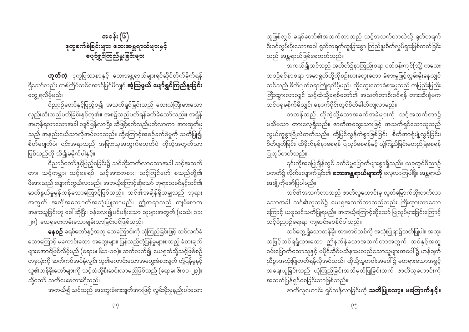အခန်း (၆) ခုက္ခခက်ခဲခြင်းများ၊ ဘေးအန္တရာယ်များနှင့် ပျော်ရွှင်ကြည်နူးခြင်းများ

**ဟုတ်ကဲ့**၊ ဒုက္ခပြဿနာနှင့် ဘေးအန္တရာယ်များရင်ဆိုင်တိုက်ခိုက်ရန် ရှိသော်လည်း တစ်ကြိမ်သင်အောင်မြင်မိလျှင် **အံ့ဩဖွယ် ပျော်ရွှင်ကြည်နူးခြင်း** တွေ့ရလိမ့်မည်။

ဝိညာဉ်တော်နှင့်ပြည့်ဝ၍ အသက်ရှင်ခြင်းသည် လေးလံကြီးမားသော လှည်းဘီးလည်ပတ်ခြင်းနှင့်တူ၏။ အစ၌လည်ပတ်ရန်ခက်ခဲသော်လည်း၊ အရှိန် ာ —<br>အဟုန်ရလာသောအခါ လျင်မြန်လာပြီး၊ ဆီဖြင့်စက်လည်ပတ်လာကာ၊ အားထုတ်မှု သည် အနည်းငယ်သာလိုအပ်လာသည်။ ထို့ကြောင့်အစဉ်ခက်ခဲမှုကို သတိပြု၍ စိတ်မပျက်ပဲ၊ ၎င်းအရာသည် အခြားသူအတွက်မဟုတ်ပဲ ကိုယ့်အတွက်သာ ဖြစ်သည်ကို သိ၍မမိုက်ပါနှင့်။

ဝိညာဉ်တော်နှင့်ပြည့်ဝခြင်း၌ သင်တိုးတက်လာသောအခါ သင့်အသက် တာ၊ သင့်ကမ္ဘာ၊ သင့်နေရပ်၊ သင့်အားကစား၊ သင့်ကြင်ဖော် စသည်တို့၏ .<br>ဖိအားသည် ပျောက်ကွယ်လာမည်။ အဘယ့်ကြောင့်ဆိုသော် ဘုရားသခင်နှင့်သင်၏ ဆက်နွယ်မှုမှန်ကန်သောကြောင့်ဖြစ်သည်။ သင်၏အချိန်ရှိသမျှသည် ဘုရား အတွက် အလိုအလျောက်အသုံးပြုလာမည်။ ဤအရာသည် ကျမ်းစာက အနားယူခြင်းဟု ခေါ် ဆိုပြီး၊ ဝန်လေး၍ပင်ပန်းသော သူများအတွက် (မဿဲ၊ ၁၁း <sub>့</sub><sub>]၈</sub>) ယေရှုပေးကမ်းသောချမ်းသာခြင်းပင်ဖြစ်သည်။

နေစဉ် ခရစ်တော်နှင့်အတူ သေကြောင်းကို ယုံကြည်ခြင်းဖြင့် သင်လက်ခံ သောကြောင့် မကောင်းသော အတွေးများ၊ ပြန်လည်တုံ့ပြန်မှုများစသည့် ခံစားချက် များအောင်မြင်လိမ့်မည် (ရောမ၊ ၆း၁-၁၀)။ ဆက်လက်၍ ယေရှုထံသို့သင့်ဖြစ်စဉ် .<br>တခုလုံးကို ဆက်ကပ်အပ်နှံလျှင်၊ သူ၏ကောင်းသောအတွေးခံစားချက် တုံ့ပြန်မှုနှင့် သူ၏တန်ခိုးတော်များကို သင့်ထံထို့စီးဆင်းလာမည်ဖြစ်သည် (ရောမ၊ ၆း၁၁-၂၃)။ သိသော် သတိပေးစကားရှိသည်။

အကယ်၍သင်သည် အတွေးခံစားချက်အားဖြင့် လွှမ်းမိုးမှုနည်းပါးသော

သူဖြစ်လျှင် ခရစ်တော်၏အသက်တာသည် သင့်အသက်တာထဲသို့ ရုတ်တရက် သည် အန္တရာယ်ဖြစ်စေတတ်သည်။

ာ<br>အကယ်၍သင်သည် အတိတ်၌နာကြည်းစရာ ပတ်ဝန်းကျင်(သို့) ကလေး ဘဝ၌ရင်နာစရာ အမာရွတ်တို့ကိုစဉ်းစားတွေးတော ခံစားမှုဖြင့်လွှမ်းမိုးနေလျှင် သင်သည် စိတ်ပျက်စရာကြုံရလိမ့်မည်။ ထိုတွေးတောခံစားမှုသည် တဖြည်းဖြည်း သင်ဂရုမစိုက်မိလျှင်၊ နောက်ပိုင်းတွင်စိတ်ဓါတ်ကျလာမည်။

စာတန်သည် ထိုကဲ့သို့သောအခက်အခဲများကို သင့်အသက်တာ၌ မသိမသာ တားလေ့ရှိသည်။ ဇာတိအသွေးသားဖြင့် အသက်ရှင်သောသူသည် လွယ်ကူစွာပြိုလဲတတ်သည်။ ထို့ပြင်လွန်ကဲစွာဖြစ်ခြင်း၊ စိတ်အာရုံပျံ့လွင့်ခြင်း၊ စိတ်ပျက်ခြင်း၊ ထိခိုက်နစ်နာစေရန် ပြုလုပ်စေရန်နှင့် ယုံကြည်ခြင်းမတည်မြဲစေရန် ပြုလုပ်တတ်သည်။

၎င်းကိုအစပြုချိန်တွင် ခက်ခဲမှုမြောက်များစွာရှိသည်။ ယခုတွင်ဝိညာဉ် ပကတိ၌ လိုက်လျောက်ခြင်း၏ **ဘေးအန္တရာယ်များကို** လေ့လာကြပါစို့။ အန္တရာယ် အချို့ကိုဖော်ပြပါမည်။

သင်၏အသက်တာသည် ဇာတိလူဟောင်းမှ လွတ်မြောက်တိုးတက်လာ သောအခါ သင်၏လူသစ်၌ ယေရှုအသက်တာသည်လည်း ကြီးထွားလာသော ကြောင့် ယခုသင်သတိပြုရမည်။ အဘယ့်ကြောင့်ဆိုသော် ပြုလုပ်မှားခြင်းကြောင့် သင့်ဝိညာဉ်ရေးရာ ကျဆင်းစေနိုင်ပါသည်။

သင်တွေ့ ရှိသောတန်<sup>ဒွို့</sup> အားအင်သစ်ကို အသုံးပြုရာ၌သတိပြုပါ။ အထူး သဖြင့်သင်ရရှိထားသော ဤနက်နဲသောအသက်တာအတွက် သင်နှင့်အတူ ဝမ်းမြောက်သောသူနှင့် မပိုင်ဆိုင်မသိနားမလည်သောသူများအပေါ်၌ ဟန်ချက် ညီစွာအသုံးပြုတတ်ရန်လိုအပ်သည်။ ထိုသို့သူတပါးအပေါ် ၌ မတရားသောအခွင့် အရေးယူခြင်းသည် ယုံကြည်ခြင်းအသိမှတ်ပြုခြင်းထက် ဇာတိလူဟောင်းကို အသက်ပြန်ရှင်စေခြင်းသာဖြစ်သည်။

ဇာတိလူဟောင်း ရှင်သန်လာခြင်းကို **သတိပြုလော့။ မကြောက်နှင့်။**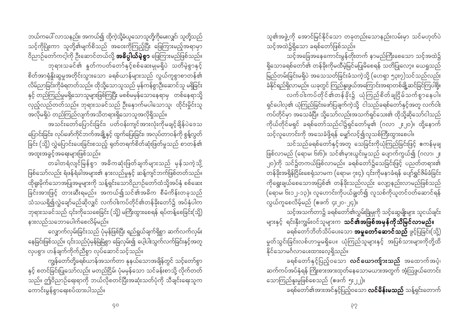ဘယ်ကပေါ် လာသနည်း၊ အကယ်၍ ထိုကဲ့သို့ခံယူသောသူတို့ကိုမေးလျှင်၊ သူတို့သည် သင့်ကိုပြုံးကာ သူတို့၏မျက်စိသည် အဝေးကိုကြည့်ပြီး ဖြေကြားမည့်အရာမှာ -<br>ဝိညာဉ်တော်ကင့ါကို ဦးဆောင်တယ်လို့ **အဓိပ္ပါယ်မဲ့စွာ** ဖြေကြားမည်ဖြစ်သည်။ ဘုရားသခင်၏ နှုတ်ကပတ်တော်နှင့်စစ်ဆေးမှုမရှိပဲ သတိမဲ့စွာနှင့် စိတ်အာရုံနိုးဆွမှုအတိုင်းသွားသော ခရစ်ယာန်များသည် လွယ်ကူစွာစာတန်၏ လိမ်ညာခြင်းကိုခံရတတ်သည်။ ထိုသို့သောသူသည် မှန်ကန်စွာဦးဆောင်သူ မရှိခြင်း

နှင့် တည်ကြည်မှုမရှိသောသူများဖြစ်ကြပြီး မစစ်မမှန်သောနေရာမှ တစ်နေရာသို့ လှည့်လည်တတ်သည်။ ဘုရားသခင်သည် ဦးနှောက်မပါသောသူ၊ ထိုင်းမှိုင်းသူ အလိုမရှိပဲ တည်ကြည်လျက်အသိတရားရှိသောသူအလိုရှိသည်။

အသင်းတော်ပြောင်းခြင်း၊ ပတ်ဝန်းကျင်အားလုံးကိုမချင့်ချိန်ပဲဒေသ ပြောင်းခြင်း၊ လုပ်ဖော်ကိုင်ဘက်အချို့နှင့် ထွက်ပြေးခြင်း၊ အလုပ်တာဝန်ကို စွန့်လွတ် ခြင်း (သို့) လွှဲပြောင်းပေးခြင်းစသည့် ရုတ်တရက်စိတ်ဆုံးဖြတ်မှုသည် စာတန်၏ အထူးအခွင့်အရေးများဖြစ်သည်။

.<br>တခါတရံလျင်မြန်စွာ အဓိကဆုံးဖြတ်ချက်များသည် မှန်သကဲ့သို့ .<br>ဖြစ်သော်လည်း ရံဖန်ရံခါအများ၏ နားလည်မှုနှင့် ဆန့်ကျင်ဘက်ဖြစ်တတ်သည်။ ထိုရူးမိုက်သောအပြုအမူများကို သန့်ရှင်းသောဝိညာဉ်တော်ထံသို့အပ်နှံ စစ်ဆေး ခြင်းအားဖြင့် တားဆီးရမည်။ အကယ်၍သင်၏အဓိက စီမံကိန်းတခုသည် သံသယရှိ၍လွှဲချော်မည်ဆိုလျှင် လက်ဝါးကပ်တိုင်၏တန်ခိုးတော်၌ အပ်နှံပါက ဘုရားသခင်သည် ၎င်းကိုသေစေခြင်း (သို့) မကြီးထွားစေရန် ရပ်တန့်စေခြင်း(သို့) နားလည်သဘောပေါက်စေလိမ့်မည်။

လျှောက်လှမ်းခြင်းသည် ပုံမှန်ဖြစ်ပြီး ရည်ရွယ်ချက်ရှိစွာ ဆက်လက်လှမ်း နေခြင်းဖြစ်သည်။ ၎င်းသည်ပုံမှန်မြဲမြံစွာ ခြေလှမ်း၍ ပေ့ါပါးသွက်လက်ခြင်းနှင့်အတူ လှပစွာ၊ ဟန်ချက်ကိုက်ညီစွာ လုပ်ဆောင်သင့်သည်။

ကျွန်တော်တို့ခရစ်ယာန်အသက်တာ နုနယ်သောအချိန်တွင် သင့်တော်စွာ နှင့် စတင်ခြင်းပြုသော်လည်း မတည်ငြိမ်၊ ပုံမမှန်သော သင်ခန်းစာသို့ လိုက်တတ် သည်။ ဤဝိညာဉ်ရေးရာကို ဘယ်လိုစတင်ပြီးအဆုံးသတ်ပုံကို သီချင်းရေးသူက ကောင်းမွန်စွာရေးစပ်ထားပါသည်။

သူ၏အဖွဲ့ကို အောင်မြင်နိုင်သော တခုတည်းသောနည်းလမ်းမှာ သင်မဟုတ်ပဲ သင့်အထဲ၌ရှိသော ခရစ်တော်ဖြစ်သည်။

သင့်အခြေအနေကောင်းမွန်တိုးတက် နာမည်ကြီးစေသော သင့်အထဲ၌ ရှိသောခရစ်တော်၏ တန်ခိုးကိုမထီမဲ့မြင်မပြုမိစေရန် သတိပြုလော့။ ယေရှုသည် .<br>မြည်တမ်းခြင်းမရှိပဲ အသေသတ်ခြင်းခံသကဲ့သို့ (ဟေရှာ ၅၃း၇)သင်သည်လည်း ခံနိုင်ရည်ရှိလာမည်။ ယခုတွင် ကြည်နူးဖွယ်အကြောင်းအရာတစ်ချို့ဆင်ခြင်ကြပါစို့။ လက်ဝါးကပ်တိုင်၏တန်ခိုး၌ ယုံကြည်စိတ်ချငြိမ်သက်စွာနေပါ။ ရှင်ပေါလု၏ ယုံကြည်ခြင်းဖော်ပြချက်ကဲ့သို့ ငါသည်ခရစ်တော်နှင့်အတူ လက်ဝါး ကပ်တိုင်မှာ အသေခံပြီ။ သို့သော်လည်းအသက်ရှင်သေး၏ ထိုသို့ဆိုသော်ငါသည် ကိုယ်တိုင်မရှင် ခရစ်တော်သည်ငါ၌ရှင်တော်မူ၏ (ဂလာ ၂း၂၀)။ ထို့နောက်

သင့်လူဟောင်းကို အသေခံဖို့ရန် မျှော်လင့်၍လူသစ်ကြီးထွားစေပါ။ သင်သည်ခရစ်တော်နှင့်အတူ သေခြင်းကိုယုံကြည်ခြင်းဖြင့် ဧကန်မုချ ဖြစ်လာမည် (ရောမ၊ ၆း၆)။ သင်၏မှားယွင်းမှုသည် ပျောက်ကွယ်၍ (ဂလာ၊ ၂း ၂၀)ကို သင်၌တကယ်ဖြစ်လာမည်။ ခရစ်တော်၌သေခြင်းဖြင့် ပညတ်တရား၏ တန်ခိုးအရှိန်ငြိမ်းစေရုံသာမက (ရောမ၊ ၇း၄)၊ ၎င်းကိုမနာခံရန် ပျော်ရွှင်ဇိမ်ခံခြင်း ကိုရွေးချယ်စေသောအပြစ်၏ တန်ခိုးသည်လည်း လျော့နည်းလာမည်ဖြစ်သည် လွယ်ကူစေလိမ့်မည် (ဧဖက် ၄း၂၀-၂၄)။

သင့်အသက်တာ၌ ခရစ်တော်၏လွှမ်းခြံမှုကို သင့်ဆွေမျိုးများ သူငယ်ချင်း များနှင့် ရင်းနှီးကျွမ်းဝင်သူများက **သင်၏အဖြစ်အမှန်ကိုသိမြင်လာမည်။** 

ခရစ်တော်ဘိတ်သိပ်ပေးသော **အမှုတော်ဆောင်သည်** ဖွင့်ပြခြင်း(သို့) မှုတ်သွင်းခြင်းလစ်ဟာမှုမရှိပေ။ ယုံကြည်သူများနှင့် အပြစ်သားများကိုတို့ထိ နိုင်သောမင်္ဂလာပေးထားလေ့ရှိသည်။

ခရစ်တော်နှင့်ပြည့်ဝသော **လင်ယောကျ်ားသည်** အထောက်အပံ့၊ ဆက်ကပ်အပ်နှံရန် ကြိုးစားအားထုတ်နေသောမယားအတွက် အံ့ဩဖွယ်တောင်း သောကြည်နူးမှုဖြစ်စေသည် (ဧဖက် ၅း၂၂)။

ခရစ်တော်၏အားအင်နှင့်ပြည့်ဝသော **လင်မိန်းမသည်** သန့်ရှင်းတောက်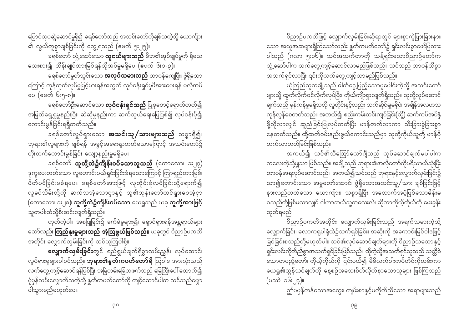ပြောင်လှပဆွဲဆောင်မှုရှိ၍ ခရစ်တော်သည် အသင်းတော်ကိုချစ်သကဲ့သို့ ယောက်ျား ၏ လွယ်ကူစွာချစ်ခြင်းကို တွေ့ရသည် (ဧဖက် ၅း၂၅)။

ခရစ်တော် လှုံ့ဆော်သော **လူငယ်များသည်** မိဘ၏အုပ်ချုပ်မှုကို ရိုသေ လေးစား၍ ထိန်းချုပ်တားမြစ်ရန်လိုအပ်မှုမရှိပေ (ဖေက် ၆း၁-၃)။

ာ<br>ခရစ်တော်မှုတ်သွင်းသော **အလုပ်သမားသည်** တာဝန်ကျေပြီး၊ ဇွဲရှိသော ကြောင့် ကုန်ထုတ်လုပ်မှုမြင့်မားရန်အတွက် လုပ်ငန်းရှင်မှဖိအားပေးရန် မလိုအပ် ေပ (ဧဖက် ၆း၅-၈)။

ခရစ်တော်ဦးဆောင်သော **လုပ်ငန်းရှင်သည်** ပြုစုစောင့်ရှောက်တတ်၍ အမြတ်ရှေ့ရှုမှုနည်းပြီး၊ ဆဲဆိုမှုနည်းကာ ဆက်သွယ်ရေးပြေပြစ်၍ လုပ်ငန်းပို၍ ကောင်းမွန်ခြင်းရရှိတတ်သည်။

ားသား….<br>ခရစ်တော်လှုပ်ရှားသော **အသင်းသူ/သားများသည်** သစ္စာရှိ၍၊ ဘုရား၏လူများကို ချစ်ရန် အခွင့်အရေးရှာတတ်သောကြောင့် အသင်းတော်၌ တိုးတက်ကောင်းမွန်ခြင်း လျော့နည်းမှုမရှိပေ။

ခရစ်တော် **သူတို့ထဲ၌ကိုန်းဝပ်သောသူသည်** (ကောလော၊ **ား**၂၇) ဒုက္ခပေးတတ်သော လူဟောင်းပယ်ရှင်းခြင်းခံရသောကြောင့် ကြာရှည်တားမြစ်၊ ပိတ်ပင်ခြင်းမခံရပေ။ ခရစ်တော်အားဖြင့် လူတိုင်းစုံလင်ခြင်းသို့ရောက်၍ လူခပ်သိမ်းတို့ကို ဆက်သအံ့သောငှာနှင့် သူ၏ဘုန်းတော်ထင်ရှားစေအံ့ငှာ (ကောလော၊ ၁း၂၈)၊ **သူတို့ထဲ၌ကျိန်းဝပ်သော** ယေရှုသည် ယခု **သူတို့အားဖြင့်** .<br>သူတပါးထံသို့စီးဆင်းလျက်ရှိသည်။

ဟုတ်ကဲ့ပါ။ အစပြုခြင်း၌ ခက်ခဲမှုများ၍၊ ရှောင်ရှားရန်အန္တရာယ်များ သော်လည်း **ကြည်နူးမှုများသည် အံ့ဩဖွယ်ဖြစ်သည်။** ယခုတွင် ဝိညာဉ်ပကတိ အတိုင်း လျှောက်လှမ်းခြင်းကို သင်ယူကြပါစို့။

**လျှောက်လှမ်းခြင်း**တွင် ရည်ရွယ်ချက်ရှိစွာလမ်းညွှန်၊ လုပ်ဆောင်၊ လှုပ်ရှားမှုများပါဝင်သည်။ **ဘုရား၏နှုတ်ကပတ်တော်ရှိ** သြဝါဒ အားလုံးသည် လက်တွေ့ကျင့်ဆောင်ရန်ဖြစ်ပြီး အမြဲတမ်းခြေတဖက်သည် မြေကြီးပေါ် ထောက်၍ ပုံမှန်လမ်းလျှောက်သကဲ့သို့ နူတ်ကပတ်တော်ကို ကျင့်ဆောင်ပါက သင်သည်မျှော ပါသွားမည်မဟုတ်ပေ။

ဝိညာဉ်ပကတိဖြင့် လျှောက်လှမ်းခြင်းဆိုရာတွင် များစွာကွဲပြားခြားနား သော အယူအဆများရှိကြသော်လည်း နှုတ်ကပတ်တော်၌ ရှင်းလင်းစွာဖော်ပြထား ပါသည် (ဂလာ ၅း၁၆)။ သင်အသက်တာကို သန့်ရှင်းသောဝိညာဉ်တော်က လှုံ့ဆော်ပါက လက်တွေ့ကျင့်ဆောင်လာမည်ဖြစ်သည်။ သင်သည် တာဝန်သိစွာ 

ယုံကြည်သူတချို့သည် ဓါတ်ငွေ့ပြည့်သောပူပေါင်းကဲ့သို့ အသင်းတော် များသို့ ထွက်လိုက်ဝင်လိုက်လုပ်ပြီး၊ ကိုယ်ကျိုးရှာလျက်ရှိသည်။ သူတို့လုပ်ဆောင် ချက်သည် မှန်ကန်မှုမရှိသလို လူတိုင်းနှင့်လည်း သက်ဆိုင်မှုမရှိပဲ၊ အချိန်အလဟသ ကုန်လွန်စေတတ်သည်။ အကယ်၍ စည်းကမ်းတင်းကျပ်ခြင်း(သို့) ဆက်ကပ်အပ်နှံ ဖို့လိုလာလျှင် ဆူညံခြင်းပြုလုပ်တတ်ပြီး မာန်တက်လာကာ သီးခြားခွဲခြားစွာ နေတတ်သည်။ ထို့ထက်ဝမ်းနည်းဖွယ်ကောင်းသည်မှာ သူတို့ကိုယ်သူတို့ မာန်ပို တက်လာတတ်ခြင်းဖြစ်သည်။

အကယ်၍ သင်၏သီဪလော်ဂျီသည် လုပ်ဆောင်ချက်မပါပါက ကလေးကဲ့သို့မျှသာ ဖြစ်သည်။ အချို့သည် ဘုရား၏အလိုတော်ကိုပရိယာယ်သုံးပြီး တာဝန်အရလုပ်ဆောင်သည်။ အကယ်၍သင်သည် ဘုရားနှင့်လျှောက်လှမ်းခြင်း၌ သာ၍ကောင်းသော အမှုတော်ဆောင်၊ ဇွဲရှိသောအသင်းသူ/သား ချစ်ခြင်းဖြင့် နားလည်တတ်သော ယောက်ျား၊ သစ္စာရှိပြီး အထောက်အပံ့ဖြစ်သောမိန်းမ စသည်တို့ဖြစ်မလာလျှင် ငါဟာဘယ်သူ့ကလေးလဲ၊ ဆိုတာကိုယ့်ကိုယ်ကို မေးခွန်း ထုတ်ရမည်။

ဝိညာဉ်ပကတိအတိုင်း လျှောက်လှမ်းခြင်းသည် အရက်သမားကဲ့သို့ လျှောက်ခြင်း၊ လောကရူပါရုံထဲ၌သက်ရှင်ခြင်း၊ အဆိုးကို အကောင်းမြင်ဝါဒဖြင့် မြင်ခြင်းစသည်တို့မဟုတ်ပါ။ သင်၏လုပ်ဆောင်ချက်များကို ဝိညာဉ်သဘောနှင့် ရှင်းလင်းကိုက်ညီစွာအသက်ရှင်ခြင်းဖြစ်သည်။ ထိုကဲ့သို့အသက်ရှင်သူသည် သတ္တိခဲ သောတပည့်တော်၊ ကိုယ့်ကိုယ်ကို ငြင်းပယ်၍ မိမိလက်ဝါးကပ်တိုင်ကိုထမ်းကာ ယေရှု၏သွန်သင်ချက်ကို နေ့စဉ်အသေးစိတ်လိုက်နာသောသူများ ဖြစ်ကြသည်  $(\circ \infty)$  ၁၆ႏ၂၄)။

ဤမမှန်ကန်သောအတွေး၊ ကျမ်းစာနှင့်မကိုက်ညီသော အရာများသည်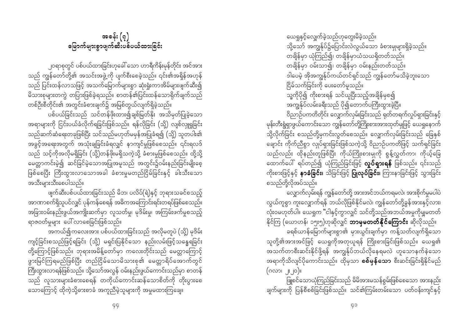ယေရှုနှင့်လျှေက်ခဲ့သည်ဟုတွေးမိခဲ့သည်။ သို့သော် အကျွန်ုပ်၌ပြောင်းလဲလွယ်သော ခံစားမှုများရှိခဲ့သည်။ တချိန်မှာ ယုံကြည်၍၊ တချိန်မှာယံသယရှိတတ်သည်။ တချိန်မှာ ဝမ်းသာ၍၊ တချိန်မှာ ဝမ်းနည်းတတ်သည်။ ဒါပေမဲ့ အိုအကျွန်ုပ်ကယ်တင်ရှင်သည် ကျွန်တော်မသိခဲ့ဘူးသော ငြိမ်သက်ခြင်းကို ပေးတော်မူသည်။ \_\_<br>သူ့ကိုပို၍ ကိုးစားရန် သင်ယူပြီးသည့်အချိန်မှစ၍ အကျွန်ုပ်လမ်းခရီးသည် ပို၍တောက်ပကြီးထွားခဲ့ပြီ။ ဝိညာဉ်ပကတိတိုင်း လျှောက်လှမ်းခြင်းသည် ရုတ်တရက်လှုပ်ရှားခြင်းနှင့် မုန်းတီးရွံရှာဖွယ်ကောင်းသော ကျွန်တော်တို့ကြိုးစားအားထုတ်မှုဖြင့် ယေရှုနောက်

သို့လိုက်ခြင်း စသည်တို့မှကင်းလွတ်စေသည်။ လျှောက်လှမ်းခြင်းသည် ခြေနှစ် ချောင်း ကိုက်ညီစွာ လျပ်ရှားခြင်းဖြစ်သကဲ့သို့ ဝိညာဉ်ပကတိဖြင့် သက်ရှင်ခြင်း သည်လည်း ထိုနည်းတူဖြစ်ပြီး ကိုယ်ကြိုးစားမှုကို စွန့်လွှတ်ကာ၊ ကိုယ့်ခြေ ထောက်ပေါ် ရပ်တည်၍ ယုံကြည်ခြင်းဖြင့် **လှုပ်ရှားရန်** ဖြစ်သည်။ ၎င်းသည် ကိုးစားဖြင့်နှင့် **နာခံခြင်း၊** သိခြင်းဖြင့် **ပြုလုပ်ခြင်း၊** ကြားနာခြင်းဖြင့် သွားခြင်း စသည်တို့လိုအပ်သည်။

လျှောက်လှမ်းရန် ကျွန်တော်တို့ အားအင်ဘယ်ကရမလဲ၊ အားစိုက်မှုမပါပဲ လွယ်ကူစွာ ကူးလျှောက်ရန် ဘယ်လိုဖြစ်နိုင်မလဲ၊ ကျွန်တော်တို့ခွန်အားနှင့်လား၊ လုံးဝမဟုတ်ပါ။ ယေရှုက "ငါနှင့်ကွာလျှင် သင်တို့သည်အဘယ်အမှုကိုမျှမတတ် နိုင်ကြ (ယောဟန်၊ ၁၅း၅)ဟုဆိုလျှင် **ဘာမှမတတ်နိုင်ကြောင်း** ဆိုလိုသည်။ ခရစ်ယာန်မြောက်များစွာ၏ မှားယွင်းချက်မှာ ကန့်သတ်လျက်ရှိသော သူတို့၏အားအင်ဖြင့် ယေရှုကိုအတုယူရန် ကြိုးစားခြင်းဖြစ်သည်။ ယေရှု၏ အသက်တာစီးဆင်းနိုင်ဖို့ရန် အကျွန်ုပ်ဘယ်လိုနေရမလဲ ဟူသောနက်နဲသော အရာကိုသိလျင်ပိုကောင်းသည်။ ထိုမှသာ **စစ်မှန်သော** စီးဆင်းခြင်းရှိနိုင်မည်  $\left(\bigcirc \mathcal{C} \cup \mathcal{C} \cup \mathcal{C} \cup \mathcal{C} \right)$ 

ဖြူစင်သောယုံကြည်ခြင်းသည် မိမိအားမသန်စွမ်းဖြစ်စေသော အားနည်း ချက်များကို ပြန်စီစစ်ခြင်းဖြစ်သည်။ သင်၏ကြမ်းတမ်းသော ပတ်ဝန်းကျင်နှင့်

အခန်း  $(\circ)$ <u>မြောက်များစွာဖျက်ဆီးပစ်ပယ်ထားခြင်း</u>

၂၀ရာစုတွင် ပစ်ပယ်ထားခြင်းဟုခေါ် သော ဟာရီကိန်းမုန်တိုင်း အင်အား သည် ကျွန်တော်တို့၏ အသင်းအဖွဲ့ကို ပျက်စီးစေခဲ့သည်။ ၎င်း၏အရှိန်အဟုန် သည် ပြင်းထန်လာသဖြင့် အသက်မြောက်များစွာ ဆုံးရှုံးကာအိမ်များဖျက်ဆီး၍ မိသားစုများတကွဲ တပြားဖြစ်ခဲ့ရသည်။ စာတန်၏ပြင်းထန်သောရိုက်ချက်သည် တစ်ဦးစီတိုင်း၏ အတွင်းခံစားချက်၌ အမြစ်တွယ်လျက်ရှိခဲ့သည်။

ပစ်ပယ်ခြင်းသည် သင်တန်ဖိုးထား၍ချစ်မြတ်နိုး အသိမှတ်ပြုခဲ့သော အရာများကို ငြင်းပယ်ခံလိုက်ရခြင်းဖြစ်သည်။ ရန်လိုခြင်း (သို့) လျစ်လှူရှုခြင်း သည်ဆက်ဆံရေးတခုဖြစ်ပြီး သင်သည်မဟုတ်မမှန်အပြုခံရ၍ (သို့) သူတပါး၏ အခွင့်အရေးအတွက် အသုံးချခြင်းခံရလျှင် နာကျင်မှုဖြစ်စေသည်။ ၎င်းရလဒ် သည် သင့်ကိုအလိုမရှိခြင်း (သို့)တန်ဖိုးမရှိသကဲ့သို့ ခံစားမှုဖြစ်စေသည်။ ထို့သို့ မေတ္တာကင်းမဲ့၍ ဆင်ခြင်မဲ့သောအပြုအမူသည် အတွင်း၌ဝမ်းနည်းခြင်းမျိုးစေ့ ဖြစ်စေပြီး ကြီးထွားလာသောအခါ ခံစားမှုမတည်ငြိမ်ခြင်းနှင့် ခါးသီးသော အသီးများသီးစေပါသည်။

ဖျက်ဆီးပစ်ပယ်ထားခြင်းသည် မိဘ၊ ပလိပ်(ရဲ)နှင့် ဘုရားသခင်စသည့် အာဏာစက်ရှိသူပင်လျှင် ပုန်ကန်စေရန် အဓိကအကြောင်းရင်းတရပ်ဖြစ်စေသည်။ အခြားဝမ်းနည်းဖွယ်အကျိုးဆက်မှာ လူသတ်မှု၊ မုဒိမ်းမှု၊ အကြမ်းဖက်မှုစသည့် ရာဇဝတ်မှုများ ပေါ် လာစေခြင်းဖြစ်သည်။

အကယ်၍ကလေးအား ပစ်ပယ်ထားခြင်းသည် အလိုမတူပဲ (သို့) မုဒိမ်း ကျင့်ခြင်းစသည်ဖြင့်ရခြင်း (သို့) မရှင်းပြနိုင်သော နည်းလမ်းဖြင့်သန္ဓေရခြင်း တို့ကြောင့်ဖြစ်သည်။ ဘုရားအမိန့်တော်မှာ ကလေးတိုင်းသည် မေတ္တာကြောင့် .<br>ဖွားမြင်ကြရမည်ဖြစ်ပြီး တည်ငြိမ်သောမိသားစု၏ မေတ္တာရိပ်အောက်တွင် ကြီးထွားလာရန်ဖြစ်သည်။ သို့သော်အလွန် ဝမ်းနည်းဖွယ်ကောင်းသည်မှာ စာတန် သည် လူသားများခံစားစေရန် တကိုယ်ကောင်းဆန်သောစိတ်ကို တိုးပွားစေ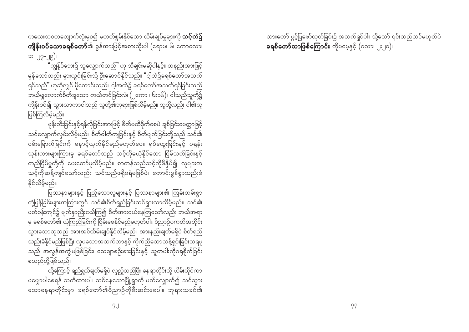ကလေးဘဝတလျောက်လုံးမှစ၍ မတတ်စွမ်းနိုင်သော ထိမ်းချုပ်မှုများကို **သင့်ထဲ၌ ကျိန်းဝပ်သောခရစ်တော်**၏ ခွန်အားဖြင့်အစားထိုးပါ (ရောမ၊ ၆၊ ကောလော၊ ား ၂၇-၂၉)။

.<br>"ကျွန်ုပ်ဘေး၌ သူလျှောက်သည်" ဟု သီချင်းမဆိုပါနှင့်။ တနည်းအားဖြင့် မှန်သော်လည်း မှားယွင်းခြင်းသို့ ဦးဆောင်နိုင်သည်။ "ငါ့ထဲ၌ခရစ်တော်အသက် ရှင်သည်" ဟုဆိုလျှင် ပိုကောင်းသည်။ ငါ့အထဲ၌ ခရစ်တော်အသက်ရှင်ခြင်းသည် ဘယ်မျှလောက်စိတ်ချသော ကယ်တင်ခြင်းလဲ၊ (၂ကော ၊ ၆း၁၆)။ ငါသည်သူတို့၌ .<br>ကျိန်းဝပ်၍ သွားလာကာငါသည် သူတို့၏ဘုရားဖြစ်လိမ့်မည်။ သူတို့လည်း ငါ၏လူ ဖြစ်ကြလိမ့်မည်။

မုန်းတီးခြင်းနှင့်ရန်လိုခြင်းအားဖြင့် စိတ်မထိခိုက်စေပဲ ချစ်ခြင်းမေတ္တာဖြင့် သင်လျှောက်လှမ်းလိမ့်မည်။ စိတ်ဓါတ်ကျခြင်းနှင့် စိတ်ပျက်ခြင်းတို့သည် သင်၏ ဝမ်းမြောက်ခြင်းကို နေ<sup>ှ</sup>င့်ယှက်နိုင်မည်မဟုတ်ပေ။ ရှုပ်ထွေးခြင်းနှင့် ဝရုန်း သုန်းကားများကြားမှ ခရစ်တော်သည် သင့်ကိုမယုံနိုင်သော ငြိမ်သက်ခြင်းနှင့် ု<br>တည်ငြိမ်မှုတို့ကို ပေးတော်မူလိမ့်မည်။ စာတန်သည်သင့်ကိုဖိနှိပ်၍ လူများက သင့်ကိုဆန့်ကျင်သော်လည်း သင်သည်ဖရိုဖရဲမဖြစ်ပဲ၊ ကောင်းမွန်စွာသည်းခံ နိုင်လိမ်မည်။

ပြဿနာများနှင့် ပြည့်သောလူများနှင့် ပြဿနာများ၏ ကြမ်းတမ်းစွာ တုံ့ပြန်ခြင်းများအကြားတွင် သင်၏စိတ်ရှည်ခြင်းထင်ရှားလာလိမ့်မည်။ သင်၏ ပတ်ဝန်းကျင်၌ မျက်နှာညိုးငယ်ကြ၍ စိတ်အားငယ်နေကြသော်လည်း ဘယ်အရာ မှ ခရစ်တော်၏ ယုံကြည်ခြင်းကို ငြိမ်းစေနိုင်မည်မဟုတ်ပါ။ ဝိညာဉ်ပကတိအတိုင်း သွားသောသူသည် အားအင်ထိမ်းချုပ်နိုင်လိမ့်မည်။ အားနည်းချက်မရှိပဲ စိတ်ရှည် သည်းခံနိုင်မည်ဖြစ်ပြီး လှပသောအသက်တာနှင့် ကိုက်ညီသောသန့်ရှင်းခြင်းသရဖူ သည် အလွန်အကျွံမဖြစ်ခြင်း၊ သေချာစဉ်းစားခြင်းနှင့် သူတပါးကိုဂရုစိုက်ခြင်း စသည်တို့ဖြစ်သည်။

ထို့ကြောင့် ရည်ရွယ်ချက်မရှိပဲ လှည့်လည်ပြီး နေရာတိုင်းသို့ ယိမ်းယိုင်ကာ မမျှောပါစေရန် သတိထားပါ။ သင်နေသောမြို့ရွာကို ပတ်လျှောက်၍ သင်သွား ့…<br>သောနေရာတိုင်းမှာ ခရစ်တော်၏ဝိညာဉ်ကိုစီးဆင်းစေပါ။ ဘုရားသခင်၏

သားတော် ဖွင့်ပြဖော်ထုတ်ခြင်း၌ အသက်ရှင်ပါ။ သို့သော် ၎င်းသည်သင်မဟုတ်ပဲ ခ**ရစ်တော်သာဖြစ်ကြောင်း** ကိုမမေ့နှင့် (ဂလာ၊ ၂း၂၀)။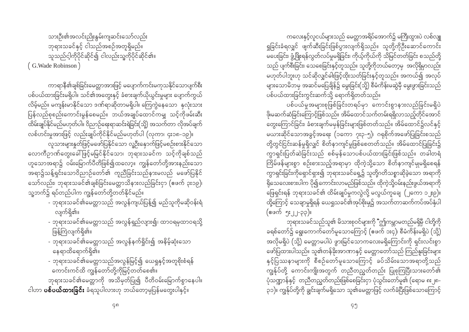ကလေးနှင့်လူငယ်များသည် မေတ္တာအရိပ်အောက်၌ မကြီးထွားပဲ လစ်လျူ ရှုခြင်းခံရလျှင် ဖျက်ဆီးခြင်းဖြစ်ပွားလျက်ရှိသည်။ သူတို့ကိုဦးဆောင်ကောင်း မပေးခြင်း၊ ဖွံ့ဖြိုးရန်လွတ်လပ်မှုမရှိခြင်း၊ ကိုယ့်ကိုယ်ကို သိမြင်တတ်ခြင်း စသည်တို့ သည် ပျက်စီးခြင်း၊ သေစေခြင်းနှင့်တူသည်။ သူတို့ကိုဘယ်တော့မှ အလိုရှိမှာလည်း ျောက်ပါဘူးဟု သင်ဆိုလျှင်ဓါးဖြင့်ထိုးသတ်ခြင်းနှင့်တူသည်။ အကယ်၍ အလုပ် များသောမိဘမှ အဆင်မပြေချိန်၌ မွေးခြင်း(သို့) စီမံကိန်းမဆွဲမှီ မွေးဖွားခြင်းသည် ပစ်ပယ်ထားခြင်းကွင်းဆက်သို့ ရောက်ရှိတတ်သည်။

ပစ်ပယ်မှုအများစုဖြစ်ခြင်းတရပ်မှာ ကောင်းစွာနားလည်ခြင်းမရှိပဲ .<br>ဖို၊မဆက်ဆံခြင်းကြောင့်ဖြစ်သည်။ အိမ်ထောင်သက်တမ်းရရှိလာသည့်တိုင်အောင် တွေးကြောင်ခြင်း၊ ခံစားချက်မမှန်ခြင်းများဖြစ်တတ်သည်။ အိမ်ထောင်၌လင်နှင့် မယားဆိုင်သောအခွင့်အရေး (၁ကော ၇း၃-၅)၊ ဂရုစိုက်အဖော်ပြုခြင်းစသည် တို့တွင်ငြင်းဆန်မှုရှိလျှင် စိတ်နာကျင်မှုဖြစ်စေတတ်သည်။ အိမ်ထောင်ပြုခြင်း၌ ကွာရှင်းပြတ်ဆဲခြင်းသည် စစ်မှန်သောပစ်ပယ်ထားခြင်းဖြစ်သည်။ တခါတရံ ကြိမ်ဖန်များစွာ စဉ်းစားသည့်အရာမှာ ထိုကဲ့သို့သော စိတ်နာကျင်မှုမရှိစေရန် .<br>ကွာရှင်းခြင်းကိုရှောင်ရှား၍ ဘုရားသခင်ရှေ့၌ သူတို့ဂတိသစ္စာဆိုခဲ့သော အရာကို -<br>ရိုသေလေးစားပါက ပို၍ကောင်းလာမည်ဖြစ်သည်။ ထိုကဲ့သို့ဝမ်းနည်းဖွယ်အရာကို ဖြေရှင်းရန် ဘုရားသခင်၏ ထိမ်းချုပ်မှုကလွဲလို့ မလွယ်ကူချေ (၂ကော ၁၂း၉)။ ထို့ကြောင့် သေချာမှုရှိရန် ယေရှုသခင်၏အုပ်စိုးမှု၌ အသက်တာဆက်ကပ်အပ်နှံပါ (ဧဖက် ၅း၂၂-၃၃)။

ဘုရားသခင်သည်သူ၏ မိသားစုဝင်များကို "ဤကမ္ဘာမတည်မရှိမှီ ငါတို့ကို ခရစ်တော်၌ ရွေးကောက်တော်မူသောကြောင့် (ဧဖက် ၁း၄)၊ စီမံကိန်းမရှိပဲ (သို့) အလိုမရှိပဲ (သို့) မေတ္တာမပါပဲ ဖွားမြင်သောကလေးမရှိကြောင်းကို ရှင်းလင်းစွာ ဖော်ပြထားပါသည်။ သူ၏တန်ခိုးအာဏာနှင့် မေတ္တာတော်သည် ကြည်နူးခြင်းများ နှင့်ပြဿနာများကို စီစဉ်တော်မူသောကြောင့် ခပ်သိမ်းသောအရာတို့သည် .<br>ကျွန်ုပ်တို့ ကောင်းကျိုးအတွက် တညီတညွတ်တည်း ပြုစုကြပြီးသားတော်၏ ပုံသဏ္ဍာန်နှင့် တညီတညွတ်တည်းဖြစ်စေခြင်းငှာ ပုံသွင်းတော်မူ၏ (ရောမ ၈း၂၈-၃၁)။ ကျွန်ုပ်တို့ကို ချွင်းချက်မရှိသော သူ၏မေတ္တာဖြင့် လက်ခံပြီးဖြစ်သောကြောင့်

သားဦး၏အလင်းညိုးနွမ်းကျဆင်းသော်လည်း ဘုရားသခင်နှင့် ငါသည်အစဉ်အတူရှိမည်။ ာသည်ငါ့ကိုပိုင်ဆိုင်၍ ငါလည်းသူ့ကိုပိုင်ဆိုင်၏။ (G. Wade Robinson)

ကာရာနီ၏ချစ်ခြင်းမေတ္တာအားဖြင့် မပျောက်ကင်းမကုသနိုင်သောပျက်စီး ပစ်ပယ်ထားခြင်းမရှိပါ။ သင်၏အတွေးနှင့် ခံစားချက်ယိုယွင်းမှုများ ပျောက်ကွယ် လိမ့်မည်။ မကျန်းမာနိုင်သော ဒဏ်ရာဆိုတာမရှိပါ။ ကြေကွဲနေသော နှလုံးသား ပြန်လည်စုစည်းကောင်းမွန်စေမည်။ ဘယ်အချုပ်ထောင်ကမျှ သင့်ကိုဖမ်းဆီး .<br>ထိမ်းချုပ်နိုင်မည်မဟုတ်ပါ။ ဝိညာဉ်ရေးရာဆင်းရဲခြင်း(သို့) အသက်တာ လိုအပ်ချက်

လစ်ဟင်းမှုအားဖြင့် လည်းချုပ်ကိုင်နိုင်မည်မဟုတ်ပါ (လုကာ၊ ၄း၁၈-၁၉)။ လူသားများနှုတ်ဖြင့်မဖော်ပြနိုင်သော လူ့ဦးနှောက်ဖြင့်မစဉ်းစားနိုင်သော လောကီဉာဏ်တွေးခေါ်ဖြင့်မမြင်နိုင်သော၊ ဘုရားသခင်က သင့်ကိုချစ်သည် ဟူသောအရာ၌ ဝမ်းမြောက်ပီတိဖြစ်၍ထလော့။ ကျွန်တော်တို့အားနည်းသော အရာ၌သန့်ရှင်းသောဝိညာဉ်တော်၏ ကူညီခြင်းသည်နားမလည် မဖော်ပြနိုင် သော်လည်း၊ ဘုရားသခင်၏ချစ်ခြင်းမေတ္တာသိနားလည်ခြင်းငှာ (ဧဖက် ၃း၁၉)၊ သူ့ဘက်၌ ရပ်တည်ပါက ကျွန်တော်တို့တတ်နိုင်မည်။

- ဘုရားသခင်၏မေတ္တာသည် အလွန်ကျယ်ပြန့်၍ မည်သူကိုမဆိုဝန်းရံ လျက်ရှိ၏။
- ဘုရားသခင်၏မေတ္တာသည် အလွန်ရှည်လျား၍၊ ထာဝရမှထာဝရသို့ ဖြန့်ကြဲလျက်ရှိ၏။
- ဘုရားသခင်၏မေတ္တာသည် အလွန်နက်ရှိုင်း၍ အနိမ့်ဆုံးသော နေရာထိရောက်ရှိ၏။
- ဘုရားသခင်၏မေတ္တာသည်အလွန်မြင့်၍ ယေရှုနှင့်အတူစိုးစံရန် ကောင်းကင်ထိ ကျွန်တော်တို့ကိုမြင့်တတ်စေ၏။

ဘုရားသခင်၏မေတ္တာကို အသိမှတ်ပြု၍ ပီတိဝမ်းမြောက်စွာနေပါ။ ငါဟာ **ပစ်ပယ်ထားခြင်း** ခံရသူပါလားဟု ဘယ်တော့မှပြန်မတွေးပါနှင့်။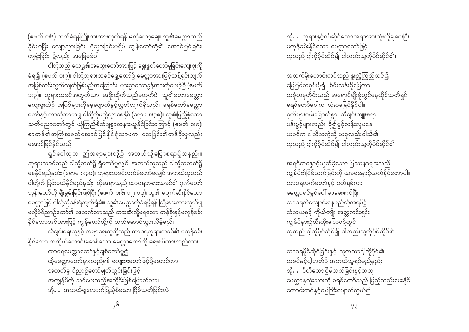(ဧဖက် ၁း၆) လက်ခံရန်ကြိုးစားအားထုတ်ရန် မလိုတော့ချေ။ သူ၏မေတ္တာသည် ခိုင်မာပြီး လျော့သွားခြင်း၊ ပိုသွားခြင်းမရှိပဲ ကျွန်တော်တို့၏ အောင်မြင်ခြင်း၊ ကျရှုံးခြင်း ၌လည်း အခြေမခံပါ။

ငါတို့သည် ယေရှု၏အသွေးတော်အားဖြင့် ရွေးနူတ်တော်မူခြင်းကျေးဇူးကို ခံရ၍ (ဧဖက် ၁း၇)၊ ငါတို့ဘုရားသခင်ရှေ့တော်၌ မေတ္တာအားဖြင့်သန့်ရှင်းလျက် .<br>အပြစ်ကင်းလွတ်လျက်ဖြစ်မည်အကြောင်း၊ များစွာသောခွန်အားကိုပေးခဲ့ပြီ (ဧဖက် ား၃)။ ဘုရားသခင်အတွက်သာ အဖိုးထိုက်သည်မဟုတ်ပဲ၊ သူ၏မဟာမေတ္တာ ကျေးဇူးထဲ၌ အပြစ်များကိုမေ့ပျောက်ခွင့်လွတ်လျက်ရှိသည်။ ခရစ်တော်မေတ္တာ တော်နှင့် ဘာဆိုဘာကမျှ ငါတို့ကိုမကွဲကွာစေနိုင် (ရောမ ၈း၃၈)။ သူ၏ပြည့်စုံသော သတိပညာတော်တွင် ယုံကြည်စိတ်ချစွာအနားယူနိုင်ခြင်းကြောင့် (ဧဖက် ၁း၈)၊ စာတန်၏အကြံအစည်အောင်မြင်နိုင်ရုံသာမက သေခြင်း၏တန်ခိုးမှလည်း အောင်မြင်နိုင်သည်။

ရှင်ပေါလုက ဤအရာများတို့၌ အဘယ်သို့ပြောစရာရှိသနည်း။ ဘုရားသခင်သည် ငါတို့ဘက်၌ ရှိတော်မူလျှင်၊ အဘယ်သူသည် ငါတို့တဘက်၌ နေနိုင်မည်နည်း (ရောမ ၈း၃၀)။ ဘုရားသခင်လက်ခံတော်မူလျှင် အဘယ်သူသည် ငါတို့ကို ငြင်းပယ်နိုင်မည်နည်း၊ ထိုအရာသည် ထာဝရဘုရားသခင်၏ ဂုဏ်တော် ဘုန်းတော်ကို ချီးမွမ်းခြင်းဖြစ်ပြီး (ဧဖက်၊ ၁း၆၊ ၁၂၊ ၁၄)၊ သူ၏ မပျက်ဆီးနိုင်သော မေတ္တာဖြင့် ငါတို့ကိုဝန်းရံလျက်ရှိ၏။ သူ၏မေတ္တာကိုခံရဖို့ရန် ကြိုးစားအားထုတ်မျ မလိုပဲဝိညာဉ်တော်၏ အသက်တာသည် တားဆီးလို့မရသော တန်ခိုးနှင့်မကုန်ခမ်း နိုင်သောအင်အားဖြင့် ကျွန်တော်တို့ကို သယ်ဆောင်သွားလိမ့်မည်။

သီချင်းရေးသူနှင့် ကဗျာရေးသူတို့သည် ထာဝရဘုရားသခင်၏ မကုန်ခမ်း နိုင်သော တကိုယ်ကောင်းမဆန်သော မေတ္တာတော်ကို ရေးစပ်ထားသည်ကား ထာဝရမေတ္တာတော်နှင့်ချစ်တော်မူ၍ ထိုမေတ္တာတော်နားလည်ရန် ကျေးဇူးတော်ဖြင့်ပို့ဆောင်ကာ အထက်မှ ဝိညာဉ်တော်မျတ်သွင်းခြင်းဖြင့် အကျွန်ုပ်ကို သင်ပေးသည့်အတိုင်းဖြစ်မြောက်လာ။ အို $\ldots$  အဘယ်မျှလောက်ပြည့်စုံသော ငြိမ်သက်ခြင်းလဲ

အို… ဘုရားနှင့်စပ်ဆိုင်သောအရာအားလုံးကိုချပေးပြီး မကန်ခမ်းနိုင်သော မေတ္တာတော်ဖြင့် သူသည် ငါ့ကိုပိုင်ဆိုင်၍ ငါလည်းသူ့ကိုပိုင်ဆိုင်၏။

အထက်မိုးကောင်းကင်သည် နူးညံ့ကြည်လင်၍ မြေပြင်တဝှမ်းပို၍ စိမ်းလန်းစိုပြေကာ တစုံတခုတိုင်းသည် အရောင်မျိုးစုံတွင်နေထိုင်သက်ရှင် ခရစ်တော်မပါက လုံးဝမမြင်နိုင်ပါ။ ငှက်များဝမ်းမြောက်စွာ သီချင်းကျူးဧရာ ပန်းပွင့်များလည်း ပို၍ပွင့်လန်းလှပနေ ယခင်က ငါသိသကဲ့သို့ ယခုလည်းငါသိ၏ သူသည် ငါ့ကိုပိုင်ဆိုင်၍ ငါလည်းသူ့ကိုပိုင်ဆိုင်၏

အရင်ကနောင့်ယှက်ခဲ့သော ပြဿနာများသည် ကျွန်ုပ်၏ငြိမ်သက်ခြင်းကို ယခုမနှောင့်ယှက်နိုင်တော့ပါ။ ထာဝရလက်တော်နှင့် ပတ်ရစ်ကာ မေတ္တာရင်ခွင်ပေါ် မှာမှေးစက်ပြီး ထာဝရလဲလျောင်းနေမည်ထိုအရပ်၌ သံသယနှင့် ကိုယ်ကျိုး အတ္တကင်းရှင်း ကျွန်ုပ်နား၌တီးတိုးပြောစဉ်တွင် သူသည် ငါ့ကိုပိုင်ဆိုင်၍ ငါလည်းသူ့ကိုပိုင်ဆိုင်၏

ထာဝရပိုင်ဆိုင်ခြင်းနှင့် သူကသာင့ါကိုပိုင်၏ သခင်နှင့်ငါ့ဘက်၌ အဘယ်သူရပ်မည်နည်း အို**…** ပီတိသောငြိမ်သက်ခြင်းနှင့်အတူ မေတ္တာနှလုံးသားကို ခရစ်တော်သည် ဖြည့်ဆည်းပေးနိုင် ကောင်းကင်နှင့်မြေကြီးပျောက်ကွယ်၍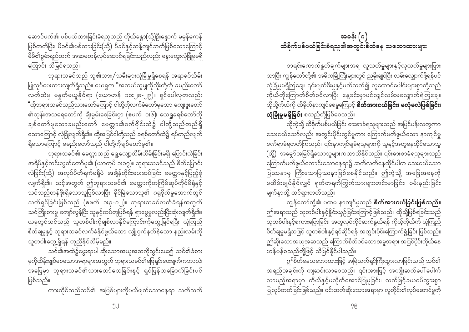ဆောင်ဖက်၏ ပစ်ပယ်ထားခြင်းခံရသူသည် ကိုယ်ခန္ဓာ(သို့)ဦးနောက် မမှန်မကန် ဖြစ်တတ်ပြီး၊ မိခင်၏ပစ်ထားခြင်း(သို့) မိခင်နှင့်ဆန့်ကျင်ဘက်ဖြစ်သောကြောင့် မိမိ၏စွမ်းရည်ထက် အဆမတန်လုပ်ဆောင်ရခြင်းသည်လည်း နွေးထွေးလုံခြုံမှုမရှိ ကြောင်း သိမြင်ရသည်။

ဘုရားသခင်သည် သူ၏သား/သမီးများလုံခြုံမှုရှိစေရန် အရာခပ်သိမ်း ပြုလုပ်ပေးထားလျက်ရှိသည်။ ယေရှုက "အဘယ်သူမျှထိုသိုးတို့ကို ခမည်းတော် လက်ထဲမှ မနူတ်မယူနိုင်ရာ (ယောဟန် ၁၀း၂၈-၂၉)။ ရှင်ပေါလုကလည်း .<br>"ထိုဘုရားသခင်သည်သားတော်ကြောင့် ငါတို့ကိုလက်ခံတော်မူသော ကျေးဇူးတော် ၏ဘုန်းအသရေတော်ကို ချီးမွမ်းစေခြင်းငှာ (ဖေက်၊ ၁း၆)၊ ယေရှုခရစ်တော်ကို ချစ်တော်မူသောခမည်းတော် မေတ္တာ၏စက်ဝိုင်းထဲ၌ ငါတို့သည်တည်ရှိ သောကြောင့် လုံခြုံလျက်ရှိ၏။ ထို့အပြင်ငါတို့သည် ခရစ်တော်ထဲ၌ ရပ်တည်လျက် ရှိသောကြောင့် ခမည်းတော်သည် ငါတို့ကိုချစ်တော်မူ၏။

ဘုရားသခင်၏ မေတ္တာသည် ရွေ့လျော့တိမ်းယိမ်းခြင်းမရှိ၊ ပြောင်းလဲခြင်း အရိပ်နှင့်ကင်းလွတ်တော်မူ၏ (ယာကုပ် ၁း၁၇)။ ဘုရားသခင်သည် စိတ်ပြောင်း လဲခြင်း(သို့) အလုပ်ပိတ်ရက်မရှိပဲ အချိန်တိုင်းပေးဆပ်ခြင်း မေတ္တာနှင့်ပြည့်စုံ လျက်ရှိ၏။ သင့်အတွက် ဤဘုရားသခင်၏ မေတ္တာကိုတကြိမ်ဆုပ်ကိုင်မိရုံနှင့် သင်သည်တန်ဖိုးရှိသောသူဖြစ်လာပြီး ခိုင်မြဲသောသူ၏ ဂရုစိုက်မှုအောက်တွင် သက်ရှင်ခြင်းဖြစ်သည် (ဖေက် ၁း၃-၁၂)။ ဘုရားသခင်လက်ခံရန်အတွက် သင်ကြိုးစားမှု ကျော်လွန်ပြီး သူနှင့်ထပ်တူဖြစ်ရန် ရှာဖွေမှုလည်းပြီးဆုံးလျက်ရှိ၏။ ယခုတွင်သင်သည် သူတစ်ပါးကိုချစ်လာနိုင်ကြောင်းကိုတွေ့မြင်ရပြီး ယုံကြည် စိတ်ချမှုနှင့် ဘုရားသခင်လက်ခံနိုင်ဖွယ်သော လျှို့ဝှက်နက်နဲသော နည်းလမ်းကို သူတပါးတွေ့ ရှိရန် ကူညီနိုင်လိမ့်မည်။

သင်၏အထဲ၌မွေးရာပါ ဆိုးသောအယူအဆကိုသွင်းပေး၍ သင်၏ခံစား .<br>မူကိုထိန်းချုပ်စေသောအရာများအတွက် ဘုရားသခင်၏ဖြေရှင်းပေးချက်ကဘာလဲ၊ အဖြေမှာ ဘုရားသခင်၏သားတော်သေခြင်းနှင့် ရှင်ပြန်ထမြောက်ခြင်းပင် ဖြစ်သည်။

ကားတိုင်သည်သင်၏ အပြစ်များကိုပယ်ဖျက်သောနေရာ သက်သက်

# အခန်း (၈) ထိခိုက်ပစ်ပယ်ခြင်းခံရသူ၏အတွင်းစိတ်နေ သဘောထားများ

စာရင်းကောက်နှုတ်ချက်များအရ လူသတ်မှုများနှင့်လှယက်မှုများပြား လာပြီး ကျွန်တော်တို့၏ အဓိကမြို့ကြီးများတွင် ညမိုးချုပ်ပြီး လမ်းလျှောက်ဖို့ရန်ပင် လုံခြုံမှုမရှိကြချေ။ ၎င်းပျက်စီးမှုနှင့်ပတ်သက်၍ လူထောင်ပေါင်းများစွာတို့သည် .<br>ကိုယ်ကိုကြောက်စိတ်ဝင်လာပြီး နေ့ခင်းမှာပင်လျှင်လမ်းမလျှောက်ရဲကြချေ။ ထိုသို့ကိုယ်ကို ထိခိုက်နာကျင်စေမှုကြောင့် **စိတ်အားငယ်ခြင်း၊ မလုံမလဲဖြစ်ခြင်း၊** လုံခြုံမှုမရှိခြင်း စသည်တို့ဖြစ်စေသည်။

ထိုကဲ့သို့ ထိခိုက်ပစ်ပယ်ခြင်း ဓားစာခံရသူများသည် အပြင်ပန်းလက္ခဏာ သေးငယ်သော်လည်း အတွင်းပိုင်းတွင်မူကား ကြောက်မက်ဖွယ်သော နာကျင်မှု ဒဏ်ရာခံရတတ်ကြသည်။ ၎င်းနာကျင်မှုခံရသူများကို သူနှင့်အတူနေထိုင်သောသူ (သို့) အမျှော်အမြင်ရှိသောသူများကသာသိနိုင်သည်။ ၎င်းဓားစာခံရသူများသည် ကြောက်မက်ဖွယ်ကောင်းသောနေရာ၌ ဆက်လက်နေထိုင်ပါက သေးငယ်သော ပြဿနာမှ ကြီးသောပြဿနာဖြစ်စေနိုင်သည်။ ဤကဲ့သို့ အခြေအနေကို မထိမ်းချုပ်နိုင်လျှင် ရုတ်တရက်ကြွက်သားများတင်းမာခြင်း၊ ဝမ်းနည်းခြင်း မျက်နှာတို့ ထင်ရှားတတ်သည်။

ကျွန်တော်တို့၏ ပထမ နာကျင်မှုသည် **စိတ်အားငယ်ခြင်းဖြစ်သည်။** ဤအရာသည် သူတစ်ပါးနှင့်နိုင်းယှဉ်ခြင်းကြောင့်ဖြစ်သည်။ ထိုသို့ဖြစ်ရခြင်းသည် သူတစ်ပါးနှင့်စကားပြောခြင်း၊ အတူလုပ်ကိုင်ဆက်နွယ်ရန် ကိုယ့်ကိုယ်ကို ယုံကြည် စိတ်ချမှုမရှိသဖြင့် သူတစ်ပါးနှင့်ရင်ဆိုင်ရန် အတွင်းပိုင်းကြောက်ရွံ့ခြင်း ဖြစ်သည်။ ဤဆိုးသောအယူအဆသည် ကြောက်စိတ်ဝင်သောအမူအရာ၊ အပြင်ပိုင်းကိုယ်နေ ဟန်ပန်စသည်တို့ဖြင့် သိမြင်နိုင်ပါသည်။

ဤစိတ်နေသဘောထားဖြင့် အမြဲသက်ရှင်ကြီးထွားလာခြင်းသည် သင်၏ အရည်အချင်းကို ကျဆင်းလာစေသည်။ ၎င်းအားဖြင့် အကျိုးဆက်ပေါ် ပေါက် ပြုလုပ်တတ်ခြင်းဖြစ်သည်။ ၎င်းထက်ဆိုးသောအရာမှာ လူတိုင်း၏လုပ်ဆောင်မှုကို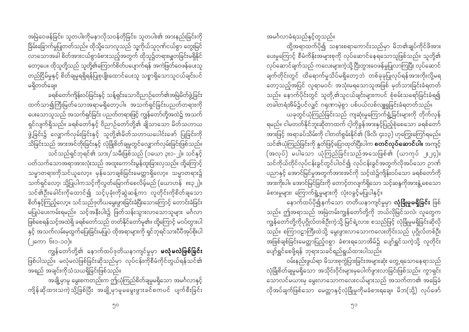အမြဲဝေဖန်ခြင်း၊ သူတပါးကိုမနာလိုသဝန်တိုခြင်း၊ သူတပါး၏ အားနည်းခြင်းကို ခြိမ်းခြောက်မှုပြုတတ်သည်။ ထိုသို့သောလူသည် သူ့ကိုယ်သူဂုဏ်ငယ်စွာ တွေးမြင် လာသောအခါ စိတ်အားငယ်စွာခံစားသည့်အတွက် ထိုသူ၌တရားမျှတခြင်းမရှိနိုင် တော့ပေ။ ထိုသူတို့သည် သူတို့၏ကြောက်စိတ်ပပျောက်ရန် အကဲဖြတ်ဝေဖန်ပေးသူ တည်ငြိမ်မှုနှင့် စိတ်ချမှုရရှိရန်ပြုစုပြုံးထောင်ပေးသူ သစ္စာရှိသောသူငယ်ချင်းပင် မရှိတတ်ချေ။

ခရစ်တော်ကျိန်းဝပ်ခြင်းနှင့် သန့်ရှင်းသောဝိညာဉ်တော်၏အမြဲမိတ်ဖွဲ့ခြင်း ထက်သာ၍ကြီးမြတ်သောအရာမရှိတော့ပါ။ အသက်ရှင်ခြင်းပညတ်တရားကို ပေးသောသူသည် အသက်ရှင်ခြင်း ပညတ်တရားဖြင့် ကျွန်တော်တို့အထဲ၌ အသက် ရှင်လျက်ရှိသည်။ ခရစ်တော်နှင့် ဝိညာဉ်တော်တို့၏ ချိုသာသော မိတ်သဟာယ ဖွဲ့ခြင်း၌ လျှောက်လှမ်းခြင်းနှင့် သူတို့၏မိတ်သဟာယပေါင်းဖော် ပြုခြင်းကို သိခြင်းသည် အားအင်တိုးခြင်းနှင့် လုံခြုံစိတ်ချမှုတွင်လျှောက်လှမ်းခြင်းဖြစ်သည်။ သင်သည်ရှင်ဘုရင်၏ သား/သမီးဖြစ်သည် (၁ယော ၃း၁-၂)။ သင်နှင့် ပတ်သက်သောအရာအားလုံးသည် အထူးကောင်းမွန်ထူးခြားလှသည်။ ထို့ကြောင့် သမ္မာတရားကိုသင်ယူလော့။ မှန်သောချစ်ခြင်းမေတ္တာရှိလော့။ သမ္မာတရား၌ သက်ရှင်လော့၊ သို့ပြုပါကသင့်ကိုလွတ်မြောက်စေလိမ့်မည် (ယောဟန် ၈း၃၂)။ သင်၏ဦးခေါင်းကိုထောင်၍ သင့်ပုခုံးကိုဆွဲဆန့်ကာ လူတိုင်းကိုစိတ်ချသော စိတ်နှင့်ကြည့်လော့။ သင်သည်ဒုတိယမွေးဖွားခြင်းခံပြီးသောကြောင့် တောင်းခံခြင်း မပြုပဲပေးကမ်းရမည်။ သင့်အနီးပါး၌ ဖြတ်သန်းသွားလာသောသူများ မင်္ဂလာ ဖြစ်စေရန်သင့်အထဲရှိ ခရစ်တော်သည် တတ်နိုင်တော်မူ၏။ ထို့ကြောင့် မဝပ်တွားပါ နှင့် အသက်လမ်းမှထွက်ပြေးခြင်းမပြုပဲ ထိုအရာများကို ရှင်ဘုရင်သားပီပီအုပ်စိုးပါ (၂ကော ၆း၁-၁၀)။

ကျွန်တော်တို့၏ နောက်ထပ်ဒုတိယနာကျင်မှုမှာ **မလုံမလဲဖြစ်ခြင်း** ဖြစ်ပါသည်။ မလုံမလဲဖြစ်ခြင်းဆိုသည်မှာ လုပ်ငန်းကိုစီမံကိုင်တွယ်ရန်သင်၏ အရည် အချင်းကိုသံသယရှိခြင်းဖြစ်သည်။

အချို့မှာမူ မွေးစကတည်းက ဤယုံကြည်စိတ်ချမှုမရှိသော အမင်္ဂလာနှင့် ကျိန်ဆိုထားသကဲ့သို့ဖြစ်ပြီး အချို့မှာမူမမွေးဖွားခင်စကပင် ပျက်စီးခြင်း

ဝမ်းနည်းဖွယ်ရာ မိသားစုကွဲပြားခြင်းအများဆုံး တွေ့ ရသောနေရာသည် လုံခြုံစိတ်ချမှုမရှိသော အသိုင်းဝိုင်းများမှပေါက်ဖွားလာခြင်းဖြစ်သည်။ ကွာရှင်း သောလင်မယားမှ မွေးလာသောကလေးငယ်များသည် အသက်တာ၏ အခြေခံ လိုအပ်ချက်ဖြစ်သော မေတ္တာနှင့်လုံခြုံမှုကိုမခံစားရချေ။ မိဘ(သို့) လုပ်ဖော်

၅၁

နောက်ထပ်ပို၍နက်သော တတိယနာကျင်မှုမှာ **လုံခြုံမှုမရှိခြင်း** ဖြစ် သည်။ ဤအရာသည် အမြဲတမ်းကျွန်တော်တို့ကို ဘယ်လိုမြင်သလဲ၊ လူတွေက ကျွန်တော်တို့ကိုပုဂ္ဂိုလ်တစ်ဦးကဲ့သို့ မြင်ရဲ့လား၊ စသည်ဖြင့် လုံခြုံမှုမရှိခြင်းဆိုလို သည်။ စကြာဝဠာကြီးထဲသို့ မွေးဖွားလာသောကလေးတိုင်းသည် ပုဂ္ဂိုလ်တစ်ဦး အဖြစ်ချစ်ခြင်းမေတ္တာပြည့်ဝစွာ ခံစားရသောအိမ်၌ ပျော်ရွှင်သကဲ့သို့ လူတိုင်း ပျော်ရွှင်စေဖို့ရန် ဘုရားသခင်ရည်ရွယ်ထားပါသည်။

တခါတရံအိမ်၌ပင်လျှင် ဂရုဏာမဲ့စွာ ပစ်ပယ်လစ်လျူရှုခြင်းခံရတတ်သည်။ .<br>ယခုတွင်ယုံကြည်ခြင်းသည် ကျဆုံးမှုကြောက်ရွံ့ခြင်းများကို တိုက်လှန် ရမည်။ ငါမတတ်နိုင်ဘူးဆိုတာထက် ငါ့ကိုခွန်အားနှင့်ပြည့်စုံစေသော ခရစ်တော် .<br>အားဖြင့် အရာခပ်သိမ်းကို ငါတတ်စွမ်းနိုင်၏ (ဖိလိ၊ ၄း၁၃) ဟုကြွေးကြော်ရမည်။ သင်၏ယုံကြည်ခြင်းကို နှုတ်ဖြင့်ပြောထုတ်ပြီးပါက **စတင်လုပ်ဆောင်ပါ။** အကျင့် (အလုပ်) မပါသော ယုံကြည်ခြင်းသည်အသေဖြစ်၏ (ယာကုပ် ၂း၂၄)။ သင်ကိုယ်တိုင်လုပ်ငန်းခွင်တွင်ပါဝင်၍ လုပ်ငန်းခွင်အတွက်လိုအပ်သော ဉာဏ် ပညာနှင့် အောင်မြင်မှုအတွက်အားအင်ကို သင့်ထဲ၌ကျိန်းဝပ်သော ခရစ်တော်ကို ခံစားမှုများ၊ ကြောက်ရွံ့မှုများကို လုံးဝခွင့်မပြုပါနှင့်။

အမင်္ဂလာခံရသည်နှင့်တူသည်။ ထို့အရာထက်ပို၍ သနားစရာကောင်းသည်မှာ မိဘ၏ချုပ်ကိုင်ဖိအား ပေးမှုကြောင့် စီမံကိန်းအများစုကို လုပ်ဆောင်နေရသောသူဖြစ်သည်။ သူတို့၏ လုပ်ဆောင်ချက်သည် ကလေးများကဲ့သို့ ငြီးတွားဝေဖန်မှုပြုလာကြပြီး လုပ်ဆောင် ချက်တိုင်းတွင် ထိရောက်မှုသိပ်မရှိတော့ဘဲ တစ်ခုခုပြုလုပ်ရန်အားကိုးလို့မရ တော့သည့်အပြင် လူရာမဝင်၊ အသုံးမရသောသူအဖြစ် မှတ်သားခြင်းခံရတတ် သည်။ နောက်ပိုင်းတွင် သူတို့၏သူငယ်ချင်းများကပင် စုံစမ်းသရော်ခြင်းခံရ၍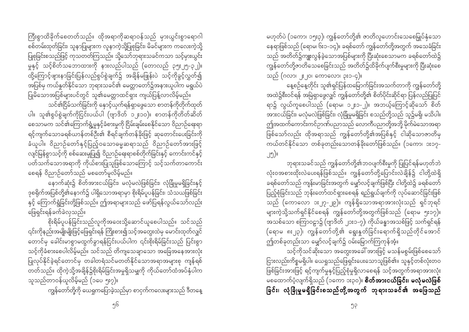ကြီးစွာထိခိုက်စေတတ်သည်။ ထိုအရာကိုဆရာဝန်သည် မှားယွင်းစွာရောဂါ စစ်တမ်းထုတ်ခြင်း၊ သူနာပြုများက လူနာကဲ့သို့ပြုစုခြင်း၊ မိခင်များက ကလေးကဲ့သို့ ပြုစုခြင်းစသည်ဖြင့် ကုသတတ်ကြသည်။ သို့သော်ဘုရားသခင်ကသာ သင့်မှားယွင်း မှုနှင့် သင့်စိတ်သဘောထားကို နားလည်ပါသည် (တောလည် ၃၅း၂၅-၃၂)။ ထို့ကြောင့်ဖျားနာခြင်းပြန်လည်စွပ်စွဲချက်၌ အချိန်မဖြုန်းပဲ သင့်ကိုခွင့်လွှတ်၍ အပြစ်မှ ကယ်နူတ်နိုင်သော ဘုရားသခင်၏ မေတ္တာတော်၌အနားယူပါက မရွယ်ပဲ ပြုမိသောအပြစ်များပင်တွင် သူ၏မေတ္တာထင်ရှား ကျယ်ပြန့်လာလိမ့်မည်။

သင်၏ငြိမ်သက်ခြင်းကို နောင့်ယှက်ရန်ရှာဖွေသော စာတန်ကိုတိုက်ထုတ် ပါ။ သူ၏စွပ်စွဲချက်ကိုငြင်းပယ်ပါ (ဗျာဒိတ် ၁၂း၁၀)။ စာတန်ကိုတိတ်ဆိတ် စေသာမက သင်၏ကြောက်ရွံ့မှုနှင့်ခံစားမှုကို ငြိမ်းချမ်းစေနိုင်သော ဝိညာဉ်ရေးရာ ရင့်ကျက်သောခရစ်ယာန်တစ်ဦး၏ စီရင်ချက်တန်ခိုးဖြင့် ဆုတောင်းပေးခြင်းကို ခံယူပါ။ ဝိညာဉ်တော်နှင့်ပြည့်ဝသောဓမ္မဆရာသည် ဝိညာဉ်တော်အားဖြင့် လျင်မြန်စွာသင့်ကို စစ်ဆေးမှုပြု၍ ဝိညာဉ်ရေးရာစစ်တိုက်ခြင်းနှင့် ကောင်းကင်နှင့် ပတ်သက်သောအရာကို ကိုယ်စားပြုသူဖြစ်သောကြောင့် သင့်သက်တာကောင်း စေရန် ဝိညာဉ်တော်သည် မစတော်မူလိမ့်မည်။

နောက်ဆုံး၌ စိတ်အားငယ်ခြင်း၊ မလုံမလဲဖြစ်ခြင်း၊ လုံခြုံမှုမရှိခြင်းနှင့် ဒုစရိုက်အပြစ်တို့၏နောက်၌ ပါရှိသောအရာမှာ စိုးရိမ်ပူပန်ခြင်း၊ သံသယဖြစ်ခြင်း နှင့် ကြောက်ရွံခြင်းတို့ဖြစ်သည်။ ဤအရာများသည် ဖော်ပြရန်လွယ်သော်လည်း ဖြေရှင်းရန်ခက်ခဲလှသည်။

စိုးရိမ်ပူပန်ခြင်းသည်လူကိုအဝေးသို့ဆောင်ယူစေပါသည်။ သင်သည် ၎င်းကိုနည်းအမျိုးမျိုးဖြင့်ဖြေရှင်းရန် ကြိုးစား၍သင့်အတွေးထဲမှ မောင်းထုတ်လျှင် တောင်မှ ခေါင်းမာစွာမထွက်ခွာရန်ငြင်းပယ်ပါက ၎င်းစိုးရိမ်ခြင်းသည် ပြင်းစွာ သင့်ကိုခံစားစေပါလိမ့်မည်။ သင်သည် တိကျသေချာသော အခြေအနေအားလုံး ပြုလုပ်နိုင်ခဲ့ရင်တောင်မှ တခါတရံသင်မတတ်နိုင်သောအရာအများစု ကျန်ရစ် တတ်သည်။ ထိုကဲ့သို့အချိန်၌စိုးရိမ်ခြင်းအမှုရှိသမျှကို ကိုယ်တော်ထံအပ်နှံပါက သူသည်တာဝန်ယူလိမ့်မည် (၁ပေ ၅း၇)။

ကျွန်တော်တို့ကို ယေရှုကပြောခဲ့သည်မှာ စာငှက်ကလေးများသည် ဒီတနေ့

မဟုတ်ပဲ (၁ကော၊ ၁၅း၃)၊ ကျွန်တော်တို့၏ ဇာတိလူဟောင်းသေစေမြှုပ်နှံသော နေရာဖြစ်သည် (ရောမ၊ ၆း၁-၁၄)။ ခရစ်တော် ကျွန်တော်တို့အတွက် အသေခံခြင်း သည် အတိတ်၌ကျူးလွန်ခဲ့သောအပြစ်များကို ပြီးဆုံးစေသာမက ခရစ်တော်ထဲ၌ ကျွန်တော်တို့ဇာတိသေစေခြင်းသည် အတိတ်၌ထိခိုက်ပျက်စီးမှုများကို ပြီးဆုံးစေ သည် (ဂလာ၊ ၂း၂၀၊ ကောလော၊ ၃း၁-၄)။

နေ့စဉ်နေ့တိုင်း သူ၏ရှင်ပြန်ထမြောက်ခြင်းအသက်တာကို ကျွန်တော်တို့ အထဲ၌စီးဝင်ရန် အမြဲရှာဖွေလျှင် ကျွန်တော်တို့၏ စိတ်ပိုင်းဆိုင်ရာ ပြန်လည်ပြုပြင် ရာ၌ လွယ်ကူစေပါသည် (ရောမ၊ ၁၂း၁-၂)။ အဘယ့်ကြောင့်ဆိုသော် စိတ် .<br>အားငယ်ခြင်း၊ မလုံမလဲဖြစ်ခြင်း၊ လုံခြုံမှုမရှိခြင်း စသည်တို့သည် သူ၌မရှိ၊ မသိပါ။ ဖြစ်သော်လည်း ထိုအရာသည် ကျွန်တော်တို့၏အပြစ်နှင့် ငါဆိုသောဇာတိမှ ကယ်တင်နိုင်သော တစ်ခုတည်းသောတန်ခိုးတော်ဖြစ်သည်။ (၁ကော၊ ၁း၁၇-၂၅)။

ဘုရားသခင်သည် ကျွန်တော်တို့၏ဘဝပျက်စီးမှုကို ပြုပြင်ရန်မဟုတ်ဘဲ လုံးဝအစားထိုးလဲပေးရန်ဖြစ်သည်။ ကျွန်တော်တို့ပြောင်းလဲချိန်၌ ငါတို့ထဲရှိ ခရစ်တော်သည် ကျန်းမာခြင်းအတွက် မျှော်လင့်ချက်ဖြစ်ပြီး ငါတို့ထဲ၌ ခရစ်တော် ပြည့်စုံခြင်းသည် ဘုန်းတော်ထင်ရှားစေရန် ရည်ရွယ်ချက်ကို လုပ်ဆောင်ခြင်းဖြစ် သည် (ကောလော ၁း၂၇-၂၉)။ ကျန်ရှိသောအရာအားလုံးသည် ရှင်ဘုရင် များကဲ့သို့သက်ရှင်နိုင်စေရန် ကျွန်တော်တို့အတွက်ဖြစ်သည် (ရောမ ၅း၁၇)။ အသစ်သော စကြာဝဠာ၌ (ဗျာဒိတ် ၂၁း၁-၇)၊ ကိုယ်ခန္ဓာအသစ်ဖြင့် သက်ရှင်ရန် (ရောမ ၈း၂၃)၊ ကျွန်တော်တို့၏ ရွေးနူတ်ခြင်းရောက်ရှိသည်တိုင်အောင် ဤတစ်ခုတည်းသာ မျှော်လင့်ချက်၌ ဝမ်းမြောက်ကြကုန်အံ့။

သင့်ကိုသင်ဆိုးသော အတွေးအခေါ် အားဖြင့် မသန်မစွမ်းဖြစ်စေသော် ငြားလည်းကိစ္စမရှိပါ။ ယေရှုသည်ဖြေရှင်းပေးသောသူဖြစ်၏။ သူနှင့်တစ်လုံးတဝ ဖြစ်ခြင်းအားဖြင့် ရင့်ကျက်မှုနှင့်ပြည့်စုံမှုရှိလာစေရန် သင့်အတွက်အရာအားလုံး မစထောက်ပံ့လျက်ရှိသည် (၁ကော ၁း၃ဝ)။ **စိတ်အားငယ်ခြင်း၊ မလုံမလဲဖြစ်** ခြင်း၊ လုံခြုံမှုမရှိခြင်းစသည်တို့အတွက် ဘုရားသခင်၏ အဖြေသည်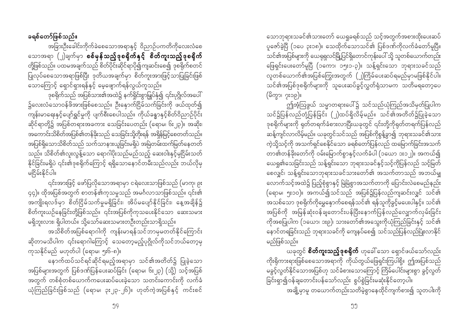သောဘုရားသခင်၏သားတော် ယေရှုခရစ်သည် သင့်အတွက်အစားထိုးပေးဆပ် ပူဇော်ခဲ့ပြီ (၁ပေ ၃း၁၈)။ သေထိုက်သောသင်၏ ပြစ်ဒဏ်ကိုလက်ခံတော်မူပြီ။ သင်၏အပြစ်များကို ယေရုရှလင်မြို့ပြင်ရှိတောင်ကုန်းပေါ် သို့ သူတစ်ယောက်တည်း ဖြေရှင်းပေးတော်မူပြီ (၁ကော၊ ၁၅း၁-၃)။ သန့်ရှင်းသော ဘုရားသခင်သည် လူတစ်ယောက်၏အပြစ်ကြွေးအတွက် (၂)ကြိမ်ပေးဆပ်ရမည်မှာမဖြစ်နိုင်ပါ။ သင်၏အပြစ်ဒုစရိုက်များကို သူပေးဆပ်ခွင့်လွှတ်ရုံသာမက သတိမရတော့ပေ (မိတ္မွာ၊ ၇း၁၉)။

ဤအံ့ဩဖွယ် သမ္မာတရားပေါ်၌ သင်သည်ယုံကြည်အသိမှတ်ပြုပါက သင်၌ပြန်လည်တုံ့ပြန်ခြင်း (၂)ထပ်ရှိလိမ့်မည်။ သင်၏အတိတ်<u>၌ပြ</u>ုခဲ့သော ဒုစရိုက်များကို ရုတ်တရက်ခံစားလာပြီးယခုတွင် ၎င်းတို့ကိုရုတ်တရက်ပြန်လည် ဆန့်ကျင်လာလိမ့်မည်။ ယခုတွင်သင်သည် အပြစ်ကိုစွန့်ခွာ၍ ဘုရားသခင်၏သား ကဲ့သို့သင့်ကို အသက်ရှင်စေနိုင်သော ခရစ်တော်ပြန်လည် ထမြောက်ခြင်းအသက် တာ၏တန်ခိုးတော်ကို ဝမ်းမြောက်စွာနှင့်လက်ခံပါ (၁ယော ၁း၁၂)။ အကယ်၍ ယေရှု၏သေခြင်းသည် သန့်ရှင်းသော ဘုရားသခင်နှင့်သင့်ကိုပြန်လည် သင့်မြတ် စေလျှင်၊ သန့်ရှင်းသောဘုရားသခင်သားတော်၏ အသက်တာသည် အဘယ်မျှ (ရောမ၊ ၅း၁၀)။ အကယ်၍သင်သည် အပြစ်၌ပြန်လည်ကျဆင်းလျှင် သင်၏ .<br>အသစ်သော ဒုစရိုက်ကိုမွှေနောက်စေရန်သင်၏ ရန်သူကိုခွင့်မပေးပါနှင့်။ သင်၏ အပြစ်ကို အမြန်ဆုံးဝန်ချတောင်းပန်ပြီးနောက်ပြန်လည်လျှောက်လှမ်းခြင်း ကိုအစပြုပါက (၁ယော၊ ၁း၉)၊ သားတော်၏အသွေးကိုယုံကြည်ခြင်းနှင့် သင်၏ -<br>နောင်တရခြင်းသည် ဘုရားသခင်ကို ကျေနပ်စေ၍ သင်သည်ပြန်လည်ပြုံးလာနိုင် မည်ဖြစ်သည်။

ယခုတွင် **စိတ်ကူးသည့်ဒုစရိုက်** ဟုခေါ် သော ရှောင်ဖယ်သော်လည်း ကိုးရိုကားရားဖြစ်စေသောအရာကို ကိုယ်တွယ်ဖြေရှင်းကြပါစို့။ ဤအပြစ်သည် မခွင့်လွတ်နိုင်သောအပြစ်ဟု သင်ခံစားသောကြောင့် ကြိမ်ပေါင်းများစွာ ခွင့်လွတ် ခြင်းရှာ၍ဝန်ချတောင်းပန်သော်လည်း စွပ်စွဲခြင်းမဆုံးနိုင်တော့ပါ။ အချို့မှာမူ တယောက်တည်းသတိမဲ့စွာနေထိုင်ကျက်စား၍ သူတပါးကို

ခရစ်တော်ဖြစ်သည်။

အခြားဦးခေါင်းကိုက်ခဲစေသောအရာနှင့် ဝိညာဉ်ပကတိကိုလေးလံစေ သောအရာ (၂)ချက်မှာ **စစ်မှန်သည့်ဒုစရိုက်နှင့် စိတ်ကူးသည့်ဒုစရိုက်** တို့ဖြစ်သည်။ ပထမအချက်သည် စိတ်ပိုင်းဆိုင်ရာပို၍ကျဆင်းစေ၍ ဒုစရိုက်စတင် ြော<br>ပြုလုပ်စေသောအရာဖြစ်ပြီး ဒုတိယအချက်မှာ စိတ်ကူးအားဖြင့်သာပြုခြင်းဖြစ် သောကြောင့် ရှောင်ရှားရန်နှင့် မေ့ဖျောက်ရန်လွယ်ကူသည်။

ဒုစရိုက်သည် အပြစ်သား၏အထဲ၌ နက်ရှိုင်းစွာမြုပ်နှံ၍ ၎င်းပုဂ္ဂိုလ်အပေါ် ၌လေးလံသောဝန်ဖိအားဖြစ်စေသည်။ ဦးနှောက်ငြိမ်သက်ခြင်းကို ဖယ်ထုတ်၍ ကျန်းမာရေးနှင့်ပျော်ရွှင်မှုကို ပျက်စီးစေပါသည်။ ကိုယ်ခန္ဓာနှင့်စိတ်ဝိညာဉ်ပိုင်း ဆိုင်ရာတို့၌ အပြစ်တရားအခကား သေခြင်းပေတည်း (ရောမ၊ ၆း၂၃)။ အဆိုး၊ ာ<br>အကောင်းသိစိတ်အပြစ်၏တန်ခိုးသည် သေခြင်းသို့တိုးရန် အရှိန်မြင့်စေတတ်သည်။ အပြစ်ရှိသောသိစိတ်သည် သက်သာနားယူခြင်းမရှိပဲ အမြဲတမ်းထက်မြတ်နေတတ် သည်။ သိစိတ်၏လူးလွန့်သော ရောဂါပိုးသည်မည်သည့် ဆေးဝါးနှင့်မှငြိမ်းသတ် နိုင်ခြင်းမရှိပဲ ၎င်း၏ဒုစရိုက်ကြောင့် ရရှိသောနောင်တမီးသည်လည်း ဘယ်လိုမှ မငြိမ်းနိုင်ပါ။

၎င်းအားဖြင့် ဖော်ပြလိုသောအရာမှာ ငရဲလေးသာဖြစ်သည် (မာကု၊ ၉း ၄၄)။ ထိုအပြစ်အတွက် စာတန်၏ကုသမှုသည် အမင်္ဂလာသာဖြစ်သည်။ ၎င်း၏ ာ<br>အကျိုးရလဒ်မှာ စိတ်ငြိမ်သက်မှုမရှိခြင်း၊ အိပ်မပျော်နိုင်ခြင်း၊ နေ့အချိန်၌ စိတ်ကူးယဉ်နေခြင်းတို့ဖြစ်သည်။ ၎င်းအပြစ်ကိုကုသပေးနိုင်သော ဆေးသမား မရှိဘူးလား၊ ရှိပါတယ်။ သို့သော်ဆေးသမားတဦးတည်းသာရှိသည်။

အသိစိတ်အပြစ်ရောဂါကို ကျန်းမာရန်သင်ဘာမှမတတ်နိုင်ကြောင်း ဆိုတာမသိပါက ၎င်းရောဂါကြောင့် သေတော့မည့်ပုဂ္ဂိုလ်ကိုသင်ဘယ်တော့မှ ကသနိုင်မည် မဟုတ်ပါ (ရောမ၊ ၅း၆-၈)။

နောက်ထပ်သင်ရင်ဆိုင်ရမည့်အရာမှာ သင်၏အတိတ်၌ ပြုခဲ့သော အပြစ်များအတွက် ပြစ်ဒဏ်ပြန်ပေးဆပ်ခြင်း (ရောမ၊ ၆း၂၃) (သို့) သင့်အပြစ် ာ<br>အတွက် တစ်စုံတစ်ယောက်ကပေးဆပ်ပေးခဲ့သော သတင်းကောင်းကို လက်ခံ ယုံကြည်ခြင်းဖြစ်သည် (ရောမ၊ ၃း၂၃-၂၆)။ ဟုတ်ကဲ့အပြစ်နှင့် ကင်းစင်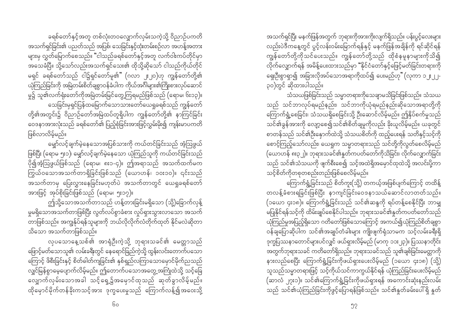ခရစ်တော်နှင့်အတူ တစ်လုံးတဝလျှောက်လှမ်းသကဲ့သို့ ဝိညာဉ်ပကတိ အသက်ရှင်ခြင်း၏ ပညတ်သည် အပြစ်၊ သေခြင်းနှင့်ထုံးတမ်းစဉ်လာ အဟန့်အတား များမှ လွှတ်မြောက်စေသည်။ "ငါသည်ခရစ်တော်နှင့်အတူ လက်ဝါးကပ်တိုင်မှာ အသေခံပြီ။ သို့သော်လည်းအသက်ရှင်သေး၏ ထိုသို့ဆိုသော် ငါသည်ကိုယ်တိုင် မရှင် ခရစ်တော်သည် ငါ၌ရှင်တော်မူ၏" (ဂလာ ၂း၂၀)ဟု ကျွန်တော်တို့၏ ယုံကြည်ခြင်းကို အမြဲတမ်းစိတ်ချစွာဝန်ခံပါက ကိုယ်အင်္ဂါများ၏ကြိုးစားလုပ်ဆောင် .<br>မှု၌ သူ၏လက်ရုံးတော်ကိုအမြဲတမ်းမြင်တွေ့ကြရမည်ဖြစ်သည် (ရောမ၊ ၆း၁၃)။ သေခြင်းမှရှင်ပြန်ထမြောက်သောသားတော်ယေရှုခရစ်သည် ကျွန်တော်

တို့၏အတွင်း၌ ဝိညာဉ်တော်အမြဲထပ်တူရှိပါက ကျွန်တော်တို့၏ နာကြင်ခြင်း ဝေဒနာအားလုံးသည် ခရစ်တော်၏ ပြည့်စုံခြင်းအားဖြင့်လွှမ်းမိုး၍ ကျန်းမာပကတိ ဖြစ်လာလိမ့်မည်။

မျှော်လင့်ချက်မဲ့နေသောအပြစ်သားကို ကယ်တင်ခြင်းသည် အံ့ဩဖွယ် ဖြစ်ပြီး (ရောမ ၅း၁)၊ မျှော်လင့်ချက်မဲ့နေသော ယုံကြည်သူကို ကယ်တင်ခြင်းသည် ပို၍အံ့ဩဖွယ်ဖြစ်သည် (ရောမ၊ ၈း၁-၄)။ ဤအရာသည် အသက်ထက်မက ကြွယ်ဝသောအသက်တာရှိခြင်းဖြစ်သည် (ယောဟန်၊ ၁၀း၁၀)။ ၎င်းသည် အသက်တာမှ ပြေးလွှားနေခြင်းမဟုတ်ပဲ အသက်တာတွင် ယေရှုခရစ်တော် အားဖြင့် အုပ်စိုးခြင်းဖြစ်သည် (ရောမ၊ ၅း၁၇)။

ဤသို့သောအသက်တာသည် ဟန့်တားခြင်းမရှိသော (သို့)ခြောက်လှန့် မှုမရှိသောအသက်တာဖြစ်ပြီး လွတ်လပ်စွာခံစား လှုပ်ရှားသွားလာသော အသက် တာဖြစ်သည်။ အကျွန်ုပ်ရန်သူများကို ဘယ်လိုလိုက်လံတိုက်ထုတ် နိုင်မလဲဆိုတာ သိသော အသက်တာဖြစ်သည်။

လုပသောနေ့သစ်၏ အာရုံဦးကဲ့သို့ ဘုရားသခင်၏ မေတ္တာသည် ဖြောင့်မတ်သောသူ၏ လမ်းခရီးတွင် နေရောင်ခြည်ကဲ့သို့ ထွန်းလင်းတောက်ပသော ကြောင့် ဖိစီးခြင်းနှင့် စိတ်ဓါတ်ကျခြင်း၏ နှစ်ရှည်လကြာသောမှောင်မိုက်ညသည် လျှင်မြန်စွာမေ့ပျောက်လိမ့်မည်။ ဤတောက်ပသောအတွေ့အကြုံထဲသို့ သင့်ခြေ လျှောက်လှမ်းသောအခါ သင့်ရှေ့၌အမှောင်ထုသည် ဆုတ်ခွာလိမ့်မည်။ ထိုမှောင်မိုက်တန်ခိုးကသင့်အား ဒုက္ခပေးမှုသည် ကြောက်လန့်၍အဝေးသို့

အသက်ရှင်ပြီး မနက်ဖြန်အတွက် ဘုရားကိုအားကိုးလျက်ရှိသည်။ ပန်းပွင့်လေးများ လည်းပဲဒီကနေ့တွင် ပွင့်လန်းဝမ်းမြောက်ရန်နှင့် မနက်ဖြန်အချိန်ကို ရင်ဆိုင်ရန် ကျွန်တော်တို့ကိုသင်ပေးသည်။ ကျွန်တော်တို့သည် ထိုစံနမူနာများကိုသိ၍ .<br>လိုက်လျှောက်ရန် အမိန့်ပေးထားသည်မှာ "နိုင်ငံတော်နှင့်ဖြေင့်မတ်ခြင်းတရားကို ရှေးဦးစွာရှာ၍ အခြားလိုအပ်သောအရာကိုထပ်၍ ပေးမည်ဟု" (လုကာ ၁၂ႏ၂၂-၃၀)တွင် ဆိုထားပါသည်။

သံသယဖြစ်ခြင်းသည် သမ္မာတရားကိုသေချာမသိခြင်းဖြစ်သည်။ သံသယ သည် သင်ဘာလုပ်ရမည်နည်း၊ သင်ဘာကိုယုံရမည်နည်းဆိုသောအရာတို့ကို ကြောက်ရွံ့စေခြင်း၊ သံသယရှိစေခြင်းသို့ ဦးဆောင်လိမ့်မည်။ ဤနှိပ်စက်မှုသည် သင်၏ခွန်အားကို လျော့စေ၍သင်၏စိတ်ချမှုကိုလည်း ခိုးယူလိမ့်မည်။ ယခုတွင် စာတန်သည် သင်၏ဦးနှောက်ထဲသို့ သံသယစိတ်ကို ထည့်ပေးရန် သတိနှင့်သင့်ကို စောင့်ကြည့်သော်လည်း၊ ယေရှုက သမ္မာတရားသည် သင်တို့ကိုလွတ်စေလိမ့်မည် (ယောဟန် ၈း၃၂)။ ဘုရားသခင်၏နှုတ်ကပတ်တော်ကိုသိခြင်း၊ လိုက်လျှောက်ခြင်း သည် သင်၏သံသယကို ဖျက်စီးစေ၍ သင့်အထဲရှိအမှောင်ထုထဲသို့ အလင်းပို့ကာ သင့်စိတ်ကိုတစုတစည်းတည်းဖြစ်စေလိမ့်မည်။

ကြောက်ရွံ့ခြင်းသည် စိတ်ကူး(သို့) တကယ့်အဖြစ်ပျက်ကြောင့် တထိန့် တလန့်ခံစားရခြင်းဖြစ်ပြီး နာကျင်ခြင်းဝေဒနာသယ်ဆောင်လာတတ်သည်။ (၁ယော ၄း၁၈)။ ကြောက်ရွံ့ခြင်းသည် သင်၏ဆန္ဒကို ရပ်တန့်စေနိုင်ပြီး ဘာမျှ ှ<br>မပြုနိုင်ရန်သင့်ကို ထိမ်းချုပ်စေနိုင်ပါသည်။ ဘုရားသခင်၏နှုတ်ကပတ်တော်သည် ဝန်ချပြောဆိုပါက သင်၏အချုပ်တံခါးများ ကျိုးဖျက်ရုံသာမက သင့်လမ်းခရီးရှိ ဒုက္ခပြဿနာတောင်များပင်လျှင် ဖယ်ရှားလိမ့်မည် (မာကု ၁၁း၂၃)။ ပြဿနာတိုင်း -<br>အတွက်ဘုရားသခင် ကတိတော်ရှိသည်။ ဘုရားသခင်သည် သူ၏ချစ်ခြင်းမေတ္တာကို နားလည်စေပြီး ကြောက်ရွံ့ခြင်းကိုဖယ်ရှားပေးလိမ့်မည် (၁ယော ၄း၁၈) (သို့) သူသည်သမ္မာတရားဖြင့် သင့်ကိုယ်သင်ကာကွယ်နိုင်ရန် ယုံကြည်ခြင်းပေးလိမ့်မည် (ဆာလံ ၂၇း၁)။ သင်၏ကြောက်ရွံ့ခြင်းကိုဖယ်ရှားရန် အကောင်းဆုံးနည်းလမ်း သည် သင်၏ယုံကြည်ခြင်းကိုဖွင့်ပြောရန်ဖြစ်သည်။ သင်၏နူတ်ခမ်းပေါ် ရှိ နူတ်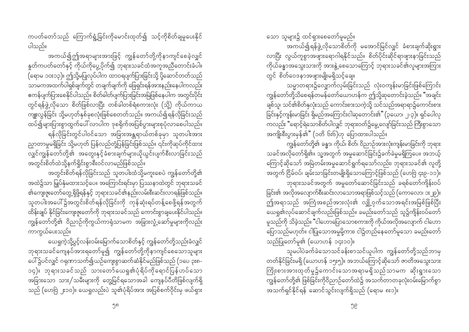ကပတ်တော်သည် ကြောက်ရွံ့ခြင်းကိုမောင်းထုတ်၍ သင့်ကိုစိတ်ချမှုပေးနိုင် ပါသည်။

အကယ်၍ဤအရာများအားဖြင့် ကျွန်တော်တို့ကိုနာကျင်စေခဲ့လျှင် နှုတ်ကပတ်တော်နှင့် ကိုယ်ကိုပွေ့ပိုက်၍ ဘုရားသခင်ထံအကူအညီတောင်းခံပါ။ --<br>(ရောမ ၁၀း၁၃)။ ဤသို့မပြုလုပ်ပါက ထာဝရပျက်ပြားခြင်းသို့ ပို့ဆောင်တတ်သည် သာမကအထက်ပါရှစ်ချက်တွင် တချက်ချက်ကို ဖြေရှင်းရန်အားနည်းနေပါကလည်း ဧကန်ပျက်ပြားစေနိုင်ပါသည်။ စိတ်ဓါတ်ပျက်ပြားခြင်းအမြဲဖြစ်နေပါက အတွင်းပိုင်း တွင်ရန်ဖွဲ့လိုသော စိတ်ဖြစ်လာပြီး တစ်ခါတစ်ရံစကားလုံး (သို့) ကိုယ်ကာယ ကျူးလွန်ခြင်း သို့မဟုတ်နှစ်ခုစလုံးဖြစ်စေတတ်သည်။ အကယ်၍ရန်လိုခြင်းသည် ာ ။<br>ထပ်၍များပြားစွာထွက်ပေါ် လာပါက ဒုစရိုက်အပြစ်ပွားများစုပုံလာစေပါသည်။ ရန်လိုခြင်းတွင်ပါဝင်သော အခြားအန္တရာယ်တစ်ခုမှာ သူတပါးအား ညှာတာမှုမရှိခြင်း သို့မဟုတ် ပြန်လည်တုံ့ပြန်ခြင်းဖြစ်သည်။ ၎င်းကိုဆုပ်ကိုင်ထား လျှင်ကျွန်တော်တို့၏ အတွေးနှင့်ခံစားချက်များယိုယွင်းပျက်စီးလာခြင်းသည် …<br>အတွင်းစိတ်ထဲသို့နက်ရှိုင်းစွာစီးဝင်လာမည်ဖြစ်သည်။

အတွင်းစိတ်ရန်လိုခြင်းသည် သူတပါးထံသို့မကူးစေပဲ ကျွန်တော်တို့၏ အထဲ၌သာ မြှုပ်နှံမထားသင့်ပေ။ အကြောင်းရင်းမှာ ပြဿနာထဲတွင် ဘုရားသခင် သူတပါးအပေါ် ၌အတွင်းစိတ်ရန်လိုခြင်းကို ကုန်ဆုံးရပ်တန့်စေဖို့ရန်အတွက် ထိန်းချုပ် နိုင်ခြင်းကျေးဇူးတော်ကို ဘုရားသခင်သည် ကောင်းစွာချပေးနိုင်ပါသည်။ ကျွန်တော်တို့၏ ဝိညာဉ်ကိုကွယ်ကာရုံသာမက အခြားလှုံ့ဆော်မှုများကိုလည်း ကာကွယ်ပေးသည်။

ယေရှုကဲ့သို့ပွင့်လန်းဝမ်းမြောက်သောစိတ်နှင့် ကျွန်တော်တို့သည်းခံလျှင် ဘုရားသခင်ကျေနပ်အားရတော်မူ၍ ကျွန်တော်တို့ကိုနာကျင်စေသောသူများ ပေါ်၌ပင်လျှင် ဂရုဏာသက်၍ယဉ်ကျေးစွာဆက်ဆံနိုင်မည်ဖြစ်သည် (၁ပေ ၃း၈-၁၄)။ ဘုရားသခင်သည် သားတော်ယေရှု၏ပုံရိပ်ကိုရောင်ပြန်ဟပ်သော အခြားသော သား/သမီးများကို တွေ့မြင်ရသောအခါ ကျေနပ်ပီတိဖြစ်လျက်ရှိ သည် (ဟေဗြဲ ၂း၁ဝ)။ ယေရှုလည်းပဲ သူ၏ပုံရိပ်အား အပြစ်စက်ဝိုင်းမှ ဖယ်ရှား

သော သူများ၌ ထင်ရှားစေတော်မူမည်။

အကယ်၍ရန်ဖွဲ့ လိုသောစိတ်ကို မအောင်မြင်လျှင် ခံစားချက်ဆိုးရွား လာပြီး လွယ်ကူစွာအဖျားရောဂါရနိုင်သည်။ စိတ်ပိုင်းဆိုင်ရာဖျားနာခြင်းသည် .<br>ကိုယ်ခန္ဓာအသွေးသားကို အားနွဲ့စေသောကြောင့် ဘုရားသခင်၏လူများအကြား တွင် စိတ်ဝေဒနာအဖျားမျိုးမရှိသင့်ချေ။

သမ္မာတရား၌လျှောက်လှမ်းခြင်းသည် လုံးဝကျန်းမာခြင်းဖြစ်ကြောင်း ကျွန်တော်တို့သိစေရန်တမန်တော်ယောဟန်က ဤသို့ဆုတောင်းခဲ့သည်။ "အချင်း ချစ်သူ၊ သင်၏စိတ်နှလုံးသည် ကောင်းစားသကဲ့သို့ သင်သည်အရာရာ၌ကောင်းစား ခြင်းနှင့်ကျန်းမာခြင်း ရှိမည်အကြောင်းငါဆုတောင်း၏" (၃ယော၊ ၂-၃)။ ရှင်ပေါလု ကလည်း "ရောင့်ရဲသောစိတ်ပါလျှင် ဘုရားဝတ်၌မွေ့လျော်ခြင်းသည် ကြီးစွာသော အကျိုးစီးပွားမှန်၏" (၁တိ ၆း၆)ဟု ပြောထားပါသည်။

.<br>ကျွန်တော်တို့၏ ခန္ဓာ၊ ကိုယ်၊ စိတ်၊ ဝိညာဉ်အားလုံးကျန်းမာခြင်းကို ဘုရား သခင်အလိုတော်ရှိ၏။ သူ့အတွက် အမှုဆောင်ခြင်း၌ခက်ခဲမှုမရှိကြပေ။ အဘယ့် ကြောင့်ဆိုသော် အမြဲတမ်းအမှုဆောင်ရွက်ရသော်လည်း၊ ဘုရားသခင်၏ လူတို့ ခြင်း၏ အလိုအလျောက်စီးဆင်းလာသောအရာဖြစ်သင့်သည် (ကောလော၊ ၁း၂၉)။ မူသည်ကို သိခဲ့သည်။ "ငါဟောပြောသောစကားကို ကိုယ်အလိုအလျောက် ငါဟော ပြောသည်မဟုတ်။ ငါပြုသောအမှုမို့ကား၊ ငါ၌တည်နေတော်မူသော ခမည်းတော် သည်ပြုတော်မူ၏ (ယောဟန် ၁၄း၁၀)။

ာ့မပါပဲခက်ခဲသောသင်ခန်းစာသင်ယူပါက ကျွန်တော်တို့သည်ဘာမှ တတ်နိုင်ခြင်းမရှိ (ယောဟန် ၁၅း၅)။ အဘယ်ကြောင့်ဆိုသော် ဇာတိအသွေးသား ကြိုးစားအားထုတ်မှု၌ကောင်းသောအရာမရှိသည်သာမက ဆိုးရွားသော — .<br>ကျွန်တော်တို့၏ ဖြစ်ခြင်းကိုဝိညာဉ်တော်ထဲ၌ အသက်တာတခုလုံးဝမ်းမြောက်စွာ အသက်ရှင်နိုင်ရန် ဆောင်သွင်းလျက်ရှိသည် (ရောမ ၈း၁)။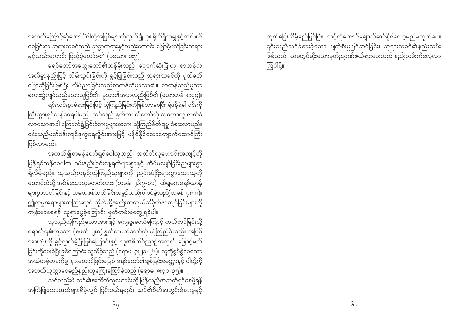အဘယ်ကြောင့်ဆိုသော် "ငါတို့အပြစ်များကိုလွတ်၍ ဒုစရိုက်ရှိသမျှနှင့်ကင်းစင် စေခြင်းငှာ ဘုရားသခင်သည် သစ္စာတရားနှင့်လည်းကောင်း ဖြောင့်မတ်ခြင်းတရား နှင့်လည်းကောင်း ပြည့်စုံတော်မူ၏ (၁ယော၊ ၁း၉)။

ခရစ်တော်အသွေးတော်၏တန်ခိုးသည် ပျောက်ဆုံးပြီးဟု စာတန်က အလိမ္မာနည်းဖြင့် သိမ်းသွင်းခြင်းကို ခွင့်ပြုခြင်းသည် ဘုရားသခင်ကို ပုတ်ခတ် ပြောဆိုခြင်းဖြစ်ပြီး လိမ်ညာခြင်းသည်စာတန်ထံမှာလာ၏။ စာတန်သည်မုသာ ှ<br>စကား၌ကျင်လည်သောသူဖြစ်၏။ မုသာ၏အဘလည်းဖြစ်၏ (ယောဟန်၊ ၈း၄၄)။ ရှင်းလင်းစွာခံစားခြင်းဖြင့် ယုံကြည်ခြင်းကိုဖြစ်လာစေပြီး ရံဖန်ရံခါ ၎င်းကို ကြီးထွားရှင်သန်စေရပါမည်။ သင်သည် နှုတ်ကပတ်တော်ကို သဘောတူ လက်ခံ လာသောအခါ ကြောက်ရွံ့ခြင်းခံစားမှုများအစား ယုံကြည်စိတ်ချမှု ခံစားလာမည်။ ဖြစ်လာမည်။

ပြန်ရှင်သန်စေပါက ဝမ်းနည်းခြင်းနေ့ရက်များစွာနှင့် အိပ်မပျော်ခြင်းညများစွာ ရှိလိမ့်မည်။ သူသည်ကနဉ်းယုံကြည်သူများကို ညှင်းဆဲပြီးများစွာသောသူကို ထောင်ထဲသို့ အပ်နှံသောသူမဟုတ်လား၊ (တမန်၊ ၂၆း၉-၁၁)။ ထိုမျှမကခရစ်ယာန် များစွာသတ်ခြင်းနှင့် သတေဖန်သတ်ခြင်းအမှု၌လည်းပါဝင်ခဲ့သည်(တမန်၊ ၇း၅၈)။ ဤအမူအရာများအကြားတွင် ထိုကဲ့သို့အကြီးအကျယ်ထိခိုက်နာကျင်ခြင်းများကို ကျန်းမာစေရန် သူရှာဖွေခဲ့ကြောင်း မှတ်တမ်းမတွေ့ရခဲ့ပါ။

သူသည်ယုံကြည်သောအားဖြင့် ကျေးဇူးတော်ကြောင့် ကယ်တင်ခြင်းသို့ ရောက်ရ၏ဟူသော (ဧဖက်၊ ၂း၈) နှတ်ကပတ်တော်ကို ယုံကြည်ခဲ့သည်။ အပြစ် အားလုံးကို ခွင့်လွှတ်ခဲ့ပြီးဖြစ်ကြောင်းနှင့် သူ၏စိတ်ဝိညာဉ်အတွက် ဖြောင့်မတ် ခြင်းကိုပေးခဲ့ပြီးဖြစ်ကြောင်း သူသိခဲ့သည် (ရောမ၊ ၃း၂၁-၂၆)။ သူ့ကိုစွပ်စွဲစေသော -<br>အသံတစုံတခုကိုမျှ နားထောင်ခြင်းမပြုပဲ ခရစ်တော်၏ချစ်ခြင်းမေတ္တာနှင့် ငါတို့ကို အဘယ်သူကွာစေမည်နည်းဟုကြွေးကြော်ခဲ့သည် (ရောမ၊ ၈း၃၁-၃၅)။ ာ<br>သင်လည်းပဲ သင်၏အတိတ်လူဟောင်းကို ပြန်လည်အသက်ရှင်စေဖို့ရန်

အကြံပြုသောအသံများရှိခဲ့လျှင် ငြင်းပယ်ရမည်။ သင်၏စိတ်အတွင်းခံစားမှုနှင့်

ထွက်ပြေးလိမ့်မည်ဖြစ်ပြီး၊ သင့်ကိုထောင်ချောက်ဆင်နိုင်တော့မည်မဟုတ်ပေ။ ၎င်းသည်သင်ခံစားခဲ့သော ပျက်စီးမှုပြင်ဆင်ခြင်း၊ ဘုရားသခင်၏နည်းလမ်း ဖြစ်သည်။ ယခုတွင်ဆိုးသောမှတ်ညာဏ်ဖယ်ရှားပေးသည့် နည်းလမ်းကိုလေ့လာ ကြပါစို့။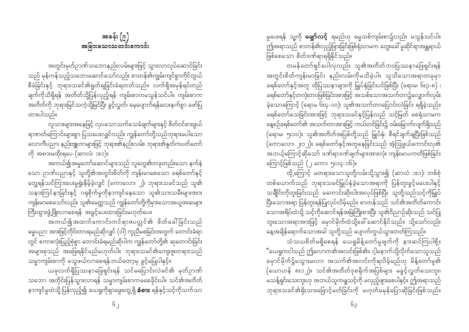မှုပေးရန် သူ့ကို **မျှော်လင့်** ရမည်ဟု ဓမ္မသစ်ကျမ်းစာ၌လည်း မသွန်သင်ပါ။ ဤအရာသည် စာတန်၏လှည့်ဖြားခြင်းဖြစ်ရုံသာမက တွေးခေါ် မူဆိုင်ရာအန္တရာယ် ဖြစ်စေသော စိတ်ဒဏ်ရာရရှိနိုင်သည်။

တမန်တော်ရှင်ပေါလုလည်း သူ၏အတိတ်ဘဝပြဿနာဖြေရှင်းရန် အတွင်းစိတ်ကျန်းမာခြင်း နည်းလမ်းကိုမသိခဲ့ပါ။ သူသိသောအရာတခုမှာ ခရစ်တော်နှင့်အတူ ထိုပြဿနာများကို မြှုပ်နှံခြင်းပင်ဖြစ်ပြီး (ရောမ၊ ၆း၃-၈) ၊ ခရစ်တော်နှင့်တလုံးတဝဖြစ်ခြင်းအားဖြင့် အသစ်သောအသက်တာ၌လျှောက်လှမ်း ခဲ့သောကြောင့် (ရောမ ၆း၄-၁၀)၊ သူ၏အသက်တာပြောင်းလဲခြင်း ရရှိခဲ့သည်။ ခရစ်တော်သေခြင်းအားဖြင့် ဘုရားသခင်နှင့်ပြန်လည် သင့်မြတ် စေရုံသာမက နေ့စဉ်ခရစ်တော်၏ အသက်တာအားဖြင့် ကယ်တင်ခြင်း၌ ဝမ်းမြောက်လျက်ရှိသည် (ရောမ၊ ၅း၁၀)။ သူ၏အတိတ်အပြစ်တို့သည် မြှုပ်နှံ၊ စီရင်ချက်ချပြီးဖြစ်သည် (ကောလော၊ ၂း၁၂)။ ခရစ်တော်နှင့်အတူနေခြင်းသည် အံ့ဩဖွယ်ကောင်းလှ၏ အဘယ့်ကြောင့်ဆိုသော် ဒဏ်ရာဒဏ်ချက်များအားလုံး ကျွန်းမာပကတိဖြစ်ခြင်း ကြောင့်ဖြစ်သည် (၂ ကော၊ ၅း၁၄-၁၆)။

ထို့ကြောင့် မတရားသောသူတို့လမ်းသို့သွား၍ (ဆာလံ ၁း၁)၊ တစ်စုံ တစ်ယောက်သည် ဘုရားသခင်မြှုပ်နှံခဲ့သောအရာကို ပြန်တူးခွင့်မပေးပါနှင့် သချိုင်းကိုတူးခြင်းသည် မကောင်းဆိုးဝါးအလုပ်ဖြစ်ပြီး သူတို့သည်သင့်ကိုမြှုပ် ပြီးသောအရာ ပြန်တူးရန်ပြုလုပ်လိမ့်မည်။ စာတန်သည် သင်၏အတိတ်ကောင်း သောအရိပ်ထဲသို့ သင့်ကိုဆောင်ရန်အမြဲကြိုးစားပြီး သူ၏ဝိညာဉ်ဆိုးသည် သင်ပြု ဘူးသောအရာအားဖြင့် မှောင်မိုက်ထဲသို့ခေါ် ဆောင်နိုင်သည်။ သို့သော်လည်း နေ့အချိန်ရောက်သောအခါ သူတို့သည် ပျောက်ကွယ်သွားတတ်ကြသည်။

သံသယစိတ်မရှိစေရန် ယေရှုမိန့်တော်မူချက်ကို နားဆင်ကြပါစို့။ ီယေရှုကငါသည် ဤလောက၏အလင်းဖြစ်၏။ ငါ့နောက်သို့လိုက်သောသူသည် မှောင်မိုက်၌မသွားမလာ၊ အသက်၏အလင်းကိုရလိမ့်မည်ဟု မိန့်တော်မူ၏ (ယောဟန် ၈း၁၂)။ သင်၏အတိတ်ဒုစရိုက်အပြစ်များ မခွင့်လွှတ်သေးဘူး၊ .<br>မသန့်ရှင်းသေးဘူးဟု အဘယ်သူကမျှသင့်ကို မလှည့်ဖျားစေပါနှင့်။ ဤအရာသည် ဘုရားသခင်၏ရိုးသားဖြောင့်မတ်ခြင်းကို မဟုတ်မမှန်ပြောဆိုခြင်းဖြစ်သည်။

အခန်း  $(e)$ အခြားသောသတင်းကောင်း

အတွင်းမှတ်ဉာဏ်သဘောနည်းလမ်းများဖြင့် သွားလာလုပ်ဆောင်ခြင်း သည် မှန်ကန်သည့်သဘောဆောင်သော်လည်း စာတန်၏ကျွမ်းကျင်စွာကိုင်တွယ် စီမံခြင်းနှင့် ဘုရားသခင်၏ရှုတ်ချခြင်းခံရတတ်သည်။ လက်ရှိအမှန်ရပ်တည် ချက်ကိုသိရှိရန် အတိတ်သို့ပြန်လှည့်ရန် ကျမ်းစာကမသွန်သင်ပါ။ ကျမ်းစာက အတိတ်ကို ဘုရားမြင်သကဲ့သို့မြင်ပြီး ခွင့်လွတ်၊ မေ့ပျောက်ရန်လေးနက်စွာ ဖော်ပြ ထားပါသည်။

လူသားများအနေဖြင့် လှပသောသက်သေခံချက်များနှင့် စိတ်ဝင်စားဖွယ် ရာဇာတ်ကြောင်းများစွာ ပြသပေးလျှင်လည်း ကျွန်တော်တို့သည်ဘုရားမပါသော လောကီပညာ၊ နည်းဗျူဟာများဖြင့် ဘုရား၏နည်းလမ်း၊ ဘုရား၏နူတ်ကပတ်တော် ကို အစားမထိုးရပေ (ဆာလံ၊ ၁း၁)။

အကယ်၍အမှုတော်ဆောင်များသည် လူတွေ၏တခုတည်းသော နက်နဲ သော ဉာဏ်ပညာနှင့် သူတို့၏အတွင်းစိတ်ကို ကျန်းမာစေသော ခရစ်တော်နှင့် တွေ့ရန်သင်ကြားပေးမှုရှုံးနိမ့်ခဲ့လျှင် (ကောလော၊ ၂)၊ ဘုရားသခင်သည် သူ၏ သနားကြင်နာခြင်းနှင့် ဂရုစိုက်မှုကိုနာကျင်နေသော သူ၏သားသမီးများအား ကျန်းမာစေသော်လည်း သူ၏မေတ္တသည် ကျွန်တော်တို့ကိုမှားသောအယူအဆများ ကြီးထွားဖွံ့ဖြိုးလာစေရန် အခွင့်ပေးထားခြင်းမဟုတ်ပေ။

ီ – .<br>အကယ်၍အထက်ကောင်းကင်ရာဇပလ္လင်၏ ဖိတ်ခေါ်ခြင်းသည် ဓမ္မပညာ အားဖြင့်တိုင်းတာရမည်ဆိုလျှင် (ဝါ) ကူညီမစခြင်းအတွက် တောင်းခံရာ တွင် စကားလုံးပြည့်စုံစွာ တောင်းခံရမည်ဆိုပါက ကျွန်တော်တို့၏ ဆုတောင်းခြင်း အများစုသည် အဖြေရနိုင်မည်မဟုတ်ပါ။ ဘုရားသခင်၏ကျေးဇူးတရားသည် သမ္မာကျမ်းစာကို သွေဖယ်လာစေရန်ဘယ်တော့မှ ခွင့်မပြုပါနှင့်။

ယခုလက်ရှိပြဿနာဖြေရှင်းရန် သင်မပြောင်းလဲခင်၏ မှတ်ဉာဏ် သဘော အတိုင်းပြန်သွားလာရန် သမ္မာကျမ်းစာကမစေခိုင်းပါ။ သင်၏အတိတ် နာကျင်မှုထဲသို့ ပြန်လှည့်၍ ယေရှုကိုရှာဖွေတွေ့ရှိ **ခံစား** ရန်နှင့်သင့်ကိုသက်သာ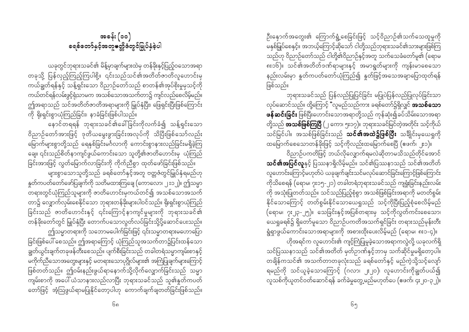ဦးနှောက်အတွေး၏ ကြောက်ရွံ့စေခြင်းဖြင့် သင့်ဝိညာဉ်၏သက်သေထူမှုကို မနှစ်မြှုပ်စေနှင့်။ အဘယ့်ကြောင့်ဆိုသော် ငါတို့သည်ဘုရားသခင်၏သားများဖြစ်ကြ သည်ဟု ဝိညာဉ်တော်သည် ငါတို့၏ဝိညာဉ်နှင့်အတူ သက်သေခံတော်မူ၏ (ရောမ ၈း၁၆)။ သင်၏အတိတ်ဒဏ်ရာများနှင့် အမာရွတ်များကို ကျန်းမာစေသော နည်းလမ်းမှာ နှတ်ကပတ်တော်ယုံကြည်၍ နှတ်ဖြင့်အသေအချာပြောထုတ်ရန် ဖြစ်သည်။

ဘုရားသခင်သည် ပြန်လည်ပြုပြင်ခြင်း မပြုပဲပြန်လည်ပြုလုပ်ခြင်းသာ လုပ်ဆောင်သည်။ ထို့ကြောင့် "လူမည်သည်ကား ခရစ်တော်၌ရှိလျှင် **အသစ်သော** ဖန်ဆင်းခြင်း ဖြစ်ပြီးဟောင်းသောအရာတို့သည် ကုန်ဆုံး၍ခပ်သိမ်းသောအရာ တို့သည် **အသစ်ဖြစ်ကြပြီ** (၂ ကော၊ ၅း၁၇)။ ဘုရားသခင်မြင်တဲ့အတိုင်း သင့်ကိုယ် သင်မြင်ပါ။ အသစ်ဖြစ်ခြင်းသည် **သင်၏အထဲ၌ဖြစ်ပြီး** သချိုင်းမှယေရှုကို ထမြောက်စေသောတန်ခိုးဖြင့် သင့်ကိုလည်းထမြောက်စေပြီ (ဧဖက်၊ ၂း၁)။

ဝိညာဉ်ပကတိဖြင့် ဘယ်လိုလျှောက်ရမလဲဆိုတာမသိသည်တိုင်အောင် **သင်၏အပြင်လူ**နှင့် ပြဿနာရှိလိမ့်မည်။ သင်၏ပြဿနာသည် သင်၏အတိတ် လူဟောင်းကြောင့်မဟုတ်ပဲ ယခုချက်ချင်းသင်မလုပ်ဆောင်ခြင်းကြောင့်ဖြစ်ကြောင်း ကိုသိစေရန် (ရောမ၊ ၇း၁၅-၂၁) တခါတရံဘုရားသခင်သည် ကျရှုံးခြင်းနည်းလမ်း ကို အသုံးပြုတတ်သည်။ သင်သည်ပြည့်စုံစွာ အသစ်ဖြစ်ခြင်းအရာကို မတတ်စွမ်း နိုင်သောကြောင့် တတ်စွမ်းနိုင်သောယေရှုသည် သင့်ကိုပြီးပြည့်စုံစေလိမ့်မည် (ရောမ၊ ၇း၂၃-၂၅)။ သေခြင်းနှင့်အပြစ်တရားမှ သင့်ကိုလွတ်ကင်းစေသော၊ .<br>ယေရှုခရစ်၌ ရှိတော်မူသော ဝိညာဉ်ပကတိအသက်ရှင်ခြင်း တရားသည်မုန်းတီး ရွံရှာဖွယ်ကောင်းသောအရာများကို အစားထိုးပေးလိမ့်မည် (ရောမ၊ ၈း၁-၄)။ ဟိုအရင်က လူဟောင်း၏ ကျင့်ကြံပြုမှုခဲ့သောအရာကလွဲလို့ ယခုလက်ရှိ

သင်ပြဿနာသည် သင်၏အတိတ် မှတ်ဉာဏ်နှင့်ဘာမှ သက်ဆိုင်မှုမရှိတော့ပါ။ တချိန်ကသင်၏ အသက်တာတခုလုံးသည် ခရစ်တော်နှင့် မည်ကဲ့သို့သင့်လျော် ရမည်ကို သင်ယူခဲ့သောကြောင့် (ဂလာ၊ ၂း၂၀)၊ လူဟောင်းကိုချွတ်ပယ်၍ လူသစ်ကိုယူတင်ဝတ်ဆောင်ရန် ခက်ခဲမှုတွေ့မည်မဟုတ်ပေ (ဧဖက်၊ ၄း၂၀-၃၂)။

အခန်း $\left( \circ \circ \right)$ **ေရစ်တော်နှင့်အတူမတ္တိဇံတွင်မြှုပ်နှံခဲ့**ပါ

ယခုတွင်ဘုရားသခင်၏ မိန့်မှာချက်များထဲမှ တန်ခိုးနှင့်ပြည့်ဝသောအရာ တခုသို့ ပြန်လှည့်ကြည့်ကြပါစို့။ ၎င်းသည်သင်၏အတိတ်ဇာတိလူဟောင်းမှ ကယ်ချွတ်ရန်နှင့် သန့်ရှင်းသော ဝိညာဉ်တော်သည် စာတန်၏အုပ်စိုးမှုမှသင့်ကို ကယ်တင်ရန်လမ်းဖွင့်ရုံသာမက အသစ်သောအသက်တာ၌ ကျင်လည်စေလိမ့်မည်။ ဤအရာသည် သင်အတိတ်ဇာတိအရာများကို မြှုပ်နှံပြီး၊ ဖြေရှင်းပြီးဖြစ်ကြောင်း ကို ရိုးရှင်းစွာယုံကြည်ခြင်း၊ နာခံခြင်းဖြစ်ပါသည်။

နောင်တရရန် ဘုရားသခင်၏ခေါ်ခြင်းကိုလက်ခံ၍ သန့်ရှင်းသော ဝိညာဉ်တော်အားဖြင့် ဒုတိယမွေးဖွားခြင်းအလုပ်ကို သိပြီးဖြစ်သော်လည်း မြောက်များစွာတို့သည် ရေနှစ်ခြင်းမင်္ဂလာကို ကောင်းစွာနားလည်ခြင်းမရှိခဲ့ကြ ချေ။ ၎င်းသည်စိတ်နာကျင်ဖွယ်ကောင်းသော သူတို့၏ဇာတိဟောင်းမှ ယုံကြည် ခြင်းအားဖြင့် လွတ်မြောက်လာခြင်းကို ကိုက်ညီစွာ ထုတ်ဖော်ခြင်းဖြစ်သည်။

\_\_<br>များစွာသောသူတို့သည် ခရစ်တော်နှင့်အတူ ဗတ္တဇံတွင်မြှုပ်နှံရမည်ဟု နူတ်ကပတ်တော်ဖော်ပြချက်ကို သတိမထားကြချေ (ကောလော၊ ၂း၁၂)။ ဤသမ္မာ တရားတွင်ယုံကြည်သူများကို ဇာတိဟောင်းမှကယ်တင်၍ အသစ်သောအသက် တာ၌ လျှောက်လှမ်းစေနိုင်သော ဘုရားတန်ခိုးများပါဝင်သည်။ ရိုးရှင်းစွာယုံကြည် ခြင်းသည် ဇာတိဟောင်းနှင့် ၎င်းကြောင့်နာကျင်မှုများကို ဘုရားသခင်၏ တန်ခိုးတော်တွင် မြှုပ်နှံပြီး တောက်ပသောလွတ်လပ်ခြင်းသို့ပို့ဆောင်ပေးသည်။ ဤသမ္မာတရားကို သဘောမပေါက်ခြင်းဖြင့် ၎င်းသမ္မာတရားမဟောပြော ခြင်းဖြစ်ပေါ် စေသည်။ ဤအရာကြောင့် ယုံကြည်သူအသက်တာ၌ပြင်းထန်သော ချွတ်ယွင်းချက်တခုဖန်တီးစေသည်။ ပျက်စီးခြင်းသည် တခါတရံသမ္မာကျမ်းစာနှင့် မကိုက်ညီသောအတွေးများနှင့် မတရားသောပုဂ္ဂိုလ်များ၏ အကြံပြုချက်များကြောင့် ဖြစ်တတ်သည်။ ဤဝမ်းနည်းဖွယ်ရာနောက်သို့လိုက်လျှောက်ခြင်းသည် သမ္မာ ကျမ်းစာကို အပေါ် ယံသာနားလည်လာပြီး ဘုရားသခင်သည် သူ၏နှုတ်ကပတ် တော်ဖြင့် အံ့ဩဖွယ်ရာမပြုနိုင်တော့ပါဟု ကောက်ချက်ချတတ်ခြင်းဖြစ်သည်။

၆၈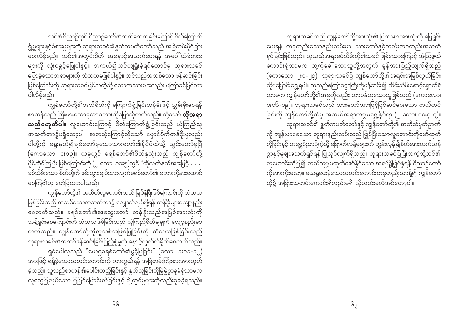သင်၏ဝိညာဉ်တွင် ဝိညာဉ်တော်၏သက်သေထူခြင်းကြောင့် စိတ်ကြောက် ရွံ့မှုများနှင့်ခံစားမှုများကို ဘုရားသခင်၏နူတ်ကပတ်တော်သည် အမြဲတမ်းပိုင်ခြား ား<br>ပေးလိမ့်မည်။ သင်၏အတွင်းစိတ် အနှောင့်အယှက်ပေးရန် အပေါ် ယံခံစားမှု ပြောခဲ့သောအရာများကို သံသယမဖြစ်ပါနှင့်။ သင်သည်အသစ်သော ဖန်ဆင်းခြင်း ဖြစ်ကြောင်းကို ဘုရားသခင်မြင်သကဲ့သို့ လောကသားများလည်း မကြာခင်မြင်လာ ပါလိမ်မည်။

\_\_<br>ကျွန်တော်တို့၏အသိစိတ်ကို ကြောက်ရွံ့ခြင်းတန်ခိုးဖြင့် လွှမ်းမိုးစေရန် စာတန်သည် ကြီးမားသောမှသာစကားကိုပြောဆိုတတ်သည်။ သို့သော် **ထိုအရာ သည်မဟုတ်ပါ။** လူဟောင်းကြောင့် စိတ်ကြောက်ရွံ့ခြင်းသည် ယုံကြည်သူ ငါတို့ကို ရွေးနှုတ်၍ချစ်တော်မူသောသားတော်၏နိုင်ငံထဲသို့ သွင်းတော်မူပြီ (ကောလော၊ ၁း၁၃)။ ယခုတွင် ခရစ်တော်၏စိတ်နှလုံးသည် ကျွန်တော်တို့ . . . . .<br>ပိုင်ဆိုင်ကြပြီး ဖြစ်ကြောင်းကို (၂ ကော၊ ၁၀း၅)တွင် "ထိုလက်နက်အားဖြင့် **. .** . ခပ်သိမ်းသော စိတ်တို့ကို ဖမ်းသွားချုပ်ထားလျက်ခရစ်တော်၏ စကားကိုနားထောင် စေကြ၏ဟု ဖော်ပြထားပါသည်။

ကျွန်တော်တို့၏ အတိတ်လူဟောင်းသည် မြှုပ်နှံပြီးဖြစ်ကြောင်းကို သံသယ ဖြစ်ခြင်းသည် အသစ်သောအသက်တာ၌ လျှောက်လှမ်းဖို့ရန် တန်ခိုးများလျော့နည်း − −<br>စေတတ်သည်။ ခရစ်တော်၏အသွေးတော် တန်ခိုးသည်အပြစ်အားလုံးကို သန့်ရှင်းစေကြောင်းကို သံသယဖြစ်ခြင်းသည် ယုံကြည်စိတ်ချမှုကို လျော့နည်းစေ တတ်သည်။ ကျွန်တော်တို့ကိုလူသစ်အဖြစ်ပြုခြင်းကို သံသယဖြစ်ခြင်းသည် ဘုရားသခင်၏အသစ်ဖန်ဆင်းခြင်းပြည့်စုံမှုကို နှောင့်ယှက်ထိခိုက်စေတတ်သည်။ ရှင်ပေါလုသည် "ယေရှုခရစ်တော်၏ဖွင့်ပြခြင်း" (ဂလာ၊ ၁း၁၁-၁၂) အားဖြင့် ရရှိခဲ့သောသတင်းကောင်းကို ကာကွယ်ရန် အမြဲတမ်းကြိုးစားအားထုတ် ခဲ့သည်။ သူသည်စာတန်၏ပေါင်းထည့်ခြင်းနှင့် နှုတ်ယူခြင်းကိုမြဲမြံစွာခုခံရုံသာမက လူတွေပြုလုပ်သော ပြုပြင်ပြောင်းလဲခြင်းနှင့် ချဲ့ထွင်မှုများကိုလည်းခုခံခဲ့ရသည်။

ဘုရားသခင်သည် ကျွန်တော်တို့အားလုံး၏ ပြဿနာအားလုံးကို ဖြေရှင်း ပေးရန် တခုတည်းသောနည်းလမ်းမှာ သားတော်နှင့်တလုံးတဝတည်းအသက် ရှင်ခြင်းဖြစ်သည်။ သူသည်အရာခပ်သိမ်းတို့၏သခင် ဖြစ်သောကြောင့် အံ့ဩဖွယ် ကောင်းရုံသာမက သူ့ကိုခေါ် သောသူတို့အတွက် ခွန်အားပြည့်လျက်ရှိသည် (ကောလော၊ ၂း၁-၂၃)။ ဘုရားသခင်၌ ကျွန်တော်တို့၏အရင်းအမြစ်တွယ်ခြင်း ကိုမပြောင်းရွှေ့ရပါ။ သူသည်စကြာဝဠာကြီးကိုဖန်ဆင်း၍ ထိမ်းသိမ်းစောင့်ရှောက်ရုံ သာမက ကျွန်တော်တို့၏အမှုကိုလည်း တာဝန်ယူသောသူဖြစ်သည် (ကောလော၊ ား၁၆-၁၉)။ ဘုရားသခင်သည် သားတော်အားဖြင့်ပြင်ဆင်ပေးသော ကယ်တင် ခြင်းကို ကျွန်တော်တို့ထံမှ အဘယ်အရာကမျှမရွှေ့နိုင်ရာ (၂ ကော၊ ၁၁း၃-၄)။ ာ<br>ဘုရားသခင်၏ နူတ်ကပတ်တော်နှင့် ကျွန်တော်တို့၏ အတိတ်မှတ်ဉာဏ် ကို ကျန်းမာစေသော ဘုရားနည်းလမ်းသည် မြှုပ်ပြီးသောလူဟောင်းကိုဖော်ထုတ် လိုခြင်းနှင့် တစ္ဆေဝိညာဉ်ကဲ့သို့ ခြောက်လန့်မှုများကို တွန်းလှန်၍စိတ်အားထက်သန် စွာနှင့်မုချအသက်ရှင်ရန် ပြုလုပ်လျက်ရှိသည်။ ဘုရားသခင်ပြုပြီးသကဲ့သို့သင်၏ .<br>လူဟောင်းကိုပြု၍ ဘယ်သူမျှမထုတ်ဖော်နိုင်သော အရပ်၌မြှုပ်နှံရန် ဝိညာဉ်တော်

-<br>ကိုအားကိုးလော့။ ယေရှုပေးခဲ့သောသတင်းကောင်းတခုတည်းသာရှိ၍ ကျွန်တော် တို့၌ အခြားသတင်းကောင်းရှိလည်းမရှိ၊ လိုလည်းမလိုအပ်တော့ပါ။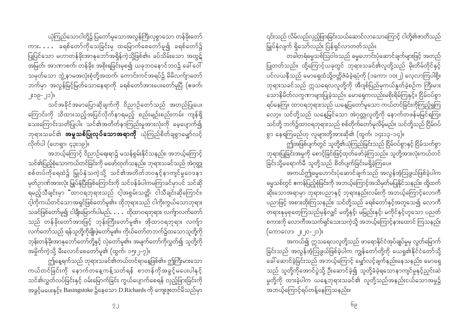ယုံကြည်သောငါတို့၌ ပြတော်မူသောအလွန်ကြီးလှစွာသော တန်ခိုးတော် ကား $\dots$  ခရစ်တော်ကိုသေခြင်းမှ ထမြောက်စေတော်မူ၍ ခရစ်တော်၌ ပြုပြင်သော မဟာတန်ခိုးအာနုဘော်အရှိန်ကဲ့သို့ဖြစ်၏။ ခပ်သိမ်းသော အထွဋ် အမြတ်၊ အာဏာစက်၊ တန်ခိုး၊ အစိုးရခြင်းမှစ၍ ယခုဘဝနောင်ဘဝ၌ ခေါ် ဝေါ် သမုတ်သော ဘွဲ့ နာမအလုံးစုံတို့အထက်၊ ကောင်းကင်အရပ်၌ မိမိလက်ျာတော် ဘက်မှာ အလွန်မြင့်မြတ်သောနေရာကို ခရစ်တော်အားပေးတော်မူပြီ (ဧဖက်၊ ။(ငု္ -ရှငးု

သင်အခိုင်အမာပြောဆိုချက်ကို ဝိညာဉ်တော်သည် အတည်ပြုပေး ကြောင်းကို သိထားသည့်အပြင်လိုက်နာရမည့် စည်းမျဉ်းစည်းကမ်း ကျန်ရှိ သေးကြောင်းသတိပြုပါ။ သင်၏အတိတ်နာကြည်းမှုအားလုံးကို မေ့ပျောက်၍ ဘုရားသခင်၏ **အမှုသစ်ပြုလုပ်သောအရာကို** ယုံကြည်စိတ်ချစွာမျှော်လင့် လိုက်ပါ (ဟေရာ၊ ၄၃း၁၉)။

အဘယ့်ကြောင့် ဝိညာဉ်ရေးရာ၌ မသန်စွမ်းနိုင်သနည်း၊ အဘယ့်ကြောင့် သင်၏ပြည့်စုံသောကယ်တင်ခြင်းကို မဖော်ထုတ်သနည်း၊ ဘုရားသခင်သည် အဲဂုတ္တု စစ်တပ်ကိုရေထဲ၌ မြှုပ်နှံသကဲ့သို့ သင်၏အတိတ်ဘဝနှင့်နာကျင်မှုဝေဒနာ .<br>မှတ်ဉာဏ်အားလုံး မြှုပ်နှံပြီးဖြစ်ကြောင်းကို သင်ဝန်ခံပါကမကြာခင်မှာပင် သင်ဆို ရမည့်သီချင်းမှာ "ထာဝရဘုရားသည် ငါ့အစွမ်းသတ္တိ၊ ငါသီချင်းဆိုကြောင်း၊ င့ါ့ကိုကယ်တင်သောအရှင်ဖြစ်တော်မူ၏။ ထိုဘုရားသည် ငါကိုးကွယ်သောဘုရား သခင်ဖြစ်တော်မူ၍ ငါခ<mark>ီး</mark>မြောက်ပါမည်**… .** ထိုထာဝရဘုရား၊ လက်ျာလက်တော် သည် တန်ခိုးတော်အားဖြင့် ဘုန်းကြီးတော်မူ၏။ အိုထာဝရဘုရား လက်ျာ လက်တော်သည် ရန်သူတို့ကိုချိုးဖဲ့တော်မူ၏။ ကိုယ်တော်တဘက်၌ထသောသူတို့ကို ဘုန်းတန်ခိုးအာနုဘော်တော်တို့နှင့် လှဲတော်မူ၏။ အမျက်တော်ကိုလွှတ်၍ သူတို့ကို အမှိုက်ကဲ့သို့ မီးလောင်စေတော်မူ၏ (ထွက်၊ ၁၅း၂-၇)။

ဤနေ့ရက်သည် ဘုရားသခင်၏ကယ်တင်ရာနေ့ဖြစ်၏။ ဤကြီးမားသော ကယ်တင်ခြင်းကို နောက်တနေ့ကန့်သတ်ရန် စာတန်ကိုအခွင့်မပေးပါနှင့် သင်၏လွှတ်လပ်ခြင်းနှင့် ဝမ်းမြောက်ခြင်း ကွယ်ပျောက်စေရန် လှည့်ဖြားခြင်းကို အခွင့်မပေးနှင့်။ Basingstoke ၌နေသော D.Richards ကို ကျေးဇူးတင်မိသည်မှာ

၎င်းသည် လိမ်လည်လှည့်ဖြားခြင်းသယ်ဆောင်လာသောကြောင့် ငါတို့၏ဇာတိသည် မြှုပ်နှံလျက် ရှိသော်လည်း ပြန်ရှင်လာတတ်သည်။

တခါတရံဓမ္မသစ်ဩဝါဒသည် ဓမ္မဟောင်းပုံဆောင်ချက်များဖြင့် အတည် ပြုတတ်သည်။ ထို့ကြောင့်ယခုတွင် ဘုရားသခင်၏လူတို့သည် မိုးတိမ်တိုင်နှင့် ာင်<br>ပင်လယနီသည် မောရှေထံသို့ဗတ္တိဇံခံခဲ့ရပုံကို (၁ကော၊ ၁၀း၂) လေ့လာကြပါစို့။ ဘုရားသခင်သည် ဣသရေလလူတို့ကို အီဂျစ်ပြည်မှကယ်နှုတ်ခဲ့စဉ်က ကြီးမား သောနိမိတ်လက္ခဏာများပြုခဲ့သည်။ မောရှေကလည်းမစိုးရိမ်ကြနှင့်။ ငြိမ်ဝပ်စွာ ရပ်နေကြ။ ထာဝရဘုရားသည် ယနေ့ပြတော်မူသော ကယ်တင်ခြင်းကိုကြည့်ရှုကြ လော့။ သင်တို့သည် ယနေ့မြင်သော အဲဂုတ္တုလူတို့ကို နောက်တဖန်မမြင်ရကြ။ သင်တို့ ဘက်၌ထာဝရဘုရားသည် စစ်တိုက်တော်မူလိမ့်မည်။ သင်တို့သည် ငြိမ်ဝပ် စွာ နေရကြမည်ဟု လူများတို့အားဆို၏ (ထွက်၊ ၁၄း၁၃-၁၄)။

ကြံအဖြစ်ပျက်တွင် သူတို့၏ယုံကြည်ခြင်းသည် ငြိမ်ဝပ်စွာနှင့် ငြိမ်သက်စွာ ဘုရားပြုခြင်းအမှုကို စောင့်ခြင်းဖြင့်ထုတ်ဖော်ခဲ့ကြသည်။ သူတို့အားလုံးကယ်တင် ခြင်းသို့မရောက်မီ သူတို့သည် စိတ်ပျက်ခြင်းမရှိခဲ့ကြပေ။

အကယ်ဤဓမ္မဟောင်းပုံဆောင်ချက်သည် အလွန်အံ့ဩဖွယ်ဖြစ်ခဲ့ပါက ဓမ္မသစ်တွင် ဧကန်ပြည့်စုံခြင်းကို အဘယ့်ကြောင့်အသိမှတ်မပြုနိုင်သနည်း၊ ထို့ထက် ပညာဖြင့် အစားထိုးကြသနည်း၊ သင်တို့သည် ခရစ်တော်နှင့်အတူသေ၍ လောကီ တရားနုမှစုတေ့ကြသည်မှန်လျှင် မတို့နှင့်၊ မမြည်းနှင့်၊ မကိုင်နှင့်ဟူသော ပညတ် စကားကို လောကီအသက်ရှင်သေးသကဲ့သို့ အဘယ့်ကြောင့်နားထောင် ကြသနည်း (ကောလော၊ ၂ႏ၂၀-၂၁)။

အကယ်၍ ဣသရေလလူတို့သည် ဖာရောနိုင်ငံအုပ်ချုပ်မှုမှ လွတ်မြောက် ခြင်းသည် အလွန်အံ့သြဖွယ်ဖြစ်ခဲ့ပါက ကျွန်တော်တို့ကို ယေရှု၏နိုင်ငံတော်သို့ သည် သူတို့ကိုအောင်ပွဲသို့ ဦးဆောင်ခဲ့၍ သူတို့ခံခဲ့ရသောနာကျင်မှုနှင့်ညှင်းဆဲ မှုတို့ကို ထားခဲ့ပါက ယနေ့ဘုရားသခင်၏ လူတို့သည်အနည်းငယ်သောအမူ၌ အဘယ့်ကြောင့်ရပ်တန့်နေကြသနည်း။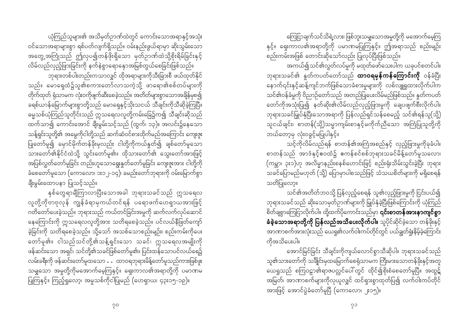ယုံကြည်သူများ၏ အသိမှတ်ဉာဏ်ထဲတွင် ကောင်းသောအရာနှင့်အသုံး ဝင်သောအရာများစွာ ရစ်ပတ်လျက်ရှိသည်။ ဝမ်းနည်းဖွယ်ရာမှာ ဆိုးသွမ်းသော အတွေ့အကြုံသည် ဤလှပ၍တန်ဖိုးရှိသော မှတ်ဉာဏ်ထဲသို့စိုးရိမ်ခြင်းနှင့် လိမ်လည်လှည့်ဖြားခြင်းကို နက်နဲစွာရောနှောအမြစ်တွယ်စေခြင်းဖြစ်သည်။

ာ<br>- ဘုရားတစ်ပါးတည်းကသာလျှင် ထိုအရာများကိုသီးခြားစီ ဖယ်ထုတ်နိုင် သည်။ မောရှေထံ၌သူ၏စကားတော်လာသကဲ့သို့ ဖာရော၏စစ်တပ်များကို တိုက်ထုတ် ရုံသာမက လုံးဝကိုဖျက်ဆီးစေခဲ့သည်။ အတိတ်များစွာသောအချိန်မှစ၍ ခရစ်ယာန်မြောက်များစွာတို့သည် မောရှေနှင့်သိုးသငယ် သီချင်းကိုသီဆိုခဲ့ကြပြီ။ ဓမ္မသစ်ယုံကြည်သူတိုင်းသည် ဣသရေလလူတို့ကမ်းခြေ၌က၍ သီချင်းဆိုသည် ထက်သာ၍ ကောင်းအောင် ချီးမွမ်းသင့်သည် (ထွက်၊ ၁၃)။ အလင်း၌နေသော သန့်ရှင်းသူတို့၏ အမွေကိုငါတို့သည် ဆက်ဆံဝင်စားထိုက်မည်အကြောင်း ကျေးဇူး .<br>ပြုတော်မူ၍ မှောင်မိုက်တန်ခိုးမှလည်း ငါတို့ကိုကယ်နှုတ်၍ ချစ်တော်မူသော သားတော်၏နိုင်ငံထဲသို့ သွင်းတော်မူ၏။ ထိုသားတော်၏ သွေးတော်အားဖြင့် အပြစ်လွှတ်တော်မူခြင်း တည်းဟူသောရွေးနှုတ်တော်မူခြင်း ကျေးဇူးအား ငါတို့ကို ခံစေတော်မူသော (ကောလော၊ ၁း၁၂-၁၄)၊ ခမည်းတော်ဘုရားကို ဝမ်းမြောက်စွာ ချီးမွမ်းထောပနာ ပြုသင့်သည်။

နှစ်တွေရာချီကြာလာပြီးသောအခါ ဘုရားသခင်သည် ဣသရေလ လူတို့ကိုဗာဗုလုန် ကျွန်ခံရာမှကယ်တင်ရန် ပရောဖက်ဟေရာယအားဖြင့် ဂတိတော်ပေးခဲ့သည်။ ဘုရားသည် ကယ်တင်ခြင်းအမှုကို ဆက်လက်လုပ်ဆောင် နေကြောင်းကို ဣသရေလလူတို့အား သတိရစေခဲ့သည်။ ပင်လယ်နီဖြတ်ကျော် ခဲ့ခြင်းကို သတိရစေခဲ့သည်။ သို့သော် အသစ်သောစည်းမျဉ်း၊ စည်းကမ်းကိုပေး တော်မူ၏။ ငါသည်သင်တို့၏သန့်ရှင်းသော သခင်၊ ဣသရေလအမျိုးကို ဖန်ဆင်းသော အရှင်၊ သင်တို့၏သခင်ဖြစ်တော်မူ၏။ ပြင်းထန်သောပင်လယ်ရေ၌ လမ်းခရီးကို ဖန်ဆင်းတော်မူထသော … ထာဝရဘုရားမိန့်တော်မူသည်ကားဖြစ်ဖူး သမျှသော အမှုတို့ကိုမအောက်မေ့ကြနှင့်။ ရှေးကာလ၏အရာတို့ကို ပမာဏမ ပြုကြနှင့်။ ကြည့်ရှုလော့၊ အမှုသစ်ကိုငါပြုမည် (ဟေရှာယ၊ ၄၃း၁၅-၁၉)။

ကြေငြာချက်သင်သိရဲ့လား၊ ဖြစ်ဘူးသမျှသောအမူတို့ကို မအောက်မေ့ကြ နှင့်။ ရှေးကာလ၏အရာတို့ကို ပမာဏမပြုကြနှင့်။ ဤအရာသည် စည်းမျဉ်း စည်းကမ်းအဖြစ် တောင်းဆိုသော်လည်း ပြုလုပ်ပြီးဖြစ်သည်။

အကယ်၍သင်၏လွတ်လပ်မှုကို မထုတ်ဖော်သေးပါက ယခုပင်စတင်ပါ။ ဘုရားသခင်၏ နှုတ်ကပတ်တော်သည် **ထာဝရမှန်ကန်ကြောင်းကို** ဝန်ခံပြီး နောက်၎င်းနှင့်ဆန့်ကျင်ဘက်ဖြစ်သောခံစားမှုများကို လစ်လျူရှုထားလိုက်ပါက သင်၏ဝန်ခံမှုကို ဝိညာဉ်တော်သည် အတည်ပြုပေးလိမ်မည်ဖြစ်သည်။ နူတ်ကပတ် တော်ကိုအသုံးပြု၍ နတ်ဆိုး၏လိမ်လည်လှည့်ဖြားမှုကို ချေပဖျက်စီးလိုက်ပါ။ ဘုရားသခင်မြှုပ်နှံပြီးသောအရာကို ပြန်လည်ရှင်သန်စေမည့် သင်၏ရန်သူ(သို့) သူငယ်ချင်း၊ စာတန်(သို့)သမ္မာကျမ်းစာနှင့်မကိုက်ညီသော အကြံပြုသူတို့ကို ဘယ်တော့မှ လုံးဝခွင့်မပြုပါနှင့်။

သင့်ကိုလိမ်လည်ရန် စာတန်၏အကြံအစည်နှင့် လှည့်ဖြားမှုကိုခုခံပါ။ စာတန်သည် အာဒံနှင့်ဧဝထံ၌ ဧကန်စင်စစ်ဘုရားသခင်မိန့်တော်မူသလော၊ (ကမ္ဘာ၊ ၃း၁)ဟု အလိမ္မာနည်းစနစ်ဟောင်းဖြင့် စည်းရုံးသိမ်းသွင်းခဲ့ပြီး ဘုရား .<br>သခင်ပြောမည်မဟုတ် (သို့) ပြောမှာပါစသည်ဖြင့် သံသယစိတ်များကို မရှိစေရန် သတိပြုလော့။

သင်၏အတိတ်ဘဝသို့ ပြန်လှည့်စေရန် သူ၏လှည့်ဖြားမှုကို ငြင်းပယ်၍ ဘုရားသခင်သည် ဆိုးသောမှတ်ဉာဏ်များကို မြှုပ်နှံခဲ့ပြီးဖြစ်ကြောင်းကို ယုံကြည် စိတ်ချစွာကြေငြာလိုက်ပါ။ ထို့ထက်ပိုကောင်းသည်မှာ **၎င်းစာတန်အားနာကျင်စွာ ခံခဲ့သောအရာတို့ကို ပြန်လည်အသိပေးလိုက်ပါ။** သူပိုင်ဆိုင်ခဲ့သော တန်ခိုးနှင့် အာဏာစက်အားလုံးသည် ယေရှု၏လက်ဝါးကပ်တိုင်တွင် ပယ်ချွတ်ရှုံးနိမ့်ခဲ့ကြောင်း ကိအသိပေးပါ။

အောင်မြင်ခြင်း သီချင်းကိုကျယ်လောင်စွာသီဆိုပါ။ ဘုရားသခင်သည် သူ၏သားတော်ကို သချိုင်းမှထမြောက်စေရုံသာမက ကြီးမားသောတန်ခိုးနှင့်အတူ .<br>ယေရှုသည် စကြဝဠာ၏ရာဇပလ္လင်ပေါ်တွင် ထိုင်၍စိုးစံစေတော်မူပြီ။ အထွဋ် အမြတ်၊ အာဏာစက်များကိုလုယူလျှင် ထင်ရှားစွာထုတ်ပြ၍ လက်ဝါးကပ်တိုင် အားဖြင့် အောင်ပွဲခံတော်မူပြီ (ကောလော၊ ၂း၁၅)။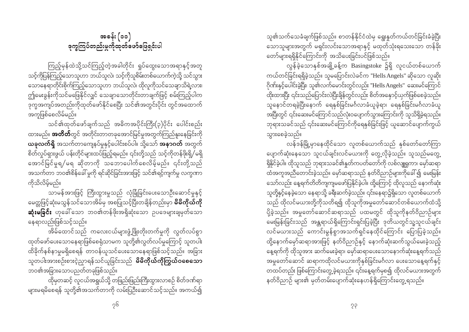အခန်း (၁၁) ခုကွကြပ်တည်းမှုကိုထုတ်ဖော်ဖြေရှင်းပါ

ကြည့်မှန်ထဲသို့သင်ကြည့်တဲ့အခါတိုင်း ရှုပ်ထွေးသောအရာနှင့်အတူ သင့်ကိုပြန်ကြည့်သောသူဟာ ဘယ်သူလဲ၊ သင့်ကိုသူစိမ်းတစ်ယောက်ကဲ့သို့ သင်သွား သောနေရာတိုင်းစိုက်ကြည့်သောသူဟာ ဘယ်သူလဲ၊ ထိုလူကိုသင်သေချာသိရဲ့လား၊ ဤမေးခွန်းကိုသင်မဖြေနိုင်လျှင် သေချာသောတိုင်းတာချက်ဖြင့် စမ်းကြည့်ပါက ဒုက္ခအကျပ်အတည်းကိုထုတ်ဖော်နိုင်စေပြီး သင်၏အတွင်းပိုင်း တွင်အထောက် အကူဖြစ်စေလိမ်မည်။

သင်၏ထုတ်ဖော်ချက်သည် အဓိကအပိုင်းကြီး(၃)ပိုင်း ပေါင်းစည်း ထားမည်။ **အတိတ်**တွင် အတိုင်းတာတခုအောင်မြင်မှုအတွက်ကြည်နူးနေခြင်းကို **ယခုလက်ရှိ** အသက်တာကျေနပ်မှုနှင့်ပေါင်းစပ်ပါ။ သို့သော် **အနာဂတ်** အတွက် စိတ်လှုပ်ရှားဖွယ် ပန်းတိုင်များထပ်ဖြည့်ရမည်။ ၎င်းတို့သည် သင့်ကိုတန်ဖိုးရှိ/မရှိ အောင်မြင်မှုရ/မရ ဆိုတာကို သဘောပေါက်စေလိမ့်မည်။ ၎င်းတို့သည် အသက်တာ ဘဝ၏စိန်ခေါ် မှုကို ရင်ဆိုင်ခြင်းအားဖြင့် သင်၏ရင့်ကျက်မှု လက္ခဏာ ကိုသိုလိမ်မည်။

သာမန်အားဖြင့် ကြီးထွားမှုသည် လုံခြုံခြင်းပေးသောဦးဆောင်မှုနှင့် မေတ္တဖြင့်ဆုံးမသွန်သင်သောအိမ်မှ အစပြုသင့်ပြီးတချိန်တည်းမှာ **မိမိကိုယ်ကို ဆုံးမခြင်း** ဟုခေါ်သော ဘဝ၏တန်ဖိုးအရှိဆုံးသော ဥပဒေများချမှတ်သော နေရာလည်းဖြစ်သင့်သည်။

အိမ်ထောင်သည် ကလေးငယ်များဖွံ့ဖြိုးတိုးတက်မှုကို လွတ်လပ်စွာ ထုတ်ဖော်ပေးသောနေရာဖြစ်စေရုံသာမက သူတို့၏လွတ်လပ်မှုကြောင့် သူတပါး ထိခိုက်နစ်နာမှုမရှိစေရန် တာဝန်ယူသင်ပေးသောနေရာဖြစ်သင့်သည်။ အခြား သူတပါးအားစဉ်းစားငဲ့ညှာရန်သင်ယူခြင်းသည် **မိမိကိုယ်ကိုကြွယ်ဝစေသော** ဘဝ၏အခြားသောပညတ်တခုဖြစ်သည်။

ထိုမှတဆင့် လူငယ်အရွယ်သို့ တဖြည်းဖြည်းကြီးထွားလာစဉ် စိတ်ဒဏ်ရာ .<br>များမရမိစေရန် သူတို့၏အသက်တာကို လမ်းပြဉ်းဆောင်သင့်သည်။ အကယ်၍

သူ၏သက်သေခံချက်ဖြစ်သည်။ စာတန်နိုင်ငံထဲမှ ရွေးနှုတ်ကယ်တင်ခြင်းခံခဲ့ပြီး သောသူများအတွက် မရှင်းလင်းသောအရာနှင့် မထုတ်သုံးရသေးသော တန်ခိုး တော်များရရှိနိုင်ကြောင်းကို အသိပေးခြင်းပင်ဖြစ်သည်။

လွန်ခဲ့သောနှစ်အချို့ခန့်က Basingstoke ၌ရှိ လူငယ်တစ်ယောက် ကယ်တင်ခြင်းရရှိခဲ့သည်။ သူမပြောင်းလဲခင်က "Hells Angels" ဆိုသော လူဆိုး ဂိုဏ်းနှင့်ပေါင်းခဲ့ပြီး၊ သူ၏လက်မောင်းတွင်လည်း "Hells Angels" ဆေးမင်ကြောင် ထိုးထားပြီး ၎င်းသည်ပြောင်းလဲပြီးချိန်တွင်လည်း စိတ်အနှောင့်ယှက်ဖြစ်စေခဲ့သည်။ သူနောင်တရခဲ့ပြီးနောက် ရေနှစ်ခြင်းမင်္ဂလာခံယူခဲ့ရာ၊ ရေနှစ်ခြင်းမင်္ဂလာခံယူ .<br>အပြီးတွင် ၎င်းဆေးမင်ကြောင်သည်လုံးဝပျောက်သွားကြောင်းကို သူသိရှိခဲ့ရသည်။ ဘုရားသခင်သည် ၎င်းဆေးမင်ကြောင်ကိုရေနှစ်ခြင်းဖြင့် ယူဆောင်ပျောက်ကွယ် သွားစေခဲ့သည်။

လန်ဒန်မြို့မှာနေထိုင်သော လူတစ်ယောက်သည် နှစ်တော်တော်ကြာ ပျောက်ဆုံးနေသော သူငယ်ချင်းလင်မယားကို တွေ့လိုခဲ့သည်။ သူသည်မတွေ့ ရှိနိုင်ခဲ့ပါ။ ထိုသူသည် ဘုရားသခင်၏နှုတ်ကပတ်တော်ကို လစ်လျူရှုကာ၊ မှော်ဆရာ ထံအကူအညီတောင်းခဲ့သည်။ မှော်ဆရာသည် နတ်ဝိညာဉ်များကိုခေါ် ၍ မေးမြန်း သော်လည်း နေ့ရက်တိတိကျကျမဖော်ပြနိုင်ခဲ့ပါ။ ထို့ကြောင့် ထိုလူသည် နောက်ဆုံး သူတို့နှင့်နေခဲ့သော နေရာသို့ ခရီးဆက်ခဲ့သည်။ ၎င်းနေရာ၌ရှိသော လူတစ်ယောက် သည် ထိုလင်မယားတို့ကိုသတိရ၍ ထိုသူကိုအမှုတော်ဆောင်တစ်ယောက်ထံသို့ -<br>ပို့ခဲ့သည်။ အမှုတော်ဆောင်ဆရာသည် ပထမတွင် ထိုသူကိုနတ်ဝိညာဉ်များ -<br>မေးမြန်းခြင်းသည် အန္တရာယ်ရှိကြောင်းရှင်းပြခဲ့ပြီး ဒုတိယတွင်သူ့သူငယ်ချင်း လင်မယားသည် ကောင်းမွန်စွာအသက်ရှင်နေထိုင်ကြောင်း ပြောပြခဲ့သည်။ ထို့နောက်မှော်ဆရာအားဖြင့် နတ်ဝိညာဉ်နှင့် နောက်ဆုံးဆက်သွယ်မေးခဲ့သည့် နေ့ရက်ကို ထိုသူအား ဆက်မေးခဲ့ရာ၊ မှော်ဆရာပေးသောနောက်ဆုံးနေ့ရက်သည် - …<br>အမှုတော်ဆောင် ဆရာကထိုလင်မယားကိုနှစ်ခြင်းမင်္ဂလာ ပေးသောနေ့ရက်နှင့် တထပ်တည်း ဖြစ်ကြောင်းတွေ့ခဲ့ရသည်။ ၎င်းနေ့ရက်မှစ၍ ထိုလင်မယားအတွက် နတ်ဝိညာဉ် များ၏ မှတ်တမ်းပျောက်ဆုံးနေဟန်ရှိကြောင်းတွေ့ရသည်။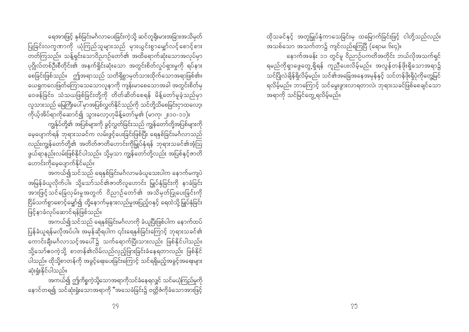ရေအားဖြင့် နှစ်ခြင်းမင်္ဂလာပေးခြင်းကဲ့သို့ ဆင်တူရိုးမားအခြားအသိမှတ် ပြုခြင်းလက္ခဏာကို ယုံကြည်သူများသည် မှားယွင်းစွာမျော်လင့်စောင့်စား တတ်ကြသည်။ သန့်ရှင်းသောဝိညာဉ်တော်၏ အထိရောက်ဆုံးသောအလုပ်မှာ ပုဂ္ဂိုလ်တစ်ဦးစီတိုင်း၏ အနက်ရှိုင်းဆုံးသော အတွင်းစိတ်လှုပ်ရှားမှုကို ရပ်နား - …<br>စေခြင်းဖြစ်သည်။ ဤအရာသည် သတိရှိစွာမှတ်သားထိုက်သောအရာဖြစ်၏။ ယေရှုကလေဖြတ်ကြောသေသောလူနာကို ကျန်းမာစေသောအခါ အတွင်းစိတ်မှ ဝေဖန်ခြင်း၊ သံသယဖြစ်ခြင်းတို့ကို တိတ်ဆိတ်စေရန် မိန့်တော်မူခဲ့သည်မှာ လူသားသည် မြေကြီးပေါ် မှာအပြစ်လွှတ်နိုင်သည်ကို သင်တို့သိစေခြင်းငှာထလော့၊

ကိုယ့်အိပ်ရာကိုဆောင်၍ သွားလော့ဟုမိန့်တော်မူ၏ (မာကု၊ ၂း၁၀-၁၁)။ ကျွန်ုပ်တို့၏ အပြစ်များကို ခွင့်လွှတ်ခြင်းသည် ကျွန်တော်တို့အပြစ်များကို မေ့ပျောက်ရန် ဘုရားသခင်က လမ်းဖွင့်ပေးခြင်းဖြစ်ပြီး ရေနှစ်ခြင်းမင်္ဂလာသည် လည်းကျွန်တော်တို့၏ အတိတ်ဇာတိဟောင်းကိုမြှုပ်နှံရန် ဘုရားသခင်၏အံ့ဩ ဖွယ်ရာနည်းလမ်းဖြစ်နိုင်ပါသည်။ သို့မှသာ ကျွန်တော်တို့လည်း အပြစ်နှင့်ဇာတိ ဟောင်းကိုမေပျောက်နိုင်မည်။

အကယ်၍သင်သည် ရေနှစ်ခြင်းမင်္ဂလာမခံယူသေးပါက နောက်မကျပဲ အမြန်ခံယူလိုက်ပါ။ သို့သော်သင်၏ဇာတိလူဟောင်း မြှုပ်နှံခြင်းကို နာခံခြင်း အားဖြင့်သင်ခြေလှမ်းမှုအတွက် ဝိညာဉ်တော်၏ အသိမှတ်ပြုပေးခြင်းကို .<br>ငြိမ်သက်စွာစောင့်မျှော်၍ ထို့နောက်မှနားလည်မှုအပြည့်ဝနှင့် ရေထဲသို့ မြှုပ်နှံခြင်း ဖြင့်နာခံလုပ်ဆောင်ရန်ဖြစ်သည်။

အကယ်၍သင်သည် ရေနှစ်ခြင်းမင်္ဂလာကို ခံယူပြီးဖြစ်ပါက နောက်ထပ် ပြန်ခံယူရန်မလိုအပ်ပါ။ အမှန်ဆိုရပါက ၎င်းရေနှစ်ခြင်းကြောင့် ဘုရားသခင်၏ ာ<br>ကောင်းချီးမင်္ဂလာသင့်အပေါ်၌ သက်ရောက်ပြီးသားလည်း ဖြစ်နိုင်ပါသည်။ သို့သော်ဧဝကဲ့သို့ စာတန်၏လိမ်လည်လှည့်ဖြားခြင်းခံနေရတာလည်း ဖြစ်နိုင် ပါသည်။ ထိုသို့စာတန်ကို အခွင့်ရေးပေးခြင်းကြောင့် သင်ရရှိမည့်အခွင့်အရေးများ ဆုံးရှုံးနိုင်ပါသည်။

အကယ်၍ ဤကိစ္စကဲ့သို့သောအရာကိုသင်ခံနေရလျှင် သင်မယုံကြည်မှုကို နောင်တရ၍ သင်ဆုံးရှုံးသောအရာကို "အသေခံခြင်း၌ ဗတ္ထိဇံကိုခံသောအားဖြင့်

ထိုသခင်နှင့် အတူမြှုပ်နှံကာသေခြင်းမှ ထမြောက်ခြင်းဖြင့် ငါတို့သည်လည်း ာသစ်သော အသက်တာ၌ ကျင်လည်ရကြပြီ (ရောမ၊ ၆း၄)။ နောက်အခန်း ၁၁ တွင်မူ ဝိညာဉ်ပကတိအတိုင်း ဘယ်လိုအသက်ရှင် ရမည်ကိုရှာဖွေတွေ့ရှိရန် ကူညီပေးလိမ့်မည်။ အလွန်တန်ဖိုးရှိသောအရာ၌ ာင်ပြိုလဲချိန်ရှိလိမ့်မည်။ သင်၏အခြေအနေအမှန်နှင့် သင်တန်ဖိုးရှိပုံကိုတွေ့မြင် ရလိမ့်မည်။ ဘာကြောင့် သင်မွေးဖွားလာရတာလဲ၊ ဘုရားသခင်ဖြစ်စေချင်သော အရာကို သင်မြင်တွေ့ရလိမ့်မည်။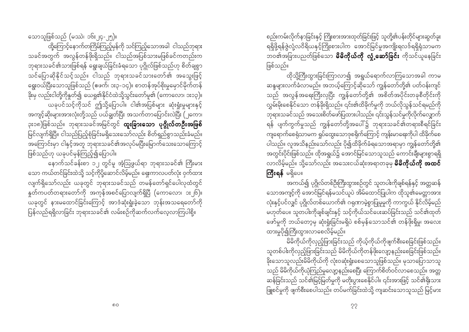သောသူဖြစ်သည် (မဿဲ၊ ၁၆း၂၄-၂၅)။

ထို့ကြောင့်နောက်တကြိမ်ကြည့်မှန်ကို သင်ကြည့်သောအခါ ငါသည်ဘုရား သခင်အတွက် အလွန်တန်ဖိုးရှိသည်။ ငါသည်အပြစ်သားမဖြစ်ခင်ကတည်းက ဘုရားသခင်၏သားဖြစ်ရန် ရွေးချယ်ခြင်းခံရသော ပုဂ္ဂိုလ်ဖြစ်သည်ဟု စိတ်ချစွာ သင်ပြောဆိုနိုင်သင့်သည်။ ငါသည် ဘုရားသခင်သားတော်၏ အသွေးဖြင့် ရွေးဝယ်ပြီးသောသူဖြစ်သည် (ဧဖက်၊ ၁း၃-၁၄)။ စာတန်အုပ်စိုးမှုမှောင်မိုက်တန် ား<br>ခိုးမှ လည်းငါတို့ကိုနှုတ်၍ ယေရှု၏နိုင်ငံထဲသို့သွင်းတော်မူ၏ (ကောလော၊ ၁း၁၃)။ ယခုပင်သင့်ကိုသင် ဤသို့ပြောပါ။ ငါ၏အပြစ်များ ဆုံးရှုံးမှုများနှင့် အကျင့်ဆိုးများအားလုံးတို့သည် ပယ်ချွတ်ပြီး အသက်တာပြောင်းလဲပြီး (၂ကော၊ ၃း၁၈)ဖြစ်သည်။ ဘုရားသခင်အမြင်တွင် **ထူးခြားသော ပုဂ္ဂိုလ်တဦးအဖြစ်** မြင်လျက်ရှိပြီ။ ငါသည်ပြည့်စုံခြင်းမရှိသေးသော်လည်း စိတ်ရှည်စွာသည်းခံမည်။ အကြောင်းမှာ ငါနှင့်အတူ ဘုရားသခင်၏အလုပ်မပြီးမြောက်သေးသောကြောင့် ဖြစ်သည်ဟု ယခုပင်မှန်ကြည့်၍ပြောပါ။

နောက်သင်ခန်းစာ ၁၂ တွင်မူ အံ့ဩဖွယ်ရာ ဘုရားသခင်၏ ကြီးမား သော ကယ်တင်ခြင်းထဲသို့ သင့်ကိုပို့ဆောင်လိမ့်မည်။ ရှေးကာလပတ်လုံး ဝှက်ထား နှတ်ကပတ်တရားတော်ကို အကုန်အစင်ပြောလျက်ရှိပြီ (ကောလော၊ ၁း၂၆)။ ယခုတွင် နားမထောင်ခြင်းကြောင့် အာဒံဆုံးရှုံးခဲ့သော ဘုန်းအသရေတော်ကို ပြန်လည်ရရှိလာခြင်း ဘုရားသခင်၏ လမ်းစဉ်ကိုဆက်လက်လေ့လာကြပါစို့။

စည်းကမ်းလိုက်နာခြင်းနှင့် ကြိုးစားအားထုတ်ခြင်းဖြင့် သူတို့၏ပန်းတိုင်များဆွတ်ခူး ရရှိဖို့ရန်ဇွဲလုံ့လဝိရိယနှင့်ကြိုးစားပါက အောင်မြင်မှုအကျိုးရလဒ်ရရှိရုံသာမက ားကို လွှတ်<br>ဘဝ၏အခြားပညတ်ဖြစ်သော **မိမိကိုယ်ကို လှုံ့ဆော်ခြင်း** ကိုသင်ယူနေခြင်း ဖြစ်သည်။

ထိုသို့ကြီးထွားခြင်းကြာလာ၍ အရွယ်ရောက်လာကြသောအခါ ကာမ ဆန္ဒများလက်ခံလာမည်။ အဘယ့်ကြောင့်ဆိုသော် ကျွန်တော်တို့၏ ပတ်ဝန်းကျင် သည် အလွန်အရေးကြီးလှပြီး ကျွန်တော်တို့၏ အစိတ်အပိုင်းတခုစီတိုင်းကို လွှမ်းမိုးစေနိုင်သော တန်ခိုးရှိသည်။ ၎င်း၏ထိခိုက်မှုကို ဘယ်လိုသွန်သင်ရမည်ကို .<br>ဘုရားသခင်သည် အသေးစိတ်ဖော်ပြထားပါသည်။ ၎င်းသွန်သင်မှုကိုလိုက်လျှောက် ရန် ပျက်ကွက်မှုသည် ကျွန်တော်တို့အပေါ်၌ ဘုရားသခင်၏တရားစီရင်ခြင်း .<br>ကျရောက်စေရုံသာမက ရှုပ်ထွေးသောဒုစရိုက်ကြောင့် ကျန်းမာရေးကိုပါ ထိခိုက်စေ ပါသည်။ လူအသိနည်းသော်လည်း ပို၍ထိခိုက်ခံရသောအရာမှာ ကျွန်တော်တို့၏ အတွင်းပိုင်းဖြစ်သည်။ ထိုအရွယ်၌ အောင်မြင်သောသူသည် ကောင်းချီးများစွာရရှိ လာလိမ့်မည်။ သို့သော်လည်း အသေးငယ်ဆုံးအရာတခုမှ **မိမိကိုယ်ကို အထင်** ကြီးရန် မရှိပေ။

အကယ်၍ ပုဂ္ဂိုလ်တစ်ဦးကြီးထွားစဉ်တွင် သူတပါးကိုချစ်ရန်နှင့် အတ္တဆန် သောအကျင့်ကို အောင်မြင်ရန်မသင်ယူပဲ အိမ်ထောင်ပြုပါက ထိုသူ၏မေတ္တာအား လုံးနှင့်ပင်လျှင် ပုဂ္ဂိုလ်တစ်ယောက်၏ ဂရုဏာမဲ့စွာပြုမူမှုကို ကာကွယ် နိုင်လိမ့်မည် မဟုတ်ပေ။ သူတပါးကိုချစ်ချင်းနှင့် သင့်ကိုယ်သင်ပေးဆပ်ခြင်းသည် သင်၏ထုတ် ဖော်မှုကို ဘယ်တော့မှ ဆုံးရှုံးခြင်းမရှိပဲ စစ်မှန်သောသင်၏ တန်ဖိုးရှိမှု၊ အလေး ထားမှုပို၍ကြီးထွားလာစေလိမ့်မည်။

မိမိကိုယ်ကိုလှည့်ဖြားခြင်းသည် ကိုယ့်ကိုယ်ကိုဖျက်စီးစေခြင်းဖြစ်သည်။ သူတစ်ပါးကိုလှည့်ဖြားခြင်းသည် မိမိကိုယ်ကိုတန်ဖိုးလျော့နည်းစေခြင်းဖြစ်သည်။ \_<br>သည် မိမိကိုယ်ကိုယုံကြည်မှုလျော့နည်းစေပြီး ကြောက်စိတ်ဝင်လာစေသည်။ အတ္တ ဆန်ခြင်းသည် သင်၏မြင့်မြတ်မှုကို မတိုးပွားစေနိုင်ပါ။ ၎င်းအားဖြင့် သင်၏ရိုးသား ဖြူစင်မှုကို ဖျက်စီးစေပါသည်။ တပ်မက်ခြင်းထဲသို့ ကျဆင်းသောသူသည် မြင့်မား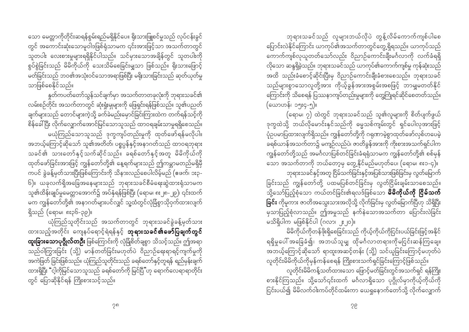သော မေတ္တာကိုတိုင်းဆရန်စွမ်းရည်မရှိနိုင်ပေ။ ရိုးသားဖြူစင်မှုသည် လုပ်ငန်းခွင် တွင် အကောင်းဆုံးသောမူဝါဒဖြစ်ရုံသာမက ၎င်းအားဖြင့်သာ အသက်တာတွင် သူတပါး လေးစားမှုများရရှိနိုင်ပါသည်။ သင်မှားသောအချိန်တွင် သူတပါးကို စွပ်စွဲခြင်းသည် မိမိကိုယ်ကို သေးသိမ်စေခြင်းမျှသာ ဖြစ်သည်။ ရိုးသားဖြောင့် မတ်ခြင်းသည် ဘဝ၏အသုံးဝင်သောအရာဖြစ်ပြီး မနိုးသားခြင်းသည် ဆုတ်ယုတ်မှု သာဖြစ်စေနိုင်သည်။

နှုတ်ကပတ်တော်သွန်သင်ချက်မှာ အသက်တာတခုလုံးကို ဘုရားသခင်၏ လမ်းစဉ်တိုင်း အသက်တာတွင် ဆုံးရှုံးမှုများကို ဖြေရှင်းရန်ဖြစ်သည်။ သူ၏ပညတ် ချက်များသည် တောင်များကဲ့သို့ ခက်ခဲမည်းမှောင်ခြင်းကြားထဲက တက်ရန်သင့်ကို စိန်ခေါ်ပြီး လိုက်လျှောက်အောင်မြင်သောသူသည် ထာဝရချမ်းသာမှုရရှိစေသည်။ မယုံကြည်သောသူသည် ဒုက္ခကျပ်တည်းမှုကို ထုတ်ဖော်ရန်မလိုပါ။ အဘယ့်ကြောင့်ဆိုသော် သူ၏အတိတ်၊ ပစ္စပ္ပန်နှင့်အနာဂတ်သည် ထာဝရဘုရား သခင်၏ သားတော်နှင့်သက်ဆိုင်သည်။ ခရစ်တော်နှင့်အတူ မိမိကိုယ်ကို ထုတ်ဖော်ခြင်းအားဖြင့် ကျွန်တော်တို့၏ နေ့ရက်များသည် ဤကမ္ဘာမတည်မရှိမှီ ကပင် ခွဲခန့်မှတ်သားပြီးဖြစ်ကြောင်းကို သိနားလည်စေပါလိမ့်မည် (ဧဖက်၊ ၁း၃-သူ၏ထိန်းချုပ်မှုမေတ္တာအောက်၌ အပ်နှံရန်ဖြစ်ပြီး (ရောမ၊ ၈း၂၈-၂၉)၊ ၎င်းထက် မက ကျွန်တော်တို့၏ အနာဂတ်များပင်လျှင် သူ့ထံတွင်လုံခြံစွာသိုဝှက်ထားလျက် ရှိသည် (ရောမ၊ ၈း၃၆-၃၉)။

ယုံကြည်သူတိုင်းသည် အသက်တာတွင် ဘုရားသခင်ခွဲခန့်မှတ်သား ထားသည့်အတိုင်း ကျေနပ်ရောင့်ရဲရန်နှင့် **ဘုရားသခင်၏ဖော်ပြချက်တွင် ထူးခြားသောပုဂ္ဂိုလ်တဦး** ဖြစ်ကြောင်းကို လုံခြုံစိတ်ချစွာ သိသင့်သည်။ ဤအရာ သည်ဝါကြွားခြင်း (သို့) မာန်တတ်ခြင်းမဟုတ်ပဲ ဝိညာဉ်ရေးရာရင့်ကျက်မှုကို အကဲဖြတ် ခြင်းဖြစ်သည်။ ယုံကြည်သူတိုင်းသည် ခရစ်တော်နှင့်တူရန် ရည်မှန်းချက် ထားရှိပြီး "င့ါကိုမြင်သောသူသည် ခရစ်တော်ကို မြင်ပြီ"ဟု ရောက်လေရာရာတိုင်း တွင် ပြောဆိုနိုင်ရန် ကြိုးစားသင့်သည်။

ဘုရားသခင်သည် လူများဘယ်လိုပဲ တွန့်လိမ်ကောက်ကျစ်ပါစေ ပြောင်းလဲနိုင်ကြောင်း ယာကုပ်၏အသက်တာတွင်တွေ့ ရှိရသည်။ ယာကုပ်သည် ကောက်ကျစ်လှယူတတ်သော်လည်း ဝိညာဉ်ကောင်းချီးမင်္ဂလာကို လက်ခံရရှိ ာ<br>အထိ သည်းခံစောင့်ဆိုင်းပြီးမှ ဝိညာဉ်ကောင်းချီးခံစားစေသည်။ ဘုရားသခင် သည်များစွာသောလူတို့အား ကိုယ့်ခွန်အားအစွမ်းအစဖြင့် ဘာမျှမတတ်နိုင် ကြောင်းကို သိစေရန် ပြဿနာကျပ်တည်းမှုများကို တွေ့ကြုံရင်ဆိုင်စေတတ်သည်။ (ယောဟန်၊ ၁၅း၄-၅)။

(ရောမ၊ ၇) ထဲတွင် ဘုရားသခင်သည် သူ၏လူများကို စိတ်ပျက်ဖွယ် ဒုက္ခထဲသို့ ဘယ်လိုမောင်းနှင်သည်ကို ဓမ္မသစ်ကျမ်းတွင် ရှင်ပေါလှအားဖြင့် ပုံဥပမာပြထားလျက်ရှိသည်။ ကျွန်တော်တို့ကို ဂရုဏာမဲ့စွာထုတ်ဖော်လှစ်ဟပေမဲ့ ခရစ်ယာန်အသက်တာ၌ မကျဉ်လည်ပဲ၊ ဇာတိခွန်အားကို ကိုးစားအသက်ရှင်ပါက ကျွန်တော်တို့သည် အမင်္ဂလာပြစ်တင်ခြင်းခံရရုံသာမက ကျွန်တော်တို့၏ စစ်မှန် ္ဗ်ာ<br>'သော အသက်တာကို ဘယ်တော့မှ တွေ့နိုင်မည်မဟုတ်ပေ၊ (ရောမ၊ ၈း၁-၄)။ ဘုရားသခင်နှင့်အတူ ငြိမ်သက်ခြင်းနှင့်အပြစ်သားဖြစ်ခြင်းမှ လွတ်မြောက်

ခြင်းသည် ကျွန်တော်တို့ ပထမပြစ်တင်ခြင်းမှ လွတ်ငြိမ်းချမ်းသာစေသည်။ ာ<br>သို့သော်ပြည့်စုံသော ကယ်တင်ခြင်း၏ရလဒ်ဖြစ်သော **မိမိကိုယ်ကို ငြိမ်သက်** ခြင်း ကိုမူကား ဇာတိအသွေးသားအလိုသို့ လိုက်ခြင်းမှ လွတ်မြောက်ပြီဟု သိရှိပြီး မှသာပြည့်စုံလာသည်။ ဤအမှုသည် နက်နဲသောအသက်တာ ပြောင်းလဲခြင်း မသိရှိပါက မဖြစ်နိုင်ပါ (ဂလာ၊ ၂း၂၀)။

မိမိကိုယ်ကိုတန်ဖိုးရှိစေခြင်းသည် ကိုယ့်ကိုယ်ကိုငြင်းပယ်ခြင်းဖြင့်အနိုင် ရရှိမှုပေါ် အခြေခံ၍၊ အဘယ်သူမျှ ထိုမင်္ဂလာတရားကိုမငြင်းဆန်ကြချေ။ အဘယ့်ကြောင့်ဆိုသော် ရာထူးအဆင့်တန်း (သို့) သင်ယူခြင်းကြောင့်မဟုတ်ပဲ လူတိုင်းမိမိကိုယ်ကိုမှန်ကန်စေရန် ကြိုးစားသက်ရှင်ခြင်းကြောင့်ဖြစ်သည်။

လူတိုင်းမိမိကန့်သတ်ထားသော ဖြောင့်မတ်ခြင်းတွင်အသက်ရှင် ရန်ကြိုး စားနိုင်ကြသည်။ သို့သော်၎င်းထက် မင်္ဂလာရှိသော ပုဂ္ဂိုလ်မှာကိုယ့်ကိုယ်ကို ငြင်းပယ်၍ မိမိလက်ဝါးကပ်တိုင်ထမ်းကာ ယေရှုနောက်တော်သို့ လိုက်လျှောက်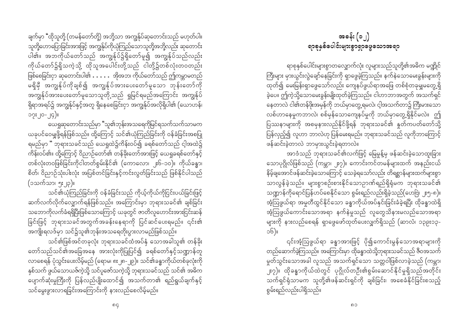ချက်မှာ "ထိုသူတို့ (တမန်တော်တို့) အဘို့သာ အကျွန်ုပ်ဆုတောင်းသည် မဟုတ်ပါ။ သူတို့ဟောပြောခြင်းအားဖြင့် အကျွန်ုပ်ကိုယုံကြည်သောသူတို့အဘို့လည်း ဆုတောင်း ပါ၏။ အဘကိုယ်တော်သည် အကျွန်ုပ်၌ရှိတော်မူ၍ အကျွန်ုပ်သည်လည်း ကိုယ်တော်၌ရှိသကဲ့သို့ ထိုသူအပေါင်းတို့သည် ငါတို့၌တစ်လုံးတဝတည်း ဖြစ်စေခြင်းငှာ ဆုတောင်းပါ၏  $\dotsb$ း အိုအဘ၊ ကိုယ်တော်သည် ဤကမ္ဘာမတည် မရှိမှီ အကျွန်ုပ်ကိုချစ်၍ အကျွန်ုပ်အားပေးတော်မူသော ဘုန်းတော်ကို အကျွန်ုပ်အားပေးတော်မူသောသူတို့သည် ရှုမြင်ရမည်အကြောင်း အကျွန်ုပ် ရှိရာအရပ်၌ အကျွန်ုပ်နှင့်အတူ ရှိနေစေခြင်းငှာ အကျွန်ုပ်အလိုရှိပါ၏ (ယောဟန်၊ ၁၇း၂၀-၂၄)။

ယေရှုဆုတောင်းသည်မှာ "သူ၏ဘုန်းအသရေကိုမြင်ရသက်သက်သာမက ယခုပင်ဝေမျှဖို့ရန်ဖြစ်သည်။ ထို့ကြောင့် သင်၏ယုံကြည်ခြင်းကို ဝန်ခံခြင်းအစပြု ရမည်မှာ " ဘုရားသခင်သည် ယေရှုထဲ၌ကိန်းဝပ်၍ ခရစ်တော်သည် ငါ့အထဲ၌ .<br>ကိန်းဝပ်၏။ ထို့ကြောင့် ဝိညာဉ်တော်၏ တန်ခိုးတော်အားဖြင့် ယေရှုခရစ်တော်နှင့် တစ်လုံးတဝဖြစ်ခြင်းကိုငါတတ်စွမ်းနိုင်၏ (ကောလော၊ ၂း၆-၁၀)။ ကိုယ်ခန္ဓာ၊ စိတ်၊ ဝိညာဉ်သုံးပါးလုံး အပြစ်တင်ခြင်းနှင့်ကင်းလွတ်ခြင်းသည် ဖြစ်နိုင်ပါသည် (၁သက်သာ၊ ၅း၂၃)။

သင်၏ယုံကြည်ခြင်းကို ဝန်ခံခြင်းသည် ကိုယ့်ကိုယ်ကိုငြင်းပယ်ခြင်းဖြင့် ဆက်လက်လိုက်လျှောက်ရန်ဖြစ်သည်။ အကြောင်းမှာ ဘုရားသခင်၏ ချစ်ခြင်း သဘောကိုလက်ခံရရှိပြီးဖြစ်သောကြောင့် ယခုတွင် ဇာတိလူဟောင်းအားငြင်းဆန် ခြင်းဖြင့် ဘုရားသခင်အတွက်အခန်းနေရာကို ပြင်ဆင်ပေးရမည်။ ၎င်း၏ အကျိုးရလဒ်မှာ သင်၌သူ၏ဘုန်းအသရေတိုးပွားလာမည်ဖြစ်သည်။

သင်၏ဖြစ်အင်တခုလုံး ဘုရားသခင်ထံအပ်နှံ သောအခါသူ၏ တန်ခိုး တော်သည်သင်၏အခြေအနေ အားလုံးကိုပြုပြင်၍ ခရစ်တော်နှင့်သဏ္ဍာန်တူ လာစေရန် ပုံသွင်းပေးလိမ့်မည် (ရောမ၊ ၈း၂၈-၂၉)။ သင်၏ခန္ဓာကိုယ်တစ်ခုလုံးကို နှစ်သက် ဖွယ်သောယဇ်ကဲ့သို့ သင်ပူဇော်သကဲ့သို့ ဘုရားသခင်သည် သင်၏ အဓိက -<br>ပျောက်ဆုံးမှုကြီးကို ပြန်လည်ပျိုးထောင်၍ အသက်တာ၏ ရည်ရွယ်ချက်နှင့် သင်မွေးဖွားလာရခြင်းအကြောင်းကို နားလည်စေလိမ့်မည်။

# အခန်း  $\left(\circ\right)$ ရာစုနှစ်ပေါင်းများစွာရှာဖွေသော<mark>အ</mark>ရာ

ရာစုနှစ်ပေါင်းများစွာတလျှောက်လုံး လူများသည်သူတို့၏အဓိက မဏ္ဍိုင် ကြီးများ မှားယွင်းလွဲချော်နေခြင်းကို ရှာဖွေခဲ့ကြသည်။ နက်နဲသောမေးခွန်းများကို ထုတ်၍ မေးမြန်းရှာဖွေသော်လည်း ကျေနပ်ဖွယ်ရာအဖြေ တစ်စုံတခုမျှမတွေ့ရှိ နေတာလဲ ငါ၏တန်ဖိုးအမှန်ကို ဘယ်မှာတွေ့ရမလဲ၊ ငါ့အသက်တာ၌ ကြီးမားသော လစ်ဟာနေမှုကဘာလဲ၊ စစ်မှန်သောကျေနပ်မှုကို ဘယ်မှာတွေ့ရှိနိုင်မလဲ။ ဤ ပြဿနာများကို အစမှနားလည်နိုင်ဖို့ရန် ဘုရားသခင်၏ နူတ်ကပတ်တော်သို့ ပြန်လှည့်၍ လူဟာ ဘာလဲဟု ပြန်မေးရမည်။ ဘုရားသခင်သည် လူကိုဘာကြောင့် ဖန်ဆင်းခဲ့တာလဲ ဘာမှားယွင်းခဲ့ရတာလဲ။

အာဒံသည် ဘုရားသခင်၏လက်ဖြင့် မြေမှုန့်မှ ဖန်ဆင်းခဲ့သောထူးခြား သောပုဂ္ဂိုလ်ဖြစ်သည် (ကမ္ဘာ၊ ၂း၇)။ ကောင်းကင်တမန်များထက် အနည်းငယ် နိမ့်ချအောင်ဖန်ဆင်းခဲ့သောကြောင့် သေခဲ့ရသော်လည်း တိရစ္ဆာန်များထက်များစွာ သာလွန်ခဲ့သည်။ များစွာစဉ်းစားနိုင်သောဉာဏ်ရည်ရှိရုံမက ဘုရားသခင်၏ သဏ္ဍာန်ကိုရောင်ပြန်ဟပ်စေနိုင်သော စွမ်းရည်လည်းရှိခဲ့သည်(ဟေဗြဲ၊ ၂း၅-၈)။ အံ့ဩဖွယ်ရာ အမှုတီထွင်နိုင်သော ခန္ဓာကိုယ်အပ်နှင်းခြင်းခံခဲ့ရပြီး ထိုခန္ဓာထဲရှိ ာင်း<br>အံ့ဩဖွယ်ကောင်းသောအရာ နက်နဲမှုသည် လူတွေသိနားမလည်သောအရာ များကို နားလည်စေရန် ရှာဖွေဖော်ထုတ်ပေးလျှက်ရှိသည် (ဆာလံ၊ ၁၃၉း၁၃- $56)$ ll

၎င်းအံ့သြဖွယ်ရာ ခန္ဓာအားဖြင့် ပို၍ကောင်းမွန်သောအရာများကို တည်ဆောက်ခဲ့ကြသည်။ အကြောင်းမှာ ထိုခန္ဓာထဲသို့ဘုရားသခင်သည် ဇီဝအသက် မှုတ်သွင်းသောအခါ လူသည် အသက်ရှင်သော သတ္တဝါဖြစ်လာခဲ့သည် (ကမ္ဘာ၊ သက်ရှင်ရုံသာမက သူတို့၏ဖန်ဆင်းရှင်ကို ချစ်ခြင်း၊ အစေခံနိုင်ခြင်းစသည့် စွမ်းရည်လည်းပါရှိသည်။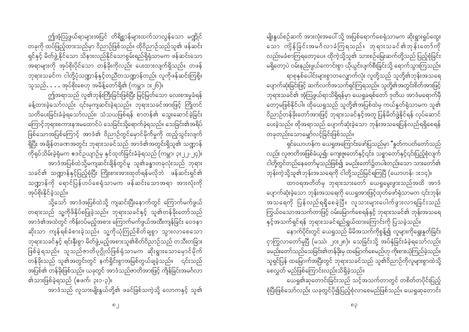ဤအံ့ဩဖွယ်ရာများအပြင် တိရိစ္ဆာန်များထက်သာလွန်သော မဏ္ဍိုင် တခုကို ထပ်ဖြည့်ထားသည်မှာ ဝိညာဉ်ဖြစ်သည်။ ထိုဝိညာဉ်သည်သူ၏ ဖန်ဆင်း ရှင်နှင့် မိတ်ဖွဲ့ နိုင်သော သိနားလည်နိုင်သောစွမ်းရည်ရှိရုံသာမက ဖန်ဆင်းသော အရာများကို အုပ်စိုးပိုင်သော တန်ခိုးကိုလည်း ပေးထားလျက်ရှိသည်။ တဖန် ဘုရားသခင်က ငါတို့ပုံသဏ္ဍာန်နှင့်တညီတသဏ္ဍာန်တည်း လူကိုဖန်ဆင်းကြစို့။ သူသည်…… အုပ်စိုးစေဟု အမိန့်တော်ရှိ၏ (ကမ္ဘာ၊ ၁း၂၆)။

ဤအရာသည် လူ၏ဘုန်းကြီးခြင်းဖြစ်ပြီး မြင့်မြတ်သော လေးစားမှုခံရန် ခန့်ထားခဲ့သော်လည်း ၎င်းမှကျဆင်းခဲ့ရသည်။ ဘုရားသခင်အားဖြင့် ကြိုတင် သတိပေးခြင်းခံခဲ့ရသော်လည်း၊ သံသယဖြစ်ရန် စာတန်၏ သွေးဆောင်ခဲ့ခြင်း ကြောင့်ဘုရားစကားနားမထောင်ပဲ သေခြင်းသို့ရောက်ခဲ့ရသည်။ သေခြင်း၏အရိပ် ဖြစ်သောအပြစ်ကြောင့် အာဒံ၏ ဝိညာဉ်တွင်မှောင်မိုက်မှုကို ထည့်သွင်းလျက် .<br>ကိုရုပ်သိမ်းခဲ့ရုံမက ဧဒင်ဥယျာဉ်မှ နှင်ထုတ်ခြင်းခံခဲ့ရသည် (ကမ္ဘာ၊ ၃း၂၂-၂၄)။ အာဒံအပြစ်ထဲသို့မကျဆင်းချိန်တွင်မူ သူ၏ခန္ဓာတခုလုံးသည် ဘုရား သခင်၏ သဏ္ဍာန်နှင့်ပြည့်စုံပြီး ကြိုးစားအားထုတ်ရန်မလိုဘဲ ဖန်ဆင်းရှင်၏ သဏ္ဍာန်ကို ရောင်ပြန်ဟပ်စေရံသာမက ဖန်ဆင်းသောအရာ အားလုံးကို အုပ်စိုးနိုင်ခဲ့သည်။

သို့သော် အာဒံအပြစ်ထဲသို့ ကျဆင်းပြီးနောက်တွင် ကြောက်မက်ဖွယ် တရားသည် သူ့ကိုဖိနှိပ်စပြုခဲ့သည်။ ဘုရားသခင်နှင့် သူ၏တန်ခိုးတော်သည် အာဒံ၏အထဲတွင် ကိန်းဝပ်မည့်အစား ကြောက်မက်ဖွယ်အထီးကျန်ခြင်း ဝေဒနာ ဆိုးသာ ကျန်ရစ်ခံစားခဲ့သည်။ သူ့ကိုယုံကြည်စိတ်ချစွာ သွားလာစေသော ဘုရားသခင်နှင့် ရင်းနှီးစွာ မိတ်ဖွဲ့မည့်အစားသူ၏စိတ်ဝိညာဉ်သည် တသီးတခြား ဖြစ်ခဲ့ရသည်။ သူသည်ဇာတိပုဂ္ဂိုလ်ဖြစ်ရုံသာမက ဆိုးရွားသောမှောင်မိုက် တန်ခိုးသည် သူ၏အတွင်းတွင် နက်ရှိုင်းစွာအမြစ်တွယ်ချခဲ့သည်။ ၎င်းသည် အပြစ်၏ တန်ခိုးဖြစ်သည်။ ယခုတွင် အာဒံသည်ဇာတိအားဖြင့် ကျိန်ခြင်းအမင်္ဂလာ ၏သားဖြစ်ခဲ့ရသည် (ဧဖက်၊ ၃း၁-၃)။

အာဒံသည် လူသားမျိုးနွယ်တို့၏ ဖခင်ဖြစ်သကဲ့သို့ လောကနှင့် သူ၏

မျိုးနွယ်စဉ်ဆက် အားလုံးအပေါ် သို့ အပြစ်ရောက်စေရုံသာမက ဆိုးရွားရှုပ်ထွေး သော ကျိန်ခြင်းအမင်္ဂလာခံကြရသည်။ ဘုရားသခင်၏ဘုန်းတော်ကို လည်းမခံစာကြရတော့ပေ။ ထိုကဲ့သို့သူ၏ သားစဉ်မြေးဆက်တို့သည် ပြည့်စုံခြင်း မရှိတော့ပဲ ဝမ်းနည်းဖွယ်ကောင်းစွာ ယိုယွင်းပျက်စီးခြင်းသို့ ရောက်သွားကြသည်။ ရာစုနှစ်ပေါင်းများစွာတလျှောက်လုံး လူတို့သည် သူတို့၏ဘုန်းအသရေ ပျောက်ဆုံးခြင်းဖြင့် ဆက်လက်အသက်ရှင်ကြရသည်။ သူတို့၏အတွင်းစိတ်အားဖြင့် ဘုရားသခင်၏ အံ့ဩဖွယ်ရာသိရှိရန်မှာ ယေရှုခရစ်တော် ဒုတိယ အာဒံမရောက်မှီ တော့မဖြစ်နိုင်ပါ။ ထိုယေရှုသည် သူတို့၏အပြစ်ထဲမှ ကယ်နှုတ်ရုံသာမက သူ၏ ဝိညာဉ်တန်ခိုးတော်အားဖြင့် ဘုရားသခင်နှင့်အတူ ပြန်မိတ်ဖွဲ့နိုင်ရန် လုပ်ဆောင် ပေးခဲ့သည်။ ထိုအရာသည် ပျောက်ဆုံးခဲ့သော ဘုန်းအသရေပြန်လည်ရရှိစေရန် တခုတည်းသောမျှော်လင့်ခြင်းဖြစ်သည်။

ရှင်ယောဟန်က ယေရှုအကြောင်းဖော်ပြသည်မှာ "နှုတ်ကပတ်တော်သည် လည်း လူဇာတိအဖြစ်ခံယူ၍၊ ကျေးဇူးတော်နှင့်၎င်း၊ သစ္စာတော်နှင့်၎င်းပြည့်စုံလျက် ငါတို့တွင်တည်နေတော်မူသည်ဖြစ်၍ ခမည်းတော်၌တပါးတည်းသော သားတော်၏ ဘုန်းကဲ့သို့သူ၏ဘုန်းအသရေကို ငါတို့သည်မြင်ရကြပြီ (ယောဟန်၊ ၁း၁၄)။

ထာဝရအတိတ်မှ ဘုရားသားတော် ယေရှုမွေးဖွားသည်အထိ အာဒံ ပျောက်ဆုံးခဲ့သော ဘုန်းအသရေကို ယေရှုအားဖြင့်ထုတ်ဖော်ရုံသာမက ၎င်းဘုန်း အသရေကို ပြန်လည်ရရှိစေခဲ့ပြီ။ လူသားများပေါက်ဖွားလာရခြင်းသည် ကြွယ်ဝသောအသက်တာဖြင့် ဝမ်းမြောက်စေရန်နှင့် ဘုရားသခင်၏ ဘုန်းအသရေ နှင့်အသက်ရှင်ရန် ဘုရားသခင်ရည်ရွယ်ထားကြောင်းကို ပြသခဲ့သည်။

နောက်ပိုင်းတွင် ယေရှုသည် မိမိအသက်ကိုစွန့်၍ လူများကိုရွေးနူတ်ခြင်း ငှာကြွလာတော်မူပြီ (မဿဲ၊ ၂၀း၂၈)။ သေခြင်းသို့ အပ်နှံခြင်းခံခဲ့ရသော်လည်း ခမည်းတော်သည်သေခြင်း၏တန်ခိုးမှ ထမြောက်စေမည်ဟု ကိုးစားယုံကြည်ခဲ့သည်။ သူရှင်ပြန် ထမြောက်အပြီးတွင် ဘုရားသခင်သည် သူ၏ဝိညာဉ်ကိုလူများစွာထဲသို့ စေလွှတ် မည်ဖြစ်ကြောင်းလည်းသိရှိခဲ့သည်။

ယေရှု၏ဆုတောင်းခြင်းသည် သင့်အသက်တာတွင် တစိတ်တပိုင်းပြည့် စုံပြီးဖြစ်သော်လည်း ယခုတွင်ပို၍ပြည့်စုံလာစေမည်ဖြစ်သည်။ ယေရှုဆုတောင်း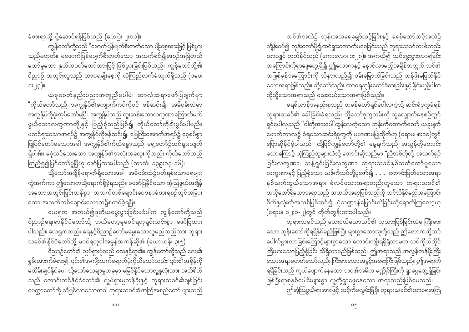ခံစားရာသို့ ပို့ဆောင်ရန်ဖြစ်သည် (ဟေဗြဲ၊ ၂း၁၀)။ ကျွန်တော်တို့သည် "ဖောက်ပြန်ပျက်စီးတတ်သော မျိုးစေ့အားဖြင့် ဖြစ်ပွား သည်မဟုတ်။ မဖောက်ပြန်မပျက်စီးတတ်သော အသက်ရှင်၍အစဉ်အမြဲတည် တော်မူသော နှတ်ကပတ်တော်အားဖြင့် ဖြစ်ပွားခြင်းဖြစ်သည်။ ကျွန်တော်တို့၏ ဝိညာဉ် အတွင်းလူသည် ထာဝရမျိုးစေ့ကို ယုံကြည်လက်ခံလျက်ရှိသည် (၁ပေ၊  $\mathbb{I}(q|s)$ 

ယခုခေတ်နည်းပညာအကူညီမပါပဲ၊ ဆာလံဆရာဖော်ပြချက်မှာ "ကိုယ်တော်သည် အကျွန်ုပ်၏ကျောက်ကပ်ကိုပင် ဖန်ဆင်း၍၊ အမိဝမ်းထဲမှာ .<br>အကျွန်ုပ်ကိုဖုံးအုပ်တော်မူပြီ။ အကျွန်ုပ်သည် ထူးဆန်းသောလက္ခဏာကြောက်မက် ဖွယ်သောလက္ခဏာတို့နှင့် ပြည့်စုံသည်ဖြစ်၍ ကိုယ်တော်ကိုချီးမွမ်းပါမည်။ မထင်ရှားသောအရပ်၌ အကျွန်ုပ်ကိုဖန်ဆင်း၍၊ မြေကြီးအောက်အရပ်၌ စေ့စပ်စွာ ပြုပြင်တော်မူသောအခါ အကျွန်ုပ်၏ကိုယ်ခန္ဓာသည် ရှေ့တော်၌ထင်ရှားလျက် ရှိပါ၏။ မစုံလင်သေးသော အကျွန်ုပ်၏အလုံးအထွေးကိုလည်း ကိုယ်တော်သည်

ကြည့်ရှု၍မြင်တော်မူပြီဟု ဖော်ပြထားပါသည် (ဆာလံ၊ ၁၃၉း၁၃-၁၆)။ -<br>သို့သော်အချိန်ရောက်ရှိသောအခါ အမိဝမ်းထဲ၌ပတ်ရစ်သောရေများ ကွဲအက်ကာ ဤလောကသို့ရောက်ရှိခဲ့ရသည်။ မဖော်ပြနိုင်သော အံ့သြဖွယ်အချိန် -<br>အတောအတွင်းပြင်းထန်စွာ အသက်တစ်ချောင်းဝေဒနာခံစားရစဉ်တွင်အခြား သော အသက်တစ်ချောင်းလောက၌စတင်ခဲ့ရပြီ။

ယေရှုက အကယ်၍ဒုတိယမွေးဖွားခြင်းမခံပါက ကျွန်တော်တို့သည် ဝိညာဉ်ရေးရာနိုင်ငံတော်သို့ ဘယ်တော့မှမဝင်ရဟုရှင်းလင်းစွာ ဖော်ပြထား ပါသည်။ ယေရှုကလည်း ရေနှင့်ဝိညာဉ်တော်မမွေးသောသူမည်သည်ကား ဘုရား သခင်၏နိုင်ငံတော်သို့ မဝင်ရဟုငါအမှန်အကန်ဆို၏ (ယောဟန်၊ ၃း၅)။

ဝိညာဉ်တော်၏ လှုပ်ရှားပုံသည် လေနှင့်တူ၏။ ကျွန်တော်တို့သည် လေ၏ စွမ်းအားကိုခံစား၍ ၎င်း၏အကျိုးသက်ရောက်ပုံကိုသိသော်လည်း ၎င်း၏အရှိန်ကို မထိမ်းချုပ်နိုင်ပေ။ သို့သော်သေချာမှုတခုမှာ မမြင်နိုင်သောလူ့နှလုံးသား အသိစိတ် သည် ကောင်းကင်နိုင်ငံတော်၏ လှုပ်ရှားမှုတန်ခိုးနှင့် ဘုရားသခင်၏ချစ်ခြင်း မေတ္တာတော်ကို သိမြင်လာသောအခါ ဘုရားသခင်၏အကြံအစည်တော် များသည်

သင်၏အထဲ၌ ဘုန်းအသရေမျှော်လင့်ခြင်းနှင့် ခရစ်တော်သင့်အထဲ၌ ကျိန်းဝပ်၍ ဘုန်းတော်ပို၍ထင်ရှားတောက်ပစေခြင်းသည် ဘုရားသခင်တပါးတည်း သာလျှင် တတ်နိုင်သည် (ကောလော၊ ၁း၂၈)။ အကယ်၍ သင်မွေးဖွားလာရခြင်း အကြောင်းကိုရှာဖွေတွေ့ ရှိ၍ ဤလောကနှင့် နောင်လာမည့်အချိန်အတွက် သင်၏ အဖြစ်မှန်အကြောင်းကို သိနားလည်၍ ဝမ်းမြောက်ခြင်းသည် တန်ဖိုးမဖြတ်နိုင် သောအရာဖြစ်သည်။ သို့သော်လည်း ထာဝရဘုန်းတော်ခံစားခြင်းနှင့် နိူင်းယှဉ်ပါက 

ခရစ်ယာန်အနည်းစုသည် တမန်တော်ရှင်ပေါလုကဲ့သို့ ဆင်းရဲဒုက္ခခံရန် ဘုရားသခင်၏ ခေါ်ခြင်းခံရသည်။ သို့သော်ဒုက္ခလမ်းကို သူလျှောက်နေစဉ်တွင် ရှင်ပေါလုသည် "ငါတို့အားပေါ် ထွန်းလတံ့သော ဘုန်းကိုထောက်သော် ယခုမျက် ာ.<br>မှောက်ကာလ၌ ခံရသောဆင်းရဲဒုက္ခကို ပမာဏမပြုထိုက်ဟု (ရောမ၊ ၈း၁၈)တွင် -<br>ပြောဆိုနိုင်ခဲ့ပါသည်။ ထို့ပြင်ကျွန်တော်တို့၏ နေ့ရက်သည် အလွန်တိုတောင်း သောကြောင့် ယုံကြည်သူများထံသို့ တောင်းဆိုသည်မှာ "ညီအစ်ကိုတို့၊ အသက်ရှင် ခြင်းလက္ခဏာ၊ သန့်ရှင်းခြင်းလက္ခဏာ ဘုရားသခင်နှစ်သက်တော်မူသော နှစ်သက်ဘွယ်သောအရာ၊ စုံလင်သောအရာတည်းဟူသော ဘုရားသခင်၏ အလိုတော်ရှိသောအရာသည် အဘယ်အရာဖြစ်သည်ကို သင်သိနိုင်မည်အကြောင်း စိတ်နှလုံးကိုအသစ်ပြင်ဆင်၍ ပုံသဏ္ဍာန်ပြောင်းလဲခြင်းသို့ရောက်ကြလော့ဟု 

ဘုရားသခင်သည် သေးငယ်သောသင်၏ လူသားဖြစ်ခြင်းထဲမှ ကြီးမား သော ဘုန်းတော်ကိုရရှိနိုင်မည်ဖြစ်ပြီး များစွာသောလူတို့သည် ဤလောကသို့သင် ပေါက်ပွားလာခြင်းကြောင့်များစွာသော ကောင်းကျိုးရရှိရုံသာမက သင်ကိုယ်တိုင် ကြီးမားသောပြည့်စုံခြင်း သိရှိလာမည်ဖြစ်သည်။ ဤအရာသည် အလွန်တန်ဖိုးကြီး -<br>ရရှိခြင်းသည် ကွယ်ပျောက်နေသော ဘဝ၏အဓိက မဏ္ဍိုင်ကြီးကို ရှာဖွေတွေ့ရှိခြင်း ဖြစ်ပြီးရာစုနှစ်ပေါင်းများစွာ လူတို့ရှာဖွေနေသော အရာလည်းဖြစ်ပေသည်။ ဤအံ့ဩဖွယ်ရာအားဖြင့် သင့်ကိုမလွှမ်းခြံမှီ၊ ဘုရားသခင်၏ထာဝရအကြံ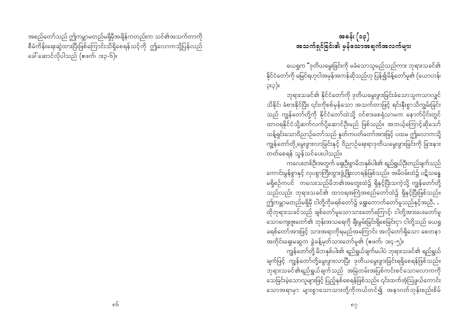အစည်တော်သည် ဤကမ္ဘာမတည်မရှိမှီအချိန်ကတည်းက သင်၏အသက်တာကို စီမံကိန်းရေးဆွဲထားပြီးဖြစ်ကြောင်းသိရှိစေရန်သင့်ကို ဤလောကသို့ပြန်လည် ခေါ် ဆောင်လိုပါသည် (ဧဖက်၊ ၁း၃-၆)။

### အခန်း (၁၃) အသက်ရှင်ခြင်း၏ မှန်သောအချက်အလက်များ

ယေရှုက "ဒုတိယမွေးခြင်းကို မခံသောသူမည်သည်ကား ဘုရားသခင်၏ နိုင်ငံတော်ကို မမြင်ရဟုငါအမှန်အကန်ဆိုသည်ဟု ပြန်၍မိန့်တော်မူ၏ (ယောဟန်၊  $p:Q)$ ll

ဘုရားသခင်၏ နိုင်ငံတော်ကို ဒုတိယမွေးဖွားခြင်းခံသောသူကသာလျှင် သိနိုင်၊ ခံစားနိုင်ပြီး၊ ၎င်းကိုစစ်မှန်သော အသက်တာဖြင့် ရင်းနှီးစွာသိကျွမ်းခြင်း သည် ကျွန်တော်တို့ကို နိုင်ငံတော်ထဲသို့ ဝင်စားစေရုံသာမက နောက်ပိုင်းတွင် သန့်ရှင်းသောဝိညာဉ်တော်သည် နှတ်ကပတ်တော်အားဖြင့် ပထမ ဤလောကသို့ တတ်စေရန် သွန်သင်ပေးပါသည်။

ကလေးတစ်ဦးအတွက် ရှေးဦးစွာမိဘနှစ်ပါး၏ ရည်ရွယ်ဦးတည်ချက်သည် ကောင်းမွန်စွာနှင့် လှပစွာကြီးထွားဖွံ့ဖြိုးလာရန်ဖြစ်သည်။ အမိဝမ်းထဲ၌ ပဋိသန္ဓေ မရှိစဉ်ကပင် ကလေးသည်မိဘ၏အတွေးထဲ၌ ရှိနှင့်ပြီးသကဲ့သို့ ကျွန်တော်တို့ သည်လည်း ဘုရားသခင်၏ ထာဝရအကြံအစည်တော်ထဲ၌ ရှိနှင့်ပြီးဖြစ်သည်။ ဤ<br>ဤကမ္ဘာမတည်မရှိမှီ ငါတို့ကိုခရစ်တော်၌ ရွေးကောက်တော်မူသည်နှင့်အညီ**. .** ထိုဘုရားသခင်သည် ချစ်တော်မူသောသားတော်ကြောင့်၊ ငါတို့အားပေးတော်မူ ာ - - - .<br>သောကျေးဇူးတော်၏ ဘုန်းအသရေကို ချီးမွမ်းခြင်းရှိစေခြင်းငှာ ငါတို့သည် ယေရှု ခရစ်တော်အားဖြင့် သားအရာကိုရမည်အကြောင်း အလိုတော်ရှိသော စေတနာ အတိုင်းရှေးမဆွက ခွဲခန့်မှတ်သားတော်မူ၏ (ဖေက်၊ ၁း၄-၅)။

ကျွန်တော်တို့ မိဘနှစ်ပါး၏ ရည်ရွယ်ချက်မပါပဲ ဘုရားသခင်၏ ရည်ရွယ် ချက်ဖြင့် ကျွန်တော်တို့မွေးဖွားလာပြီး ဒုတိယမွေးဖွားခြင်းရရှိစေရန်ဖြစ်သည်။ ဘုရားသခင်၏ရည်ရွယ်ချက်သည် အမြဲတမ်းအပြစ်ကင်းစင်သောလောကကို သေခြင်းမဲ့သောလူများဖြင့် ပြည့်နှစ်စေရန်ဖြစ်သည်။ ၎င်းထက်အံ့သြဖွယ်ကောင်း သောအရာမှာ များစွာသောသားတို့ကိုကယ်တင်၍ အနာဂတ်ဘုန်းစည်းစိမ်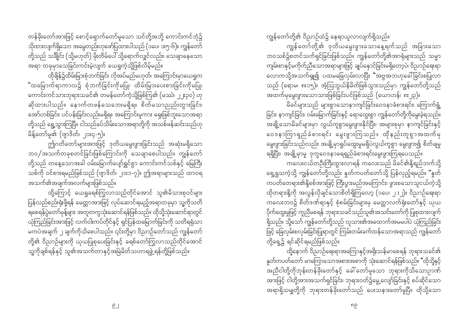တန်ခိုးတော်အားဖြင့် စောင့်ရှောက်တော်မူသော သင်တို့အဘို့ ကောင်းကင်ဘုံ၌ သိုထားလျက်ရှိသော အမွေတည်းဟုဖော်ပြထားပါသည် (၁ပေ၊ ၁း၅-၆)။ ကျွန်တော် တို့သည် သချိုင်း (သို့မဟုတ်) မိုးတိမ်ပေါ် သို့ရောက်လျှင်လည်း၊ သေချာနေသော အရာ တခုမှာသေခြင်းကင်းမဲ့လျက် ယေရှုကဲ့သို့ဖြစ်လိမ့်မည်။

ထိုချိန်၌ထိမ်းမြားစုံဘက်ခြင်း လိုအပ်မည်မဟုတ်၊ အကြောင်းမှာယေရှုက "ထမြောက်ရာကာလ၌ စုံဘက်ခြင်းကိုမပြု၊ ထိမ်းမြားပေးစားခြင်းကိုမပြု၊ ကောင်းကင်သားဘုရားသခင်၏ တမန်တော်ကဲ့သို့ဖြစ်ကြ၏ (မဿဲ၊ ၂၂း၃၀) ဟု ဆိုထားပါသည်။ နောက်တဖန်သေဘေးမရှိရ။ စိတ်မသာညည်းတွားခြင်း၊ -<br>အော်ဟစ်ခြင်း၊ ပင်ပန်းခြင်းလည်းမရှိရ။ အကြောင်းမူကား ရှေးဖြစ်ဘူးသောအရာ တို့သည် ရွေ့သွားကြပြီ။ ငါသည်ခပ်သိမ်းသောအရာတို့ကို အသစ်ဖန်ဆင်းသည်ဟု မိန့်တော်မူ၏ (ဗျာဒိတ်၊ ၂၁း၄-၅)။

ဤဂတိတော်များအားဖြင့် ဒုတိယမွေးဖွားခြင်းသည် အဆုံးမရှိသော ဘဝ/အသက်တခုစတင်ခြင်းဖြစ်ကြောင်းကို သေချာစေပါသည်။ ကျွန်တော် တို့သည် တနေ့သောအခါ ဝမ်းမြောက်ပျော်ရွှင်စွာ ကောင်းကင်သစ်နှင့် မြေကြီး သစ်ကို ဝင်စားရမည်ဖြစ်သည် (ဗျာဒိတ်၊ ၂၁း၁-၇)။ ဤအရာများသည် ထာဝရ အသက်၏အချက်အလက်များဖြစ်သည်။

ထို့ကြောင့် ယေရှုခရစ်ကြွလာသည်တိုင်အောင် သူ၏မိသားစုဝင်များ .<br>ပြန်လည်စည်းရုံးဖို့ရန် မေတ္တာအားဖြင့် လုပ်ဆောင်ရမည့်အရာတခုမှာ သူ့ကိုသတိ -<br>ရစေရန်ပွဲတော်မုန့်များ အတူတကွသုံးဆောင်ရန်ဖြစ်သည်။ ထိုသို့သုံးဆောင်ရာတွင် .<br>ယုံကြည်ခြင်းအားဖြင့် လက်ဝါးကပ်တိုင်နှင့် ရှင်ပြန်ထမြောက်ခြင်းကို သတိရရုံသာ မကပဲအချက် ၂ ချက်ကိုသိစေပါသည်။ ၎င်းတို့မှာ ဝိညာဉ်တော်သည် ကျွန်တော် တို့၏ ဝိညာဉ်များကို ယုယပြုစုပေးခြင်းနှင့် ခရစ်တော်ကြွလာသည်တိုင်အောင် သူ့ကိုချစ်ရန်နှင့် သူ၏အသက်တာနှင့်အမြဲမိတ်သဟာရဖွဲ့ ရန်တို့ဖြစ်သည်။

ကျွန်တော်တို့၏ ဝိညာဉ်ထဲ၌ နေရာယူလာလျက်ရှိသည်။

ကျွန်တော်တို့၏ ဒုတိယမွေးဖွားသောနေ့ရက်သည် အခြားသော ဘဝသစ်၌စတင်သက်ရှင်ခြင်းဖြစ်သည်။ ကျွန်တော်တို့၏အာရုံများသည် သမ္မာ ကျမ်းစာနှင့်မကိုက်ညီသောအရာများဖြင့် ချပ်နှောင်ခြင်းမရှိတော့ပဲ၊ ဝိညာဉ်ရေးရာ လောကသို့အသက်ရှု၍ ပထမခြေလှမ်းလာပြီး "အဗ္ဗအဘဟုခေါ်ခြင်းစပြုလာ သည် (ရောမ၊ ၈း၁၅)။ အံ့ဩဘွယ်နိမိတ်ဖြစ်သွားသည်မှာ ကျွန်တော်တို့သည် အထက်မှမွေးဖွားသောသားဖြစ်ခြင်းပင်ဖြစ်သည် (ယောဟန်၊ ၈း၂၃)။

မိခင်များသည် များစွာသောနာကျင်ခြင်းဝေဒနာခံစားရင်း၊ ကြောက်ရွံ့ ခြင်း၊ နာကျင်ခြင်း၊ ဝမ်းမြောက်ခြင်းနှင့် ရောထွေးစွာ ကျွန်တော်တို့ကိုမွေးခဲ့ရသည်။ အချို့သောမိခင်များမှာ လွယ်ကူစွာမွေးဖွားနိုင်ပြီး၊ အများစုမှာ နာကျင်ခြင်းနှင့် ဝေဒနာကြာရည်ခံစားရင်း မွေးဖွားကြသည်။ ထိုနည်းတူစွာအထက်မှ မွေးဖွားခြင်းသည်လည်း အချို့မှာရှုပ်ထွေးမှုမရှိပဲလွယ်ကူစွာ မွေးဖွား၍ စိတ်ချမှု ရရှိပြီး၊ အချို့မှာမူ ဒုက္ခဝေဒနာရေရှည်ခံစားရင်းမွေးဖွားကြရပေသည်။

ကလေးငယ်တဦးကြီးထွားလာရန် ကလေးသည် မိခင်၏နို့ရည်ဘက်သို့ ရှေ့ရှုသကဲ့သို့ ကျွန်တော်တို့လည်း နှုတ်ကပတ်တော်သို့ ပြန်လှည့်ရမည်။ "နှုတ် ကပတ်တေရား၏နို့စစ်အားဖြင့် ကြီးပွားမည်အကြောင်း၊ ဖွားစသောသူငယ်ကဲ့သို့ ထိုတရားနို့ကို အလွန်လိုချင်သောစိတ်ရှိကြလော့ (၁ပေ၊ ၂ း၂)။ ဝိညာဉ်ရေးရာ -<br>ကလေးဘဝ၌ စိတ်ဒဏ်ရာနှင့် စုံစမ်းခြင်းများမှ မေတ္တာလက်ရုံးတော်နှင့် ယုယ ပိုက်ထွေးမှုဖြင့် ကူညီမစရန် ဘုရားသခင်သည်သူ၏အသင်းတော်ကို ပြုစုထားလျက် ရှိသည်။ သို့သော် ကျွန်တော်တို့သည် လူသား၏အထောက်အမမပါပဲ ယုံကြည်ခြင်း ဖြင့် ခြေလှမ်းစလှမ်းခြင်းပြုရာတွင် ကြမ်းတမ်းခက်ထန်သောအရာသည် ကျွန်တော် တို့ရှေ့၌ ရင်ဆိုင်ရမည်ဖြစ်သည်။

ထို့နောက် ဝိညာဉ်ရေးရာအကြောနှင့်အရိုးသန်မာစေရန် ဘုရားသခင်၏ နှတ်ကပတ်တော် မာကြောသောအစားအစာကို သုံးဆောင်ရန်ဖြစ်သည်။ "ထိုသို့နှင့် အားဖြင့် ငါတို့အားအသက်ရှင်ခြင်း၊ ဘုရားဝတ်၌မွေ့လျော်ခြင်းနှင့် စပ်ဆိုင်သော အရာရှိသမျှတို့ကို ဘုရားတန်ခိုးတော်သည် ပေးသနားတော်မူပြီ။ ထိုသို့သော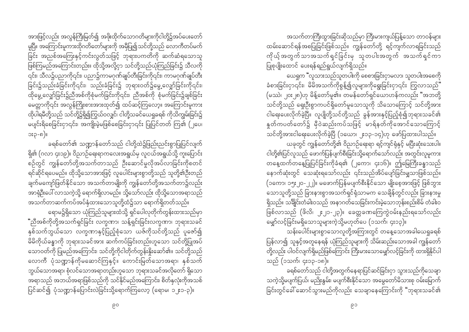အားဖြင့်လည်း အလွန်ကြီးမြတ်၍ အဖိုးထိုက်သောဂတိများကိုငါတို့၌အပ်ပေးတော် မူပြီ။ အကြောင်းမူကားထိုဂတိတော်များကို အမှီပြု၍သင်တို့သည် လောကီတပ်မက် ခြင်း အညစ်အကြေးနှင့်ကင်းလွတ်သဖြင့် ဘုရားပကတိကို ဆက်ဆံရသောသူ ဖြစ်ကြမည်အကြောင်းတည်း။ ထိုသို့အလို့ငှာ သင်တို့သည်ယုံကြည်ခြင်း၌ သီလကို ခြင်း၌သည်းခံခြင်းကို၎င်း၊ သည်းခံခြင်း၌ ဘုရားဝတ်၌မွေ့လျှော်ခြင်းကို၎င်း၊ ထိုမွေ့လျှော်ခြင်း၌ညီအစ်ကိုစုံမက်ခြင်းကို၎င်း၊ ညီအစ်ကို စုံမက်ခြင်း၌ချစ်ခြင်း -<br>မေတ္တာကို၎င်း အလွန်ကြိုးစားအားထုတ်၍ ထပ်ဆင့်ကြလော့။ အကြောင်းမူကား ထိုပါရမီတို့သည် သင်တို့၌ရှိ၍ကြွယ်ဝလျှင်၊ ငါတို့သခင်ယေရှုခရစ် ကိုသိကျွမ်းခြင်း၌ မပျင်းရိစေခြင်းငှာ၎င်း၊ အကျိုးမဲ့မဖြစ်စေခြင်းငှာ၎င်း ပြုပြင်တတ် ကြ၏ (၂ပေ၊ ား၃-၈)။

ခရစ်တော်၏ သဏ္ဍာန်တော်သည် ငါတို့ထဲ၌ဖြည်းညင်းစွာပြုပြင်လျက် ရှိ၏ (ဂလာ ၄း၁၉)။ ဝိညာဉ်ရေးရာကလေးအရွယ်မှ လူငယ်အရွယ်သို့ ကူးပြောင်း စဉ်တွင် ကျွန်တော်တို့အသက်တာသည် ဦးဆောင်မှုလိုအပ်လာခြင်းကိုစတင် ရင်ဆိုင်ရပေမည်။ ထိုသို့သောအားဖြင့် လူပေါင်းများစွာတို့သည် သူတို့၏ဦးတည် ချက်မကျော်ဖြတ်နိုင်သော အသက်တာမျိုးကို ကျွန်တော်တို့အသက်တာ၌လည်း ှ<br>အာရုံဉီးပေါ် လာသကဲ့သို့ ရောက်ရှိလာမည်။ သို့သော်လည်း ထိုသို့သောအရာသည် ား<br>- အသက်တာဆက်ကပ်အပ်နှံထားသောသူတို့ထံ၌သာ ရောက်ရှိတတ်သည်။

ရောမ၌ရှိသော ယုံကြည်သူများထံသို့ ရှင်ပေါလုတိုက်တွန်းထားသည်မှာ <mark>"</mark>ညီအစ်ကိုတို့အသက်ရှင်ခြင်း လက္ခဏာ၊ သန့်ရှင်းခြင်းလက္ခဏာ၊ ဘုရားသခင် နှစ်သက်ဘွယ်သော လက္ခဏာနှင့်ပြည့်စုံသော ယဇ်ကိုသင်တို့သည် ပူဇော်၍ မိမိကိုယ်ခန္ဓာကို ဘုရားသခင်အား ဆက်ကပ်ခြင်းတည်းဟူသော သင်တို့ပြုအပ် သောဝတ်ကို ပြုမည်အကြောင်း၊ သင်တို့ကိုငါတိုက်တွန်းနိုးဆော်၏။ သင်တို့သည် လောကီ ပုံသဏ္ဍာန်ကိုမဆောင်ကြနှင့်။ ကောင်းမြတ်သောအရာ၊ နှစ်သက် ဘွယ်သောအရာ၊ စုံလင်သောအရာတည်းဟူသော ဘုရားသခင်အလိုတော် ရှိသော .<br>အရာသည် အဘယ်အရာဖြစ်သည်ကို သင်နိုင်မည်အကြောင်း၊ စိတ်နှလုံးကိုအသစ် 

အသက်တာကြီးထွားခြင်းဆိုသည်မှာ ကြီးမားကျယ်ပြန့်သော တာဝန်များ ထမ်းဆောင်ရန်အစပြုခြင်းဖြစ်သည်။ ကျွန်တော်တို့ ရင့်ကျက်လာရခြင်းသည် ကိုယ့် အတွက်သာအသက်ရှင်ခြင်းမှ သူတပါးအတွက် အသက်ရှင်ကာ ပြုစုပျိုးထောင် ပေးရန်ရည်ရွယ်လျက်ရှိသည်။

ယေရှုက "လူသားသည်သူတပါးကို စေစားခြင်းငှာမလာ၊ သူတပါးအစေကို ခံစားခြင်းငှာ၎င်း၊ မိမိအသက်ကိုစွန့်၍လူများကိုရွေးခြင်းငှာ၎င်း ကြွလာသည်" (မဿဲ၊ ၂၀း၂၈)ဟု မိန့်တော်မူ၏။ တမန်တော်ရှင်ယောဟန်ကလည်း "အဘတို့ သင်တို့သည် ရှေးဦးစွာကပင်ရှိတော်မူသောသူကို သိသောကြောင့် သင်တို့အား ငါရေးပေးလိုက်ခဲ့ပြီ။ လူပျိုတို့သင်တို့သည် ခွန်အားနှင့်ပြည့်စုံ၍ဘုရားသခင်၏ နူတ်ကပတ်တော်၌ မှီဝဲဆည်းကပ်သဖြင့် မာရ်နတ်ကိုအောင်သောကြောင့် သင်တို့အားငါရေးပေးလိုက်ခဲ့ပြီ (၁ယော၊ ၂း၁၃-၁၄)ဟု ဖော်ပြထားပါသည်။ ယခုတွင် ကျွန်တော်တို့၏ ဝိညာဉ်ရေးရာ ရင့်ကျင်ရုံနှင့် မပြီးဆုံးသေးပါ။ ငါတို့၏ပြင်လူသည် ဖောက်ပြန်ပျက်စီးခြင်းသို့ရောက်သော်လည်း အတွင်းလူမူကား

တနေ့ထက်တနေ့ပြုပြင်ခြင်းကိုခံရ၏ (၂ကော၊ ၄း၁၆)။ ဤမြေကြီးခန္ဓာသည် နောက်ဆုံးတွင် သေဆုံးရသော်လည်း ၎င်းသည်အိပ်ပျော်ခြင်းမျှသာဖြစ်သည်။ (၁ကော၊ ၁၅း၂၀-၂၂)။ မဖောက်ပြန်မပျက်စီးနိုင်သော မျိုးစေ့အားဖြင့် ဖြစ်ဘွား သောသူတို့သည် ခြားနားစွာအသက်ရှင်ရုံသာမက သေချိန်တွင်လည်း ခြားနားမှု ရှိသည်။ သချိုင်းတံခါးဝသည် အနာဂတ်သေခြင်းကင်းမဲ့သောဘုန်းစည်းစိမ် တံခါးဝ ဖြစ်လာသည် (ဖိလိ၊ ၂း၂၁-၂၃)။ ခေတ္တခဏကြေကွဲဝမ်းနည်းရသော်လည်း မျှော်လင့်ခြင်းမရှိသောသူများကဲ့သို့မဟုတ်ပေ (၁သက်၊ ၄း၁၃)။

သန်းပေါင်းများစွာသောလူတို့အကြားတွင် တနေ့သောအခါယေရှုခရစ် ပြန်လာ၍ သူနှင့်အတူနေရန် ယုံကြည်သူများကို သိမ်းဆည်းသောအခါ ကျွန်တော် တို့လည်း ပါဝင်လျက်ရှိမည်ဖြစ်ကြောင်း ကြီးမားသောမျှော်လင့်ခြင်းကို ထားရှိနိုင်ပါ သည် (၁သက်၊ ၄း၁၃-၁၈)။

ခရစ်တော်သည် ငါတို့အတွက်နေရာပြင်ဆင်ခြင်းငှာ သွားသည်ကိုသေချာ သကဲ့သို့မပျက်ပြယ်၊ မညိုးနွှမ်း၊ မပျက်စီးနိုင်သော အမွှေတော်မိသားစု ဝမ်းမြောက်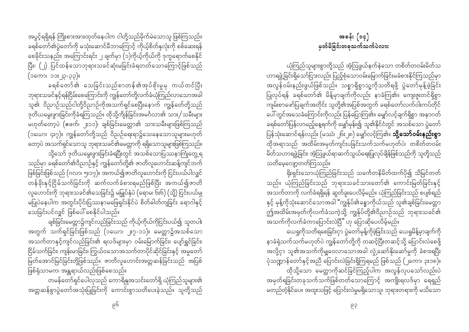အပွင့်ရရှိရန် ကြိုးစားအားထုတ်နေပါက ငါတို့သည်မိုက်မဲသောသူ ဖြစ်ကြသည်။ ခရစ်တော်၏ပွဲတော်ကို မသုံးဆောင်မီဘာကြောင့် ကိုယ့်စိတ်နှလုံးကို စစ်ဆေးရန် စေခိုင်းသနည်း၊ အကြောင်းရင်း ၂ ချက်မှာ (၁)ကိုယ့်ကိုယ်ကို ဒုက္ခရောက်စေနိုင် ပြီး၊ (၂) ပြင်ထန်သောဘုရားသခင်ဆုံးမခြင်းခံရတတ်သောကြောင့်ဖြစ်သည် (၁ကော၊ ၁၁း၂၃-၃၃)။

ခရစ်တော်၏ သေခြင်းသည်စာတန်၏အုပ်စိုးမှုမှ ကယ်တင်ပြီး ဘုရားသခင်နှင့်ရန်ငြိမ်းစေကြောင်းကို ကျွန်တော်တို့လက်ခံယုံကြည်လာသောအခါ သူ၏ ဝိညာဉ်သည်ငါတို့ဝိညာဉ်ကိုအသက်ရှင်စေပြီးနောက် ကျွန်တေ်တို့သည် ဒုတိယမွေးဖွားခြင်းကိုခံရကြသည်။ ထိုသို့ကိုန်ခြင်းအမင်္ဂလာ၏ သား/သမီးများ မဟုတ်တော့ပဲ (ဧဖက်၊ ၂း၁၁)၊ ချစ်ခြင်းမေတ္တာ၏ သားသမီးများဖြစ်ကြသည် (၁ယော၊ ၄း၇)။ ကျွန်တော်တို့သည် ဝိညဉ်ရေးရာ၌သေနေသောသူများမဟုတ် တော့ပဲ အသက်ရှင်သောသူ ဘုရားသခင်၏မေတ္တာကို ရရှိသောသူများဖြစ်ကြသည်။ သို့သော် ဒုတိယမွေးဖွားခြင်းခံရပြီးတွင် အသစ်သောပြဿနာကြုံတွေ့ရ သည်မှာ ခရစ်တော်၏ဝိညာဉ်နှင့် ကျွန်တော်တို့၏ ဇာတိလူဟောင်းဆန့်ကျင်ဘက် ဖြစ်ခြင်းဖြစ်သည် (ဂလာ၊ ၅း၁၇)။ အကယ်၍ဇာတိလူဟောင်းကို ငြင်းပယ်ပါလျှင် တန်ခိုးနှင့်ငြိမ်သက်ခြင်းကို ဆက်လက်ခံစားရမည်ဖြစ်ပြီး အကယ်၍ဇာတိ

လူဟောင်းကို ဘုရားသခင်၏သေခြင်း၌ မမြှုပ်နှံပဲ (ရောမ၊ ၆း၆) (သို့) ငြင်းပယ်မှု မပြုပဲနေပါက အတွင်းပိုင်းပြဿနာမဖြေရှင်းနိုင်ပဲ စိတ်ဓါတ်ကျခြင်း ရောဂါနှင့် သေခြင်းပင်လျှင် ဖြစ်ပေါ် စေနိုင်ပါသည်။

ချစ်ခြင်းမေတ္တာ၌ကျင်လည်ခြင်းသည် ကိုယ့်ကိုယ်ကိုငြင်းပယ်၍ သူတပါး အတွက် သက်ရှင်ခြင်းဖြစ်သည် (၁ယော၊ ၂း၇-၁၁)။ မေတ္တာ၌အသစ်သော အသက်တာနှင့်ကျင်လည်ခြင်း၏ ရလဒ်များမှာ ဝမ်းမြောက်ခြင်း၊ ပျော်ရွှင်ခြင်း၊ ငြိမ်သက်ခြင်း၊ ကျန်းမာခြင်း၊ ကြွယ်ဝသောအသက်တာပိုင်ဆိုင်ခြင်းနှင့် အမှုတော် .<br>မြတ်အောင်မြင်ခြင်းတို့ဖြစ်သည်။ ဇာတိလူဟောင်းအတ္တဆန်ခြင်းသည် အပြစ် ဖြစ်ရုံသာမက၊ အန္တရာယ်လည်းဖြစ်စေသည်။

တမန်တော်ရှင်ပေါလုသည် ကောရိန္ဒုအသင်းတော်ရှိ ယုံကြည်သူများ၏ အတ္တဆန်စွာပွဲတော်အသုံးပြုခြင်းကို ကောင်းစွာသတိပေးခဲ့သည်။ သူတို့သည်

ယုံကြည်သူများစွာတို့သည် အံ့ဩဖွယ်နက်နဲသော တစိတ်တဝမ်းမိတ်သ ဟာရဖွဲ့ခြင်းရှိသော်ငြားလည်း ပြည့်စုံသောဝမ်းမြောက်ခြင်းမခံစားနိုင်ကြသည်မှာ အလွန်ဝမ်းနည်းဖွယ်ဖြစ်သည်။ သစ္စာရှိစွာသူ့ကိုသတိရဖို့ ပွဲတော်မုန့်ဖဲ့ခြင်း ပြုလုပ်ရန် ခရစ်တော်၏ မိန့်မှာချက်ကိုလည်း နာခံကြ၏။ ကျေးဇူးတင်ရှိစွာ ကျမ်းစာဖော်ပြချက်အတိုင်း သူတို့၏အပြစ်အတွက် ခရစ်တော်လက်ဝါးကပ်တိုင် ပေါ် တွင်အသေခံကြောင်းကိုလည်း ပြန်ပြောကြ၏။ မျှော်လင့်ချက်ရှိစွာ အနာဂတ် ခရစ်တော်ပြန်လာမည့်နေ့ရက်ကို မျှော်မှန်း၍ သူ၏နိုင်ငံတွင် အသစ်သော ပွဲတော် ပြန်သုံးဆောင်ရန်လည်း (မဿဲ၊ ၂၆း၂၈) မျှော်လင့်ကြ၏။ **သို့သော်ဝမ်းနည်းစွာ** ထိုအရာသည် အထိမ်းအမှတ်ကျင်းပခြင်းသက်သက်မဟုတ်ပဲ၊ တစိတ်တဝမ်း မိတ်သဟာရဖွဲ့ခြင်း၊ အံ့သြဖွယ်ရာဆက်သွယ်ရေးပြုလုပ်ချိန်ဖြစ်သည်ကို သူတို့သည် သတိမေ့လျော့တတ်ကြသည်။

ရိုးရှင်းသောယုံကြည်ခြင်းသည် သင်္ကေတနိမိတ်ထက်ပို၍ သိမြင်တတ် သည်။ ယုံကြည်ခြင်းသည် ဘုရားသခင်သားတော်၏ ကောင်းမြတ်ခြင်းနှင့် အသက်တာကို လက်ခံရရှိရန် ဆွတ်ခူးပေလိမ့်မည်။ ယုံကြည်ခြင်းသည် စပျစ်ရည် နှင့် မုန့်ကိုသုံးဆောင်သောအခါ "ကျွန်ုပ်၏ခန္ဓာကိုယ်သည် သူ၏ချစ်ခြင်းမေတ္တာ ဤအထိမ်းအမှတ်ကိုလက်ခံသကဲ့သို့ ကျွန်ုပ်တို့၏ဝိညာဉ်သည် ဘုရားသခင်၏ —<br>အသက်ကိုလက်ခံကာပြောင်းလဲပြီ" ဟု ပြောဆိုပေလိမ့်မည်။

ယေရှုကိုသတိရစေခြင်းငှာ ပွဲတော်မုန့်ကိုဖဲ့ခြင်းသည် ယေရှုမိန့်မှာချက်ကို နာခံရုံသက်သက်မဟုတ်ပဲ ကျွန်တော်တို့ကို တဆင့်ပြီးတဆင့်သို့ ပြောင်းလဲစေဖို့ အလို့ငှာ သူ၏အသက်ကိုမျှဝေလာသောအခါ လှုံ့ဆော်နိုးဆော်မှုကို ခံစားရပြီး ပုံသဏ္ဍာန်တော်နှင့်အညီ ပြောင်းလဲခြင်းရှိကြရမည် ဖြစ်သည် (၂ကော၊ ၃း၁၈)။ ထိုသို့သော မေတ္တာကိုဆင်ခြင်ကြည့်ပါက အလွန်လှပသော်လည်းပဲ အမှတ်ရခြင်းတခုသက်သက်ဖြစ်တတ်သောကြောင့် အကျိုးရလဒ်မှာ ရေရှည်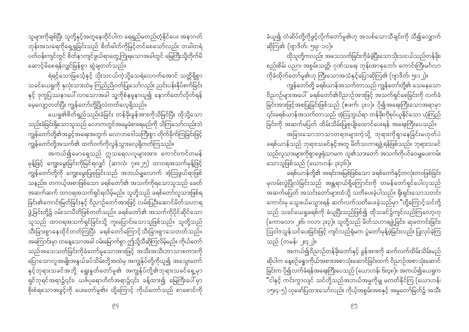သူများကိုချစ်ပြီး သူတို့နှင့်အတူနေထိုင်ပါက ရေရှည်မတည်တံ့နိုင်ပေ။ အနာဂတ် ဘုန်းအသရေကိုရှေ့ရှုခြင်းသည် စိတ်ဓါတ်ကိုမြင့်တင်စေသော်လည်း တခါတရံ ပတ်ဝန်းကျင်တွင် စိတ်နာကျင်ဖွယ်ရာတွေ့ကြုံရသောအခါတွင် မြေကြီးသို့တိုက်မိ ဆောင့်မိစေရန်လျှင်မြန်စွာ ဆွဲချတတ်သည်။

ရဲရင့်သောခြင်္သေ့နှင့် သိုးသငယ်ကဲ့သို့သေရဲလောက်အောင် သတ္တိရှိစွာ သခင်ယေရှုကို နှလုံးသားထဲမှ ကြည်ညိုဝတ်ပြုသော်လည်း ညင်းပန်းနှိပ်စက်ခြင်း နှင့် ဒုက္ခပြဿနာပေါ် လာသောအခါ သူ့ကိုစံနမူနာယူ၍ နောက်တော်လိုက်ရန် မေ့လျော့တတ်ပြီး ကျွန်တော်တို့ပြိုလဲတတ်လေ့ရှိသည်။

ယေရှု၏စိတ်ရှည်သည်းခံခြင်း တန်ခိုးခွန်အားကိုသိမြင်ပြီး ထိုသို့သော သည်းခံခြင်းရှိသောသူသည် လောကတွင်အမွေခံစားရမည်ကို သိကြသော်လည်းဘဲ ကျွန်တော်တို့၏အခွင့်အရေးအတွက် လောဘဒေါသကြီးစွာ တိုက်ခိုက်ကြခြင်းဖြင့် ကျွန်တော်တို့အသက်၏ ထက်ဝက်ကိုလွန်သွားလေ့ရှိတတ်ကြသည်။

အကယ်၍မောရှေသည် ဣသရေလလူများအား ကောင်းကင်တမန် မုန့်ဖြင့် ကျွေးမွေးခြင်းကိုမြင်ရလျှင် (ဆာလံ၊ ၇၈း၂၅) ထာဝရအသက်မုန့်ဖြင့် ကျွန်တော်တို့ကို ကျွေးမွေးပြုစုခြင်းသည် အဘယ်မျှလောက် အံ့ဩဖွယ်ရာဖြစ် သနည်း။ တကယ့်အစာဖြစ်သော ခရစ်တော်၏ အသက်ကိုရသောသူသည် ခေတ် အဆက်ဆက် ထာဝရအသက်ရှင်ရလိမ့်မည်။ သူတို့သည် ခရစ်တော်လူသားဖြစ်ရ ခြင်း၏ကောင်းမြတ်ခြင်းနှင့် ဝိညာဉ်တော်အားဖြင့် လမ်းပြဉ်းဆောင်မိတ်သဟာရ ဖွဲ့ခြင်းတို့၌ ဝမ်းသာပီတိဖြစ်တတ်သည်။ ခရစ်တော်၏ အသက်ကိုပိုင်ဆိုင်သော သူသည် ထာဝရအသက်ရှင်ခြင်းသို့ ကူးပြောင်းသောသူဖြစ်သည်။ သူတို့သည် သီးခြားစွာနေထိုင်တတ်ကြပြီး ခရစ်တော်ကြောင့်သီးခြားစွာသေတတ်သည်။ -<br>အကြောင်းမှာ တနေ့သောအခါ ဝမ်းမြောက်စွာ ဤသို့သီဆိုကြလိမ့်မည်။ ကိုယ်တော် သည်အသေသတ်ခြင်းကိုခံတော်မူသောအားဖြင့် အသီးအသီးဘာသာစကားကို ပြောသောလူအမျိုးအနွယ်ခပ်သိမ်းတို့အထဲမှ အကျွန်ုပ်တို့ကိုယူ၍ အသွေးတော် နှင့်ဘုရားသခင်အဘို့ ရွေးနှုတ်တော်မူ၏ အကျွန်ုပ်တို့၏ဘုရားသခင်ရှေ့မှာ ှ<br>ရှင်ဘုရင်အရာ၌၎င်း၊ ယဇ်ပုရောဟိတ်အရာ၌၎င်း ခန့်ထား၍ မြေကြီးပေါ်မှာ ှား<br>စိုးစံရသောအခွင့်ကို ပေးတော်မူ၏။ ထို့ကြောင့် ကိုယ်တော်သည် စာစောင်ကို ခံယူ၍ တံဆိပ်တို့ကိုဖွင့်လိုက်တော်မူ၏ဟု အသစ်သောသီချင်းကို သီ၍လျှောက် ဆိုကြ၏ (ဗျာဒိတ်၊ ၅း၉-၁၀)။

ထိုသူတို့ကလည်း အသေသတ်ခြင်းကိုခံခဲ့ပြီးသောသိုးသငယ်သည်တန်ခိုး၊ စည်းစိမ်၊ ပညာ၊ အစွမ်းသတ္တိ၊ ဂုဏ်သရေ၊ ဘုန်းအာနုဘော်၊ ကောင်းကြီးမင်္ဂလာ ကိုခံထိုက်တော်မူ၏ဟု ကြီးသောအသံနှင့်ပြောဆိုကြ၏ (ဗျာဒိတ်၊ ၅း၁၂)။

ကျွန်တော်တို့ ခရစ်ယာန်အသက်တာသည် ကျွန်တော်တို့၏ သေနေသော ဝိညာဉ်များအပေါ် ခရစ်တော်၏ဝိညာဉ်အားဖြင့် အသက်ရှင်စေခြင်းကို လက်ခံ -<br>ခြင်းအားဖြင့်အစပြုခြင်းဖြစ်သည် (ဧဖက်၊ ၃း၁)။ ပို၍အရေးကြီးသောအရာမှာ ၎င်းခရစ်ယာန်အသက်တာသည် အံ့ဩဘွယ်ရာ တန်ခိုးကိုစုပ်ယူနိုင်သော ယုံကြည် ခြင်းကို အဆက်မပြတ် ထိမ်းသိမ်းပြုစုပျိုးထောင်ပေးရန် အရေးကြီးပေသည်။ အခြားသောဘာသာတရားများကဲ့သို့ ဘုရားကိုရှာနေခြင်းမဟုတ်ပဲ ခရစ်ယာန်သည် ဘုရားသခင်နှင့်အတူ မိတ်သဟာရဖွဲ့ရန်ဖြစ်သည်။ ဘုရားသခင် သည်လူသားများကိုရှာဖွေရုံသာမက သူ၏သားတော် အသက်ကိုပင်ဝေမျှပေးကမ်း သောသူဖြစ်သည် (ယောဟန်၊ ၃း၃၆)။

ခရစ်ယာန်တို့၏ အရင်းအမြစ်ဖြစ်သော ခရစ်တော်နှင့်တလုံးတဝဖြစ်ခြင်း မှလမ်းလွဲပြိုလဲခြင်းသည် အန္တရာယ်ရှိကြောင်းကို တမန်တော်ရှင်ပေါလှသည် -<br>အဆက်မပြတ် အသင်းတော်များထံသို့ သတိပေးခဲ့ပါသည်။ ရိုးရှင်းသောသတင်း ကောင်းမှ သွေဖယ်မသွားရန် ဆက်လက်သတိပေးခဲ့သည်မှာ "ထို့ကြောင့်သင်တို့ သည် သခင်ယေရှုခရစ်ကို ခံယူပြီးသည်ဖြစ်၍ ထိုသခင်၌ကျင်လည်ကြလော့ဟု (ကောလော၊ ၂း၆၊ ဂလာ၊ ၃း၃)။ သူတို့သည် မိတ်သဟာရဖွဲ့ခြင်း၊ ဆုတောင်းခြင်း၊ ဩဝါဒသွန်သင်ပေးခြင်းဖြင့် ကျင်လည်ရုံမက ပွဲတော်မုန့်ဖဲ့ခြင်းလည်း ပြုလုပ်ခဲ့ကြ သည် (တမန်၊ ၂း၄၂)။

အကယ်၍ဝိညာဉ်တန်ခိုးတော်နှင့် ခွန်အားကို ဆက်လက်ထိမ်းသိမ်းမည် ဆိုပါက နေ့စဉ်ခန္ဓာကိုယ်အစားအစာသုံးဆောင်ခြင်းထက် ဝိညာဉ်အစာသုံးဆောင် ခြင်းက ပို၍လက်ခံရန်အရေးကြီးပေသည် (ယောဟန်၊ ၆း၄၈)။ အကယ်၍ယေရှုက "ငါနှင့် ကင်းကွာလျင် သင်တို့သည်အဘယ်အမှုကိုမျှ မတတ်နိုင်ကြ (ယောဟန်၊ ၁၅း၄-၅) ဟုဖော်ပြထားသော်လည်း ကိုယ့်အစွမ်းအစနှင့် အမှုတော်မြတ်၌ အသီး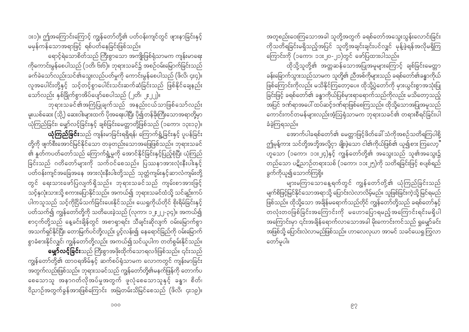ား၁)။ ဤအကြောင်းကြောင့် ကျွန်တော်တို့၏ ပတ်ဝန်းကျင်တွင် ဖျားနာခြင်းနှင့် မမှန်ကန်သောအရာဖြင့် ရစ်ပတ်နေခြင်းဖြစ်သည်။

ရောင့်ရဲသောစိတ်သည် ကြီးစွာသော အကျိုးဖြစ်ရုံသာမက ကျန်းမာရေး ကိုကောင်းမွန်စေပါသည် (၁တိ၊ ၆း၆)။ ဘုရားသခင်၌ အစဉ်ဝမ်းမြောက်ခြင်းသည် ခက်ခဲသော်လည်းသင်၏သွေးလည်ပတ်မှုကို ကောင်းမွန်စေပါသည် (ဖိလိ၊ ၄း၄)။ လူအပေါင်းတို့နှင့် သင့်တင့်စွာပေါင်းသင်းဆက်ဆံခြင်းသည် ဖြစ်နိုင်ချေနည်း သော်လည်း နှစ်ခြိုက်စွာအိပ်ပျော်စေပါသည် (၂တိ၊ ၂ႏ၂၂)။

ဘုရားသခင်၏အကြံပြုချက်သည် အနည်းငယ်သာဖြစ်သော်လည်း မူးယစ်ဆေး (သို့) ဆေးဝါးများထက် ပိုအရေးပါပြီး ပို၍တန်ခိုးကြီးသောအရာတို့မှာ ယုံကြည်ခြင်း၊ မျှော်လင့်ခြင်းနှင့် ချစ်ခြင်းမေတ္တာတို့ဖြစ်သည် (၁ကော၊ ၁၃း၁၃)။ ယုံကြည်ခြင်းသည် ကျန်းမာခြင်းရရှိရန်၊ ကြောက်ရွံ့ခြင်းနှင့် ပူပန်ခြင်း တို့ကို ဖျက်စီးအောင်မြင်နိုင်သော တခုတည်းသောအဖြေဖြစ်သည်။ ဘုရားသခင် ၏ နူတ်ကပတ်တော်သည် ကြောက်ရွံ့မှုကို အောင်နိုင်ခြင်းနှင့်ပြည့်စုံပြီး ယုံကြည် ခြင်းသည် ဂတိတော်များကို သက်ဝင်စေသည်။ ပြဿနာအားလုံးနီးပါးနှင့် တွင် ရေးသားဖော်ပြလျက်ရှိသည်။ ဘုရားသခင်သည် ကျမ်းစာအားဖြင့် သင့်နှလုံးသားသို့ စကားပြောနိုင်သည်။ အကယ်၍ ဘုရားသခင်ထံသို့ သင်ချဉ်းကပ် ပါကသူသည် သင့်ကိုငြိမ်သက်ခြင်းပေးနိုင်သည်။ ယေရှုကိုယ်တိုင် စိုးရိမ်ခြင်းနှင့် ပတ်သက်၍ ကျွန်တော်တို့ကို သတိပေးခဲ့သည် (လုကာ၊ ၁၂း၂၂-၃၄)။ အကယ်၍ စာငှက်တို့သည် နေ့ခင်းချိန်တွင် အစာရှာရင်း သီချင်းဆိုလျက် ဝမ်းမြောက်စွာ အသက်ရှင်နိုင်ပြီး၊ တောမြက်ပင်တို့လည်း ပွင့်လန်း၍ နေရောင်ခြည်ကို ဝမ်းမြောက် စွာခံစားနိုင်လျှင်၊ ကျွန်တော်တို့လည်း အကယ်၍သင်ယူပါက တတ်စွမ်းနိုင်သည်။ **မျှော်လင့်ခြင်း**သည် ကြီးစွာအဖိုးထိုက်သောရလဒ်ဖြစ်သည်။ ၎င်းသည်

ကျွန်တော်တို့၏ ထာဝရအိမ်နှင့် ဆက်စပ်ရုံသာမက လောကတွင် ကျန်းမာခြင်း အတွက်လည်းဖြစ်သည်။ ဘုရားသခင်သည် ကျွန်တော်တို့၏မနက်ဖြန်ကို တောက်ပ စေသောသူ အနာဂတ်လိုအပ်မှုအတွက် ဖူလုံစေသောသူနှင့် ခန္ဓာ၊ စိတ်၊ ဝိညာဉ်အတွက်ခွန်အားဖြစ်ကြောင်း အမြဲတမ်းသိမြင်စေသည် (ဖိလိ၊ ၄း၁၉)။ အတူစည်းဝေးကြသောအခါ သူတို့အတွက် ခရစ်တော်အသွေးသွန်းလောင်းခြင်း ကိုသတိရခြင်းမရှိသည့်အပြင် သူတို့အချင်းချင်းပင်လျှင် မုန့်ဖွဲရန်အလိုမရှိကြ ကြောင်းကို (၁ကော၊ ၁၁း၂၀-၂၁)တွင် ဖော်ပြထားပါသည်။

.<br>ထိုသို့သူတို့၏ အတ္တဆန်သောအပြုအမူများကြောင့် ချစ်ခြင်းမေတ္တာ ခန်းခြောက်သွားသည်သာမက သူတို့၏ ညီအစ်ကိုများသည် ခရစ်တော်၏ခန္ဓာကိုယ် ဖြစ်ကြောင်းကိုလည်း မသိနိုင်ကြတော့ပေ။ ထိုသို့ပွဲတော်ကို မှားယွင်းစွာအသုံးပြု ခြင်းဖြင့် ခရစ်တော်၏ ခန္ဓာကိုယ်ပြစ်မှားရာရောက်သည်ကိုလည်း မသိတော့သည့် အပြင် ဒဏ်ရာအပေါ် ထပ်ဆင့်ဒဏ်ရာဖြစ်စေကြသည်။ ထိုသို့သောအပြုအမူသည် ္<br>ကောင်းကင်တမန်များလည်းအံ့ဩရုံသာမက ဘုရားသခင်၏ တရားစီရင်ခြင်းပါ ခံခဲ့ကြရသည်။

အောက်ပါခရစ်တော်၏ မေတ္တာဖြင့်ဖိတ်ခေါ် သံကိုအစဉ်သတိရကြပါစို့ ဤမုန့်ကား သင်တို့အဘို့အလို့ငှာ ချိုးဖဲ့သော ငါ၏ကိုယ်ဖြစ်၏ ယူ၍စား ကြလော့" ဟူသော (၁ကော၊ ၁၁း၂၄)နှင့် ကျွန်တော်တို့၏ အသွေးသည် သူ၏အသွေး၌ တည်သော ပဋိညာဉ်တရားသစ် (၁ကော၊ ၁၁း၂၅)ကို သတိရခြင်းဖြင့် စပျစ်ရည် ခွက်ကိုယူ၍သောက်ကြစို့။

များမကြာသောနေ့ရက်တွင် ကျွန်တော်တို့၏ ယုံကြည်ခြင်းသည် မျက်စိဖြင့်မြင်နိုင်သောအရာသို့ ပြောင်းလဲလာလိမ့်မည်။ သူဖြစ်ခြင်းကဲ့သို့ မြင်ရမည် ဖြစ်သည်။ ထိုသို့သော အချိန်မရောက်သည်တိုင် ကျွန်တော်တို့သည် ခရစ်တော်နှင့် တလုံးတဝဖြစ်ခြင်းအကြောင်းကို မဟောပြောရမည့်အကြောင်းရင်းမရှိပါ အကြောင်းမှာ ၎င်းအချိန်ရောက်လာသောအခါ မိုးကောင်းကင်သည် ရှုမျှော်ခင်း အဖြစ်သို့ ပြောင်းလဲလာမည်ဖြစ်သည်။ ဟာလေလုယာ အာမင် သခင်ယေရှုကြွလာ တော်မူပါ။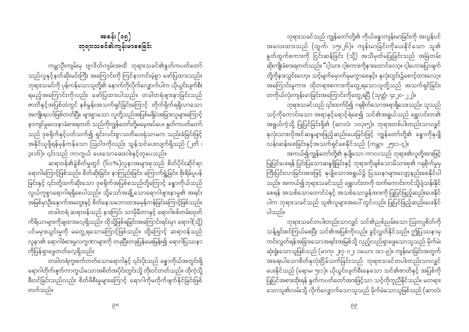ဘုရားသခင်သည် ကျွန်တော်တို့၏ ကိုယ်ခန္ဓာကျန်းမာခြင်းကို အလွန်ပင် အလေးထားသည် (ထွက်၊ ၁၅း၂၆)။ ကျန်းမာခြင်းကိုပေးနိုင်သော သူ၏ နှုတ်ထွက်စကားကို ငြင်းဆန်ခြင်း (သို့) အသိမှတ်မပြုခြင်းသည် အမြဲတမ်း ဆိုးကျိုးခံစားရတတ်သည်။ "ငါ့သား ငါ့စကားကိုနားထောင်လော့။ ငါ့ဟောပြောချက် တို့ကိုနားသွင်းလော့။ သင့်မျက်မှောက်မှမကွာစေနှင့်။ နှလုံးတွင်း၌စောင့်ထားလော့။ အကြောင်းမူကား၊ ထိုတရားစကားကိုတွေ့ရသောသူတို့သည် အသက်ရှင်ခြင်း၊ တကိုယ်လုံးကျန်းမာခြင်းအကြောင်းကိုတွေ့ရပြီ (သုတ္တံ၊ ၄း၂၀-၂၂)။

ဘုရားသခင်သည် ၎င်းထက်ပို၍ ဂရုစိုက်သောအရာရှိသေးသည်။ သူသည် သင့်ကိုကောင်းသော အရာနှင့်ရောင့်ရဲစေ၍ သင်၏အရွယ်သည် ရွှေလင်းတ၏ အရွယ်ကဲ့သို့ ပြုပြင်ခြင်းရှိ၏ (ဆာလံ၊ ၁ဝ၃း၅)။ ဘုရားတစ်ပါးတည်းသာလျှင် နှလုံးသားလိုအင်ဆန္ဒများဖြည့်ဆည်းပေးခြင်းဖြင့် ကျွန်တော်တို့၏ ခန္ဓာကိုနုပျို လန်းဆန်းစေခြင်းနှင့်အသက်ရှင်စေနိုင်သည် (ကမ္ဘာ၊ ၂၅း၁-၄)။

အကယ်၍ကျွန်တော်တို့၏ နုပျိုသော ကာလသည် ဘုရား၏လူတို့အားဖြင့် .<br>ပြုပြင်ပေးရန် ပြင်းပြသောဆန္ဒရှိခြင်းနှင့် ဘုရားကိုချစ်သောမိသားစု၏ ဂရုစိုက်မှုမှ ကြီးပြင်းလာခြင်းအားဖြင့် နုပျိုသောအရွယ်၌ ပြဿနာများလျော့နည်းစေနိုင်ပါ သည်။ အကယ်၍ဘုရားသခင်သည် ရွှေလင်းတကို ထက်ကောင်းကင်သို့ပျံသန်းနိုင် .<br>ပါက ဘုရားသခင်သည် သူ၏လူများအပေါ် တွင်လည်း ပြုပြင်ဖြည့်ဆည်းပေးနိုင် ပါသည်။

ဘုရားသခင်တပါးတည်းသာလျှင် သင်၏ညစ်ညမ်းသော ဩတပ္ပစိတ်ကို သန့်ရှင်းစင်ကြယ်စေပြီး သင်၏အပြစ်ကိုလည်း ခွင့်လွှတ်နိုင်သည်။ ဤပြဿနာမှ ကင်းလွတ်ရန်အခြားသောအရင်းအမြစ်သို့ လှည့်လည်ရှာဖွေသောသူသည် မိုက်မဲ၊ ဆုံးရှုံးသောသူဖြစ်သည် (မာကု၊ ၂း၇-၁၂၊ ၁ယော၊ ၁း၁-၉)။ ကျန်းမာခြင်းအတွက် -<br>အရေးပါသောစိတ်နှလုံးငြိမ်သက်ခြင်းသည် ဘုရားသခင်တပါးတည်းသာလျှင် ပေးနိုင်သည် (ရောမ၊ ၅း၁)။ ယိုယွင်းပျက်စီးနေသော သင်၏ဇာတိနှင့် အပြစ်ကို ပြုပြင်အစားထိုးရန် နှုတ်ကပတ်တော်အားဖြင့်သာ သင့်ကိုကူညီနိုင်သည်။ မတရား ို့<br>သောသူ၏လမ်းသို့ လိုက်လျှောက်သောသူသည် မိုက်မဲသောသူဖြစ်သည် (ဆာလံ၊

အခန်း (၁၅) ဘုရားသခင်၏ကျန်းမာခေခြင်း

ကမ္ဘာဦးကျမ်းမှ ဗျာဒိတ်ကျမ်းအထိ ဘုရားသခင်၏နူတ်ကပတ်တော် သည်လူနှင့်နတ်ဆိုးမင်းကြီး အကြောင်းကို ကြင်နာကင်းမဲ့စွာ ဖော်ပြထားသည်။ ဘုရားသခင်ကို ပုန်ကန်သောသူတို့၏ နောက်ကိုလိုက်လျှောက်ပါက ယိုယွင်းပျက်စီး ရမည့်အကြောင်းကိုလည်း ဖော်ပြထားပါသည်။ တခါတရံဖျားနာခြင်းသည် ာ<br>တတိနှင့်အပြစ်ထဲတွင် နစ်မွန်းအသက်ရှင်ခြင်းကြောင့် တိုက်ရိုက်ရရှိလာသော အကျိုးရလဒ်ဖြစ်တတ်ပြီး၊ များစွာသော လူတို့သည်အပြစ်မရှိပဲအခြားလူများကြောင့် နာကျင်မှုဝေဒနာခံစားရတတ် သည်ကိုကျွန်တော်တို့မမေ့အပ်ပေ။ နူတ်ကပတ်တော် သည် ဒုစရိုက်နှင့်ပတ်သက်၍ ရှင်းလင်းစွာသတိပေးရုံသာမက သည်းခံခြင်းဖြင့် အနိုင်ယူဖို့ရန်မှန်ကန်သော ဩဝါဒကိုလည်း သွန်သင်ပေးလျက်ရှိသည် (၂တိ ၊ ၃း၁၆)။ ၎င်းသည် ကာကွယ် ပေးသောဆေးဝါးနှင့်တူပေသည်။

ဆရာဝန်၏ခွဲစိတ်မှုတွင် (၆၀%)လူနာအများစုသည် စိတ်ပိုင်းဆိုင်ရာ ရောဂါကြောင့်ဖြစ်သည်။ စိတ်ဆိုးခြင်း၊ နာကြည်းခြင်း၊ ကြောက်ရွံ့ခြင်း၊ စိုးရိမ်ပူပန် ခြင်းနှင့် ၎င်းတို့ထက်ဆိုးသော ဒုစရိုက်အပြစ်စသည်တို့ကြောင့် ခန္ဓာကိုယ်သည် လွယ်ကူစွာရောဂါရရှိစေပါသည်။ သို့သော်အချို့သောရောဂါဖျားနာမှု၏ အရင်း အမြစ်မှာဦးနှောက်အတွေးနှင့် စိတ်နေသဘောထားမမှန်ကန်ခြင်းကြောင့်ဖြစ်သည်။ တခါတရံ ဆရာဝန်သည် နားကြပ်၊ သာမိုမီတာနှင့် ရောဂါစစ်တမ်းထုတ် ကိရိယာများကိုချထားလေ့ရှိသည်။ ထိုသို့ဖြစ်ရခြင်းအကြောင်းရင်းမှာ ရောဂါ(သို့) ပင်မမှားယွင်းမှုကို မတွေ့ရသောကြောင့်ဖြစ်သည်။ ထို့ကြောင့် ဆရာဝန်သည် လူနာ၏ ရောဂါခံစားမှုလက္ခဏာများကို တခုပြီးတခုပြန်မေးမြန်း၍ ရောဂါပြဿနာ ကိုပြန်ရှာဖွေတတ်လေ့ရှိသည်။

ရောဂါတိုက်ဖျက်ကာကွယ်သောအစိတ်အပိုင်းတွင်းသို့ တိုးဝင်တတ်သည်။ ထိုကဲ့သို့ စီးဝင်ခြင်းသည်လည်း စိတ်ဖိစီးမှုများကြောင့် ရောဂါကိုမတိုက်ဖျက်နိုင်ခြင်းဖြစ် တတ်သည်။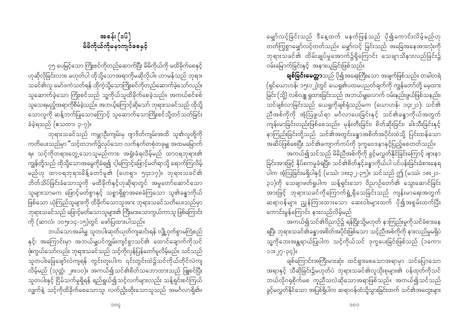၇၅ ပေမြင့်သော ကြိုးစင်ကိုတည်ဆောက်ပြီး မိမိကိုယ်ကို မထိခိုက်စေနှင့် ဟုဆိုလိုခြင်းလား၊ မဟုတ်ပါ ထိုသို့သောအရာကိုမဆိုလိုပါ။ ဟာမန်သည် ဘုရား သခင်၏လူ မော်ဒကဲသတ်ရန် ထိုကဲ့သို့သောကြိုးစင်ကိုတည်ဆောက်ခဲ့သော်လည်း သူဆောက်ခဲ့သော ကြိုးစင်သည် သူ့ကိုယ်သူထိခိုက်စေခဲ့သည်။ အကယ်စင်စစ် သူသေရမည့်အရာကိုစီမံခဲ့သည်။ အဘယ့်ကြောင့်ဆိုသော် ဘုရားသခင်သည် ထိုသို့ သောလူကို ဆန့်ဘက်ပြုသောကြောင့် သူဆောက်သောကြိုးစင်သို့တင်သတ်ခြင်း ခံခဲ့ရသည် (ဧသတာ၊ ၃-၇)။

ဘုရားသခင်သည် ကမ္ဘာဉီးကျမ်းမှ ဗျာဒိတ်ကျမ်းအထိ သူ၏လူတို့ကို ကတိပေးသည်မှာ "သင့်တဘက်၌လုပ်သော လက်နက်တစုံတခုမျှ အထမမြောက် ရ။ သင့်ကိုတရားတွေ့သောသူမည်ကား၊ အရှုံးခံရလိမ့်မည် ထာဝရဘုရား၏ ကျွန်တို့သည် ထိုသို့သောအမွေကိုခံရ၍ ငါ့ကြောင့်ဖြောင့်မတ်ရာသို့ ရောက်ကြလိမ့် မည်ဟု ထာဝရဘုရားမိန့်တော်မူ၏ (ဟေရှာ၊ ၅၄း၁၇)။ ဘုရားသခင်၏ ဘိတ်သိပ်ခြင်းခံသောသူကို မထိခိုက်နှင့်ဟုဆိုရာတွင် အမှုတော်ဆောင်သော သူများသာမက ဖြောင့်မတ်စွာနှင့် သစ္စာရှိစွာအစေခံကြသော သူ၏ခန္ဓာကိုယ် ဖြစ်သော ယုံကြည်သူများကို ထိခိုက်သောသူအား ဘုရားသခင်သတိပေးသည်မှာ ဘုရားသခင်သည် ဖြောင့်မတ်သောသူများ၏ ကြီးမားသောကွယ်ကာသူ ဖြစ်ကြောင်း ကို (ဆာလံ၊ ၁၀၅း၁၄-၁၅)တွင် ဖော်ပြထားပါသည်။

ဘယ်သောအခါမျှ သူတပါးဆုတ်ယုတ်ကျဆင်းရန် လျှို့ဝှက်စွာမကြံစည် နှင့်၊ အကြောင်းမှာ အဘယ်မျှပင်ကျွမ်းကျင်စွာသင်၏ ထောင်ချောက်ကိုသင် ဖုံးကွယ်သော်လည်း ဘုရားသခင်သည် သင့်ကိုလှန်ပြန်တော်မူလိမ့်မည်။ သင်သည် -<br>သူတပါးခြေချော်လဲကျရန် တွင်းတူးပါက ၎င်းတွင်းထဲ၌သင်ကိုယ်တိုင်လဲကျ လိမ့်မည် (သုတ္တံ၊ ၂၈း၁၀)။ အကယ်၍သင်၏စိတ်သဘောထားသည် ဖြူစင်ပြီး သူတပါးနှင့် ငြိမ်သက်မှုရှိရန် ရည်ရွယ်၍သင့်လက်များလည်း သန့်ရှင်းစင်ကြယ် လျှက်နဲ့ သင့်ကိုထိခိုက်စေသောသူ၊ လက်ညှိုးထိုးသောသူသည် အမင်္ဂလာရှိ၏။ မျှော်လင့်ခြင်းသည် ဒီနေ့ထက် မနက်ဖြန်သည် ပို၍ကောင်းလိမ့်မည်ဟု တတ်ကြွစွာမျှော်လင့်တတ်သည်။ မျှော်လင့် ခြင်းသည် အခြေအနေအားလုံးကို ဘုရားသခင်၏ ထိမ်းချုပ်မှုအောက်၌ရှိကြောင်း သေချာသိနားလည်ခြင်း၌ ဝမ်းမြောက်ခြင်းနှင့် အနားယူခြင်းဖြစ်သည်။

ချစ်ခြင်းမေတ္တာသည် ပို၍အရေးကြီးသော အချက်ဖြစ်သည်။ တခါတရံ (ရှင်ယောဟန်၊ ၁၅း၁၂)တွင် ယေရှု၏ပထမပညတ်ချက်ကို ကျွန်တော်တို့ မေ့ထား ခြင်း (သို့) လစ်လျူ ရှုထားခြင်းသည် အဘယ်မျှလောက် ဝမ်းနည်းဖွယ်ဖြစ်သနည်း၊ သင်ချစ်လာခြင်းသည် ယေရှုကိုချစ်ရုံသည်မက (ယောဟန်၊ ၁၄း၂၁)၊ သင်၏ ညီအစ်ကိုကို အံ့ဩဖွယ်ရာ မင်္ဂလာပေးခြင်းနှင့် သင်၏ခန္ဓာကိုယ်အတွက် —<br>ကျန်းမာခြင်းလည်းဖြစ်စေသည်။ မုန်းတီးခြင်း၊ စိတ်ဆိုးခြင်း၊ ခါးသီးခြင်းနှင့် နာကြည်းခြင်းတို့သည် သင်၏အတွင်းခန္ဓာအစိတ်အပိုင်းထဲသို့ ပြင်းထန်သော .<br>အဆိပ်ဖြစ်စေပြီး သင်၏ကျောက်ကပ်ကို ဒုက္ခဝေဒနာနှင့်ပြည့်စေတတ်သည်။

အကယ်၍သင်သည် မိမိညီအစ်ကိုကို ခွင့်မလွှတ်နိုင်ခြင်းကြောင့် ဖ<mark>ျား</mark>နာ ခြင်းအားဖြင့် နှိပ်စကမှုခံရပြီး၊ သင်၏စိတ်နှင့်ခန္ဓာကိုယ်ပါ ပင်ပန်းခြင်းခံစားနေရ ပါက အံ့ဩခြင်းမရှိပါနှင့် (မဿဲ၊ ၁၈း၃၂-၃၅)။ သင်သည် ဤ (မဿဲ၊ ၁၈း၂၁-၃၁)ကို သေချာဖတ်ရှုပါက သန့်ရှင်းသော ဝိညာဉ်တော်၏ သွေးဆောင်ခြင်း အားဖြင့် ဘုရားသခင်ကိုကြောက်ရွံ့ရိုသေခြင်းသည် ကျန်းမာဓ<mark>ရး</mark>အတွက် ဆရာဝန်များ ညွှန်ကြားထားသော ဆေးဝါးများထက် ပို၍အစွမ်းထက်ပြီး ကောင်းမွန်ကြောင်း နားလည်လိမ့်မည်

အကယ်၍သင်၏ဝိညာဉ်၌ ရန်ငြိုးသို့မဟုတ် နာကြည်းမှုကိုသင်ခံစားနေ ရပြီး ဘုရားသခင်၏ခန္ဓာအစိတ်အပိုင်းဖြစ်သော သင့်ညီအစ်ကိုကို နားလည်မှုမရှိပဲ သူ့ကိုဘေးအန္တရာယ်ပြုပါက သင့်ကိုယ်သင် ဒုက္ခပေးခြင်းဖြစ်သည် (၁ကော၊  $00:19-60$ 

ချစ်ကြောင်းအကြီးမားဆုံး ထင်ရှားစေသောအရာမှာ သင်ပြောသော အရာနှင့် သီဆိုခြင်း၌မဟုတ်ပဲ ဘုရားသခင်၏လူသိုးစုများ၏ ဝန်ထုတ်ကိုသင် ဘယ်လိုဂရုစိုက်မစ ကူညီသလဲဆိုသောအရာဖြစ်သည်။ အကယ်၍သင်သည် ခွင့်မလွှတ်နိုင်သော အပြစ်ရှိပါက ဆရာဝန်ထံသို့သွားခြင်းထက် သင်၏အတွေးများ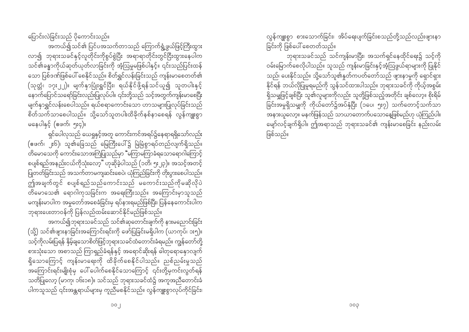ပြောင်းလဲခြင်းသည် ပိုကောင်းသည်။ အကယ်၍သင်၏ ပြင်ပအသက်တာသည် ကြောက်ရွံ့ဖွယ်ဖြင့်ကြီးထွား လာ၍ ဘုရားသခင်နှင့်လူတိုင်းကိုစွပ်စွဲပြီး အရာရာတိုင်းတွင်ငြီးထွားနေပါက သင်၏ခန္ဓာကိုယ်ဆုတ်ယုတ်လာခြင်းကို အံ့ဩမှုမဖြစ်ပါနှင့်။ ၎င်းသည်ပြင်းထန် သော ပြစ်ဒဏ်ဖြစ်ပေါ် စေနိုင်သည်။ စိတ်ရွှင်လန်းခြင်းသည် ကျန်းမာစေတတ်၏ (သုတ္တံ၊ ၁၇း၂၂)။ မျက်နှာပြုံးရွှင်ပြီး၊ ရယ်နိုင်ဖို့ရန်သင်ယူ၍ သူတပါးနှင့် နောက်ပြောင်သရော်ခြင်းလည်းပြုလုပ်ပါ။ ၎င်းတို့သည် သင့်အတွက်ကျန်းမာစေပြီး မျက်နှာရွှင်လန်းစေပါသည်။ ရယ်စရာကောင်းသော ဟာသများပြုလုပ်ခြင်းသည် စိတ်သက်သာစေပါသည်။ သို့သော်သူတပါးထိခိုက်နစ်နာစေရန် လွန်ကျူးစွာ မနေပါနှင့် (ဧဖက်၊ ၅း၄)။

ရှင်ပေါလှသည် ယေရှုနှင့်အတူ ကောင်းကင်အရပ်၌နေရာရရှိသော်လည်း (ဧဖက်၊ ၂း၆)၊ သူ၏ခြေသည် မြေကြီးပေါ်၌ မြဲမြံစွာရပ်တည်လျက်ရှိသည်။ .<br>တိမောသေကို ကောင်းသောအကြံပြုသည်မှာ <sup>"</sup>မကြာမကြာခံရသောရောဂါကြောင့် စပျစ်ရည်အနည်းငယ်ကိုသုံးလော့" ဟုဆိုခဲ့ပါသည် (၁တိ၊ ၅း၂၃)။ အသင့်အတင့် ပြုတတ်ခြင်းသည် အသက်တာမကျဆင်းစေပဲ၊ ယုံကြည်ခြင်းကို တိုးပွားစေပါသည်။ ဤအချက်တွင် စပျစ်ရည်သည်ကောင်းသည် မကောင်းသည်ကိုမဆိုလိုပဲ တိမောသေ၏ ရောဂါကုသခြင်းက အရေးကြီးသည်။ အကြောင်းမှာသူသည် မကျွန်းမာပါက အမှုတော်အစေခံခြင်းမှ ရပ်နားရမည်ဖြစ်ပြီး၊ ပြန်နေကောင်းပါက ဘုရားပေးတာဝန်ကို ပြန်လည်ထမ်းဆောင်နိုင်မည်ဖြစ်သည်။

အကယ်၍ဘုရားသခင်သည် သင်၏ဆုတောင်းချက်ကို နားမညောင်းခြင်း (သို့) သင်၏ဖျားနာခြင်းအကြောင်းရင်းကို ဖော်ပြခြင်းမရှိပါက (ယာကုပ်၊ ၁း၅)။ သင့်ကိုလမ်းပြရန် နှိမ့်ချသောစိတ်ဖြင့်ဘုရားသခင်ထံတောင်းခံရမည်။ ကျွန်တော်တို့ စားသုံးသော အစာသည် ကြာရှည်ခံရန်နှင့် အရောင်ဆိုးရန် ဓါတုရောနှောလျက် ရှိသောကြောင့် ကျန်းမာရေးကို ထိခိုက်စေနိုင်ပါသည်။ ညစ်ညမ်းမှုသည် ---<br>အကြောင်းရင်းမျိုးစုံမှ ပေါ် ပေါက်စေနိုင်သောကြောင့် ၎င်းတို့မှကင်းလွတ်ရန် သတိပြုလော့ (မာက္၊ ၁၆း၁၈)။ သင်သည် ဘုရားသခင်ထံ၌ အကူအညီတောင်းခံ ပါကသူသည် ၎င်းအန္တရာယ်များမှ ကူညီမစနိုင်သည်။ လွန်ကျူးစွာလုပ်ကိုင်ခြင်း၊ လွန်ကျူးစွာ စားသောက်ခြင်း၊ အိပ်ရေးပျက်ခြင်းစသည်တို့သည်လည်းဖျားနာ ခြင်းကို ဖြစ်ပေါ် စေတတ်သည်။

ဘုရားသခင်သည် သင်ကျန်းမာပြီး၊ အသက်ရှင်နေထိုင်ရေး၌ သင့်ကို ဝမ်းမြောက်စေလိုပါသည်။ သူသည် ကျန်းမာခြင်းနှင့်အံ့ဩဖွယ်ရာများကို ပြုနိုင် သည်၊ ပေးနိုင်သည်။ သို့သော်သူ၏နှုတ်ကပတ်တော်သည် ဖျားနာမှုကို ရှောင်ရှား နိုင်ရန် ဘယ်လိုပြုမှုရမည်ကို သွန်သင်ထားပါသည်။ ဘုရားသခင်ကို ကိုယ့်အစွမ်း ရှိသမျှဖြင့်ချစ်ပြီး သူ၏လူများကိုလည်း သူတို့ဖြစ်သည့်အတိုင်း ချစ်လော့။ စိုးရိမ် အနားယူလော့။ မနက်ဖြန်သည် သာယာတောက်ပသောနေ့ဖြစ်မည်ဟု ယုံကြည်ပါ။ -<br>မျော်လင့်ချက်ရှိပါ။ ဤအရာသည် ဘုရားသခင်၏ ကျန်းမာစေခြင်း နည်းလမ်း ဖြစ်သည်။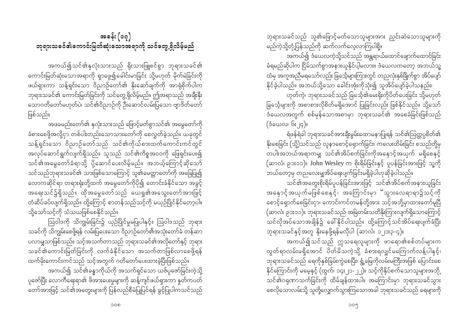ဘုရားသခင်သည် သူ၏ဖြောင့်မတ်သောသူများအား ညှင်းဆဲသောသူများကို မည်ကဲ့သို့တုံ့ပြန်သည်ကို ဆက်လက်လေ့လာကြပါစို့။

အကယ်၍ ဒံယေလကဲ့သို့သင်သည် အန္တရာယ်ထောင်ချောက်ထောင်ခြင်း ခံရမည်ဆိုပါက ငြိမ်သက်စွာအနားယူနိုင်ပါ့မလား။ ဒံယေလကတော့ အဘယ်သူ့ ထံမှ အကူအညီမရသော်လည်း ခြင်္သေ့များကြားတွင် တညလုံးနှစ်ခြိုက်စွာ အိပ်ပျော် နိုင်ခဲ့ပါသည်။ အဘယ်သို့သော ခေါင်းအုံးကိုသုံး၍ သူအိပ်ပျော်ခဲ့ပါသနည်း၊

ဟုတ်ကဲ့၊ ဘုရားသခင်သည် ခြင်္သေ့၏မေးရိုးကိုပိတ်ပေးခြင်း သို့မဟုတ် ခြင်္သေ့များကို အစာစားလိုစိတ်မရှိအောင် ပြုခြင်းလည်း ဖြစ်နိုင်သည်။ သို့သော် ဒံယေလအတွက် စစ်မှန်သောအစာမှာ ဘုရားသခင်၏ အစေခံခြင်းဖြစ်သည်  $(s_{\text{scov}}(s, \mathbf{q})$ 

ရံဖန်ရံခါ ဘုရားသခင်အားချီးမွမ်းထောမနာပြုရန် သင်၏ဩတ္တပ္ပစိတ်၏ နိုးစေခြင်း (သို့)သင်သည် လူနာစောင့်ရှောက်ခြင်း၊ ကလေးထိမ်းခြင်း စသည်တို့မှ တပါးအဘယ်အရာကမျှ သင်၏အိပ်စက်ခြင်းကိုအနောင့်အယှက် မရှိစေနှင့် (ဆာလံ၊ ၉၁း၁၁)။ John Wesley က စိုးရိမ်ခြင်းနှင့် ပူပန်ခြင်းအားဖြင့် သူ့ကို ဘယ်တော့မှ တညလေးမျှအိပ်ရေးပျက်ခြင်းမရှိခဲ့ပါဟုဆိုခဲ့ပါသည်။

သင်၏အတွေးစိုးရိမ်ပူပန်ခြင်းအားဖြင့် သင်၏အိပ်စက်အနားယူခြင်း အနှောင့် အယှက်မဖြစ်စေနှင့်၊ အကြောင်းမှာ "သွားလေရာရာ၌သင့်ကို စောင့်ရှောက်စေခြင်းငှာ၊ ကောင်းကင်တမန်တို့အား သင့်အဘို့မှာထားတော်မူပြီ (ဆာလံ၊ ၉၁း၁၁)။ ဘုရားသခင်သည် အမြဲတမ်းသတိနိုးကြားလျက်ရှိသောကြောင့် သင်လိုအပ်သောအချိန်၌ ခေါ်နိုင်ပါသည်။ ထို့ကြောင့်သင်အိပ်ရေးပျက်ခံပြီး ဘုရားသခင်နှင့်အတူ နိုးနေဖို့ရန်မလိုပါ (ဆာလံ၊ ၁၂၁း၃-၄)။

အကယ်၍သင်သည် ဣသရေလူများကို ဖာရော၏စစ်တပ်များက လွတ်ရာလမ်းမရှိအောင် ပိတ်မိသကဲ့သို့ ခံစားရလျှင်မကြောက်လန့်ပါနှင့်၊ ဘုရားသခင်သည် ရေကိုနှစ်ခြမ်းကွဲစေပြီး၊ ရွံ့မြေကိုလမ်းမကြီးအဖြစ် ပြောင်းစေ နိုင်ကြောင်းကို မမေ့နှင့် (ထွက်၊ ၁၄း၂၁-၂၂)။ သင့်ကိုနှိပ်စက်သောသူများအဘို့ သင်၏ဂရုဏာသက်ခြင်းကို ထိမ်ချန်ထားပါ။ အကြောင်းမှာ ဘုရားသခင်သွား စေလိုသောလမ်းသို့ သူတို့လျှောက်သွားကြသောအခါ ဘုရားသခင်သည် ရေများကို

# အခန်း (၁၇) ဘုရားသခင်၏ကောင်းမြတ်ဆုံးသောအရာကို သင်တွေ့ရှိလိမ့်မည်

အကယ်၍သင်၏နှလုံးသားသည် ရိုးသားဖြူစင်စွာ ဘုရားသခင်၏ ကောင်းမြတ်ဆုံးသောအရာကို ရှာဖွေ၍ခေါင်းမာခြင်း သို့မဟုတ် မိုက်မဲခြင်းကို ဖယ်ရှားကာ သန့်ရှင်းသော ဝိညာဉ်တော်၏ နိုးဆော်ချက်ကို အာရုံစိုက်ပါက ဘုရားသခင်၏ ကောင်းမြတ်ခြင်းကို သင်တွေ့ ရှိလိမ့်မည်။ ဤအရာသည် အချီးနှီး သောဂတိတော်မဟုတ်ပဲ၊ သင်၏ဝိညာဉ်ကို ဦးဆောင်လမ်းပြသော ဗျာဒိတ်တော် ဖြစ်သည်။

အဖခမည်းတော်၏ နှလုံးသားသည် ဖြောင့်မတ်စွာသင်၏ အမွေတော်ကို ခံစားစေဖို့အလို့ငှာ တစ်ပါးတည်းသောသားတော်ကို စေလွှတ်ခဲ့သည်။ ယခုတွင် သန့်ရှင်းသော ဝိညာဉ်တော်သည် သင်၏ကိုယ်စားထက်ကောင်းကင်တွင် အလုပ်ဆောင်ရွက်လျက်ရှိသည်။ သူသည် သင်၏ကိစ္စအဝဝကို ဖြေရှင်းပေး၍ သင်၏အမွေတော်ခံရာသို့ ပို့ဆောင်ပေးလိမ့်မည်။ အဘယ့်ကြောင့်ဆိုသော် သင်သည်ဘုရားသခင်၏ သားဖြစ်သောကြောင့် သူ၏မေတ္တာတော်ကို အခြေပြု၍ လောကဆိုင်ရာ တရားရုံးတို့ထက် အမွေတော်ကိုပို၍ တောင်းခံနိုင်သော အခွင့် အရေးသင်၌ရှိသည်။ ထိုအမွေတော်သည် ယေရှု၏အသွေးတော်အားဖြင့် တံဆိပ်ခပ်လျက်ရှိသည်။ ထို့ကြောင့် စာတန်သည်သင့်ကို မယှဉ်ပြိုင်နိုင်တော့ပါ။ သို့သော်သင့်ကို သံသယဖြစ်စေနိုင်သည်။

ဩဝါဒကို သိကျွမ်းခြင်း၌ ယှဉ်ပြိုင်မှုမပြုပါနှင့်။ ဩဝါဒသည် ဘုရား သခင်ကို သိကျွမ်းစေဖို့ရန် လမ်းပြပေးသော ဝိညာဉ်တော်၏အသုံးတော်ခံ တန်ဆာ ပလာမျှသာဖြစ်သည်။ သင့်အသက်တာသည် ဘုရားသခင်၏အလိုတော်နှင့် ဘုရား သခင်၏ကောင်းမြတ်ခြင်းကို လက်ခံနိုင်သော အသက်တာဖြစ်လာစေဖို့ရန်

ထက်မိုးကောင်းကင်သည် သင့်အတွက် ဂတိတော်ပေးထားခဲ့ပြီးဖြစ်သည်။ အကယ်၍ သင်၏ခန္ဓာကိုယ်ကို အသက်ရှင်သော ယဇ်ပူဇော်ခြင်းကဲ့သို့ ပူဇော်ပြီး လောကီရေးရာ၏ ဖိအားပေးမှုများကို ဆန့်ကျင်ဖယ်ရှားကာ နူတ်ကပတ် .<br>တော်အားဖြင့် သင်၏အတွေးများကို ပြန်လည်စီမံပြုပြင်ရန် ခွင့်ပြုပါကသင်သည်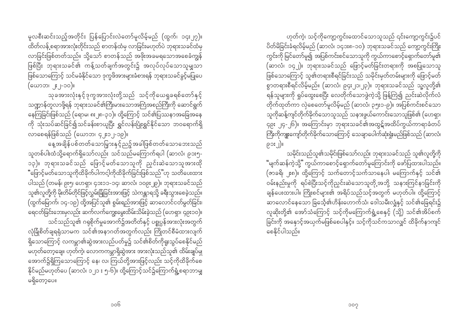မူလစီးဆင်းသည့်အတိုင်း ပြန်ပြောင်းလဲတော်မူလိမ့်မည် (ထွက်၊ ၁၄း၂၇)။ ထိတ်လန့် စရာအားလုံးတိုင်းသည် စာတန်ထံမှ လာခြင်းမဟုတ်ပဲ ဘုရားသခင်ထံမှ လာခြင်းဖြစ်တတ်သည်။ သို့သော် စာတန်သည် အဖိုးအခမရသောအစေခံကျွန် ဖြစ်ပြီး ဘုရားသခင်၏ ကန့်သတ်ချက်အတွင်း၌ အလုပ်လုပ်သောသူမျှသာ (ယောဘ၊ ၂ႏ၂-၁၀)။

သုခအားလုံးနှင့်ဒုက္ခအားလုံးတို့သည် သင့်ကိုယေရှုခရစ်တော်နှင့် သဏ္ဍာန်တူလာဖို့ရန် ဘုရားသခင်၏ကြီးမားသောအကြံအစည်ကြီးကို ဆောင်ရွက် နေကြခြင်းဖြစ်သည် (ရောမ၊ ၈း၂၈-၃၁)။ ထို့ကြောင့် သင်၏ပြဿနာအခြေအနေ ကို သုံးသပ်ဆင်ခြင်၍သင်ခန်းစာယူပြီး ရွှင်လန်းပြုံးရွှင်နိုင်သော ဘဝရောက်ရှိ လာစေရန်ဖြစ်သည် (ယောဘ၊ ၄၂း၁၂-၁၉)။

နေ့အချိန်ပစ်တတ်သောမြှားနှင့်ညဥ့်အခါဖြစ်တတ်သောဘေးသည် သူတစ်ပါးထံသို့ရောက်ရှိသော်လည်း သင်သည်မကြောက်ရပါ (ဆာလံ၊ ၉၁း၅-၁၃)။ ဘုရားသခင်သည် ဖြောင့်မတ်သောသူကို ညှင်းဆဲသောသူအားထို ပါသည် (တမန်၊ ၉း၅၊ ဟေရှာ၊ ၄၁း၁၁-၁၄၊ ဆာလံ၊ ၁ဝ၉း၂၉)။ ဘုရားသခင်သည် သူ၏လူတို့ကို မိုးတိမ်တိုင်ဖြင့်လွှမ်းခြံခြင်းအားဖြင့် သဲကန္တာရသို့ ခရီးသွားစေခဲ့သည်။ (ထွက်မြောက်၊ ၁၄-၁၉) ထို့အပြင်သူ၏ စွမ်းရည်အားဖြင့် ဆာလောင်ငတ်မွတ်ခြင်း၊ ရေငတ်ခြင်းဘေးမှလည်း ဆက်လက်ကျွေးမွေးထိမ်းသိမ်းခဲ့သည် (ဟေရှာ၊ ၄၉း၁၀)။ သင်သည်သူ၏ ဂရုစိုက်မှုအောက်၌အတိတ်နှင့် ပစ္စုပ္ပန်အားလုံးအတွက် လုံခြုံစိတ်ချရရုံသာမက သင်၏အနာဂတ်အတွက်လည်း ကြိုတင်စီမံထားလျက် ရှိသောကြောင့် လကမ္ဘာ၏ဆွဲအားလည်ပတ်မှု၌ သင်၏စိတ်ကိုရူးသွပ်စေနိုင်မည် မဟုတ်တော့ချေ။ ဟုတ်ကဲ့၊ လောကကမ္ဘာရှိဆွဲအား အားလုံးသည်သူ၏ ထိမ်းချုပ်မှု အောက်၌ရှိကြသောကြောင့် နေ၊ လ၊ ကြယ်တို့အားဖြင့်လည်း သင့်ကိုထိခိုက်စေ နိုင်မည်မဟုတ်ပေ (ဆာလံ၊ ၁၂၁ း ၅-၆)။ ထို့ကြောင့်သင်၌ကြောက်ရွံ့စရာဘာမျှ မရှိတော့ပေ။

ဟုတ်ကဲ့၊ သင့်ကိုကျော့ကွင်းထောင်သောသူသည် ၎င်းကျော့ကွင်း၌ပင် ပိတ်မိခြင်းခံရလိမ့်မည် (ဆာလံ၊ ၁၄၁း၈-၁၀)၊ ဘုရားသခင်သည် ကျော့ကွင်းကြိုး ကွင်းကို မြင်တော်မူ၍ အပြစ်ကင်းစင်သောသူကို ကွယ်ကာစောင့်ရှောက်တော်မူ၏ (ဆာလံ၊ ၁၄၂)။ ဘုရားသခင်သည် ဖြောင့်မတ်ခြင်းတရားကို အစပြုသောသူ .<br>ဖြစ်သောကြောင့် သူ၏တရားစီရင်ခြင်းသည် သမိုင်းမှတ်တမ်းများကို ဖြောင့်မတ် စွာတရားစီရင်လိမ့်မည်။ (ဆာလံ၊ ၉၄း၂၁၊၂၃)။ ဘုရားသခင်သည် သူ့လူတို့၏ ရန်သူများကို ရှုပ်ထွေးစေပြီး လေတိုက်သောဖွဲကဲ့သို့ ဖြန့်ကြဲ၍ ညင်းဆဲလိုက်လံ ာ<br>တိုက်ထုတ်ကာ လှဲစေတော်မူလိမ့်မည် (ဆာလံ၊ ၃၅း၁-၉)။ အပြစ်ကင်းစင်သော သူကိုဆန့်ကျင်တိုက်ခိုက်သောသူသည် သနားဖွယ်ကောင်းသောသူဖြစ်၏ (ဟေရှာ၊ ၄၉း ၂၄-၂၆)။ အကြောင်းမှာ ဘုရားသခင်၏အထွဋ်အထိပ်ကွယ်ကာရာခံတပ် ကြီးကိုကျူးကျော်တိုက်ခိုက်သောကြောင့် သေချာပေါက်ဆုံးရှုံးမည်ဖြစ်သည် (ဆာလံ၊ ၉၁း၂)။

သမိုင်းသည်သူ၏သမိုင်းဖြစ်သော်လည်း ဘုရားသခင်သည် သူ၏လူတို့ကို "မျက်ဆန်ကဲ့သို့" ကွယ်ကာစောင့်ရှောက်တော်မူကြောင်းကို ဖော်ပြထားပါသည်။ (ဇာခရိ၊ ၂း၈)။ ထို့ကြောင့် သက်တောင့်သက်သာနေပါ၊ မကြောက်နှင့် သင်၏ ဝမ်းနည်းမှုကို ရပ်စဲပြီးသင့်ကိုညှင်းဆဲသောသူတို့အဘို့ သနားကြင်နာခြင်းကို ချန်ပေးထားပါ။ ကြိုးစင်များ၏ အရိပ်သည်သင့်အတွက် မဟုတ်ပါ။ ထို့ကြောင့် ဆာလောင်နေသော ခြင်္သေ့၏ဟိန်းဟောက်သံ၊ ဒေါသမီးလျှံနှင့် သင်၏ခြေရင်း၌ လူဆိုးတို့၏ အော်သံကြောင့် သင့်ကိုမကြောက်ရွံ့စေနှင့် (သို့) သင်၏အိပ်စက် ခြင်းကို အနောင့်အယှက်မဖြစ်စေပါနှင့်။ သင့်ကိုသင်ကသာလျှင် ထိခိုက်နာကျင် စေနိုင်ပါသည်။